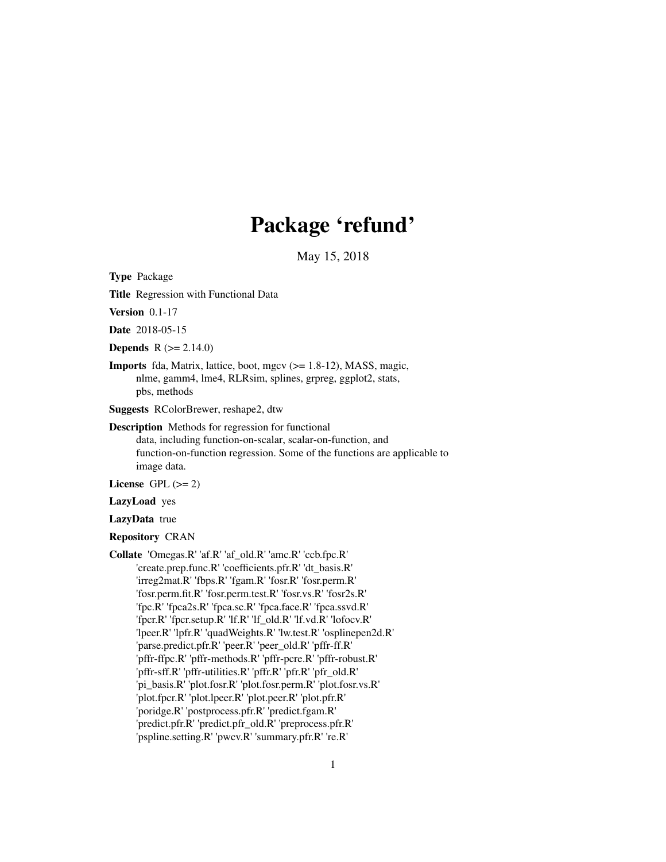# Package 'refund'

May 15, 2018

<span id="page-0-0"></span>Type Package

Title Regression with Functional Data

Version 0.1-17

Date 2018-05-15

**Depends**  $R (= 2.14.0)$ 

Imports fda, Matrix, lattice, boot, mgcv (>= 1.8-12), MASS, magic, nlme, gamm4, lme4, RLRsim, splines, grpreg, ggplot2, stats, pbs, methods

Suggests RColorBrewer, reshape2, dtw

Description Methods for regression for functional data, including function-on-scalar, scalar-on-function, and function-on-function regression. Some of the functions are applicable to image data.

License GPL  $(>= 2)$ 

LazyLoad yes

LazyData true

Repository CRAN

Collate 'Omegas.R' 'af.R' 'af\_old.R' 'amc.R' 'ccb.fpc.R' 'create.prep.func.R' 'coefficients.pfr.R' 'dt\_basis.R' 'irreg2mat.R' 'fbps.R' 'fgam.R' 'fosr.R' 'fosr.perm.R' 'fosr.perm.fit.R' 'fosr.perm.test.R' 'fosr.vs.R' 'fosr2s.R' 'fpc.R' 'fpca2s.R' 'fpca.sc.R' 'fpca.face.R' 'fpca.ssvd.R' 'fpcr.R' 'fpcr.setup.R' 'lf.R' 'lf\_old.R' 'lf.vd.R' 'lofocv.R' 'lpeer.R' 'lpfr.R' 'quadWeights.R' 'lw.test.R' 'osplinepen2d.R' 'parse.predict.pfr.R' 'peer.R' 'peer\_old.R' 'pffr-ff.R' 'pffr-ffpc.R' 'pffr-methods.R' 'pffr-pcre.R' 'pffr-robust.R' 'pffr-sff.R' 'pffr-utilities.R' 'pffr.R' 'pfr.R' 'pfr\_old.R' 'pi\_basis.R' 'plot.fosr.R' 'plot.fosr.perm.R' 'plot.fosr.vs.R' 'plot.fpcr.R' 'plot.lpeer.R' 'plot.peer.R' 'plot.pfr.R' 'poridge.R' 'postprocess.pfr.R' 'predict.fgam.R' 'predict.pfr.R' 'predict.pfr\_old.R' 'preprocess.pfr.R' 'pspline.setting.R' 'pwcv.R' 'summary.pfr.R' 're.R'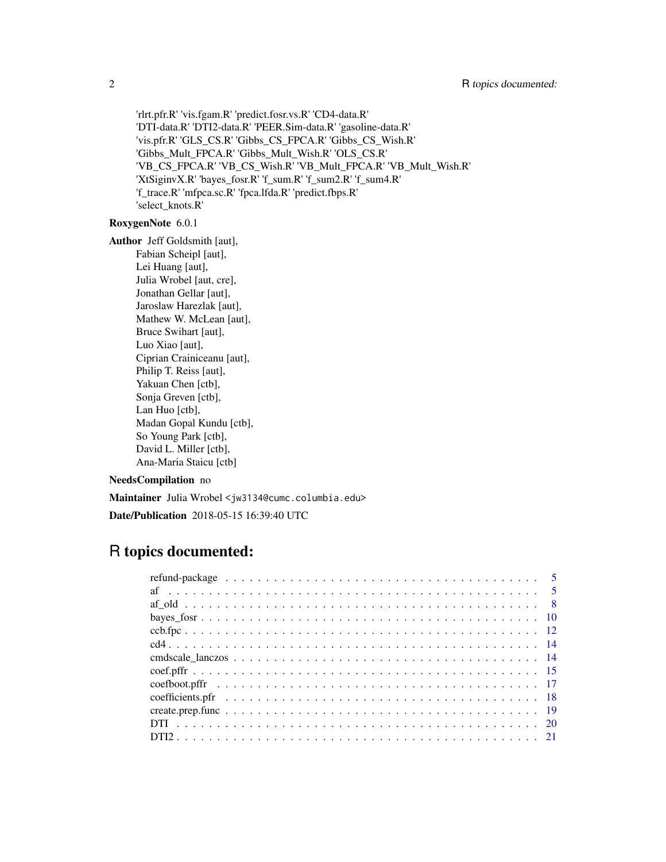'rlrt.pfr.R' 'vis.fgam.R' 'predict.fosr.vs.R' 'CD4-data.R' 'DTI-data.R' 'DTI2-data.R' 'PEER.Sim-data.R' 'gasoline-data.R' 'vis.pfr.R' 'GLS\_CS.R' 'Gibbs\_CS\_FPCA.R' 'Gibbs\_CS\_Wish.R' 'Gibbs\_Mult\_FPCA.R' 'Gibbs\_Mult\_Wish.R' 'OLS\_CS.R' 'VB\_CS\_FPCA.R' 'VB\_CS\_Wish.R' 'VB\_Mult\_FPCA.R' 'VB\_Mult\_Wish.R' 'XtSiginvX.R' 'bayes\_fosr.R' 'f\_sum.R' 'f\_sum2.R' 'f\_sum4.R' 'f\_trace.R' 'mfpca.sc.R' 'fpca.lfda.R' 'predict.fbps.R' 'select\_knots.R'

#### RoxygenNote 6.0.1

Author Jeff Goldsmith [aut], Fabian Scheipl [aut], Lei Huang [aut], Julia Wrobel [aut, cre], Jonathan Gellar [aut], Jaroslaw Harezlak [aut], Mathew W. McLean [aut], Bruce Swihart [aut], Luo Xiao [aut], Ciprian Crainiceanu [aut], Philip T. Reiss [aut], Yakuan Chen [ctb], Sonja Greven [ctb], Lan Huo [ctb], Madan Gopal Kundu [ctb], So Young Park [ctb], David L. Miller [ctb], Ana-Maria Staicu [ctb]

## NeedsCompilation no

Maintainer Julia Wrobel <jw3134@cumc.columbia.edu>

Date/Publication 2018-05-15 16:39:40 UTC

## R topics documented: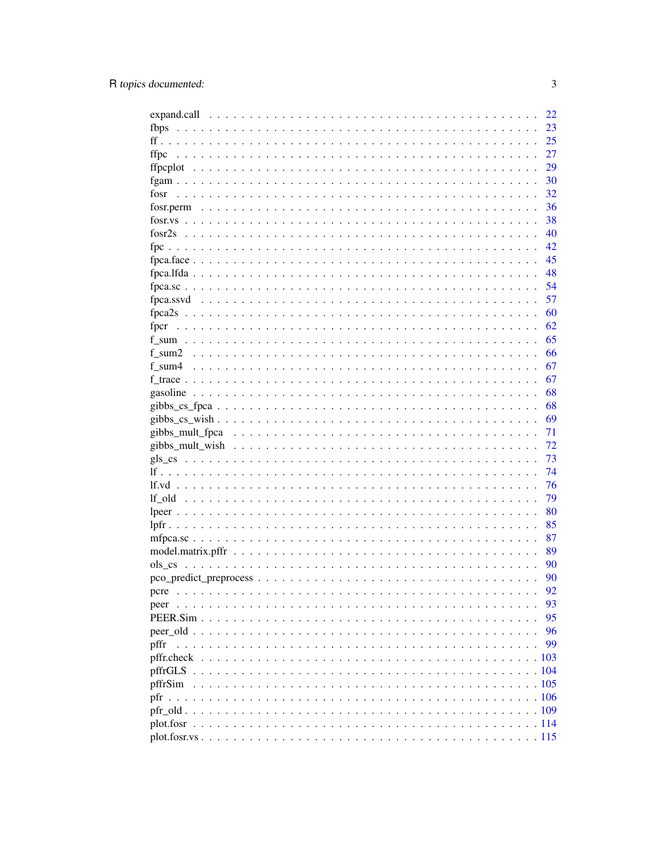|         | 22 |
|---------|----|
| fbps    | 23 |
|         | 25 |
| ffpc    | 27 |
|         | 29 |
|         | 30 |
| fosr    | 32 |
|         | 36 |
|         | 38 |
|         | 40 |
|         | 42 |
|         | 45 |
|         | 48 |
|         | 54 |
|         | 57 |
|         | 60 |
|         | 62 |
|         | 65 |
|         | 66 |
|         | 67 |
|         |    |
|         | 67 |
|         | 68 |
|         | 68 |
|         | 69 |
|         | 71 |
|         | 72 |
|         | 73 |
|         | 74 |
|         | 76 |
|         | 79 |
|         | 80 |
|         | 85 |
|         | 87 |
|         | 89 |
|         | 90 |
|         | 90 |
| pcre    | 92 |
|         | 93 |
|         | 95 |
|         | 96 |
| pffr    | 99 |
|         |    |
| pffrGLS |    |
| pffrSim |    |
| pfr     |    |
|         |    |
|         |    |
|         |    |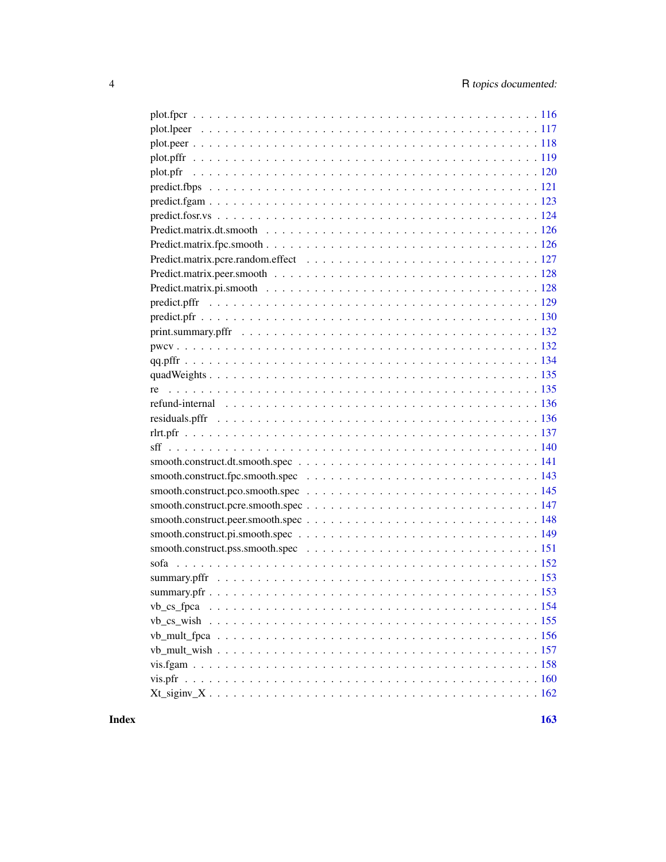$\blacksquare$  Index  $\blacksquare$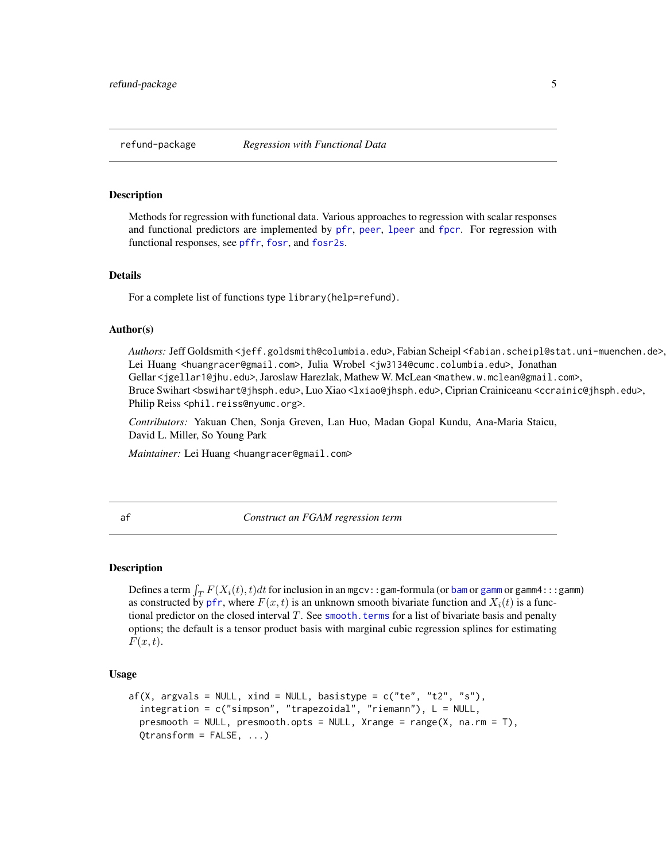<span id="page-4-0"></span>

#### Description

Methods for regression with functional data. Various approaches to regression with scalar responses and functional predictors are implemented by [pfr](#page-105-1), [peer](#page-92-1), [lpeer](#page-79-1) and [fpcr](#page-61-1). For regression with functional responses, see [pffr](#page-98-1), [fosr](#page-31-1), and [fosr2s](#page-39-1).

#### Details

For a complete list of functions type library(help=refund).

#### Author(s)

Authors: Jeff Goldsmith <jeff.goldsmith@columbia.edu>, Fabian Scheipl <fabian.scheipl@stat.uni-muenchen.de>, Lei Huang <huangracer@gmail.com>, Julia Wrobel <jw3134@cumc.columbia.edu>, Jonathan Gellar <jgellar1@jhu.edu>, Jaroslaw Harezlak, Mathew W. McLean <mathew.w.mclean@gmail.com>, Bruce Swihart <bswihart@jhsph.edu>, Luo Xiao <lxiao@jhsph.edu>, Ciprian Crainiceanu <ccrainic@jhsph.edu>, Philip Reiss <phil.reiss@nyumc.org>.

*Contributors:* Yakuan Chen, Sonja Greven, Lan Huo, Madan Gopal Kundu, Ana-Maria Staicu, David L. Miller, So Young Park

*Maintainer:* Lei Huang <huangracer@gmail.com>

<span id="page-4-1"></span>

af *Construct an FGAM regression term*

#### Description

Defines a term  $\int_T F(X_i(t), t)dt$  for inclusion in an mgcv::gam-formula (or [bam](#page-0-0) or [gamm](#page-0-0) or gamm4:::gamm) as constructed by [pfr](#page-105-1), where  $F(x, t)$  is an unknown smooth bivariate function and  $X_i(t)$  is a functional predictor on the closed interval  $T$ . See smooth. terms for a list of bivariate basis and penalty options; the default is a tensor product basis with marginal cubic regression splines for estimating  $F(x, t)$ .

#### Usage

```
af(X, argvals = NULL, xind = NULL, basistype = c("te", "t2", "s"),integration = c("simpson", "trapezoidal", "riemann"), L = NULL,
  presmooth = NULL, presmooth.opts = NULL, Xrange = range(X, na.rm = T),
  Qtransform = FALSE, \ldots)
```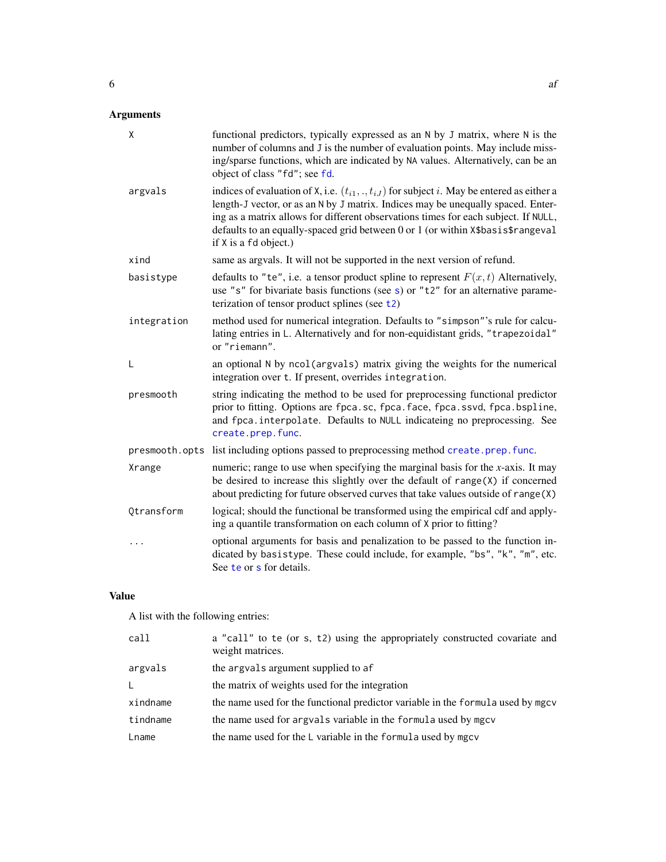## Arguments

| X              | functional predictors, typically expressed as an N by J matrix, where N is the<br>number of columns and J is the number of evaluation points. May include miss-<br>ing/sparse functions, which are indicated by NA values. Alternatively, can be an<br>object of class "fd"; see fd.                                                                                                        |
|----------------|---------------------------------------------------------------------------------------------------------------------------------------------------------------------------------------------------------------------------------------------------------------------------------------------------------------------------------------------------------------------------------------------|
| argvals        | indices of evaluation of X, i.e. $(t_{i1}, \ldots, t_{iJ})$ for subject i. May be entered as either a<br>length-J vector, or as an N by J matrix. Indices may be unequally spaced. Enter-<br>ing as a matrix allows for different observations times for each subject. If NULL,<br>defaults to an equally-spaced grid between 0 or 1 (or within X\$basis\$rangeval<br>if X is a fd object.) |
| xind           | same as argvals. It will not be supported in the next version of refund.                                                                                                                                                                                                                                                                                                                    |
| basistype      | defaults to "te", i.e. a tensor product spline to represent $F(x, t)$ Alternatively,<br>use "s" for bivariate basis functions (see s) or " $t2$ " for an alternative parame-<br>terization of tensor product splines (see t2)                                                                                                                                                               |
| integration    | method used for numerical integration. Defaults to "simpson"'s rule for calcu-<br>lating entries in L. Alternatively and for non-equidistant grids, "trapezoidal"<br>or "riemann".                                                                                                                                                                                                          |
| L              | an optional N by ncol (argvals) matrix giving the weights for the numerical<br>integration over t. If present, overrides integration.                                                                                                                                                                                                                                                       |
| presmooth      | string indicating the method to be used for preprocessing functional predictor<br>prior to fitting. Options are fpca.sc, fpca.face, fpca.ssvd, fpca.bspline,<br>and fpca. interpolate. Defaults to NULL indicateing no preprocessing. See<br>create.prep.func.                                                                                                                              |
| presmooth.opts | list including options passed to preprocessing method create.prep.func.                                                                                                                                                                                                                                                                                                                     |
| Xrange         | numeric; range to use when specifying the marginal basis for the $x$ -axis. It may<br>be desired to increase this slightly over the default of $range(X)$ if concerned<br>about predicting for future observed curves that take values outside of range (X)                                                                                                                                 |
| Qtransform     | logical; should the functional be transformed using the empirical cdf and apply-<br>ing a quantile transformation on each column of X prior to fitting?                                                                                                                                                                                                                                     |
| $\cdots$       | optional arguments for basis and penalization to be passed to the function in-<br>dicated by basistype. These could include, for example, "bs", "k", "m", etc.<br>See te or s for details.                                                                                                                                                                                                  |

## Value

A list with the following entries:

| call     | a "call" to te (or s, t2) using the appropriately constructed covariate and<br>weight matrices. |
|----------|-------------------------------------------------------------------------------------------------|
| argvals  | the argvals argument supplied to af                                                             |
| L.       | the matrix of weights used for the integration                                                  |
| xindname | the name used for the functional predictor variable in the formula used by mgcv                 |
| tindname | the name used for argvals variable in the formula used by mgcv                                  |
| Lname    | the name used for the L variable in the formula used by mgcv                                    |
|          |                                                                                                 |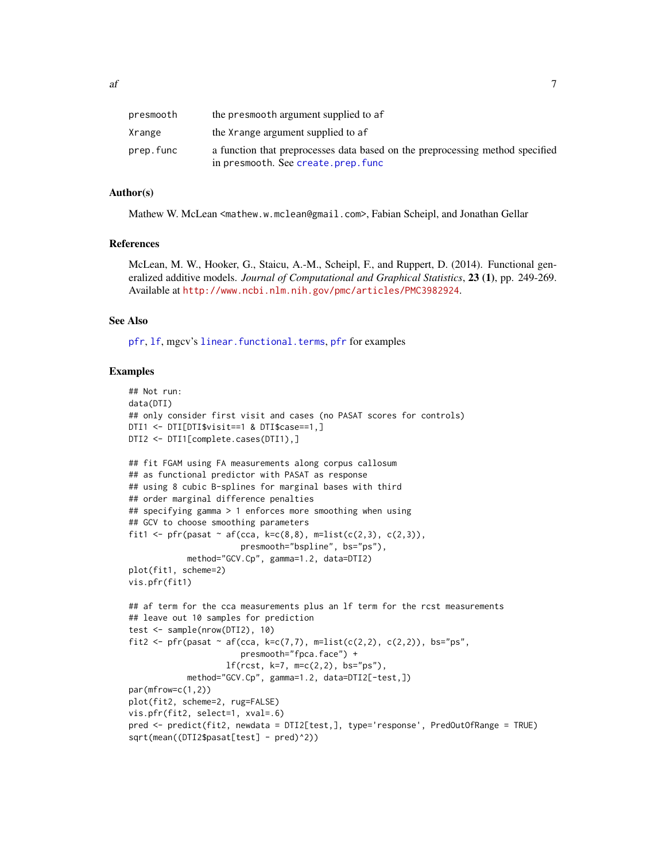| presmooth | the presmooth argument supplied to af                                                                               |
|-----------|---------------------------------------------------------------------------------------------------------------------|
| Xrange    | the Xrange argument supplied to af                                                                                  |
| prep.func | a function that preprocesses data based on the preprocessing method specified<br>in presmooth. See create.prep.func |

#### Author(s)

Mathew W. McLean <mathew.w.mclean@gmail.com>, Fabian Scheipl, and Jonathan Gellar

#### References

McLean, M. W., Hooker, G., Staicu, A.-M., Scheipl, F., and Ruppert, D. (2014). Functional generalized additive models. *Journal of Computational and Graphical Statistics*, 23 (1), pp. 249-269. Available at <http://www.ncbi.nlm.nih.gov/pmc/articles/PMC3982924>.

#### See Also

[pfr](#page-105-1), [lf](#page-73-1), mgcv's [linear.functional.terms](#page-0-0), [pfr](#page-105-1) for examples

## Examples

```
## Not run:
data(DTI)
## only consider first visit and cases (no PASAT scores for controls)
DTI1 <- DTI[DTI$visit==1 & DTI$case==1,]
DTI2 <- DTI1[complete.cases(DTI1),]
## fit FGAM using FA measurements along corpus callosum
## as functional predictor with PASAT as response
## using 8 cubic B-splines for marginal bases with third
## order marginal difference penalties
## specifying gamma > 1 enforces more smoothing when using
## GCV to choose smoothing parameters
fit1 <- pfr(pasat \sim af(cca, k=c(8,8), m=list(c(2,3), c(2,3)),
                       presmooth="bspline", bs="ps"),
            method="GCV.Cp", gamma=1.2, data=DTI2)
plot(fit1, scheme=2)
vis.pfr(fit1)
## af term for the cca measurements plus an lf term for the rcst measurements
## leave out 10 samples for prediction
test <- sample(nrow(DTI2), 10)
fit2 <- pfr(pasat \sim af(cca, k=c(7,7), m=list(c(2,2), c(2,2)), bs="ps",
                       presmooth="fpca.face") +
                    lf(rcst, k=7, m=c(2,2), bs="ps"),
            method="GCV.Cp", gamma=1.2, data=DTI2[-test,])
par(mfrow=c(1,2))
plot(fit2, scheme=2, rug=FALSE)
vis.pfr(fit2, select=1, xval=.6)
pred <- predict(fit2, newdata = DTI2[test,], type='response', PredOutOfRange = TRUE)
sqrt(mean((DTI2$pasat[test] - pred)^2))
```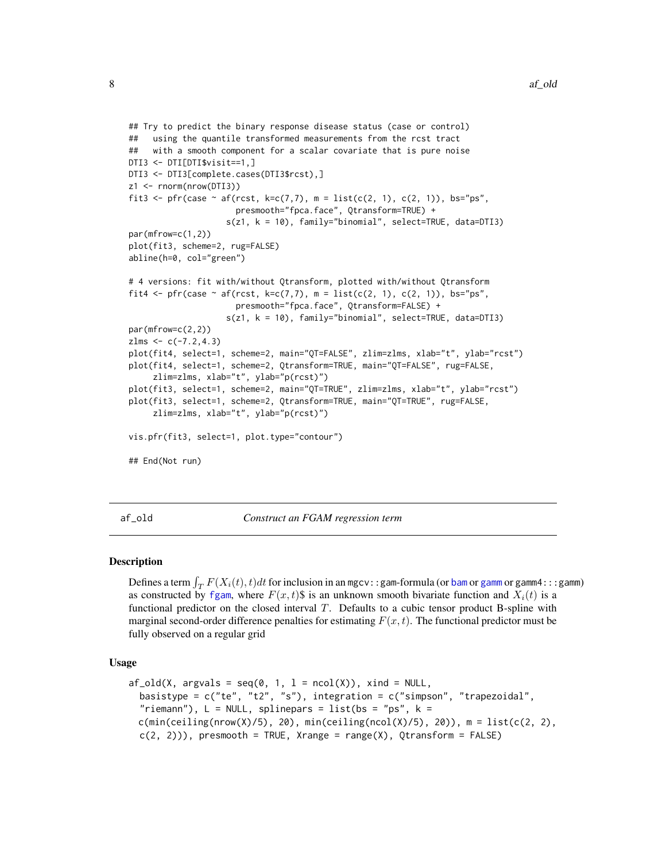```
## Try to predict the binary response disease status (case or control)
## using the quantile transformed measurements from the rcst tract
## with a smooth component for a scalar covariate that is pure noise
DTI3 <- DTI[DTI$visit==1,]
DTI3 <- DTI3[complete.cases(DTI3$rcst),]
z1 <- rnorm(nrow(DTI3))
fit3 <- pfr(case \sim af(rcst, k=c(7,7), m = list(c(2, 1), c(2, 1)), bs="ps",
                      presmooth="fpca.face", Qtransform=TRUE) +
                    s(z1, k = 10), family="binomial", select=TRUE, data=DTI3)
par(mfrow=c(1,2))
plot(fit3, scheme=2, rug=FALSE)
abline(h=0, col="green")
# 4 versions: fit with/without Qtransform, plotted with/without Qtransform
fit4 <- pfr(case \sim af(rcst, k=c(7,7), m = list(c(2, 1), c(2, 1)), bs="ps",
                      presmooth="fpca.face", Qtransform=FALSE) +
                    s(z1, k = 10), family="binomial", select=TRUE, data=DTI3)
par(mfrow=c(2,2))
zlms < -c(-7.2, 4.3)plot(fit4, select=1, scheme=2, main="QT=FALSE", zlim=zlms, xlab="t", ylab="rcst")
plot(fit4, select=1, scheme=2, Qtransform=TRUE, main="QT=FALSE", rug=FALSE,
     zlim=zlms, xlab="t", ylab="p(rcst)")
plot(fit3, select=1, scheme=2, main="QT=TRUE", zlim=zlms, xlab="t", ylab="rcst")
plot(fit3, select=1, scheme=2, Qtransform=TRUE, main="QT=TRUE", rug=FALSE,
     zlim=zlms, xlab="t", ylab="p(rcst)")
vis.pfr(fit3, select=1, plot.type="contour")
## End(Not run)
```
af\_old *Construct an FGAM regression term*

#### Description

Defines a term  $\int_T F(X_i(t), t)dt$  for inclusion in an mgcv::gam-formula (or [bam](#page-0-0) or [gamm](#page-0-0) or gamm4:::gamm) as constructed by [fgam](#page-29-1), where  $F(x, t)$  is an unknown smooth bivariate function and  $X_i(t)$  is a functional predictor on the closed interval  $T$ . Defaults to a cubic tensor product B-spline with marginal second-order difference penalties for estimating  $F(x, t)$ . The functional predictor must be fully observed on a regular grid

#### Usage

```
af\_old(X, argvals = seq(0, 1, 1 = ncol(X)), xind = NULL,basistype = c("te", "t2", "s"), integration = c("simpson", "trapezoidal","riemann"), L = NULL, splinepars = list(bs = "ps", k =c(min(ceiling(nrow(X)/5), 20), min(ceiling(ncol(X)/5), 20)), m = list(c(2, 2),c(2, 2)), presmooth = TRUE, Xrange = range(X), Qtransform = FALSE)
```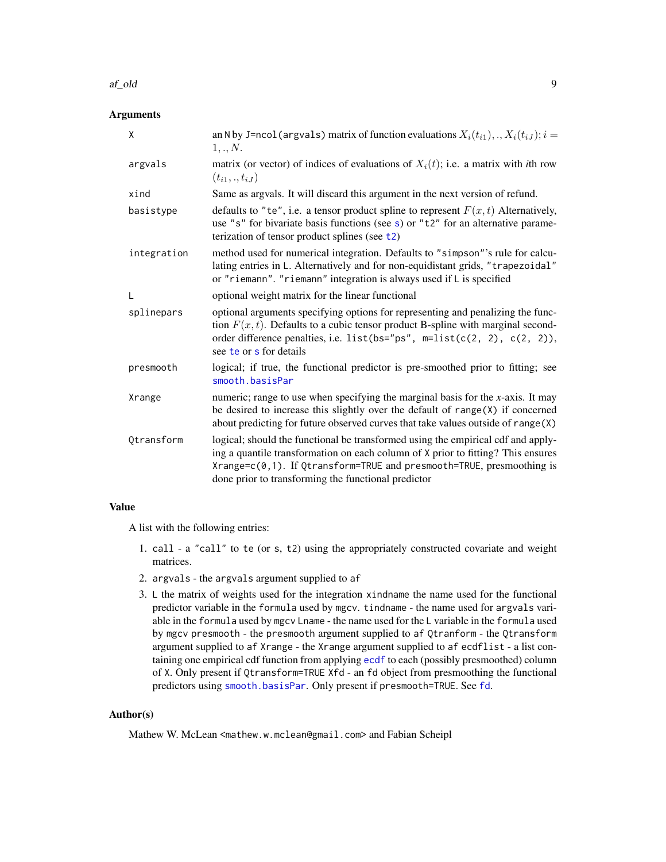#### af\_old 9

## Arguments

| X           | an N by J=ncol (argvals) matrix of function evaluations $X_i(t_{i1}),,X_i(t_{iJ}); i =$<br>1,.,N.                                                                                                                                                                                                    |
|-------------|------------------------------------------------------------------------------------------------------------------------------------------------------------------------------------------------------------------------------------------------------------------------------------------------------|
| argvals     | matrix (or vector) of indices of evaluations of $X_i(t)$ ; i.e. a matrix with <i>i</i> th row<br>$(t_{i1},.,t_{iJ})$                                                                                                                                                                                 |
| xind        | Same as argvals. It will discard this argument in the next version of refund.                                                                                                                                                                                                                        |
| basistype   | defaults to "te", i.e. a tensor product spline to represent $F(x, t)$ Alternatively,<br>use "s" for bivariate basis functions (see s) or " $t2$ " for an alternative parame-<br>terization of tensor product splines (see t2)                                                                        |
| integration | method used for numerical integration. Defaults to "simpson"'s rule for calcu-<br>lating entries in L. Alternatively and for non-equidistant grids, "trapezoidal"<br>or "riemann". "riemann" integration is always used if L is specified                                                            |
| L           | optional weight matrix for the linear functional                                                                                                                                                                                                                                                     |
| splinepars  | optional arguments specifying options for representing and penalizing the func-<br>tion $F(x, t)$ . Defaults to a cubic tensor product B-spline with marginal second-<br>order difference penalties, i.e. list(bs="ps", $m=list(c(2, 2), c(2, 2)),$<br>see te or s for details                       |
| presmooth   | logical; if true, the functional predictor is pre-smoothed prior to fitting; see<br>smooth.basisPar                                                                                                                                                                                                  |
| Xrange      | numeric; range to use when specifying the marginal basis for the $x$ -axis. It may<br>be desired to increase this slightly over the default of $range(X)$ if concerned<br>about predicting for future observed curves that take values outside of range(X)                                           |
| Qtransform  | logical; should the functional be transformed using the empirical cdf and apply-<br>ing a quantile transformation on each column of X prior to fitting? This ensures<br>Xrange=c(0,1). If Qtransform=TRUE and presmooth=TRUE, presmoothing is<br>done prior to transforming the functional predictor |

## Value

A list with the following entries:

- 1. call a "call" to te (or s, t2) using the appropriately constructed covariate and weight matrices.
- 2. argvals the argvals argument supplied to af
- 3. L the matrix of weights used for the integration xindname the name used for the functional predictor variable in the formula used by mgcv. tindname - the name used for argvals variable in the formula used by mgcv Lname - the name used for the L variable in the formula used by mgcv presmooth - the presmooth argument supplied to af Qtranform - the Qtransform argument supplied to af Xrange - the Xrange argument supplied to af ecdflist - a list containing one empirical cdf function from applying [ecdf](#page-0-0) to each (possibly presmoothed) column of X. Only present if Qtransform=TRUE Xfd - an fd object from presmoothing the functional predictors using [smooth.basisPar](#page-0-0). Only present if presmooth=TRUE. See [fd](#page-0-0).

## Author(s)

Mathew W. McLean <mathew.w.mclean@gmail.com> and Fabian Scheipl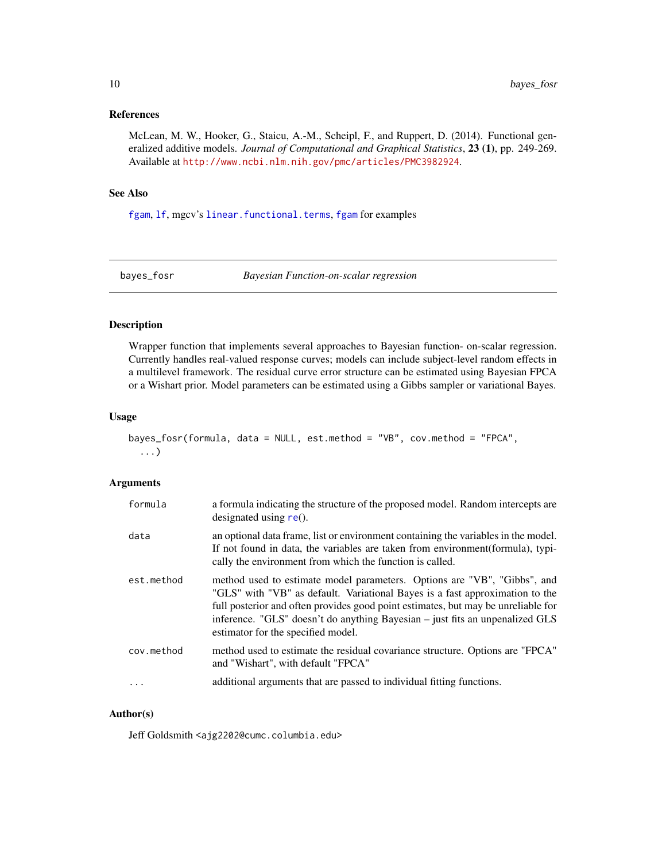## <span id="page-9-0"></span>References

McLean, M. W., Hooker, G., Staicu, A.-M., Scheipl, F., and Ruppert, D. (2014). Functional generalized additive models. *Journal of Computational and Graphical Statistics*, 23 (1), pp. 249-269. Available at <http://www.ncbi.nlm.nih.gov/pmc/articles/PMC3982924>.

#### See Also

[fgam](#page-29-1), 1f, mgcv's [linear.functional.terms](#page-0-0), fgam for examples

bayes\_fosr *Bayesian Function-on-scalar regression*

#### Description

Wrapper function that implements several approaches to Bayesian function- on-scalar regression. Currently handles real-valued response curves; models can include subject-level random effects in a multilevel framework. The residual curve error structure can be estimated using Bayesian FPCA or a Wishart prior. Model parameters can be estimated using a Gibbs sampler or variational Bayes.

#### Usage

```
bayes_fosr(formula, data = NULL, est.method = "VB", cov.method = "FPCA",
  ...)
```
#### Arguments

| formula    | a formula indicating the structure of the proposed model. Random intercepts are<br>designated using $re()$ .                                                                                                                                                                                                                                                        |
|------------|---------------------------------------------------------------------------------------------------------------------------------------------------------------------------------------------------------------------------------------------------------------------------------------------------------------------------------------------------------------------|
| data       | an optional data frame, list or environment containing the variables in the model.<br>If not found in data, the variables are taken from environment (formula), typi-<br>cally the environment from which the function is called.                                                                                                                                   |
| est.method | method used to estimate model parameters. Options are "VB", "Gibbs", and<br>"GLS" with "VB" as default. Variational Bayes is a fast approximation to the<br>full posterior and often provides good point estimates, but may be unreliable for<br>inference. "GLS" doesn't do anything Bayesian – just fits an unpenalized GLS<br>estimator for the specified model. |
| cov.method | method used to estimate the residual covariance structure. Options are "FPCA"<br>and "Wishart", with default "FPCA"                                                                                                                                                                                                                                                 |
|            | additional arguments that are passed to individual fitting functions.                                                                                                                                                                                                                                                                                               |

## Author(s)

Jeff Goldsmith <ajg2202@cumc.columbia.edu>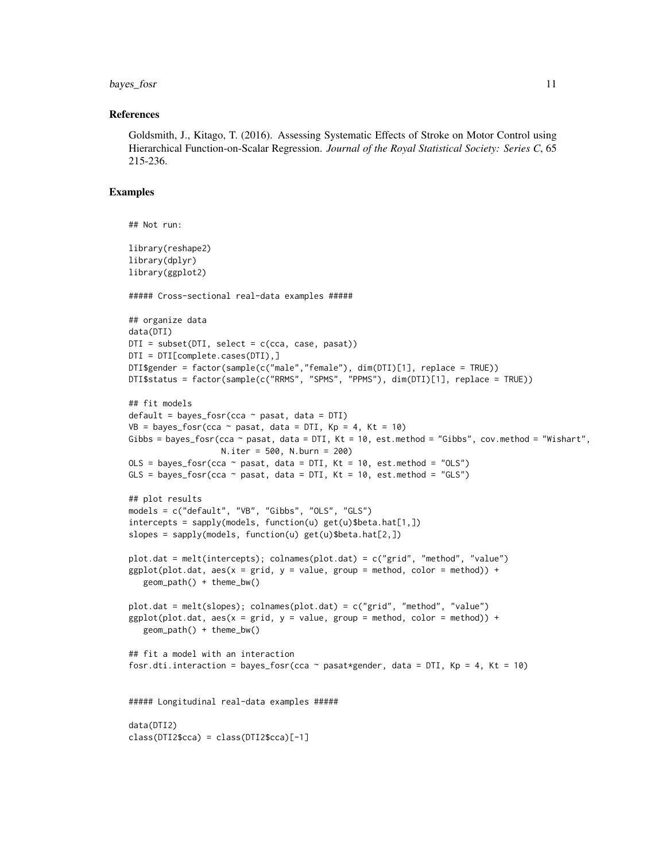bayes\_fosr 11

#### References

Goldsmith, J., Kitago, T. (2016). Assessing Systematic Effects of Stroke on Motor Control using Hierarchical Function-on-Scalar Regression. *Journal of the Royal Statistical Society: Series C*, 65 215-236.

#### Examples

```
## Not run:
library(reshape2)
library(dplyr)
library(ggplot2)
##### Cross-sectional real-data examples #####
## organize data
data(DTI)
DTI = subset(DTI, select = c(cca, case, pass))DTI = DTI[complete.cases(DTI),]
DTI$gender = factor(sample(c("male","female"), dim(DTI)[1], replace = TRUE))
DTI$status = factor(sample(c("RRMS", "SPMS", "PPMS"), dim(DTI)[1], replace = TRUE))
## fit models
default = bayes_fosr(cca ~ x pasat, data = DTI)VB = bayes_fosr(cca \sim pasat, data = DTI, Kp = 4, Kt = 10)Gibbs = bayes_fosr(cca \sim pasat, data = DTI, Kt = 10, est.method = "Gibbs", cov.method = "Wishart",
                   N.iter = 500, N.burn = 200)
OLS = bayes_fosr(cca \sim pasat, data = DTI, Kt = 10, est.method = "OLS")
GLS = bayes_fosr(cca \sim pasat, data = DTI, Kt = 10, est.method = "GLS")
## plot results
models = c("default", "VB", "Gibbs", "OLS", "GLS")
intercepts = sapply(models, function(u) get(u) $beta.hat[1,])slopes = sapply(models, function(u) get(u)$beta.hat[2,])
plot.dat = melt(intercepts); colnames(plot.dat) = c("grid", "method", "value")
ggplot(plot.dat, aes(x = grid, y = value, group = method, color = method)) +geom_path() + theme_bw()
plot.dat = melt(slopes); colnames(plot.dat) = c("grid", "method", "value")
ggplot(plot.data, aes(x = grid, y = value, group = method, color = method)) +geom_path() + theme_bw()
## fit a model with an interaction
fosr.dti.interaction = bayes_fosr(cca \sim pasat*gender, data = DTI, Kp = 4, Kt = 10)
##### Longitudinal real-data examples #####
data(DTI2)
class(DTI2$cca) = class(DTI2$cca)[-1]
```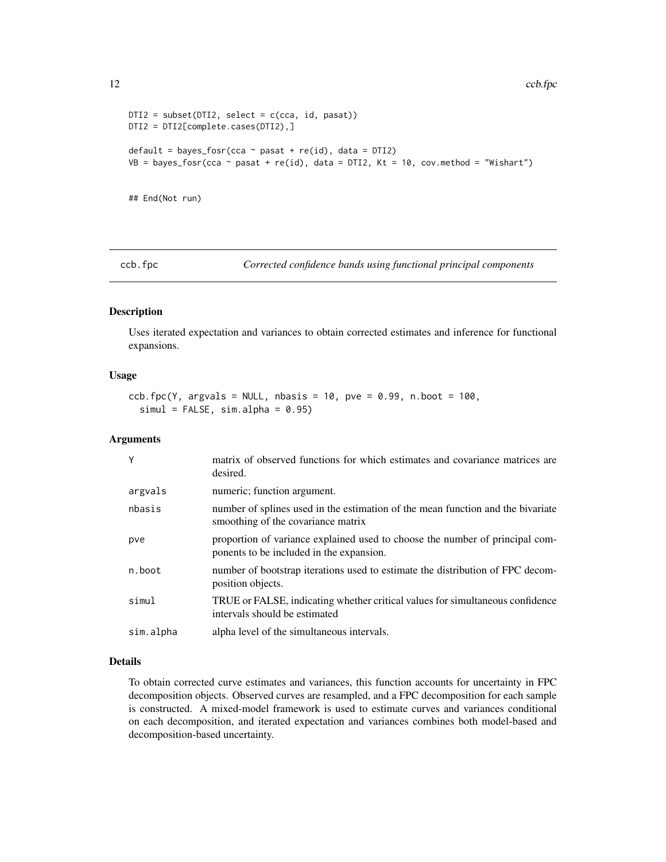```
DTI2 = subset(DTI2, select = c(cca, id, pass))DTI2 = DTI2[complete.cases(DTI2),]
default = bayes_fosr(cca \sim pasat + re(id), data = DTI2)
VB = bayes_fosr(cca \sim pasat + re(id), data = DTI2, Kt = 10, cov.method = "Wishart")
```
## End(Not run)

ccb.fpc *Corrected confidence bands using functional principal components*

## Description

Uses iterated expectation and variances to obtain corrected estimates and inference for functional expansions.

#### Usage

```
ccb.fpc(Y, argvals = NULL, nbasis = 10, pve = 0.99, n.boot = 100,
  simul = FALSE, sim.alpha = 0.95)
```
#### Arguments

| Y         | matrix of observed functions for which estimates and covariance matrices are<br>desired.                                 |
|-----------|--------------------------------------------------------------------------------------------------------------------------|
| argvals   | numeric; function argument.                                                                                              |
| nbasis    | number of splines used in the estimation of the mean function and the bivariate<br>smoothing of the covariance matrix    |
| pve       | proportion of variance explained used to choose the number of principal com-<br>ponents to be included in the expansion. |
| n.boot    | number of bootstrap iterations used to estimate the distribution of FPC decom-<br>position objects.                      |
| simul     | TRUE or FALSE, indicating whether critical values for simultaneous confidence<br>intervals should be estimated           |
| sim.alpha | alpha level of the simultaneous intervals.                                                                               |

## Details

To obtain corrected curve estimates and variances, this function accounts for uncertainty in FPC decomposition objects. Observed curves are resampled, and a FPC decomposition for each sample is constructed. A mixed-model framework is used to estimate curves and variances conditional on each decomposition, and iterated expectation and variances combines both model-based and decomposition-based uncertainty.

<span id="page-11-0"></span>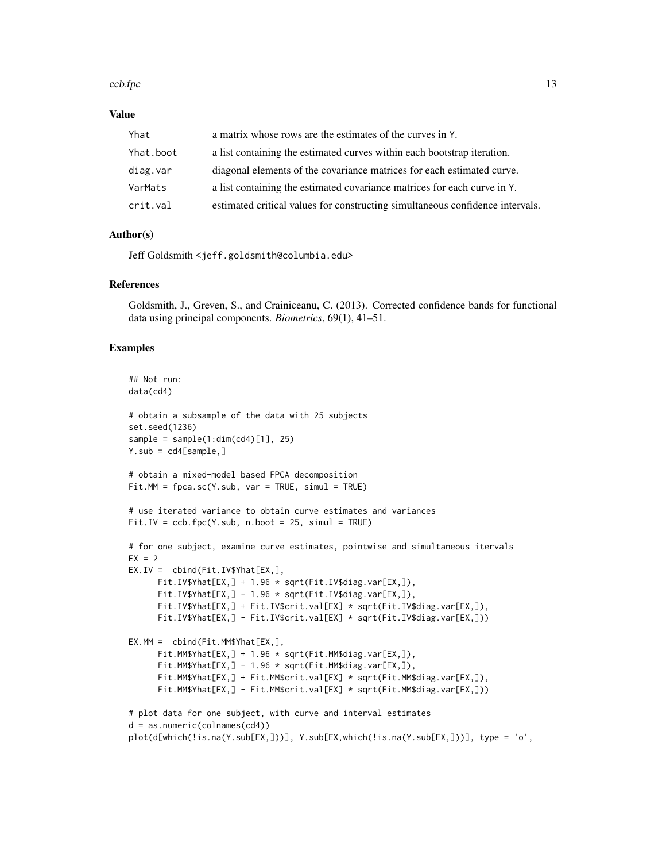#### $\cosh fpc$  13

#### Value

| Yhat      | a matrix whose rows are the estimates of the curves in Y.                     |
|-----------|-------------------------------------------------------------------------------|
| Yhat.boot | a list containing the estimated curves within each bootstrap iteration.       |
| diag.var  | diagonal elements of the covariance matrices for each estimated curve.        |
| VarMats   | a list containing the estimated covariance matrices for each curve in Y.      |
| crit.val  | estimated critical values for constructing simultaneous confidence intervals. |

#### Author(s)

Jeff Goldsmith <jeff.goldsmith@columbia.edu>

#### References

Goldsmith, J., Greven, S., and Crainiceanu, C. (2013). Corrected confidence bands for functional data using principal components. *Biometrics*, 69(1), 41–51.

#### Examples

```
## Not run:
data(cd4)
# obtain a subsample of the data with 25 subjects
set.seed(1236)
sample = sample(1:dim(cd4)[1], 25)Y.sub = cd4[sample.]# obtain a mixed-model based FPCA decomposition
Fit.MM = fpca.sc(Y.sub, var = TRUE, simul = TRUE)# use iterated variance to obtain curve estimates and variances
Fit.IV = ccb.fpc(Y.sub, n.boot = 25, simul = TRUE)# for one subject, examine curve estimates, pointwise and simultaneous itervals
EX = 2EX.IV = cbind(Fit.IV$Yhat[EX,],
      Fit.IV$Yhat[EX,] + 1.96 * sqrt(Fit.IV$diag.var[EX,]),
      Fit.IV$Yhat[EX,] - 1.96 * sqrt(Fit.IV$diag.var[EX,]),
      Fit.IV$Yhat[EX,] + Fit.IV$crit.val[EX] * sqrt(Fit.IV$diag.var[EX,]),
      Fit.IV$Yhat[EX,] - Fit.IV$crit.val[EX] * sqrt(Fit.IV$diag.var[EX,]))
EX.MM = cbind(Fit.MM$Yhat[EX,],
      Fit.MM$Yhat[EX,] + 1.96 * sqrt(Fit.MM$diag.var[EX,]),
      Fit.MM$Yhat[EX,] - 1.96 * sqrt(Fit.MM$diag.var[EX,]),
      Fit.MM$Yhat[EX,] + Fit.MM$crit.val[EX] * sqrt(Fit.MM$diag.var[EX,]),
      Fit.MM$Yhat[EX,] - Fit.MM$crit.val[EX] * sqrt(Fit.MM$diag.var[EX,]))
# plot data for one subject, with curve and interval estimates
d = as.numeric(colnames(cd4))
plot(d[which(!is.na(Y.sub[EX,]))], Y.sub[EX,which(!is.na(Y.sub[EX,]))], type = 'o',
```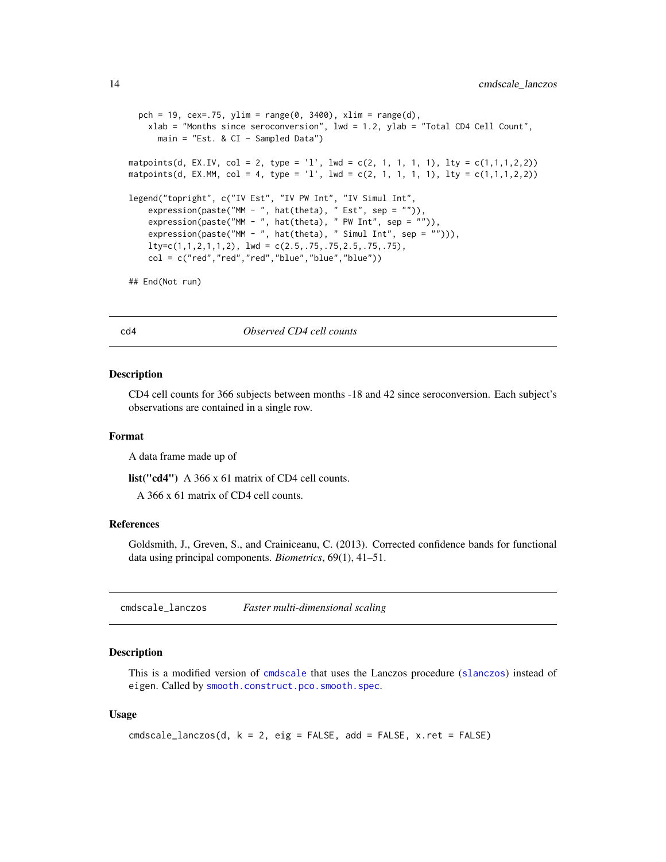```
pch = 19, cex=.75, ylim = range(0, 3400), xlim = range(d),
   xlab = "Months since seroconversion", lwd = 1.2, ylab = "Total CD4 Cell Count",
     main = "Est. & CI - Sampled Data")
matpoints(d, EX.IV, col = 2, type = '1', lwd = c(2, 1, 1, 1, 1), lty = c(1,1,1,2,2))
matpoints(d, EX.MM, col = 4, type = 'l', lwd = c(2, 1, 1, 1, 1), lty = c(1,1,1,2,2))
legend("topright", c("IV Est", "IV PW Int", "IV Simul Int",
    expression(paste("MM - ", hat(theta), " Est", sep = "")),
   expression(paste("MM - ", hat(theta), "PW Int", sep = "")),expression(paste("MM - ", hat(theta), " Simul Int", sep = ""))),
   lty=c(1,1,2,1,1,2), lwd = c(2.5,.75,.75,2.5,.75,.75),
    col = c("red", "red", "red", "blue", "blue", "blue")## End(Not run)
```
cd4 *Observed CD4 cell counts*

#### Description

CD4 cell counts for 366 subjects between months -18 and 42 since seroconversion. Each subject's observations are contained in a single row.

#### Format

A data frame made up of

list("cd4") A 366 x 61 matrix of CD4 cell counts.

A 366 x 61 matrix of CD4 cell counts.

#### References

Goldsmith, J., Greven, S., and Crainiceanu, C. (2013). Corrected confidence bands for functional data using principal components. *Biometrics*, 69(1), 41–51.

cmdscale\_lanczos *Faster multi-dimensional scaling*

#### Description

This is a modified version of [cmdscale](#page-0-0) that uses the Lanczos procedure ([slanczos](#page-0-0)) instead of eigen. Called by [smooth.construct.pco.smooth.spec](#page-144-1).

#### Usage

```
cmdscale_lanczos(d, k = 2, eig = FALSE, add = FALSE, x.ret = FALSE)
```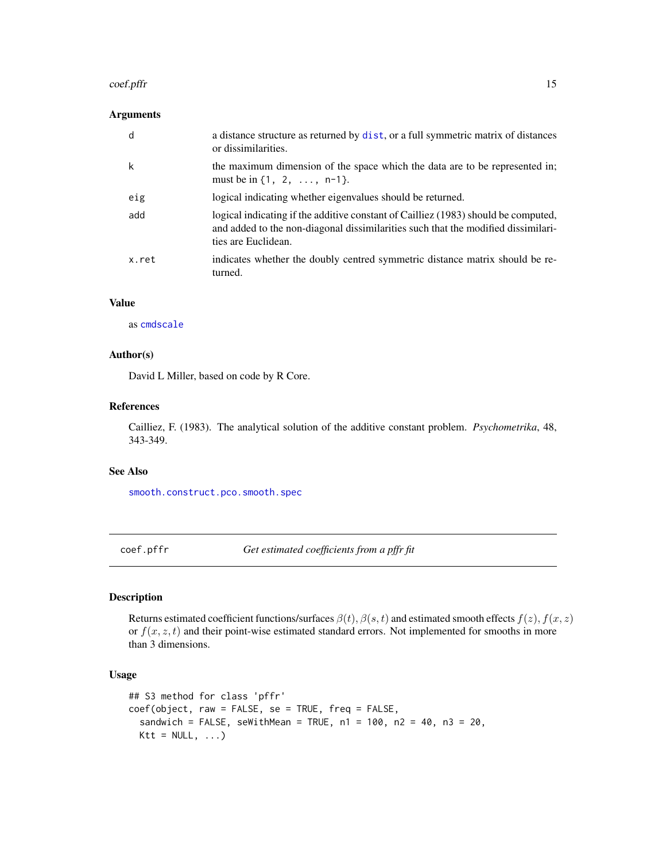#### <span id="page-14-0"></span>coef.pffr 15

## Arguments

| d     | a distance structure as returned by dist, or a full symmetric matrix of distances<br>or dissimilarities.                                                                                       |
|-------|------------------------------------------------------------------------------------------------------------------------------------------------------------------------------------------------|
| k     | the maximum dimension of the space which the data are to be represented in;<br>must be in $\{1, 2, \ldots, n-1\}$ .                                                                            |
| eig   | logical indicating whether eigenvalues should be returned.                                                                                                                                     |
| add   | logical indicating if the additive constant of Cailliez (1983) should be computed,<br>and added to the non-diagonal dissimilarities such that the modified dissimilari-<br>ties are Euclidean. |
| x.ret | indicates whether the doubly centred symmetric distance matrix should be re-<br>turned.                                                                                                        |

## Value

as [cmdscale](#page-0-0)

## Author(s)

David L Miller, based on code by R Core.

### References

Cailliez, F. (1983). The analytical solution of the additive constant problem. *Psychometrika*, 48, 343-349.

#### See Also

[smooth.construct.pco.smooth.spec](#page-144-1)

<span id="page-14-1"></span>

coef.pffr *Get estimated coefficients from a pffr fit*

#### Description

Returns estimated coefficient functions/surfaces  $\beta(t)$ ,  $\beta(s, t)$  and estimated smooth effects  $f(z)$ ,  $f(x, z)$ or  $f(x, z, t)$  and their point-wise estimated standard errors. Not implemented for smooths in more than 3 dimensions.

#### Usage

```
## S3 method for class 'pffr'
coef(object, raw = FALSE, se = TRUE, freq = FALSE,
  sandwich = FALSE, seWithMean = TRUE, n1 = 100, n2 = 40, n3 = 20,
 Ktt = NULL, ...
```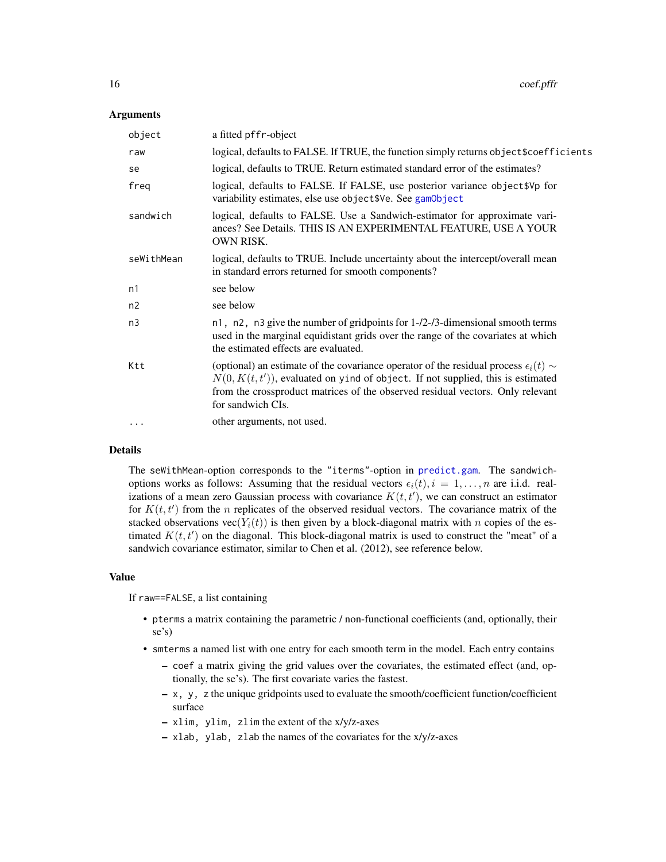#### **Arguments**

| object     | a fitted pffr-object                                                                                                                                                                                                                                                                     |
|------------|------------------------------------------------------------------------------------------------------------------------------------------------------------------------------------------------------------------------------------------------------------------------------------------|
| raw        | logical, defaults to FALSE. If TRUE, the function simply returns object \$coefficients                                                                                                                                                                                                   |
| se         | logical, defaults to TRUE. Return estimated standard error of the estimates?                                                                                                                                                                                                             |
| freq       | logical, defaults to FALSE. If FALSE, use posterior variance object \$Vp for<br>variability estimates, else use object \$Ve. See gamObject                                                                                                                                               |
| sandwich   | logical, defaults to FALSE. Use a Sandwich-estimator for approximate vari-<br>ances? See Details. THIS IS AN EXPERIMENTAL FEATURE, USE A YOUR<br>OWN RISK.                                                                                                                               |
| seWithMean | logical, defaults to TRUE. Include uncertainty about the intercept/overall mean<br>in standard errors returned for smooth components?                                                                                                                                                    |
| n1         | see below                                                                                                                                                                                                                                                                                |
| n2         | see below                                                                                                                                                                                                                                                                                |
| n3         | n1, n2, n3 give the number of gridpoints for 1-/2-/3-dimensional smooth terms<br>used in the marginal equidistant grids over the range of the covariates at which<br>the estimated effects are evaluated.                                                                                |
| Ktt        | (optional) an estimate of the covariance operator of the residual process $\epsilon_i(t)$ ~<br>$N(0, K(t, t'))$ , evaluated on yind of object. If not supplied, this is estimated<br>from the crossproduct matrices of the observed residual vectors. Only relevant<br>for sandwich CIs. |
|            | other arguments, not used.                                                                                                                                                                                                                                                               |
|            |                                                                                                                                                                                                                                                                                          |

#### Details

The seWithMean-option corresponds to the "iterms"-option in [predict.gam](#page-0-0). The sandwichoptions works as follows: Assuming that the residual vectors  $\epsilon_i(t), i = 1, \ldots, n$  are i.i.d. realizations of a mean zero Gaussian process with covariance  $K(t, t')$ , we can construct an estimator for  $K(t, t')$  from the n replicates of the observed residual vectors. The covariance matrix of the stacked observations vec $(Y_i(t))$  is then given by a block-diagonal matrix with n copies of the estimated  $K(t, t')$  on the diagonal. This block-diagonal matrix is used to construct the "meat" of a sandwich covariance estimator, similar to Chen et al. (2012), see reference below.

#### Value

If raw==FALSE, a list containing

- pterms a matrix containing the parametric / non-functional coefficients (and, optionally, their se's)
- smterms a named list with one entry for each smooth term in the model. Each entry contains
	- coef a matrix giving the grid values over the covariates, the estimated effect (and, optionally, the se's). The first covariate varies the fastest.
	- x, y, z the unique gridpoints used to evaluate the smooth/coefficient function/coefficient surface
	- xlim, ylim, zlim the extent of the x/y/z-axes
	- xlab, ylab, zlab the names of the covariates for the x/y/z-axes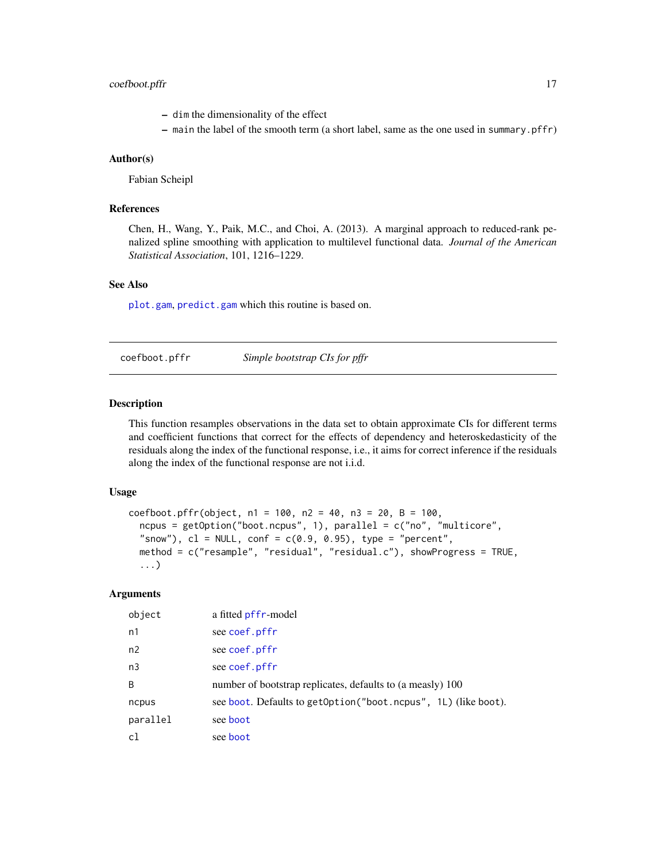## <span id="page-16-0"></span>coefboot.pffr 17

- dim the dimensionality of the effect
- main the label of the smooth term (a short label, same as the one used in summary.pffr)

#### Author(s)

Fabian Scheipl

## References

Chen, H., Wang, Y., Paik, M.C., and Choi, A. (2013). A marginal approach to reduced-rank penalized spline smoothing with application to multilevel functional data. *Journal of the American Statistical Association*, 101, 1216–1229.

## See Also

[plot.gam](#page-0-0), [predict.gam](#page-0-0) which this routine is based on.

coefboot.pffr *Simple bootstrap CIs for pffr*

#### Description

This function resamples observations in the data set to obtain approximate CIs for different terms and coefficient functions that correct for the effects of dependency and heteroskedasticity of the residuals along the index of the functional response, i.e., it aims for correct inference if the residuals along the index of the functional response are not i.i.d.

## Usage

```
coefboot.pffr(object, n1 = 100, n2 = 40, n3 = 20, B = 100,
  nopus = getOption("boot.ncpus", 1), parallel = c("no", "multicore","snow"), cl = NULL, conf = c(0.9, 0.95), type = "percent",
  method = c("resample", "residual", "residual.c"), showProgress = TRUE,
  ...)
```
## Arguments

| object         | a fitted pffr-model                                            |
|----------------|----------------------------------------------------------------|
| n <sub>1</sub> | see coef.pffr                                                  |
| n2             | see coef.pffr                                                  |
| n <sub>3</sub> | see coef.pffr                                                  |
| B              | number of bootstrap replicates, defaults to (a measly) 100     |
| ncpus          | see boot. Defaults to getOption("boot.ncpus", 1L) (like boot). |
| parallel       | see boot                                                       |
| c1             | see boot                                                       |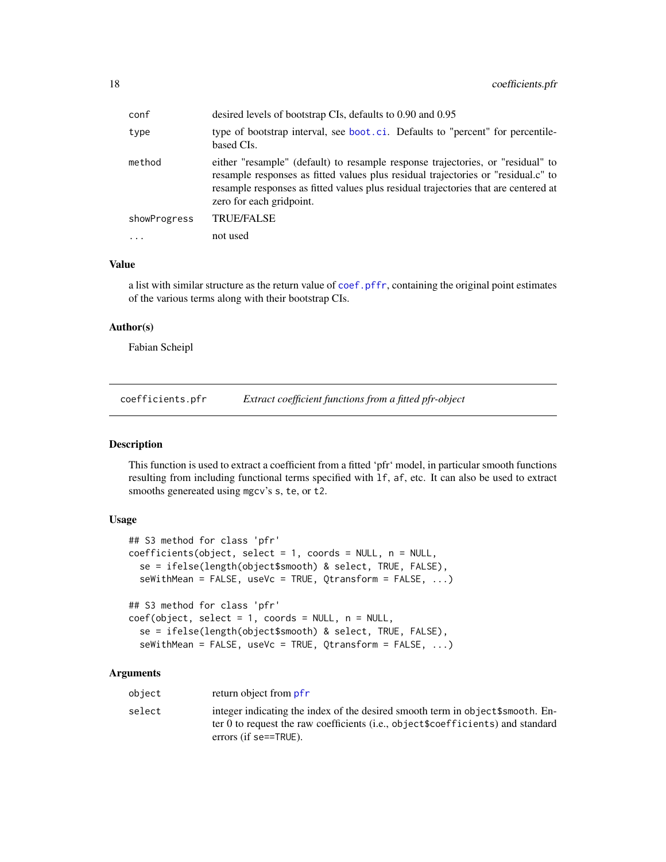<span id="page-17-0"></span>

| conf         | desired levels of bootstrap CIs, defaults to 0.90 and 0.95                                                                                                                                                                                                                              |
|--------------|-----------------------------------------------------------------------------------------------------------------------------------------------------------------------------------------------------------------------------------------------------------------------------------------|
| type         | type of bootstrap interval, see boot.ci. Defaults to "percent" for percentile-<br>based CIs.                                                                                                                                                                                            |
| method       | either "resample" (default) to resample response trajectories, or "residual" to<br>resample responses as fitted values plus residual trajectories or "residual.c" to<br>resample responses as fitted values plus residual trajectories that are centered at<br>zero for each gridpoint. |
| showProgress | <b>TRUE/FALSE</b>                                                                                                                                                                                                                                                                       |
|              | not used                                                                                                                                                                                                                                                                                |

### Value

a list with similar structure as the return value of [coef.pffr](#page-14-1), containing the original point estimates of the various terms along with their bootstrap CIs.

#### Author(s)

Fabian Scheipl

coefficients.pfr *Extract coefficient functions from a fitted pfr-object*

#### Description

This function is used to extract a coefficient from a fitted 'pfr' model, in particular smooth functions resulting from including functional terms specified with lf, af, etc. It can also be used to extract smooths genereated using mgcv's s, te, or t2.

#### Usage

```
## S3 method for class 'pfr'
coefficients(object, select = 1, coords = NULL, n = NULL,
  se = ifelse(length(object$smooth) & select, TRUE, FALSE),
  seWithMean = FALSE, useVc = TRUE, Qtransform = FALSE, ...)
## S3 method for class 'pfr'
coef(object, select = 1, coords = NULL, n = NULL,se = ifelse(length(object$smooth) & select, TRUE, FALSE),
  seWithMean = FALSE, useVc = TRUE, Qtransform = FALSE, ...)
```
#### Arguments

| object | return object from pfr                                                                                                                                                                                         |
|--------|----------------------------------------------------------------------------------------------------------------------------------------------------------------------------------------------------------------|
| select | integer indicating the index of the desired smooth term in object \$ smooth. En-<br>ter 0 to request the raw coefficients ( <i>i.e.</i> , object\$coefficients) and standard<br>errors (if $se=\text{TRUE}$ ). |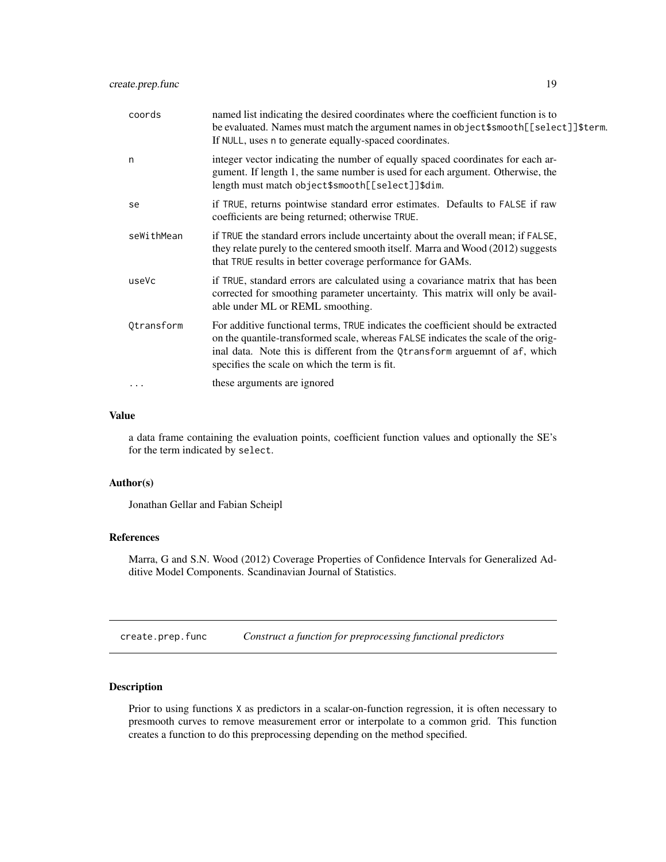<span id="page-18-0"></span>

| coords     | named list indicating the desired coordinates where the coefficient function is to<br>be evaluated. Names must match the argument names in object\$smooth[[select]]\$term.<br>If NULL, uses n to generate equally-spaced coordinates.                                                                  |
|------------|--------------------------------------------------------------------------------------------------------------------------------------------------------------------------------------------------------------------------------------------------------------------------------------------------------|
| n          | integer vector indicating the number of equally spaced coordinates for each ar-<br>gument. If length 1, the same number is used for each argument. Otherwise, the<br>length must match object\$smooth[[select]]\$dim.                                                                                  |
| se         | if TRUE, returns pointwise standard error estimates. Defaults to FALSE if raw<br>coefficients are being returned; otherwise TRUE.                                                                                                                                                                      |
| seWithMean | if TRUE the standard errors include uncertainty about the overall mean; if FALSE,<br>they relate purely to the centered smooth itself. Marra and Wood (2012) suggests<br>that TRUE results in better coverage performance for GAMs.                                                                    |
| useVc      | if TRUE, standard errors are calculated using a covariance matrix that has been<br>corrected for smoothing parameter uncertainty. This matrix will only be avail-<br>able under ML or REML smoothing.                                                                                                  |
| Qtransform | For additive functional terms, TRUE indicates the coefficient should be extracted<br>on the quantile-transformed scale, whereas FALSE indicates the scale of the orig-<br>inal data. Note this is different from the Qtransform arguemnt of af, which<br>specifies the scale on which the term is fit. |
| .          | these arguments are ignored                                                                                                                                                                                                                                                                            |

#### Value

a data frame containing the evaluation points, coefficient function values and optionally the SE's for the term indicated by select.

#### Author(s)

Jonathan Gellar and Fabian Scheipl

#### References

Marra, G and S.N. Wood (2012) Coverage Properties of Confidence Intervals for Generalized Additive Model Components. Scandinavian Journal of Statistics.

<span id="page-18-1"></span>create.prep.func *Construct a function for preprocessing functional predictors*

#### Description

Prior to using functions X as predictors in a scalar-on-function regression, it is often necessary to presmooth curves to remove measurement error or interpolate to a common grid. This function creates a function to do this preprocessing depending on the method specified.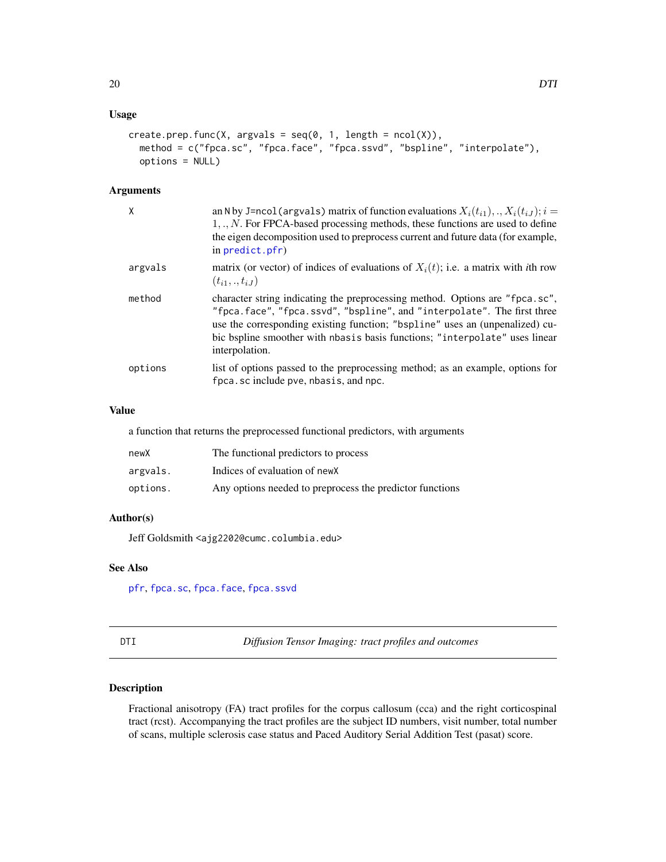## <span id="page-19-0"></span>Usage

```
create.prep.func(X, argvals = seq(0, 1, length = ncol(X)),method = c("fpca.sc", "fpca.face", "fpca.ssvd", "bspline", "interpolate"),
 options = NULL)
```
## Arguments

| χ       | an N by J=ncol (argvals) matrix of function evaluations $X_i(t_{i1}),,X_i(t_{iJ}); i =$<br>$1, \ldots, N$ . For FPCA-based processing methods, these functions are used to define<br>the eigen decomposition used to preprocess current and future data (for example,<br>in predict.pfr)                                                 |
|---------|------------------------------------------------------------------------------------------------------------------------------------------------------------------------------------------------------------------------------------------------------------------------------------------------------------------------------------------|
| argvals | matrix (or vector) of indices of evaluations of $X_i(t)$ ; i.e. a matrix with <i>i</i> th row<br>$(t_{i1},.,t_{iJ})$                                                                                                                                                                                                                     |
| method  | character string indicating the preprocessing method. Options are "fpca.sc",<br>"fpca.face", "fpca.ssvd", "bspline", and "interpolate". The first three<br>use the corresponding existing function; "bspline" uses an (unpenalized) cu-<br>bic bspline smoother with nbasis basis functions; "interpolate" uses linear<br>interpolation. |
| options | list of options passed to the preprocessing method; as an example, options for<br>fpca.sc include pve, nbasis, and npc.                                                                                                                                                                                                                  |

#### Value

a function that returns the preprocessed functional predictors, with arguments

| newX     | The functional predictors to process                     |
|----------|----------------------------------------------------------|
| argvals. | Indices of evaluation of new X                           |
| options. | Any options needed to preprocess the predictor functions |

## Author(s)

Jeff Goldsmith <ajg2202@cumc.columbia.edu>

## See Also

[pfr](#page-105-1), [fpca.sc](#page-53-1), [fpca.face](#page-44-1), [fpca.ssvd](#page-56-1)

DTI *Diffusion Tensor Imaging: tract profiles and outcomes*

## Description

Fractional anisotropy (FA) tract profiles for the corpus callosum (cca) and the right corticospinal tract (rcst). Accompanying the tract profiles are the subject ID numbers, visit number, total number of scans, multiple sclerosis case status and Paced Auditory Serial Addition Test (pasat) score.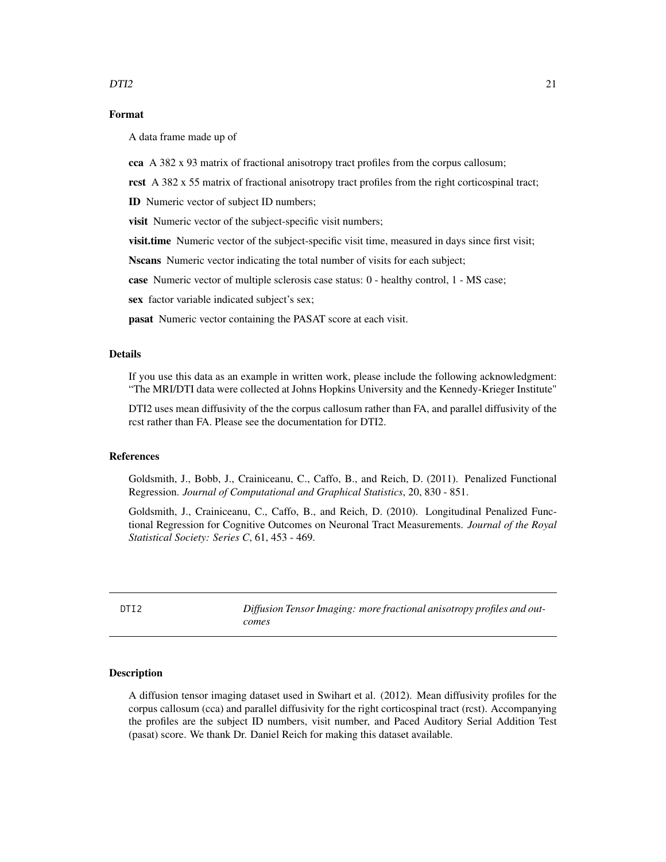## <span id="page-20-0"></span>Format

A data frame made up of

cca A 382 x 93 matrix of fractional anisotropy tract profiles from the corpus callosum;

rcst A 382 x 55 matrix of fractional anisotropy tract profiles from the right corticospinal tract;

ID Numeric vector of subject ID numbers;

visit Numeric vector of the subject-specific visit numbers;

**visit.time** Numeric vector of the subject-specific visit time, measured in days since first visit;

Nscans Numeric vector indicating the total number of visits for each subject;

case Numeric vector of multiple sclerosis case status: 0 - healthy control, 1 - MS case;

sex factor variable indicated subject's sex;

pasat Numeric vector containing the PASAT score at each visit.

## Details

If you use this data as an example in written work, please include the following acknowledgment: "The MRI/DTI data were collected at Johns Hopkins University and the Kennedy-Krieger Institute"

DTI2 uses mean diffusivity of the the corpus callosum rather than FA, and parallel diffusivity of the rcst rather than FA. Please see the documentation for DTI2.

#### References

Goldsmith, J., Bobb, J., Crainiceanu, C., Caffo, B., and Reich, D. (2011). Penalized Functional Regression. *Journal of Computational and Graphical Statistics*, 20, 830 - 851.

Goldsmith, J., Crainiceanu, C., Caffo, B., and Reich, D. (2010). Longitudinal Penalized Functional Regression for Cognitive Outcomes on Neuronal Tract Measurements. *Journal of the Royal Statistical Society: Series C*, 61, 453 - 469.

DTI2 *Diffusion Tensor Imaging: more fractional anisotropy profiles and outcomes*

## **Description**

A diffusion tensor imaging dataset used in Swihart et al. (2012). Mean diffusivity profiles for the corpus callosum (cca) and parallel diffusivity for the right corticospinal tract (rcst). Accompanying the profiles are the subject ID numbers, visit number, and Paced Auditory Serial Addition Test (pasat) score. We thank Dr. Daniel Reich for making this dataset available.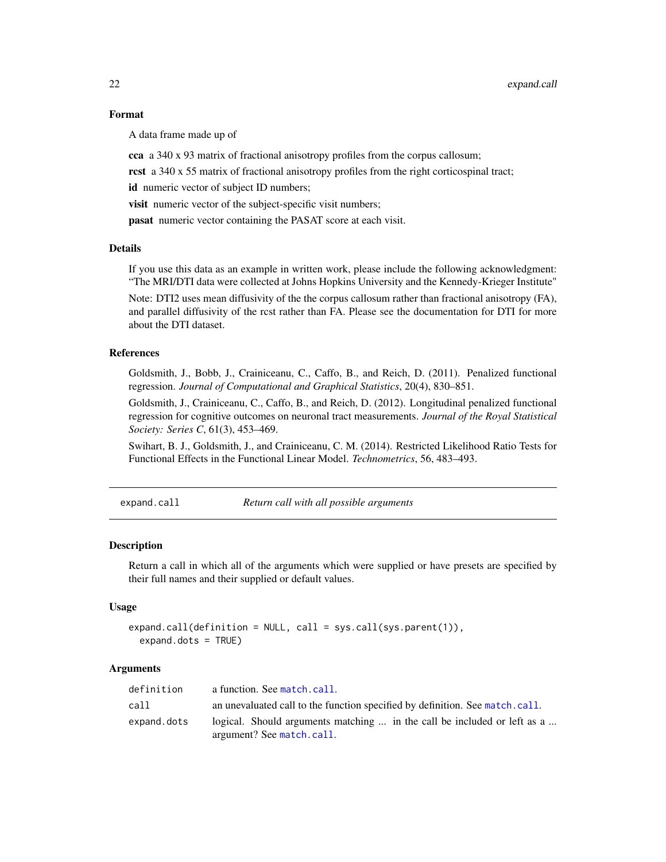## Format

A data frame made up of

cca a 340 x 93 matrix of fractional anisotropy profiles from the corpus callosum;

rcst a 340 x 55 matrix of fractional anisotropy profiles from the right corticospinal tract;

id numeric vector of subject ID numbers;

visit numeric vector of the subject-specific visit numbers;

pasat numeric vector containing the PASAT score at each visit.

#### Details

If you use this data as an example in written work, please include the following acknowledgment: "The MRI/DTI data were collected at Johns Hopkins University and the Kennedy-Krieger Institute"

Note: DTI2 uses mean diffusivity of the the corpus callosum rather than fractional anisotropy (FA), and parallel diffusivity of the rcst rather than FA. Please see the documentation for DTI for more about the DTI dataset.

## References

Goldsmith, J., Bobb, J., Crainiceanu, C., Caffo, B., and Reich, D. (2011). Penalized functional regression. *Journal of Computational and Graphical Statistics*, 20(4), 830–851.

Goldsmith, J., Crainiceanu, C., Caffo, B., and Reich, D. (2012). Longitudinal penalized functional regression for cognitive outcomes on neuronal tract measurements. *Journal of the Royal Statistical Society: Series C*, 61(3), 453–469.

Swihart, B. J., Goldsmith, J., and Crainiceanu, C. M. (2014). Restricted Likelihood Ratio Tests for Functional Effects in the Functional Linear Model. *Technometrics*, 56, 483–493.

expand.call *Return call with all possible arguments*

#### Description

Return a call in which all of the arguments which were supplied or have presets are specified by their full names and their supplied or default values.

#### Usage

```
expand.call(definition = NULL, call = sys.call(sys.parent(1)),
  expand.dots = TRUE)
```
#### Arguments

| definition  | a function. See match.call.                                                                           |
|-------------|-------------------------------------------------------------------------------------------------------|
| call        | an unevaluated call to the function specified by definition. See match.call.                          |
| expand.dots | logical. Should arguments matching  in the call be included or left as a<br>argument? See match.call. |

<span id="page-21-0"></span>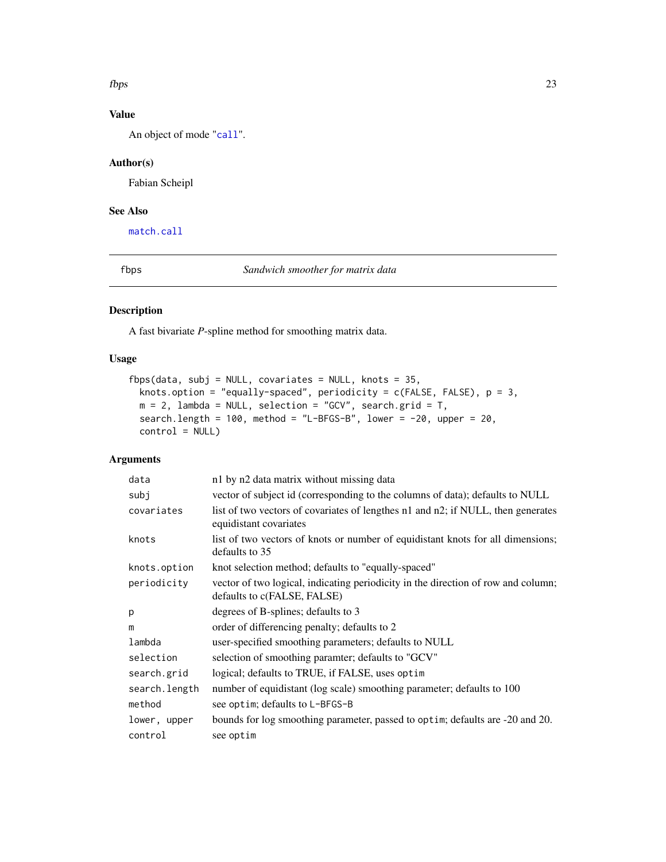#### <span id="page-22-0"></span> $fbps$  23

## Value

An object of mode "[call](#page-0-0)".

## Author(s)

Fabian Scheipl

## See Also

[match.call](#page-0-0)

fbps *Sandwich smoother for matrix data*

## Description

A fast bivariate *P*-spline method for smoothing matrix data.

## Usage

```
fbps(data, subj = NULL, covariates = NULL, knots = 35,
 knots.option = "equally-spaced", periodicity = c(FALSE, FALSE), p = 3,
 m = 2, lambda = NULL, selection = "GCV", search.grid = T,
  search.length = 100, method = "L-BFGS-B", lower = -20, upper = 20,
  control = NULL)
```
#### Arguments

| data          | n1 by n2 data matrix without missing data                                                                        |
|---------------|------------------------------------------------------------------------------------------------------------------|
| subj          | vector of subject id (corresponding to the columns of data); defaults to NULL                                    |
| covariates    | list of two vectors of covariates of lengthes n1 and n2; if NULL, then generates<br>equidistant covariates       |
| knots         | list of two vectors of knots or number of equidistant knots for all dimensions;<br>defaults to 35                |
| knots.option  | knot selection method; defaults to "equally-spaced"                                                              |
| periodicity   | vector of two logical, indicating periodicity in the direction of row and column;<br>defaults to c(FALSE, FALSE) |
| p             | degrees of B-splines; defaults to 3                                                                              |
| m             | order of differencing penalty; defaults to 2                                                                     |
| lambda        | user-specified smoothing parameters; defaults to NULL                                                            |
| selection     | selection of smoothing paramter; defaults to "GCV"                                                               |
| search.grid   | logical; defaults to TRUE, if FALSE, uses optim                                                                  |
| search.length | number of equidistant (log scale) smoothing parameter; defaults to 100                                           |
| method        | see optim; defaults to L-BFGS-B                                                                                  |
| lower, upper  | bounds for log smoothing parameter, passed to optim; defaults are -20 and 20.                                    |
| control       | see optim                                                                                                        |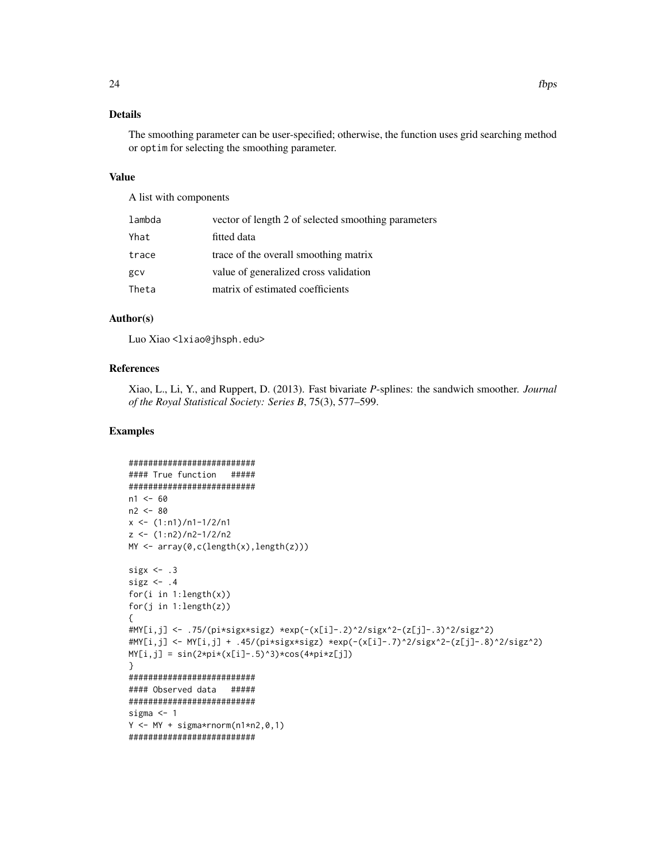## Details

The smoothing parameter can be user-specified; otherwise, the function uses grid searching method or optim for selecting the smoothing parameter.

#### Value

A list with components

| lambda | vector of length 2 of selected smoothing parameters |
|--------|-----------------------------------------------------|
| Yhat   | fitted data                                         |
| trace  | trace of the overall smoothing matrix               |
| gcv    | value of generalized cross validation               |
| Theta  | matrix of estimated coefficients                    |

### Author(s)

Luo Xiao <lxiao@jhsph.edu>

## References

Xiao, L., Li, Y., and Ruppert, D. (2013). Fast bivariate *P*-splines: the sandwich smoother. *Journal of the Royal Statistical Society: Series B*, 75(3), 577–599.

#### Examples

```
##########################
#### True function #####
##########################
n1 < -60n2 <- 80
x \le -(1:n1)/n1-1/2/n1z \leftarrow (1:n2)/n2-1/2/n2MY <- array(0,c(length(x),length(z)))
sigx \leq .3
sigz \leftarrow .4for(i in 1: length(x))
for(j in 1:length(z))
{
#MY[i,j] <- .75/(pi*sigx*sigz) *exp(-(x[i]-.2)^2/sigx^2-(z[j]-.3)^2/sigz^2)
#MY[i,j] <- MY[i,j] + .45/(pi*sigx*sigz) *exp(-(x[i]-.7)^2/sigx^2-(z[j]-.8)^2/sigz^2)
MY[i,j] = sin(2*pi*(x[i]-.5)^3)*cos(4*pi*z[j])}
##########################
#### Observed data #####
##########################
sigma <- 1
Y \leftarrow MY + sigma*rnorm(n1*n2,0,1)##########################
```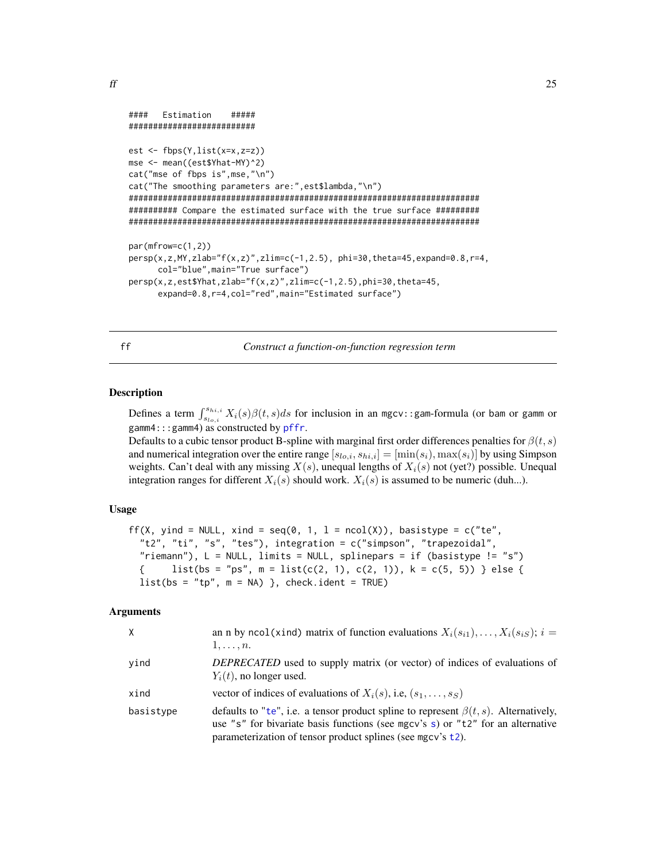```
f f f 25
```

```
#### Estimation #####
##########################
est <- fbps(Y,list(x=x,z=z))
mse <- mean((est$Yhat-MY)^2)
cat("mse of fbps is",mse,"\n")
cat("The smoothing parameters are:",est$lambda,"\n")
########################################################################
########## Compare the estimated surface with the true surface #########
########################################################################
par(mfrow=c(1,2))
persp(x,z,MY,zlab="f(x,z)",zlim=c(-1,2.5), phi=30,theta=45,expand=0.8,r=4,
      col="blue",main="True surface")
persp(x,z,est$Yhat,zlab="f(x,z)",zlim=c(-1,2.5),phi=30,theta=45,
      expand=0.8,r=4,col="red",main="Estimated surface")
```
ff *Construct a function-on-function regression term*

## Description

Defines a term  $\int_{s_{lo,i}}^{s_{hi,i}} X_i(s)\beta(t,s)ds$  for inclusion in an mgcv::gam-formula (or bam or gamm or gamm4:::gamm4) as constructed by [pffr](#page-98-1).

Defaults to a cubic tensor product B-spline with marginal first order differences penalties for  $\beta(t, s)$ and numerical integration over the entire range  $[s_{lo,i}, s_{hi,i}] = [\min(s_i), \max(s_i)]$  by using Simpson weights. Can't deal with any missing  $X(s)$ , unequal lengths of  $X_i(s)$  not (yet?) possible. Unequal integration ranges for different  $X_i(s)$  should work.  $X_i(s)$  is assumed to be numeric (duh...).

#### Usage

```
ff(X, yind = NULL, xind = seq(0, 1, l = \text{ncol}(X)), basistype = c("te",
  "t2", "ti", "s", "tes"), integration = c("simpson", "trapezoidal",
  "riemann"), L = NULL, limits = NULL, splinepars = if (basistype != "s")
  { list(bs = "ps", m = list(c(2, 1), c(2, 1)), k = c(5, 5)) } else {
  list(bs = "tp", m = NA) }, check.ident = TRUE)
```
#### Arguments

| X.        | an n by ncol(xind) matrix of function evaluations $X_i(s_{i1}), \ldots, X_i(s_{iS}); i =$<br>$1,\ldots,n.$                                                                                                                                   |
|-----------|----------------------------------------------------------------------------------------------------------------------------------------------------------------------------------------------------------------------------------------------|
| vind      | <i>DEPRECATED</i> used to supply matrix (or vector) of indices of evaluations of<br>$Y_i(t)$ , no longer used.                                                                                                                               |
| xind      | vector of indices of evaluations of $X_i(s)$ , i.e., $(s_1, \ldots, s_S)$                                                                                                                                                                    |
| basistype | defaults to "te", i.e. a tensor product spline to represent $\beta(t, s)$ . Alternatively,<br>use "s" for bivariate basis functions (see mgcv's s) or "t2" for an alternative<br>parameterization of tensor product splines (see mgcv's t2). |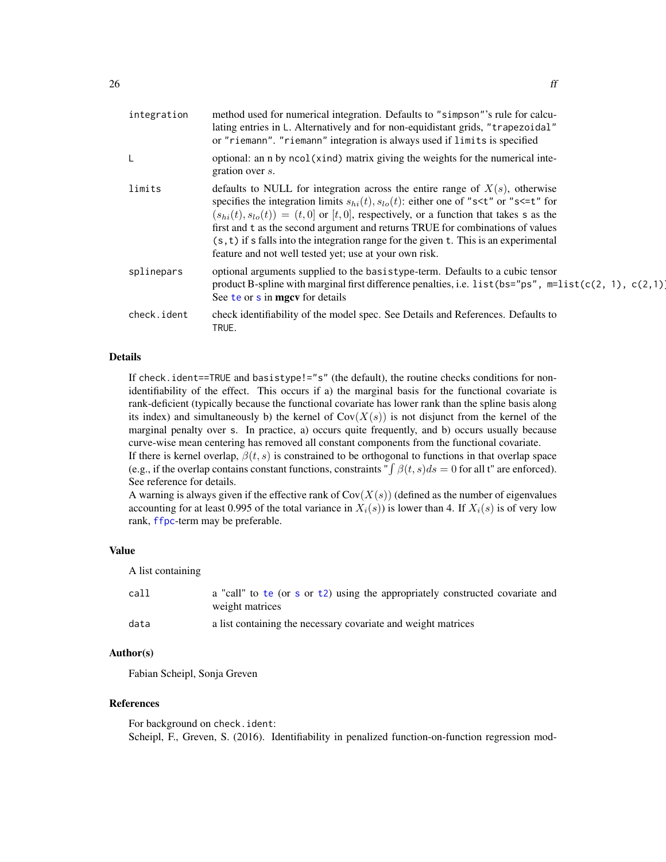| integration | method used for numerical integration. Defaults to "simpson"'s rule for calcu-<br>lating entries in L. Alternatively and for non-equidistant grids, "trapezoidal"<br>or "riemann". "riemann" integration is always used if limits is specified                                                                                                                                                                                                                                                                                                                 |
|-------------|----------------------------------------------------------------------------------------------------------------------------------------------------------------------------------------------------------------------------------------------------------------------------------------------------------------------------------------------------------------------------------------------------------------------------------------------------------------------------------------------------------------------------------------------------------------|
| L           | optional: an n by ncol(xind) matrix giving the weights for the numerical inte-<br>gration over s.                                                                                                                                                                                                                                                                                                                                                                                                                                                              |
| limits      | defaults to NULL for integration across the entire range of $X(s)$ , otherwise<br>specifies the integration limits $s_{hi}(t)$ , $s_{lo}(t)$ : either one of "s <t" "s<='t"' for<br="" or=""><math>(s_{hi}(t), s_{lo}(t)) = (t, 0]</math> or [t, 0], respectively, or a function that takes s as the<br/>first and t as the second argument and returns TRUE for combinations of values<br/><math>(s, t)</math> if s falls into the integration range for the given t. This is an experimental<br/>feature and not well tested yet; use at your own risk.</t"> |
| splinepars  | optional arguments supplied to the basistype-term. Defaults to a cubic tensor<br>product B-spline with marginal first difference penalties, i.e. list (bs="ps", $m=list(c(2, 1), c(2,1))$<br>See te or s in mgcv for details                                                                                                                                                                                                                                                                                                                                   |
| check.ident | check identifiability of the model spec. See Details and References. Defaults to<br>TRUE.                                                                                                                                                                                                                                                                                                                                                                                                                                                                      |

#### Details

If check.ident==TRUE and basistype!="s" (the default), the routine checks conditions for nonidentifiability of the effect. This occurs if a) the marginal basis for the functional covariate is rank-deficient (typically because the functional covariate has lower rank than the spline basis along its index) and simultaneously b) the kernel of  $Cov(X(s))$  is not disjunct from the kernel of the marginal penalty over s. In practice, a) occurs quite frequently, and b) occurs usually because curve-wise mean centering has removed all constant components from the functional covariate. If there is kernel overlap,  $\beta(t, s)$  is constrained to be orthogonal to functions in that overlap space

(e.g., if the overlap contains constant functions, constraints " $\int \beta(t, s)ds = 0$  for all t" are enforced). See reference for details.

A warning is always given if the effective rank of  $Cov(X(s))$  (defined as the number of eigenvalues accounting for at least 0.995 of the total variance in  $X_i(s)$ ) is lower than 4. If  $X_i(s)$  is of very low rank, [ffpc](#page-26-1)-term may be preferable.

## Value

A list containing

| call | a "call" to te (or s or $t2$ ) using the appropriately constructed covariate and<br>weight matrices |
|------|-----------------------------------------------------------------------------------------------------|
| data | a list containing the necessary covariate and weight matrices                                       |

## Author(s)

Fabian Scheipl, Sonja Greven

#### References

For background on check.ident: Scheipl, F., Greven, S. (2016). Identifiability in penalized function-on-function regression mod-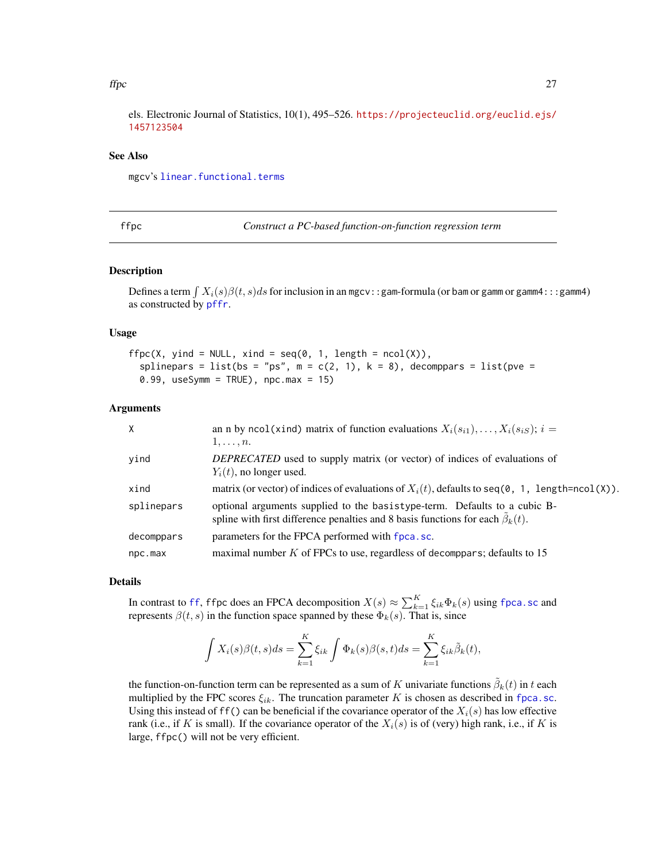#### <span id="page-26-0"></span> $f\text{fpc}$  27

els. Electronic Journal of Statistics, 10(1), 495–526. [https://projecteuclid.org/euclid.ejs/](https://projecteuclid.org/euclid.ejs/1457123504) [1457123504](https://projecteuclid.org/euclid.ejs/1457123504)

## See Also

mgcv's [linear.functional.terms](#page-0-0)

<span id="page-26-1"></span>

Construct a PC-based function-on-function regression term

#### Description

Defines a term  $\int X_i(s)\beta(t,s)ds$  for inclusion in an mgcv::gam-formula (or bam or gamm or gamm4:::gamm4) as constructed by [pffr](#page-98-1).

#### Usage

```
ffc(X, yind = NULL, xind = seq(0, 1, length = ncol(X)),splinepars = list(bs = "ps", m = c(2, 1), k = 8), decomppars = list(pve =
  0.99, useSymm = TRUE), npc.max = 15)
```
#### Arguments

| $\times$   | an n by ncol(xind) matrix of function evaluations $X_i(s_{i1}), \ldots, X_i(s_{iS}); i =$<br>$1,\ldots,n.$                                                                |
|------------|---------------------------------------------------------------------------------------------------------------------------------------------------------------------------|
| yind       | DEPRECATED used to supply matrix (or vector) of indices of evaluations of<br>$Y_i(t)$ , no longer used.                                                                   |
| xind       | matrix (or vector) of indices of evaluations of $X_i(t)$ , defaults to seq(0, 1, length=ncol(X)).                                                                         |
| splinepars | optional arguments supplied to the basistype-term. Defaults to a cubic B-<br>spline with first difference penalties and 8 basis functions for each $\tilde{\beta}_k(t)$ . |
| decomppars | parameters for the FPCA performed with fpca.sc.                                                                                                                           |
| npc.max    | maximal number $K$ of FPCs to use, regardless of decomppars; defaults to 15                                                                                               |

### Details

In contrast to [ff](#page-24-1), ffpc does an FPCA decomposition  $X(s) \approx \sum_{k=1}^{K} \xi_{ik} \Phi_k(s)$  using [fpca.sc](#page-53-1) and represents  $\beta(t, s)$  in the function space spanned by these  $\Phi_k(s)$ . That is, since

$$
\int X_i(s)\beta(t,s)ds = \sum_{k=1}^K \xi_{ik} \int \Phi_k(s)\beta(s,t)ds = \sum_{k=1}^K \xi_{ik}\tilde{\beta}_k(t),
$$

the function-on-function term can be represented as a sum of K univariate functions  $\tilde{\beta}_k(t)$  in t each multiplied by the FPC scores  $\xi_{ik}$ . The truncation parameter K is chosen as described in [fpca.sc](#page-53-1). Using this instead of ff() can be beneficial if the covariance operator of the  $X_i(s)$  has low effective rank (i.e., if K is small). If the covariance operator of the  $X_i(s)$  is of (very) high rank, i.e., if K is large, ffpc() will not be very efficient.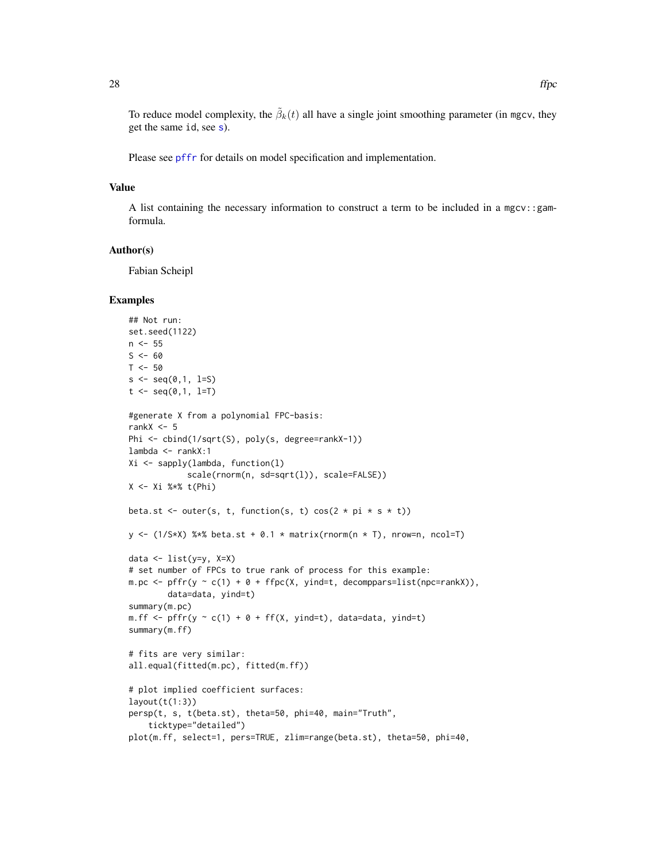To reduce model complexity, the  $\tilde{\beta}_k(t)$  all have a single joint smoothing parameter (in mgcv, they get the same id, see [s](#page-0-0)).

Please see [pffr](#page-98-1) for details on model specification and implementation.

## Value

A list containing the necessary information to construct a term to be included in a mgcv::gamformula.

## Author(s)

Fabian Scheipl

#### Examples

```
## Not run:
set.seed(1122)
n <- 55
S < - 60T < -50s \leq seq(0,1, 1 = S)t \leq -\text{seq}(0,1, 1=T)#generate X from a polynomial FPC-basis:
rankX \le -5Phi <- cbind(1/sqrt(S), poly(s, degree=rankX-1))
lambda <- rankX:1
Xi <- sapply(lambda, function(l)
            scale(rnorm(n, sd=sqrt(l)), scale=FALSE))
X <- Xi %*% t(Phi)
beta.st <- outer(s, t, function(s, t) cos(2 * pi * s * t))
y \leftarrow (1/S*X) %*% beta.st + 0.1 * matrix(rnorm(n * T), nrow=n, ncol=T)
data <- list(y=y, X=X)
# set number of FPCs to true rank of process for this example:
m.pc <- pffr(y \sim c(1) + 0 + ffpc(X, yind = t, decomppars = list(npc = rankX)),data=data, yind=t)
summary(m.pc)
m.ff \leq pffr(y \sim c(1) + 0 + ff(X, yind=t), data=data, yind=t)
summary(m.ff)
# fits are very similar:
all.equal(fitted(m.pc), fitted(m.ff))
# plot implied coefficient surfaces:
layout(t(1:3))persp(t, s, t(beta.st), theta=50, phi=40, main="Truth",
    ticktype="detailed")
plot(m.ff, select=1, pers=TRUE, zlim=range(beta.st), theta=50, phi=40,
```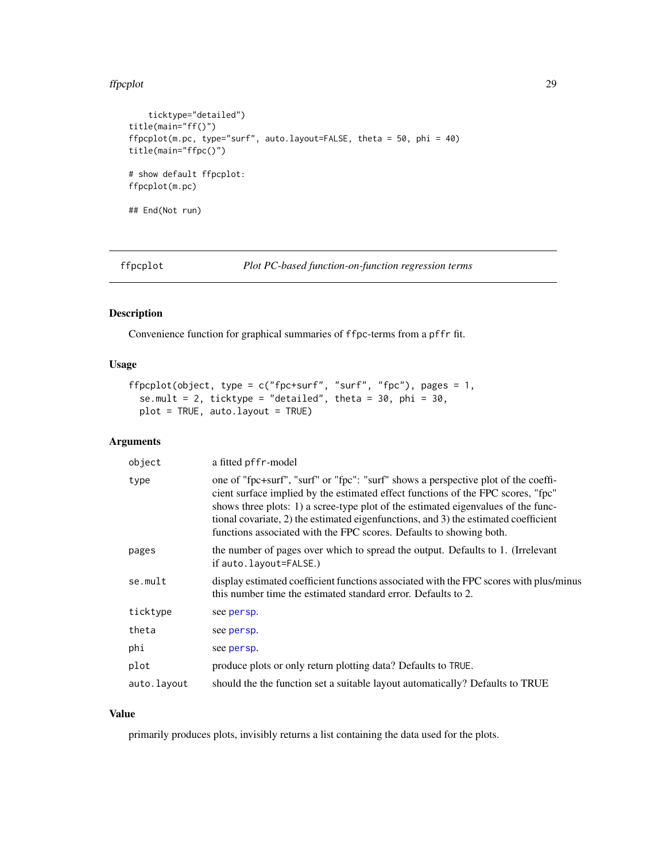#### <span id="page-28-0"></span>ffpcplot 29

```
ticktype="detailed")
title(main="ff()")
ffpcplot(m.pc, type="surf", auto.layout=FALSE, theta = 50, phi = 40)
title(main="ffpc()")
# show default ffpcplot:
ffpcplot(m.pc)
## End(Not run)
```
ffpcplot *Plot PC-based function-on-function regression terms*

## Description

Convenience function for graphical summaries of ffpc-terms from a pffr fit.

## Usage

```
ffpcplot(object, type = c("fpc+surf", "surf", "fpc"), pages = 1,
  se.mult = 2, ticktype = "detailed", theta = 30, phi = 30,
 plot = TRUE, auto.layout = TRUE)
```
#### Arguments

| object      | a fitted pffr-model                                                                                                                                                                                                                                                                                                                                                                                                       |
|-------------|---------------------------------------------------------------------------------------------------------------------------------------------------------------------------------------------------------------------------------------------------------------------------------------------------------------------------------------------------------------------------------------------------------------------------|
| type        | one of "fpc+surf", "surf" or "fpc": "surf" shows a perspective plot of the coeffi-<br>cient surface implied by the estimated effect functions of the FPC scores, "fpc"<br>shows three plots: 1) a scree-type plot of the estimated eigenvalues of the func-<br>tional covariate, 2) the estimated eigenfunctions, and 3) the estimated coefficient<br>functions associated with the FPC scores. Defaults to showing both. |
| pages       | the number of pages over which to spread the output. Defaults to 1. (Irrelevant<br>if auto. layout=FALSE.)                                                                                                                                                                                                                                                                                                                |
| se.mult     | display estimated coefficient functions associated with the FPC scores with plus/minus<br>this number time the estimated standard error. Defaults to 2.                                                                                                                                                                                                                                                                   |
| ticktype    | see persp.                                                                                                                                                                                                                                                                                                                                                                                                                |
| theta       | see persp.                                                                                                                                                                                                                                                                                                                                                                                                                |
| phi         | see persp.                                                                                                                                                                                                                                                                                                                                                                                                                |
| plot        | produce plots or only return plotting data? Defaults to TRUE.                                                                                                                                                                                                                                                                                                                                                             |
| auto.layout | should the the function set a suitable layout automatically? Defaults to TRUE                                                                                                                                                                                                                                                                                                                                             |

## Value

primarily produces plots, invisibly returns a list containing the data used for the plots.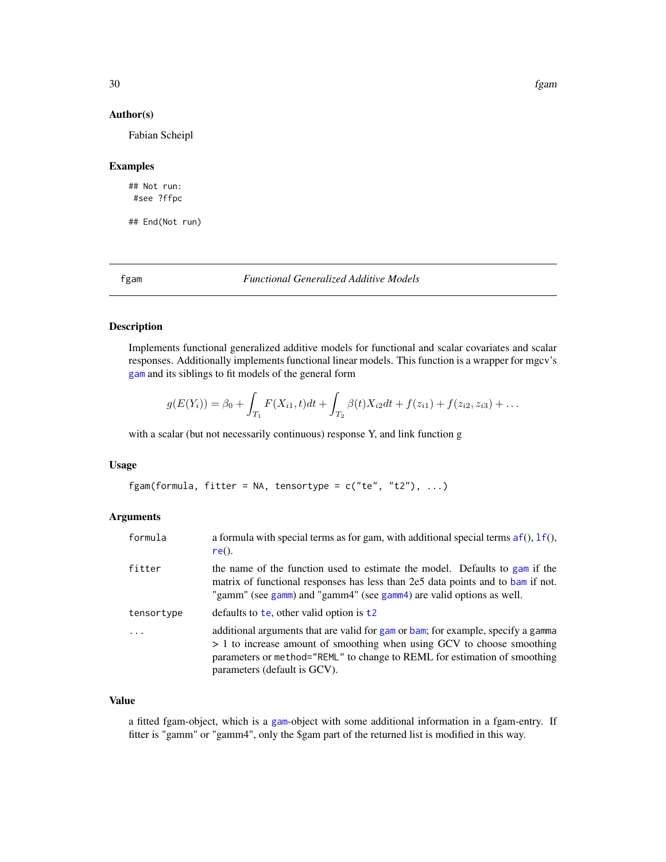30 fgam

#### Author(s)

Fabian Scheipl

#### Examples

## Not run: #see ?ffpc

## End(Not run)

<span id="page-29-1"></span>fgam *Functional Generalized Additive Models*

#### Description

Implements functional generalized additive models for functional and scalar covariates and scalar responses. Additionally implements functional linear models. This function is a wrapper for mgcv's [gam](#page-0-0) and its siblings to fit models of the general form

$$
g(E(Y_i)) = \beta_0 + \int_{T_1} F(X_{i1}, t) dt + \int_{T_2} \beta(t) X_{i2} dt + f(z_{i1}) + f(z_{i2}, z_{i3}) + \dots
$$

with a scalar (but not necessarily continuous) response Y, and link function g

#### Usage

fgam(formula, fitter = NA, tensortype =  $c("te", "t2"), ...$ )

#### Arguments

| formula    | a formula with special terms as for gam, with additional special terms $af()$ , $If()$ ,<br>$re()$ .                                                                                                                                                                    |
|------------|-------------------------------------------------------------------------------------------------------------------------------------------------------------------------------------------------------------------------------------------------------------------------|
| fitter     | the name of the function used to estimate the model. Defaults to gam if the<br>matrix of functional responses has less than 2e5 data points and to bam if not.<br>"gamm" (see gamm) and "gamm4" (see gamm4) are valid options as well.                                  |
| tensortype | defaults to the, other valid option is $t^2$                                                                                                                                                                                                                            |
| $\ddots$   | additional arguments that are valid for gam or bam; for example, specify a gamma<br>> 1 to increase amount of smoothing when using GCV to choose smoothing<br>parameters or method="REML" to change to REML for estimation of smoothing<br>parameters (default is GCV). |

## Value

a fitted fgam-object, which is a [gam](#page-0-0)-object with some additional information in a fgam-entry. If fitter is "gamm" or "gamm4", only the \$gam part of the returned list is modified in this way.

<span id="page-29-0"></span>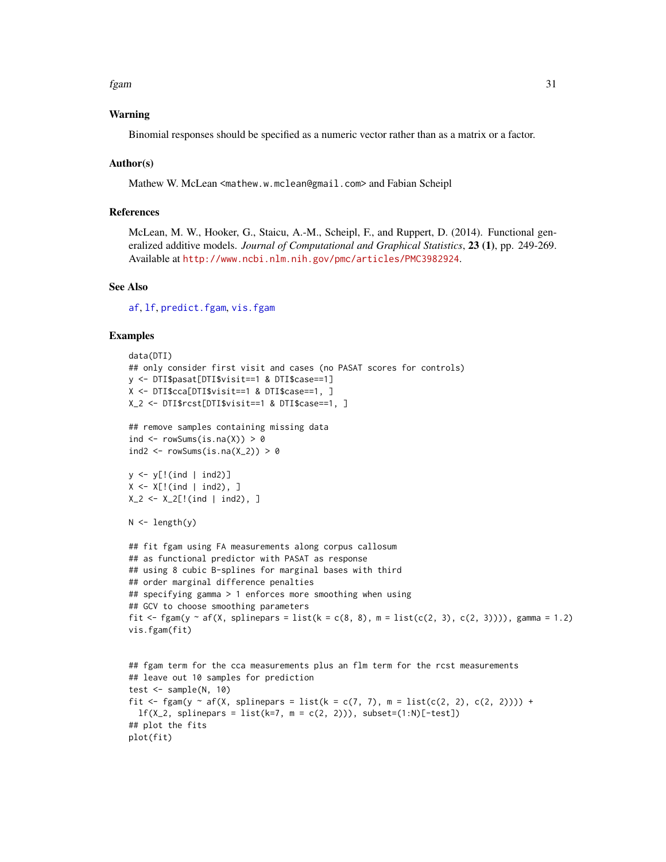fgam 31

#### Warning

Binomial responses should be specified as a numeric vector rather than as a matrix or a factor.

#### Author(s)

Mathew W. McLean <mathew.w.mclean@gmail.com> and Fabian Scheipl

#### References

McLean, M. W., Hooker, G., Staicu, A.-M., Scheipl, F., and Ruppert, D. (2014). Functional generalized additive models. *Journal of Computational and Graphical Statistics*, 23 (1), pp. 249-269. Available at <http://www.ncbi.nlm.nih.gov/pmc/articles/PMC3982924>.

#### See Also

[af](#page-4-1), [lf](#page-73-1), [predict.fgam](#page-122-1), [vis.fgam](#page-157-1)

#### Examples

```
data(DTI)
## only consider first visit and cases (no PASAT scores for controls)
y <- DTI$pasat[DTI$visit==1 & DTI$case==1]
X <- DTI$cca[DTI$visit==1 & DTI$case==1, ]
X_2 <- DTI$rcst[DTI$visit==1 & DTI$case==1, ]
## remove samples containing missing data
ind \leq rowSums(is.na(X)) > 0
ind2 \leq rowSums(is.na(X_2)) > 0
y <- y[!(ind | ind2)]
X \le -X[!(ind | ind2), ]X_2 <- X_2[!(ind | ind2), ]
N \leftarrow length(y)
## fit fgam using FA measurements along corpus callosum
## as functional predictor with PASAT as response
## using 8 cubic B-splines for marginal bases with third
## order marginal difference penalties
## specifying gamma > 1 enforces more smoothing when using
## GCV to choose smoothing parameters
fit \le fgam(y \sim af(X, splinepars = list(k = c(8, 8), m = list(c(2, 3), c(2, 3)))), gamma = 1.2)
vis.fgam(fit)
## fgam term for the cca measurements plus an flm term for the rcst measurements
## leave out 10 samples for prediction
test \leq sample(N, 10)
fit \leq fgam(y \sim af(X, splinepars = list(k = c(7, 7), m = list(c(2, 2), c(2, 2)))) +
  lf(X_2, splinepars = list(k=7, m = c(2, 2))), subset=(1:N)[-test])
## plot the fits
plot(fit)
```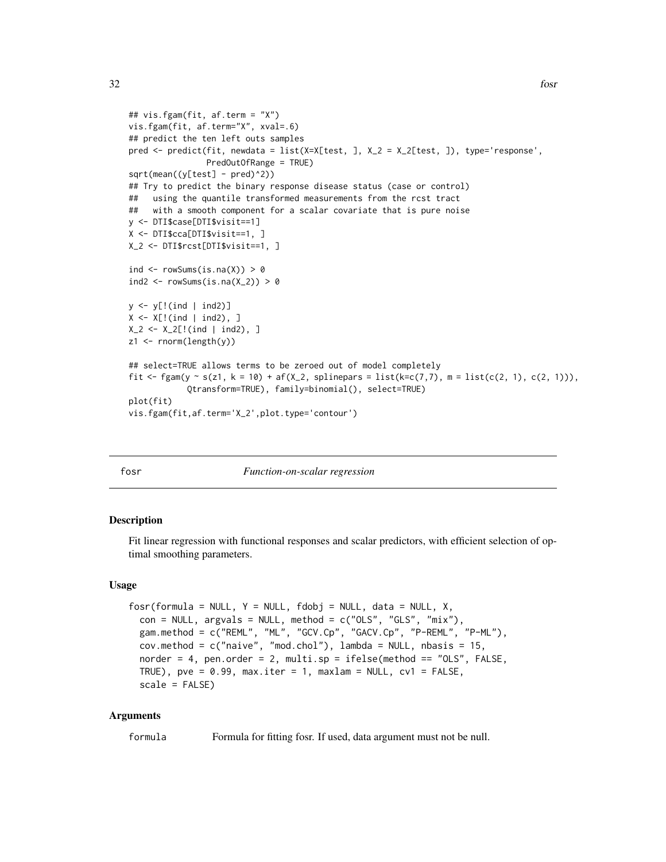```
## vis.fgam(fit, af.term = "X")
vis.fgam(fit, af.term="X", xval=.6)
## predict the ten left outs samples
pred <- predict(fit, newdata = list(X=X[test, ], X_2 = X_2[test, ]), type='response',
                PredOutOfRange = TRUE)
sqrt(mean((y[test] - pred)^2))
## Try to predict the binary response disease status (case or control)
## using the quantile transformed measurements from the rcst tract
## with a smooth component for a scalar covariate that is pure noise
y <- DTI$case[DTI$visit==1]
X <- DTI$cca[DTI$visit==1, ]
X_2 <- DTI$rcst[DTI$visit==1, ]
ind \leq rowSums(is.na(X)) > 0
ind2 \leq rowSums(is.na(X_2)) > 0
y <- y[!(ind | ind2)]
X \le -X[!(ind | ind2), ]X_2 < - X_2[!(ind | ind2), ]z1 <- rnorm(length(y))
## select=TRUE allows terms to be zeroed out of model completely
fit <- fgam(y ~ s(z1, k = 10) + af(X_2, splinepars = list(k=c(7,7), m = list(c(2, 1), c(2, 1))),
            Qtransform=TRUE), family=binomial(), select=TRUE)
plot(fit)
vis.fgam(fit,af.term='X_2',plot.type='contour')
```
<span id="page-31-1"></span>

#### fosr *Function-on-scalar regression*

#### Description

Fit linear regression with functional responses and scalar predictors, with efficient selection of optimal smoothing parameters.

#### Usage

```
fosr(formula = NULL, Y = NULL, fdobj = NULL, data = NULL, X,
  con = NULL, argsals = NULL, method = c("OLS", "GLS", "mix"),
  gam.method = c("REML", "ML", "GCV.Cp", "GACV.Cp", "P-REML", "P-ML"),
  cov.method = c("naive", "mod.chol"), lambda = NULL, nbasis = 15,
  norder = 4, pen.order = 2, multi.sp = ifelse(method == "OLS", FALSE,
 TRUE), pve = 0.99, max.iter = 1, maxlam = NULL, cv1 = FALSE,
  scale = FALSE)
```
### Arguments

formula Formula for fitting fosr. If used, data argument must not be null.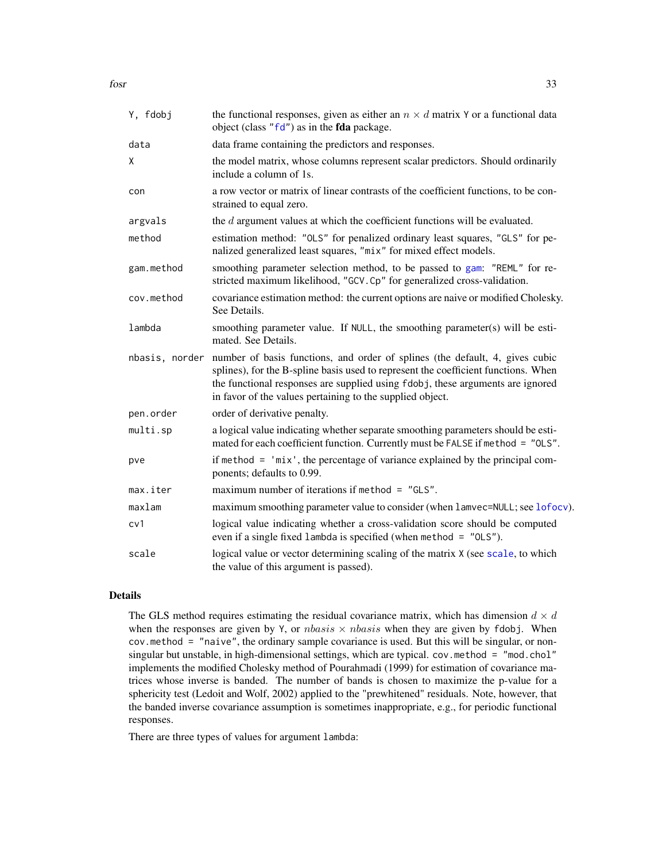| Y, fdobj       | the functional responses, given as either an $n \times d$ matrix Y or a functional data<br>object (class "fd") as in the fda package.                                                                                                                                                                             |
|----------------|-------------------------------------------------------------------------------------------------------------------------------------------------------------------------------------------------------------------------------------------------------------------------------------------------------------------|
| data           | data frame containing the predictors and responses.                                                                                                                                                                                                                                                               |
| χ              | the model matrix, whose columns represent scalar predictors. Should ordinarily<br>include a column of 1s.                                                                                                                                                                                                         |
| con            | a row vector or matrix of linear contrasts of the coefficient functions, to be con-<br>strained to equal zero.                                                                                                                                                                                                    |
| argvals        | the $d$ argument values at which the coefficient functions will be evaluated.                                                                                                                                                                                                                                     |
| method         | estimation method: "OLS" for penalized ordinary least squares, "GLS" for pe-<br>nalized generalized least squares, "mix" for mixed effect models.                                                                                                                                                                 |
| gam.method     | smoothing parameter selection method, to be passed to gam: "REML" for re-<br>stricted maximum likelihood, "GCV.Cp" for generalized cross-validation.                                                                                                                                                              |
| cov.method     | covariance estimation method: the current options are naive or modified Cholesky.<br>See Details.                                                                                                                                                                                                                 |
| lambda         | smoothing parameter value. If NULL, the smoothing parameter(s) will be esti-<br>mated. See Details.                                                                                                                                                                                                               |
| nbasis, norder | number of basis functions, and order of splines (the default, 4, gives cubic<br>splines), for the B-spline basis used to represent the coefficient functions. When<br>the functional responses are supplied using fdobj, these arguments are ignored<br>in favor of the values pertaining to the supplied object. |
| pen.order      | order of derivative penalty.                                                                                                                                                                                                                                                                                      |
| multi.sp       | a logical value indicating whether separate smoothing parameters should be esti-<br>mated for each coefficient function. Currently must be FALSE if method = "OLS".                                                                                                                                               |
| pve            | if method $=$ 'mix', the percentage of variance explained by the principal com-<br>ponents; defaults to 0.99.                                                                                                                                                                                                     |
| max.iter       | maximum number of iterations if method $=$ "GLS".                                                                                                                                                                                                                                                                 |
| maxlam         | maximum smoothing parameter value to consider (when lamvec=NULL; see lofocv).                                                                                                                                                                                                                                     |
| cv1            | logical value indicating whether a cross-validation score should be computed<br>even if a single fixed lambda is specified (when method = "OLS").                                                                                                                                                                 |
| scale          | logical value or vector determining scaling of the matrix X (see scale, to which<br>the value of this argument is passed).                                                                                                                                                                                        |

## Details

The GLS method requires estimating the residual covariance matrix, which has dimension  $d \times d$ when the responses are given by Y, or  $nbasis \times nbasis$  when they are given by fdobj. When cov.method = "naive", the ordinary sample covariance is used. But this will be singular, or nonsingular but unstable, in high-dimensional settings, which are typical. cov.method = "mod.chol" implements the modified Cholesky method of Pourahmadi (1999) for estimation of covariance matrices whose inverse is banded. The number of bands is chosen to maximize the p-value for a sphericity test (Ledoit and Wolf, 2002) applied to the "prewhitened" residuals. Note, however, that the banded inverse covariance assumption is sometimes inappropriate, e.g., for periodic functional responses.

There are three types of values for argument lambda: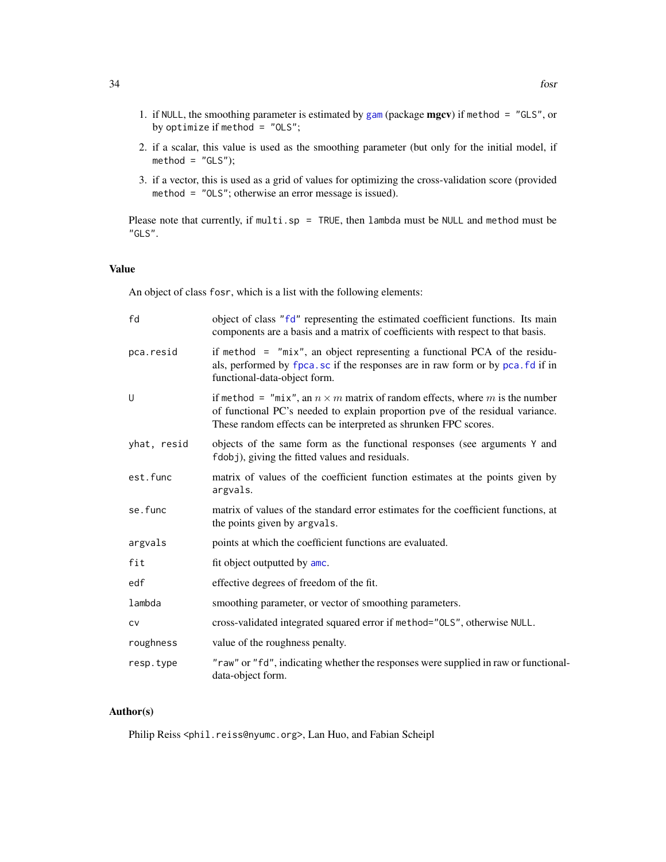- 1. if NULL, the smoothing parameter is estimated by [gam](#page-0-0) (package  $mgcv$ ) if method = "GLS", or by optimize if method = "OLS";
- 2. if a scalar, this value is used as the smoothing parameter (but only for the initial model, if  $method = "GLS");$
- 3. if a vector, this is used as a grid of values for optimizing the cross-validation score (provided method = "OLS"; otherwise an error message is issued).

Please note that currently, if  $multi$ .sp = TRUE, then lambda must be NULL and method must be "GLS".

## Value

An object of class fosr, which is a list with the following elements:

| fd          | object of class "fd" representing the estimated coefficient functions. Its main<br>components are a basis and a matrix of coefficients with respect to that basis.                                                                     |
|-------------|----------------------------------------------------------------------------------------------------------------------------------------------------------------------------------------------------------------------------------------|
| pca.resid   | if method $=$ "mix", an object representing a functional PCA of the residu-<br>als, performed by fpca.sc if the responses are in raw form or by pca.fd if in<br>functional-data-object form.                                           |
| U           | if method = "mix", an $n \times m$ matrix of random effects, where m is the number<br>of functional PC's needed to explain proportion pve of the residual variance.<br>These random effects can be interpreted as shrunken FPC scores. |
| yhat, resid | objects of the same form as the functional responses (see arguments Y and<br>fdobj), giving the fitted values and residuals.                                                                                                           |
| est.func    | matrix of values of the coefficient function estimates at the points given by<br>argvals.                                                                                                                                              |
| se.func     | matrix of values of the standard error estimates for the coefficient functions, at<br>the points given by argvals.                                                                                                                     |
| argvals     | points at which the coefficient functions are evaluated.                                                                                                                                                                               |
| fit         | fit object outputted by amc.                                                                                                                                                                                                           |
| edf         | effective degrees of freedom of the fit.                                                                                                                                                                                               |
| lambda      | smoothing parameter, or vector of smoothing parameters.                                                                                                                                                                                |
| <b>CV</b>   | cross-validated integrated squared error if method="0LS", otherwise NULL.                                                                                                                                                              |
| roughness   | value of the roughness penalty.                                                                                                                                                                                                        |
| resp.type   | "raw" or "fd", indicating whether the responses were supplied in raw or functional-<br>data-object form.                                                                                                                               |

## Author(s)

Philip Reiss <phil.reiss@nyumc.org>, Lan Huo, and Fabian Scheipl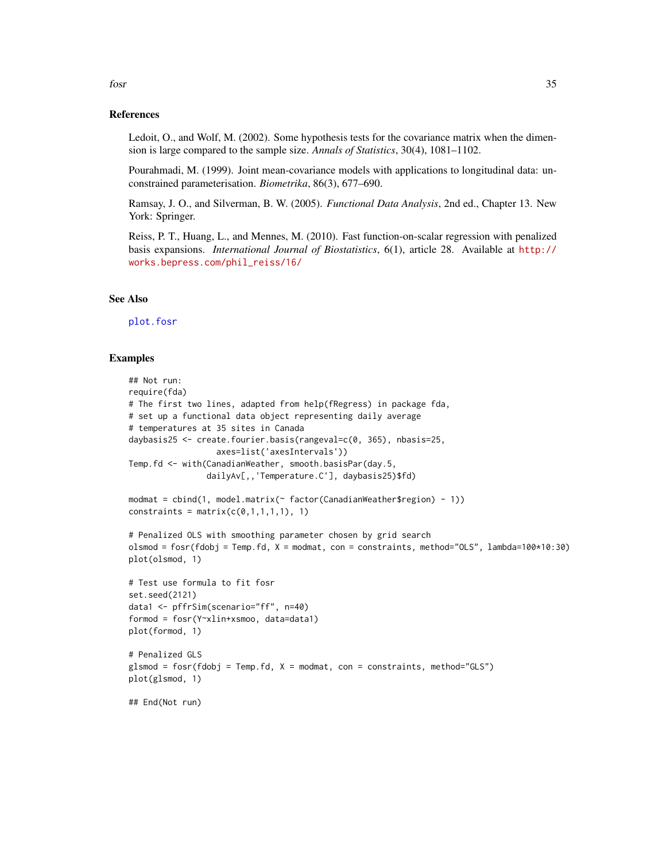#### References

Ledoit, O., and Wolf, M. (2002). Some hypothesis tests for the covariance matrix when the dimension is large compared to the sample size. *Annals of Statistics*, 30(4), 1081–1102.

Pourahmadi, M. (1999). Joint mean-covariance models with applications to longitudinal data: unconstrained parameterisation. *Biometrika*, 86(3), 677–690.

Ramsay, J. O., and Silverman, B. W. (2005). *Functional Data Analysis*, 2nd ed., Chapter 13. New York: Springer.

Reiss, P. T., Huang, L., and Mennes, M. (2010). Fast function-on-scalar regression with penalized basis expansions. *International Journal of Biostatistics*, 6(1), article 28. Available at [http://](http://works.bepress.com/phil_reiss/16/) [works.bepress.com/phil\\_reiss/16/](http://works.bepress.com/phil_reiss/16/)

#### See Also

[plot.fosr](#page-113-1)

#### Examples

```
## Not run:
require(fda)
# The first two lines, adapted from help(fRegress) in package fda,
# set up a functional data object representing daily average
# temperatures at 35 sites in Canada
daybasis25 <- create.fourier.basis(rangeval=c(0, 365), nbasis=25,
                  axes=list('axesIntervals'))
Temp.fd <- with(CanadianWeather, smooth.basisPar(day.5,
                dailyAv[,,'Temperature.C'], daybasis25)$fd)
modmat = cbind(1, model.matrix(~ factor(CanadianWeather$region) - 1))constraints = matrix(c(0,1,1,1,1), 1)# Penalized OLS with smoothing parameter chosen by grid search
olsmod = fosr(fdobj = Temp.fd, X = modmat, con = constraints, method="OLS", lambda=100*10:30)
plot(olsmod, 1)
# Test use formula to fit fosr
set.seed(2121)
data1 <- pffrSim(scenario="ff", n=40)
formod = fosr(Y~xlin+xsmoo, data=data1)
plot(formod, 1)
# Penalized GLS
glsmod = fosr(fdobj = Temp.fd, X = modmat, con = constraints, method="GLS")plot(glsmod, 1)
## End(Not run)
```
fosr 35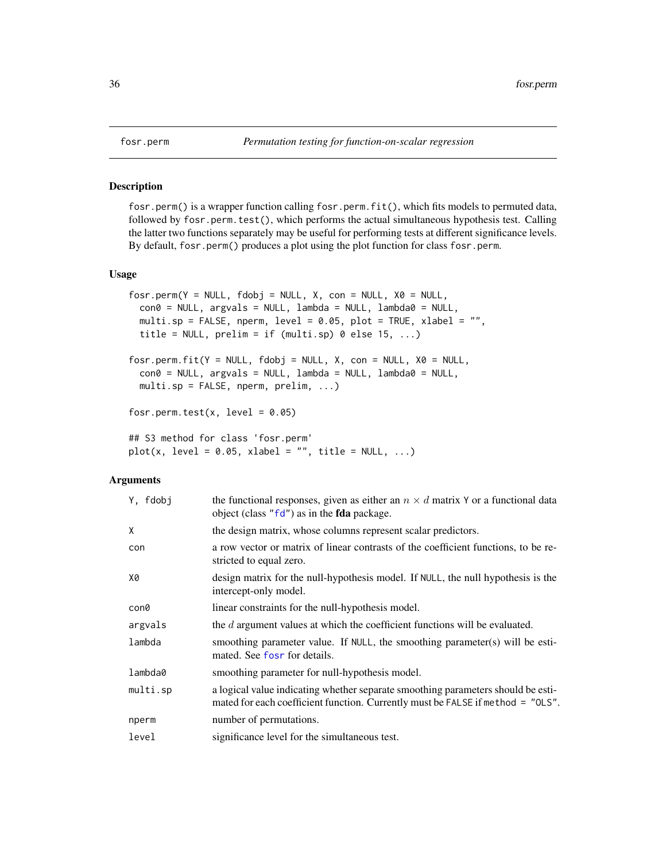#### Description

fosr.perm() is a wrapper function calling fosr.perm.fit(), which fits models to permuted data, followed by fosr.perm.test(), which performs the actual simultaneous hypothesis test. Calling the latter two functions separately may be useful for performing tests at different significance levels. By default, fosr.perm() produces a plot using the plot function for class fosr.perm.

#### Usage

```
fosr.perm(Y = NULL, fdobj = NULL, X, con = NULL, X0 = NULL,con0 = NULL, argvals = NULL, lambda = NULL, lambda0 = NULL,
 multi.sp = FALSE, nperm, level = 0.05, plot = TRUE, xlabel = "",
  title = NULL, prelim = if (multi(sp) 0 else 15, ...)fosr.perm.fit(Y = NULL, fdobj = NULL, X, con = NULL, X0 = NULL,
  \text{con0} = \text{NULL}, argvals = NULL, lambda = NULL, lambda0 = NULL,
 multi.sp = FALSE, nperm, prelim, ...)
fosr.perm.test(x, level = 0.05)
## S3 method for class 'fosr.perm'
plot(x, level = 0.05, xlabel = "", title = NULL, ...)
```
#### Arguments

| Y, fdobi | the functional responses, given as either an $n \times d$ matrix Y or a functional data<br>object (class "fd") as in the fda package.                               |
|----------|---------------------------------------------------------------------------------------------------------------------------------------------------------------------|
| Χ        | the design matrix, whose columns represent scalar predictors.                                                                                                       |
| con      | a row vector or matrix of linear contrasts of the coefficient functions, to be re-<br>stricted to equal zero.                                                       |
| Х0       | design matrix for the null-hypothesis model. If NULL, the null hypothesis is the<br>intercept-only model.                                                           |
| con0     | linear constraints for the null-hypothesis model.                                                                                                                   |
| argvals  | the $d$ argument values at which the coefficient functions will be evaluated.                                                                                       |
| lambda   | smoothing parameter value. If NULL, the smoothing parameter(s) will be esti-<br>mated. See fost for details.                                                        |
| lambda0  | smoothing parameter for null-hypothesis model.                                                                                                                      |
| multi.sp | a logical value indicating whether separate smoothing parameters should be esti-<br>mated for each coefficient function. Currently must be FALSE if method = "OLS". |
| nperm    | number of permutations.                                                                                                                                             |
| level    | significance level for the simultaneous test.                                                                                                                       |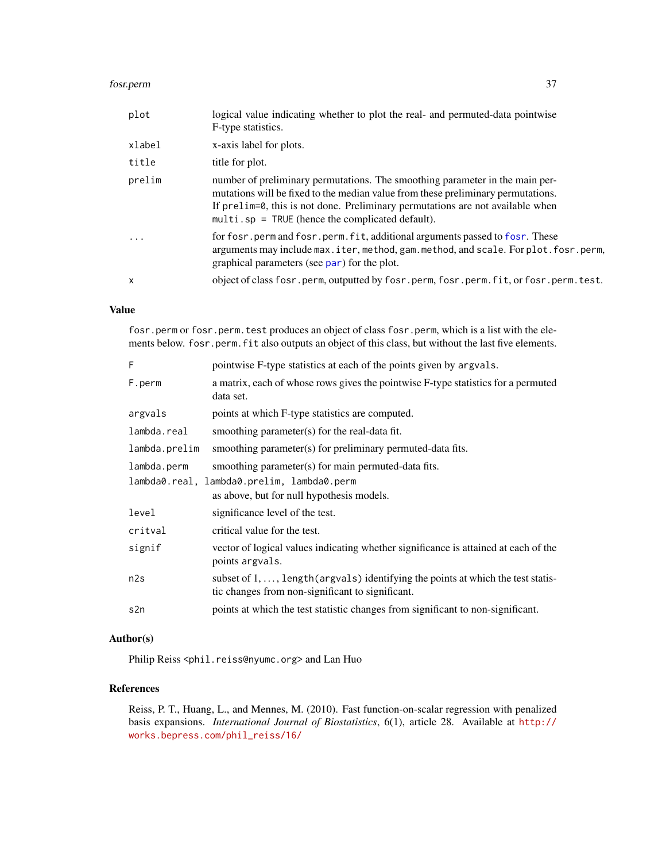#### fosr.perm 37

| plot         | logical value indicating whether to plot the real- and permuted-data pointwise<br>F-type statistics.                                                                                                                                                                                                       |
|--------------|------------------------------------------------------------------------------------------------------------------------------------------------------------------------------------------------------------------------------------------------------------------------------------------------------------|
| xlabel       | x-axis label for plots.                                                                                                                                                                                                                                                                                    |
| title        | title for plot.                                                                                                                                                                                                                                                                                            |
| prelim       | number of preliminary permutations. The smoothing parameter in the main per-<br>mutations will be fixed to the median value from these preliminary permutations.<br>If prelim=0, this is not done. Preliminary permutations are not available when<br>$multi$ . sp = TRUE (hence the complicated default). |
| .            | for fosr, perm and fosr, perm, fit, additional arguments passed to fosr. These<br>arguments may include max.iter, method, gam.method, and scale. For plot.fosr.perm,<br>graphical parameters (see par) for the plot.                                                                                       |
| $\mathsf{x}$ | object of class fosr.perm, outputted by fosr.perm, fosr.perm.fit, or fosr.perm.test.                                                                                                                                                                                                                       |
|              |                                                                                                                                                                                                                                                                                                            |

## Value

fosr.perm or fosr.perm.test produces an object of class fosr.perm, which is a list with the elements below. fosr.perm.fit also outputs an object of this class, but without the last five elements.

| F             | pointwise F-type statistics at each of the points given by argvals.                                                                           |  |
|---------------|-----------------------------------------------------------------------------------------------------------------------------------------------|--|
| F.perm        | a matrix, each of whose rows gives the pointwise F-type statistics for a permuted<br>data set.                                                |  |
| argvals       | points at which F-type statistics are computed.                                                                                               |  |
| lambda.real   | smoothing parameter(s) for the real-data fit.                                                                                                 |  |
| lambda.prelim | smoothing parameter(s) for preliminary permuted-data fits.                                                                                    |  |
| lambda.perm   | smoothing parameter(s) for main permuted-data fits.                                                                                           |  |
|               | lambda0.real, lambda0.prelim, lambda0.perm                                                                                                    |  |
|               | as above, but for null hypothesis models.                                                                                                     |  |
| level         | significance level of the test.                                                                                                               |  |
| critval       | critical value for the test.                                                                                                                  |  |
| signif        | vector of logical values indicating whether significance is attained at each of the<br>points argvals.                                        |  |
| n2s           | subset of $1, \ldots$ , length (argvals) identifying the points at which the test statis-<br>tic changes from non-significant to significant. |  |
| s2n           | points at which the test statistic changes from significant to non-significant.                                                               |  |

# Author(s)

Philip Reiss <phil.reiss@nyumc.org> and Lan Huo

# References

Reiss, P. T., Huang, L., and Mennes, M. (2010). Fast function-on-scalar regression with penalized basis expansions. *International Journal of Biostatistics*, 6(1), article 28. Available at [http://](http://works.bepress.com/phil_reiss/16/) [works.bepress.com/phil\\_reiss/16/](http://works.bepress.com/phil_reiss/16/)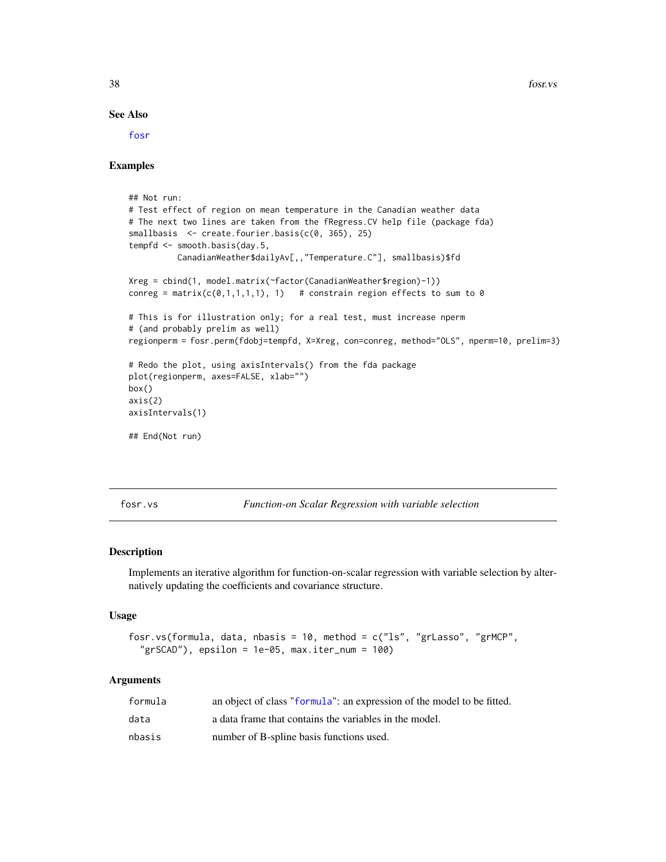38 fost.vs and the state of the state of the state of the state of the state of the state of the state of the state of the state of the state of the state of the state of the state of the state of the state of the state of

#### See Also

[fosr](#page-31-0)

#### Examples

```
## Not run:
# Test effect of region on mean temperature in the Canadian weather data
# The next two lines are taken from the fRegress.CV help file (package fda)
smallbasis <- create.fourier.basis(c(0, 365), 25)
tempfd <- smooth.basis(day.5,
          CanadianWeather$dailyAv[,,"Temperature.C"], smallbasis)$fd
Xreg = cbind(1, model.matrix(~factor(CanadianWeather$region)-1))
conreg = matrix(c(0,1,1,1,1), 1) # constrain region effects to sum to 0
# This is for illustration only; for a real test, must increase nperm
# (and probably prelim as well)
regionperm = fosr.perm(fdobj=tempfd, X=Xreg, con=conreg, method="OLS", nperm=10, prelim=3)
# Redo the plot, using axisIntervals() from the fda package
plot(regionperm, axes=FALSE, xlab="")
box()
axis(2)
axisIntervals(1)
## End(Not run)
```
fosr.vs *Function-on Scalar Regression with variable selection*

#### Description

Implements an iterative algorithm for function-on-scalar regression with variable selection by alternatively updating the coefficients and covariance structure.

#### Usage

```
fosr.vs(formula, data, nbasis = 10, method = c("ls", "grLasso", "grMCP",
  "grSCAD"), epsilon = 1e-05, max.iter_num = 100)
```
#### Arguments

| formula | an object of class "formula": an expression of the model to be fitted. |
|---------|------------------------------------------------------------------------|
| data    | a data frame that contains the variables in the model.                 |
| nbasis  | number of B-spline basis functions used.                               |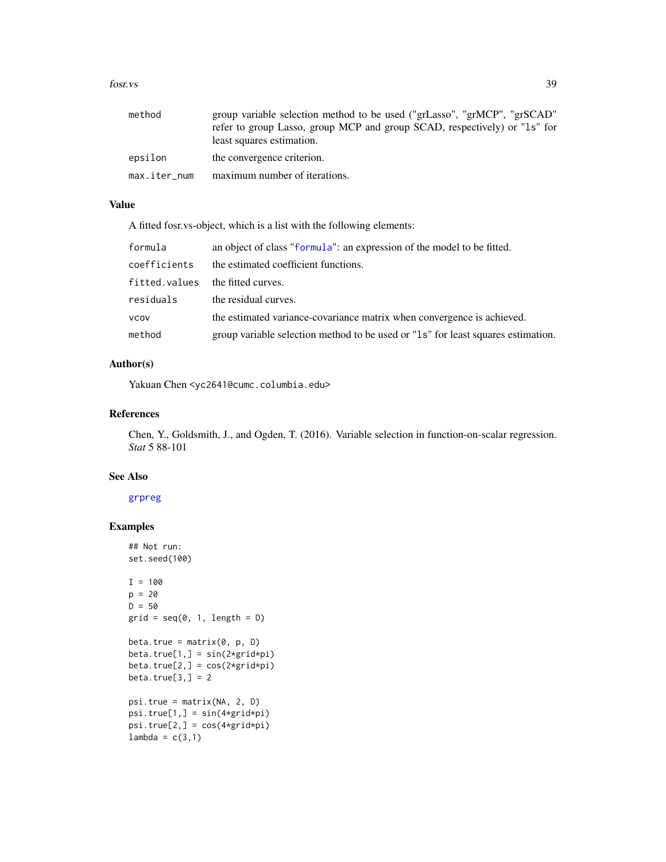#### fosr. vs 39

| method       | group variable selection method to be used ("grLasso", "grMCP", "grSCAD"<br>refer to group Lasso, group MCP and group SCAD, respectively) or "1s" for<br>least squares estimation. |
|--------------|------------------------------------------------------------------------------------------------------------------------------------------------------------------------------------|
| epsilon      | the convergence criterion.                                                                                                                                                         |
| max.iter_num | maximum number of iterations.                                                                                                                                                      |

## Value

A fitted fosr.vs-object, which is a list with the following elements:

| formula       | an object of class "formula": an expression of the model to be fitted.           |  |
|---------------|----------------------------------------------------------------------------------|--|
| coefficients  | the estimated coefficient functions.                                             |  |
| fitted.values | the fitted curves.                                                               |  |
| residuals     | the residual curves.                                                             |  |
| <b>VCOV</b>   | the estimated variance-covariance matrix when convergence is achieved.           |  |
| method        | group variable selection method to be used or "1s" for least squares estimation. |  |

## Author(s)

Yakuan Chen <yc2641@cumc.columbia.edu>

## References

Chen, Y., Goldsmith, J., and Ogden, T. (2016). Variable selection in function-on-scalar regression. *Stat* 5 88-101

#### See Also

# [grpreg](#page-0-0)

# Examples

```
## Not run:
set.seed(100)
I = 100p = 20D = 50grid = seq(0, 1, length = D)beta.true = matrix(0, p, D)beta.true[1,] = sin(2*grid*pi)beta.true[2,] = cos(2*grid*pi)beta.true[3,] = 2psi.true = matrix(NA, 2, D)
psi(x, ] = sin(4*grid*pi)psi.true[2,] = cos(4*grid*pi)
lambda = c(3,1)
```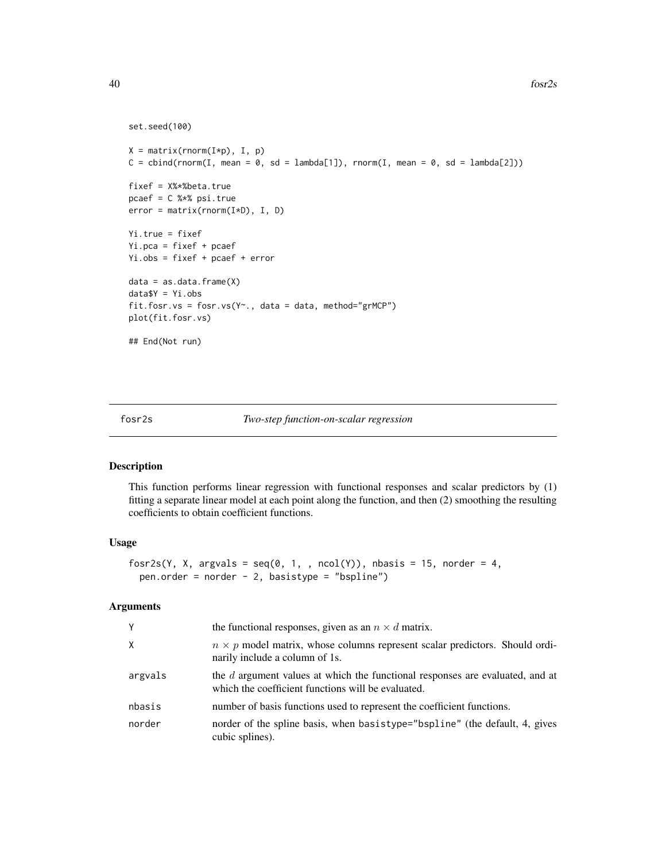```
set.seed(100)
```

```
X = matrix(rnorm(I*p), I, p)C = \text{cbind}(rnorm(I, mean = 0, sd = lambda[1]), rnorm(I, mean = 0, sd = lambda[2]))fixef = X%*%beta.true
pcaef = C %*% psi.true
error = matrix(rnorm(I*D), I, D)
Yi.true = fixef
Yi.pca = fixef + pcaef
Yi.obs = fixef + pcaef + error
data = as.data.frame(X)data$Y = Yi.obs
fit.fosr.vs = fosr.vs(Y~., data = data, method="grMCP")
plot(fit.fosr.vs)
## End(Not run)
```
fosr2s *Two-step function-on-scalar regression*

This function performs linear regression with functional responses and scalar predictors by (1) fitting a separate linear model at each point along the function, and then (2) smoothing the resulting coefficients to obtain coefficient functions.

#### Usage

```
fosr2s(Y, X, argvals = seq(0, 1, , ncol(Y)), nbasis = 15, norder = 4,
 pen.order = norder - 2, basistype = "bspline")
```
#### Arguments

| Y       | the functional responses, given as an $n \times d$ matrix.                                                                          |  |
|---------|-------------------------------------------------------------------------------------------------------------------------------------|--|
| X       | $n \times p$ model matrix, whose columns represent scalar predictors. Should ordi-<br>narily include a column of 1s.                |  |
| argvals | the d argument values at which the functional responses are evaluated, and at<br>which the coefficient functions will be evaluated. |  |
| nbasis  | number of basis functions used to represent the coefficient functions.                                                              |  |
| norder  | norder of the spline basis, when basistype="bspline" (the default, 4, gives<br>cubic splines).                                      |  |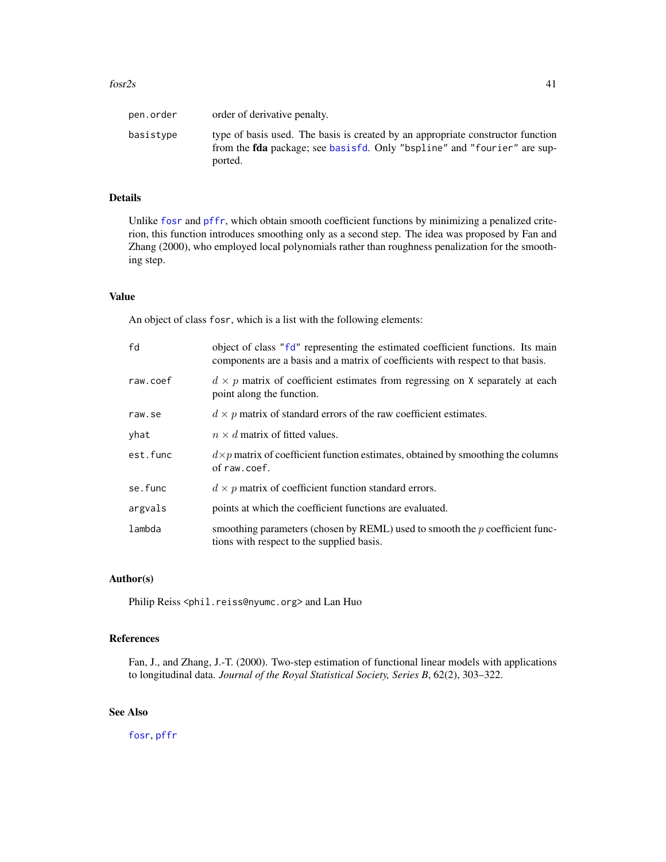| pen.order | order of derivative penalty.                                                                                                                                                  |
|-----------|-------------------------------------------------------------------------------------------------------------------------------------------------------------------------------|
| basistype | type of basis used. The basis is created by an appropriate constructor function<br>from the <b>fda</b> package; see basisfd. Only "bspline" and "fourier" are sup-<br>ported. |

# Details

Unlike [fosr](#page-31-0) and [pffr](#page-98-0), which obtain smooth coefficient functions by minimizing a penalized criterion, this function introduces smoothing only as a second step. The idea was proposed by Fan and Zhang (2000), who employed local polynomials rather than roughness penalization for the smoothing step.

## Value

An object of class fosr, which is a list with the following elements:

| fd       | object of class "fd" representing the estimated coefficient functions. Its main<br>components are a basis and a matrix of coefficients with respect to that basis. |  |
|----------|--------------------------------------------------------------------------------------------------------------------------------------------------------------------|--|
| raw.coef | $d \times p$ matrix of coefficient estimates from regressing on X separately at each<br>point along the function.                                                  |  |
| raw.se   | $d \times p$ matrix of standard errors of the raw coefficient estimates.                                                                                           |  |
| yhat     | $n \times d$ matrix of fitted values.                                                                                                                              |  |
| est.func | $d \times p$ matrix of coefficient function estimates, obtained by smoothing the columns<br>of raw.coef.                                                           |  |
| se.func  | $d \times p$ matrix of coefficient function standard errors.                                                                                                       |  |
| argvals  | points at which the coefficient functions are evaluated.                                                                                                           |  |
| lambda   | smoothing parameters (chosen by REML) used to smooth the $p$ coefficient func-<br>tions with respect to the supplied basis.                                        |  |

# Author(s)

Philip Reiss <phil.reiss@nyumc.org> and Lan Huo

# References

Fan, J., and Zhang, J.-T. (2000). Two-step estimation of functional linear models with applications to longitudinal data. *Journal of the Royal Statistical Society, Series B*, 62(2), 303–322.

# See Also

[fosr](#page-31-0), [pffr](#page-98-0)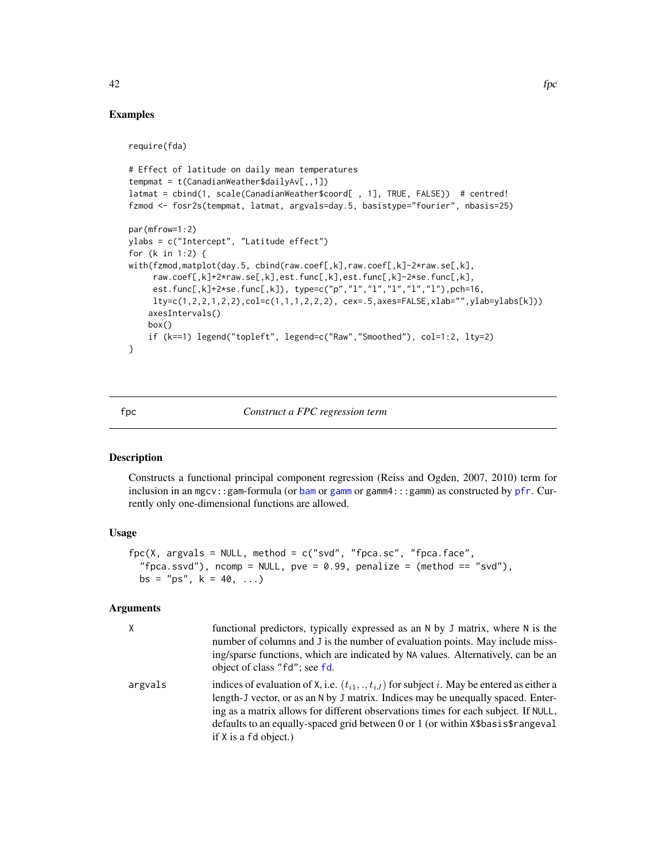## Examples

require(fda)

```
# Effect of latitude on daily mean temperatures
tempmat = t(CanadianWeather$dailyAv[,,1])
latmat = cbind(1, scale(CanadianWeather$coord[ , 1], TRUE, FALSE)) # centred!
fzmod <- fosr2s(tempmat, latmat, argvals=day.5, basistype="fourier", nbasis=25)
par(mfrow=1:2)
ylabs = c("Intercept", "Latitude effect")
for (k in 1:2) {
with(fzmod,matplot(day.5, cbind(raw.coef[,k],raw.coef[,k]-2*raw.se[,k],
     raw.coef[,k]+2*raw.se[,k],est.func[,k],est.func[,k]-2*se.func[,k],
     est.func[,k]+2*se.func[,k]), type=c("p","l","l","l","l","l"),pch=16,
    lty=c(1,2,2,1,2,2),col=c(1,1,1,2,2,2), cex=.5,axes=FALSE,xlab="",ylab=ylabs[k]))
    axesIntervals()
   box()
    if (k==1) legend("topleft", legend=c("Raw","Smoothed"), col=1:2, lty=2)
}
```
## fpc *Construct a FPC regression term*

#### Description

Constructs a functional principal component regression (Reiss and Ogden, 2007, 2010) term for inclusion in an mgcv::gam-formula (or [bam](#page-0-0) or [gamm](#page-0-0) or gamm4:::gamm) as constructed by [pfr](#page-105-0). Currently only one-dimensional functions are allowed.

#### Usage

```
fpc(X, argvals = NULL, method = c("svd", "fpca.sc", "fpca.face","fpca.ssvd"), ncomp = NULL, pve = 0.99, penalize = (method == "svd"),bs = "ps", k = 40, ...)
```
## **Arguments**

|         | functional predictors, typically expressed as an N by J matrix, where N is the<br>number of columns and J is the number of evaluation points. May include miss-<br>ing/sparse functions, which are indicated by NA values. Alternatively, can be an<br>object of class "fd"; see fd.                                                                                                           |
|---------|------------------------------------------------------------------------------------------------------------------------------------------------------------------------------------------------------------------------------------------------------------------------------------------------------------------------------------------------------------------------------------------------|
| argvals | indices of evaluation of X, i.e. $(t_{i1},\ldots,t_{iJ})$ for subject i. May be entered as either a<br>length-J vector, or as an N by J matrix. Indices may be unequally spaced. Enter-<br>ing as a matrix allows for different observations times for each subject. If NULL,<br>defaults to an equally-spaced grid between 0 or 1 (or within $x$ \$basis\$rangeval<br>if $X$ is a fd object.) |

42 fpc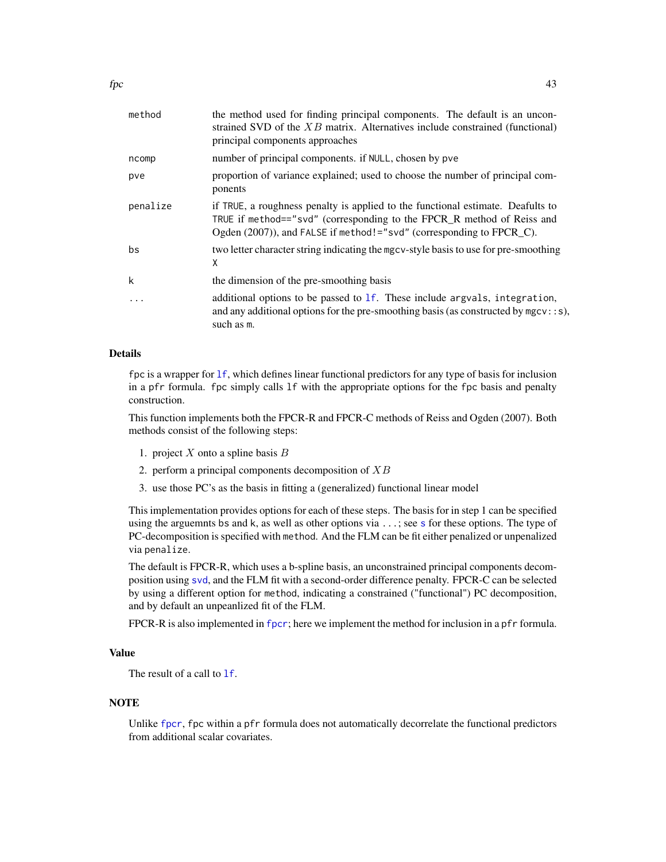| method   | the method used for finding principal components. The default is an uncon-<br>strained SVD of the $XB$ matrix. Alternatives include constrained (functional)<br>principal components approaches                                   |  |
|----------|-----------------------------------------------------------------------------------------------------------------------------------------------------------------------------------------------------------------------------------|--|
| ncomp    | number of principal components. if NULL, chosen by pve                                                                                                                                                                            |  |
| pve      | proportion of variance explained; used to choose the number of principal com-<br>ponents                                                                                                                                          |  |
| penalize | if TRUE, a roughness penalty is applied to the functional estimate. Deafults to<br>TRUE if method=="svd" (corresponding to the FPCR_R method of Reiss and<br>Ogden (2007)), and FALSE if method!="svd" (corresponding to FPCR_C). |  |
| bs       | two letter character string indicating the mgcv-style basis to use for pre-smoothing<br>X                                                                                                                                         |  |
| k        | the dimension of the pre-smoothing basis                                                                                                                                                                                          |  |
|          | additional options to be passed to 1f. These include argvals, integration,<br>and any additional options for the pre-smoothing basis (as constructed by $mgcv$ : : s),<br>such as m.                                              |  |

## Details

fpc is a wrapper for [lf](#page-73-0), which defines linear functional predictors for any type of basis for inclusion in a pfr formula. fpc simply calls lf with the appropriate options for the fpc basis and penalty construction.

This function implements both the FPCR-R and FPCR-C methods of Reiss and Ogden (2007). Both methods consist of the following steps:

- 1. project  $X$  onto a spline basis  $B$
- 2. perform a principal components decomposition of  $XB$
- 3. use those PC's as the basis in fitting a (generalized) functional linear model

This implementation provides options for each of these steps. The basis for in step 1 can be specified using the arguemnts bs and k, as well as other options via ...; see [s](#page-0-0) for these options. The type of PC-decomposition is specified with method. And the FLM can be fit either penalized or unpenalized via penalize.

The default is FPCR-R, which uses a b-spline basis, an unconstrained principal components decomposition using [svd](#page-0-0), and the FLM fit with a second-order difference penalty. FPCR-C can be selected by using a different option for method, indicating a constrained ("functional") PC decomposition, and by default an unpeanlized fit of the FLM.

FPCR-R is also implemented in [fpcr](#page-61-0); here we implement the method for inclusion in a pfr formula.

# Value

The result of a call to **1f**.

### **NOTE**

Unlike [fpcr](#page-61-0), fpc within a pfr formula does not automatically decorrelate the functional predictors from additional scalar covariates.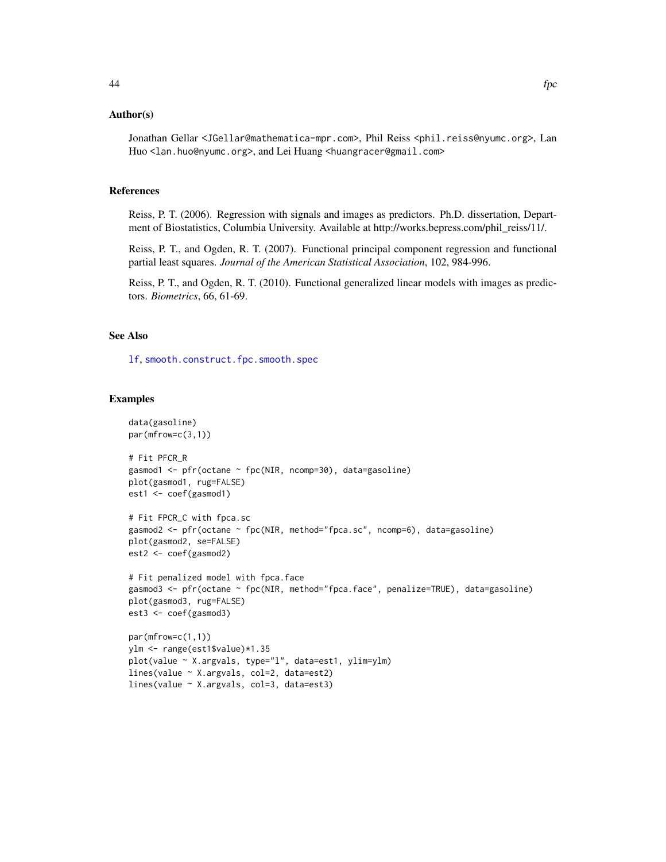## Author(s)

Jonathan Gellar <JGellar@mathematica-mpr.com>, Phil Reiss <phil.reiss@nyumc.org>, Lan Huo <lan.huo@nyumc.org>, and Lei Huang <huangracer@gmail.com>

# References

Reiss, P. T. (2006). Regression with signals and images as predictors. Ph.D. dissertation, Department of Biostatistics, Columbia University. Available at http://works.bepress.com/phil\_reiss/11/.

Reiss, P. T., and Ogden, R. T. (2007). Functional principal component regression and functional partial least squares. *Journal of the American Statistical Association*, 102, 984-996.

Reiss, P. T., and Ogden, R. T. (2010). Functional generalized linear models with images as predictors. *Biometrics*, 66, 61-69.

## See Also

[lf](#page-73-0), [smooth.construct.fpc.smooth.spec](#page-142-0)

## Examples

```
data(gasoline)
par(mfrow=c(3,1))
# Fit PFCR_R
gasmod1 <- pfr(octane ~ fpc(NIR, ncomp=30), data=gasoline)
plot(gasmod1, rug=FALSE)
est1 <- coef(gasmod1)
# Fit FPCR_C with fpca.sc
gasmod2 <- pfr(octane ~ fpc(NIR, method="fpca.sc", ncomp=6), data=gasoline)
plot(gasmod2, se=FALSE)
est2 <- coef(gasmod2)
# Fit penalized model with fpca.face
gasmod3 <- pfr(octane ~ fpc(NIR, method="fpca.face", penalize=TRUE), data=gasoline)
plot(gasmod3, rug=FALSE)
est3 <- coef(gasmod3)
par(mfrow=c(1,1))
ylm <- range(est1$value)*1.35
```

```
plot(value ~ X.argvals, type="l", data=est1, ylim=ylm)
lines(value ~ X.argvals, col=2, data=est2)
lines(value ~ X.argvals, col=3, data=est3)
```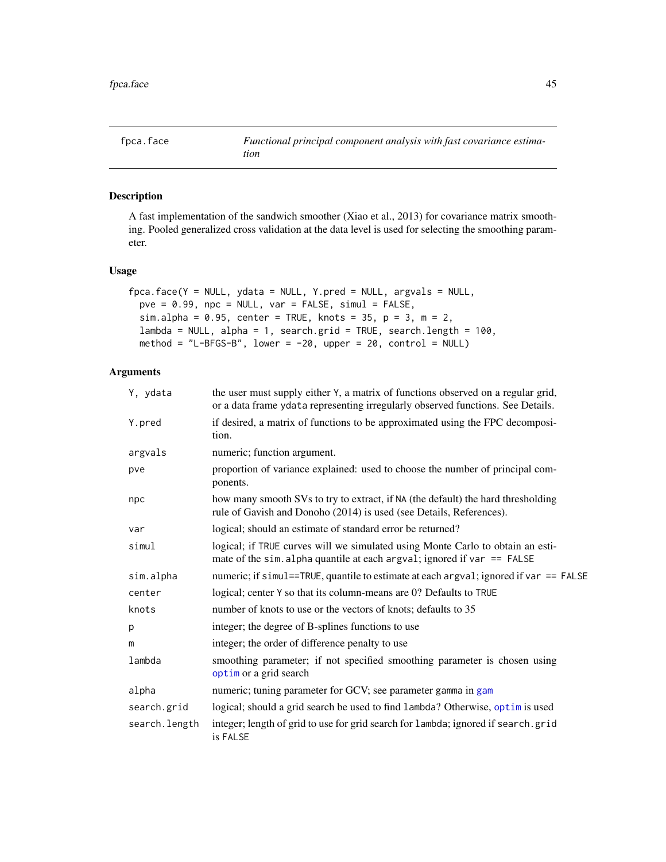<span id="page-44-0"></span>

A fast implementation of the sandwich smoother (Xiao et al., 2013) for covariance matrix smoothing. Pooled generalized cross validation at the data level is used for selecting the smoothing parameter.

## Usage

```
fpca.face(Y = NULL, ydata = NULL, Y.pred = NULL, argvals = NULL,
 pve = 0.99, npc = NULL, var = FALSE, simul = FALSE,
  sim.alpha = 0.95, center = TRUE, knots = 35, p = 3, m = 2,
 lambda = NULL, alpha = 1, search.grid = TRUE, search.length = 100,
 method = "L-BFGS-B", lower = -20, upper = 20, control = NULL)
```
## Arguments

| Y, ydata      | the user must supply either Y, a matrix of functions observed on a regular grid,<br>or a data frame ydata representing irregularly observed functions. See Details. |  |
|---------------|---------------------------------------------------------------------------------------------------------------------------------------------------------------------|--|
| Y.pred        | if desired, a matrix of functions to be approximated using the FPC decomposi-<br>tion.                                                                              |  |
| argvals       | numeric; function argument.                                                                                                                                         |  |
| pve           | proportion of variance explained: used to choose the number of principal com-<br>ponents.                                                                           |  |
| npc           | how many smooth SVs to try to extract, if NA (the default) the hard thresholding<br>rule of Gavish and Donoho (2014) is used (see Details, References).             |  |
| var           | logical; should an estimate of standard error be returned?                                                                                                          |  |
| simul         | logical; if TRUE curves will we simulated using Monte Carlo to obtain an esti-<br>mate of the sim. alpha quantile at each argval; ignored if var $==$ FALSE         |  |
| sim.alpha     | numeric; if simul==TRUE, quantile to estimate at each argval; ignored if var == FALSE                                                                               |  |
| center        | logical; center Y so that its column-means are 0? Defaults to TRUE                                                                                                  |  |
| knots         | number of knots to use or the vectors of knots; defaults to 35                                                                                                      |  |
| р             | integer; the degree of B-splines functions to use                                                                                                                   |  |
| m             | integer; the order of difference penalty to use                                                                                                                     |  |
| lambda        | smoothing parameter; if not specified smoothing parameter is chosen using<br>optim or a grid search                                                                 |  |
| alpha         | numeric; tuning parameter for GCV; see parameter gamma in gam                                                                                                       |  |
| search.grid   | logical; should a grid search be used to find lambda? Otherwise, optim is used                                                                                      |  |
| search.length | integer; length of grid to use for grid search for lambda; ignored if search.grid<br>is FALSE                                                                       |  |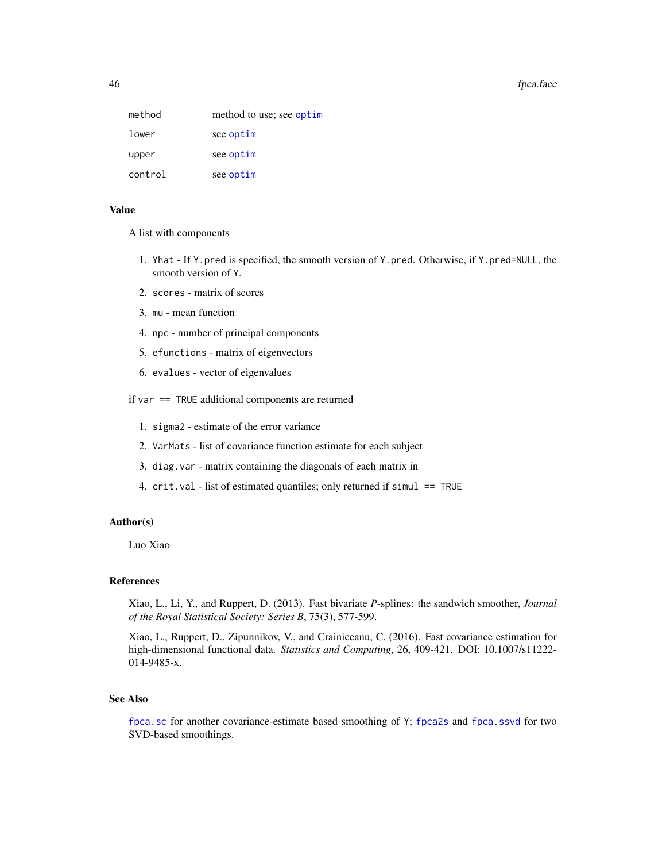#### 46 fpca.face that the state of the state of the state of the state of the state of the state of the state of the state of the state of the state of the state of the state of the state of the state of the state of the state

| method  | method to use; see optim |
|---------|--------------------------|
| lower   | see optim                |
| upper   | see optim                |
| control | see optim                |

## Value

A list with components

- 1. Yhat If Y.pred is specified, the smooth version of Y.pred. Otherwise, if Y.pred=NULL, the smooth version of Y.
- 2. scores matrix of scores
- 3. mu mean function
- 4. npc number of principal components
- 5. efunctions matrix of eigenvectors
- 6. evalues vector of eigenvalues

if var == TRUE additional components are returned

- 1. sigma2 estimate of the error variance
- 2. VarMats list of covariance function estimate for each subject
- 3. diag.var matrix containing the diagonals of each matrix in
- 4. crit.val list of estimated quantiles; only returned if simul == TRUE

## Author(s)

Luo Xiao

## References

Xiao, L., Li, Y., and Ruppert, D. (2013). Fast bivariate *P*-splines: the sandwich smoother, *Journal of the Royal Statistical Society: Series B*, 75(3), 577-599.

Xiao, L., Ruppert, D., Zipunnikov, V., and Crainiceanu, C. (2016). Fast covariance estimation for high-dimensional functional data. *Statistics and Computing*, 26, 409-421. DOI: 10.1007/s11222- 014-9485-x.

## See Also

[fpca.sc](#page-53-0) for another covariance-estimate based smoothing of Y; [fpca2s](#page-59-0) and [fpca.ssvd](#page-56-0) for two SVD-based smoothings.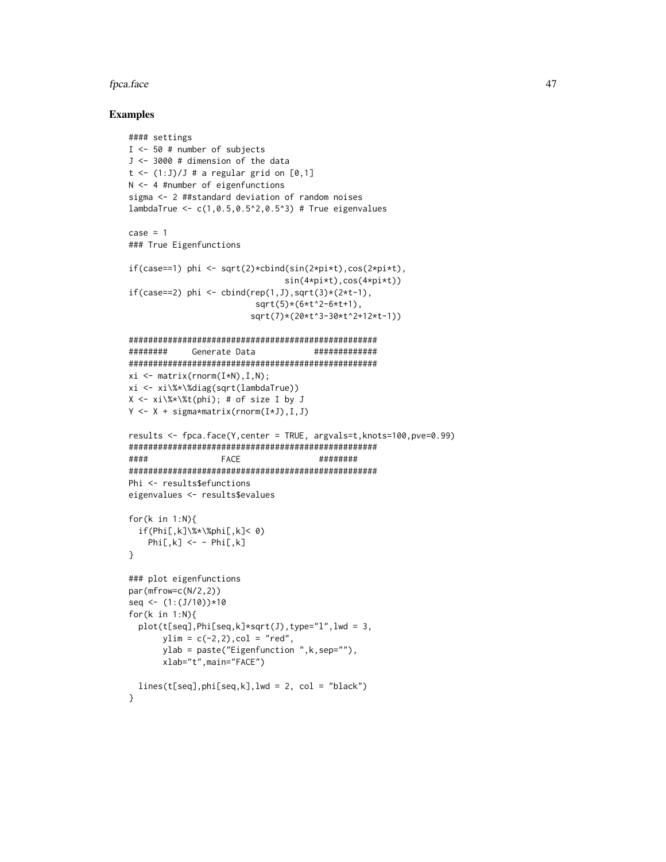#### fpca.face 47

### Examples

```
#### settings
I <- 50 # number of subjects
J <- 3000 # dimension of the data
t \leq (1:J)/J # a regular grid on [0,1]N <- 4 #number of eigenfunctions
sigma <- 2 ##standard deviation of random noises
lambdaTrue <- c(1,0.5,0.5^2,0.5^3) # True eigenvalues
case = 1### True Eigenfunctions
if(case==1) phi <- sqrt(2)*cbind(sin(2*pi*t),cos(2*pi*t),
                                sin(4*pi*t),cos(4*pi*t))
if(case==2) phi <- cbind(rep(1,J),sqrt(3)*(2*t-1),
                          sqrt(5)*(6*t^2-6*t+1),
                         sqrt(7)*(20*t^3-30*t^2+12*t-1))
###################################################
######## Generate Data #############
###################################################
xi \leftarrow matrix(rnorm(I*N), I, N);xi <- xi\%*\%diag(sqrt(lambdaTrue))
X \le -xi \frac{8x}{xt(\phi h_i)}; # of size I by J
Y <- X + sigma*matrix(rnorm(I*J),I,J)
results <- fpca.face(Y,center = TRUE, argvals=t,knots=100,pve=0.99)
###################################################
#### FACE ########
###################################################
Phi <- results$efunctions
eigenvalues <- results$evalues
for(k in 1:N){
  if(Phi[,k]\%*\%phi[,k]< 0)
   Phi.[k] <- - Phi.[k]}
### plot eigenfunctions
par(mfrow=c(N/2,2))
seq <- (1:(J/10))*10
for(k in 1:N){
  plot(t[seq], Phi[seq, k]*sqrt(J), type="1", lwd = 3,ylim = c(-2, 2), col = "red",ylab = paste("Eigenfunction ",k,sep=""),
       xlab="t",main="FACE")
  lines(t[seq], phi[seq, k], lwd = 2, col = "black")
```
}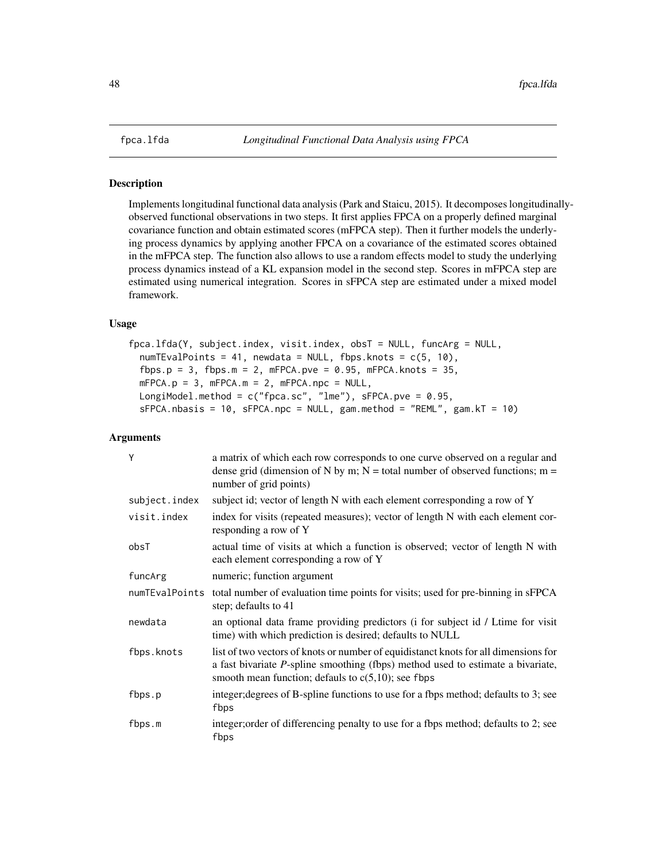Implements longitudinal functional data analysis (Park and Staicu, 2015). It decomposes longitudinallyobserved functional observations in two steps. It first applies FPCA on a properly defined marginal covariance function and obtain estimated scores (mFPCA step). Then it further models the underlying process dynamics by applying another FPCA on a covariance of the estimated scores obtained in the mFPCA step. The function also allows to use a random effects model to study the underlying process dynamics instead of a KL expansion model in the second step. Scores in mFPCA step are estimated using numerical integration. Scores in sFPCA step are estimated under a mixed model framework.

## Usage

fpca.lfda(Y, subject.index, visit.index, obsT = NULL, funcArg = NULL, numTEvalPoints = 41, newdata = NULL, fbps.knots = c(5, 10), fbps.p = 3, fbps.m = 2, mFPCA.pve =  $0.95$ , mFPCA.knots = 35,  $mFPCA.p = 3$ ,  $mFPCA.m = 2$ ,  $mFPCA.npc = NULL$ , LongiModel.method =  $c("fpca.sc", "lme"), sFPCA.pve = 0.95,$  $SFPCA.nbasis = 10$ ,  $SFPCA.npc = NULL$ ,  $gam.method = "REML", gam.KT = 10)$ 

# Arguments

| Y              | a matrix of which each row corresponds to one curve observed on a regular and<br>dense grid (dimension of N by m; $N =$ total number of observed functions; m =<br>number of grid points)                                       |
|----------------|---------------------------------------------------------------------------------------------------------------------------------------------------------------------------------------------------------------------------------|
| subject.index  | subject id; vector of length N with each element corresponding a row of Y                                                                                                                                                       |
| visit.index    | index for visits (repeated measures); vector of length N with each element cor-<br>responding a row of Y                                                                                                                        |
| obsT           | actual time of visits at which a function is observed; vector of length N with<br>each element corresponding a row of Y                                                                                                         |
| funcArg        | numeric; function argument                                                                                                                                                                                                      |
| numTEvalPoints | total number of evaluation time points for visits; used for pre-binning in sFPCA<br>step; defaults to 41                                                                                                                        |
| newdata        | an optional data frame providing predictors (i for subject id / Ltime for visit<br>time) with which prediction is desired; defaults to NULL                                                                                     |
| fbps.knots     | list of two vectors of knots or number of equidistanct knots for all dimensions for<br>a fast bivariate P-spline smoothing (fbps) method used to estimate a bivariate,<br>smooth mean function; defauls to $c(5,10)$ ; see fbps |
| fbps.p         | integer; degrees of B-spline functions to use for a fbps method; defaults to 3; see<br>fbps                                                                                                                                     |
| fbps.m         | integer; order of differencing penalty to use for a fbps method; defaults to 2; see<br>fbps                                                                                                                                     |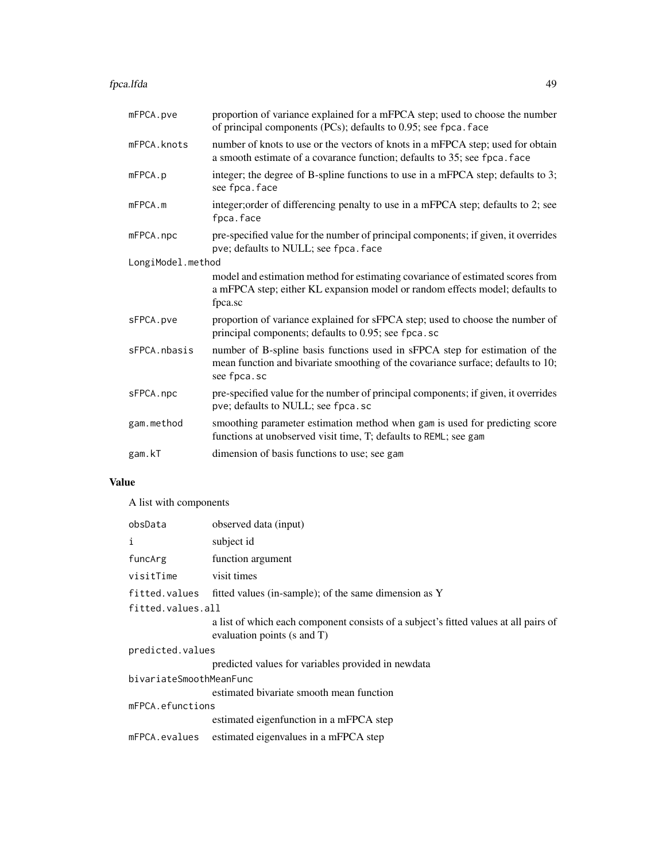fpca.lfda 49

| proportion of variance explained for a mFPCA step; used to choose the number<br>of principal components (PCs); defaults to 0.95; see fpca. face                                |
|--------------------------------------------------------------------------------------------------------------------------------------------------------------------------------|
| number of knots to use or the vectors of knots in a mFPCA step; used for obtain<br>a smooth estimate of a covarance function; defaults to 35; see fpca. face                   |
| integer; the degree of B-spline functions to use in a mFPCA step; defaults to 3;<br>see fpca.face                                                                              |
| integer; order of differencing penalty to use in a mFPCA step; defaults to 2; see<br>fpca.face                                                                                 |
| pre-specified value for the number of principal components; if given, it overrides<br>pve; defaults to NULL; see fpca. face                                                    |
| LongiModel.method                                                                                                                                                              |
| model and estimation method for estimating covariance of estimated scores from<br>a mFPCA step; either KL expansion model or random effects model; defaults to<br>fpca.sc      |
| proportion of variance explained for sFPCA step; used to choose the number of<br>principal components; defaults to 0.95; see fpca.sc                                           |
| number of B-spline basis functions used in sFPCA step for estimation of the<br>mean function and bivariate smoothing of the covariance surface; defaults to 10;<br>see fpca.sc |
| pre-specified value for the number of principal components; if given, it overrides<br>pve; defaults to NULL; see fpca.sc                                                       |
| smoothing parameter estimation method when gam is used for predicting score<br>functions at unobserved visit time, T; defaults to REML; see gam                                |
| dimension of basis functions to use; see gam                                                                                                                                   |
|                                                                                                                                                                                |

# Value

A list with components

| obsData                 | observed data (input)                                                                                               |  |
|-------------------------|---------------------------------------------------------------------------------------------------------------------|--|
| i                       | subject id                                                                                                          |  |
| funcArg                 | function argument                                                                                                   |  |
| visitTime               | visit times                                                                                                         |  |
| fitted.values           | fitted values (in-sample); of the same dimension as Y                                                               |  |
| fitted.values.all       |                                                                                                                     |  |
|                         | a list of which each component consists of a subject's fitted values at all pairs of<br>evaluation points (s and T) |  |
| predicted.values        |                                                                                                                     |  |
|                         | predicted values for variables provided in newdata                                                                  |  |
| bivariateSmoothMeanFunc |                                                                                                                     |  |
|                         | estimated bivariate smooth mean function                                                                            |  |
| mFPCA.efunctions        |                                                                                                                     |  |
|                         | estimated eigenfunction in a mFPCA step                                                                             |  |
| mFPCA.evalues           | estimated eigenvalues in a mFPCA step                                                                               |  |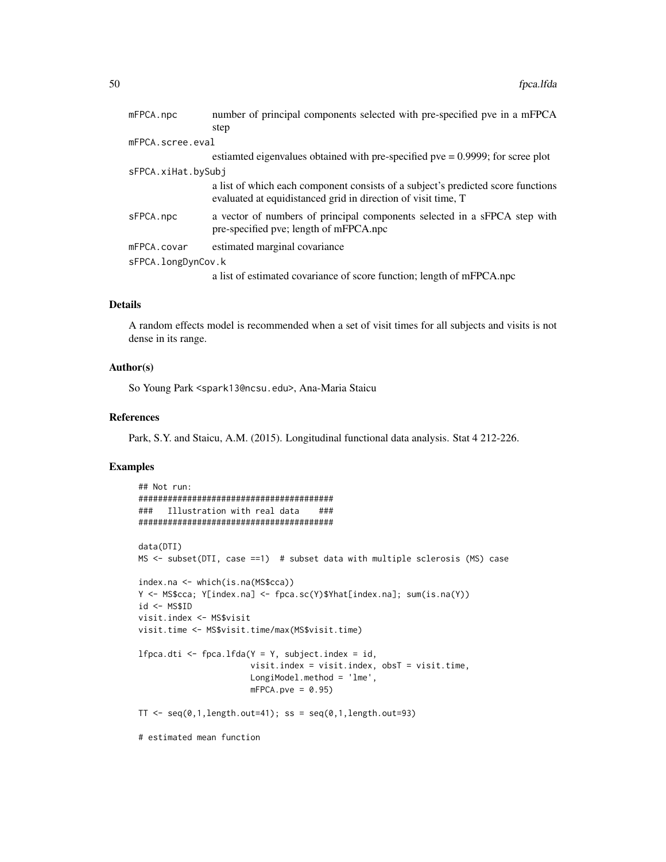| mFPCA.npc          | number of principal components selected with pre-specified pve in a mFPCA                                                                         |
|--------------------|---------------------------------------------------------------------------------------------------------------------------------------------------|
|                    | step                                                                                                                                              |
| mFPCA.scree.eval   |                                                                                                                                                   |
|                    | estianted eigenvalues obtained with pre-specified pve $= 0.9999$ ; for scree plot                                                                 |
| sFPCA.xiHat.bySubj |                                                                                                                                                   |
|                    | a list of which each component consists of a subject's predicted score functions<br>evaluated at equidistanced grid in direction of visit time, T |
| sFPCA.npc          | a vector of numbers of principal components selected in a sFPCA step with<br>pre-specified pve; length of mFPCA.npc                               |
| mFPCA.covar        | estimated marginal covariance                                                                                                                     |
| sFPCA.longDynCov.k |                                                                                                                                                   |
|                    | a list of estimated covariance of score function; length of mFPCA.npc                                                                             |

## Details

A random effects model is recommended when a set of visit times for all subjects and visits is not dense in its range.

## Author(s)

So Young Park <spark13@ncsu.edu>, Ana-Maria Staicu

#### References

Park, S.Y. and Staicu, A.M. (2015). Longitudinal functional data analysis. Stat 4 212-226.

# Examples

```
## Not run:
########################################
### Illustration with real data ###
########################################
data(DTI)
MS <- subset(DTI, case ==1) # subset data with multiple sclerosis (MS) case
index.na <- which(is.na(MS$cca))
Y <- MS$cca; Y[index.na] <- fpca.sc(Y)$Yhat[index.na]; sum(is.na(Y))
id <- MS$ID
visit.index <- MS$visit
visit.time <- MS$visit.time/max(MS$visit.time)
lfpca.dti <- fpca.lfda(Y = Y, subject.index = id,
                      visit.index = visit.index, obsT = visit.time,
                      LongiModel.method = 'lme',
                      mFPCA.pye = 0.95TT < - seq(0,1,length.out=41); ss = seq(0,1,length.out=93)
# estimated mean function
```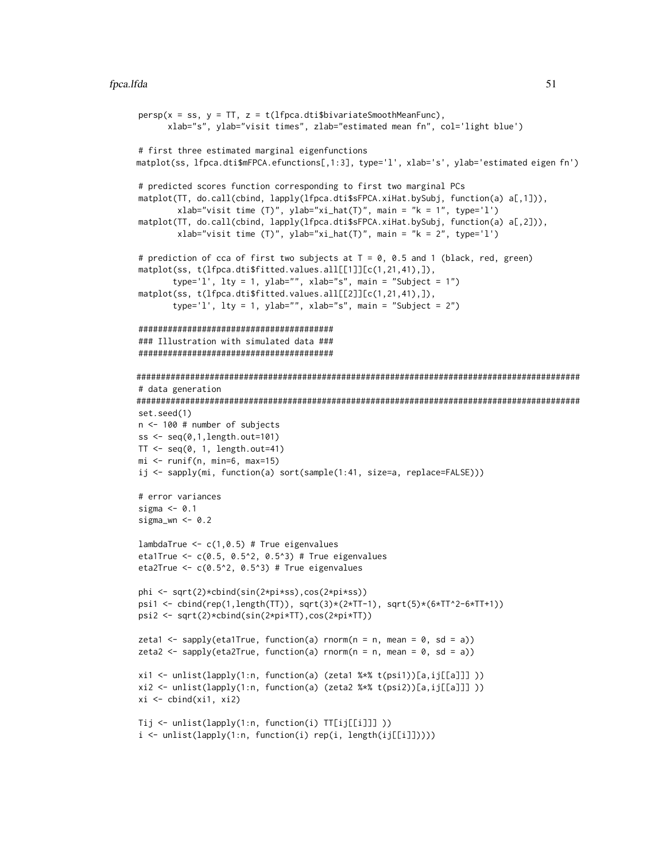#### fpca.lfda 51

```
persp(x = ss, y = TT, z = t(1fpca.dti$bivariateSmoothMeanFunc),
      xlab="s", ylab="visit times", zlab="estimated mean fn", col='light blue')
# first three estimated marginal eigenfunctions
matplot(ss, lfpca.dti$mFPCA.efunctions[,1:3], type='l', xlab='s', ylab='estimated eigen fn')
# predicted scores function corresponding to first two marginal PCs
matplot(TT, do.call(cbind, lapply(lfpca.dti$sFPCA.xiHat.bySubj, function(a) a[,1])),
        xlab="visit time (T)", ylab="xi_hat(T)", main = "k = 1", type='l')
matplot(TT, do.call(cbind, lapply(lfpca.dti$sFPCA.xiHat.bySubj, function(a) a[,2])),
        xlab="visit time (T)", ylab="xi_hat(T)", main = "k = 2", type='l')
# prediction of cca of first two subjects at T = 0, 0.5 and 1 (black, red, green)
matplot(ss, t(lfpca.dti$fitted.values.all[[1]][c(1,21,41),]),
       type='l', lty = 1, ylab="", xlab="s", main = "Subject = 1")
matplot(ss, t(lfpca.dti$fitted.values.all[[2]][c(1,21,41),]),
       type='l', lty = 1, ylab="", xlab="s", main = "Subject = 2")
########################################
### Illustration with simulated data ###
########################################
###########################################################################################
# data generation
###########################################################################################
set.seed(1)
n <- 100 # number of subjects
ss \leq seq(0,1,length.out=101)
TT < -seq(0, 1, length.out=41)mi <- runif(n, min=6, max=15)
ij <- sapply(mi, function(a) sort(sample(1:41, size=a, replace=FALSE)))
# error variances
sigma <- 0.1
sigma_wn \leq -0.2lambdaTrue \leq c(1, 0.5) # True eigenvalues
eta1True <- c(0.5, 0.5^2, 0.5^3) # True eigenvalues
eta2True <- c(0.5^2, 0.5^3) # True eigenvalues
phi <- sqrt(2)*cbind(sin(2*pi*ss),cos(2*pi*ss))
psi1 <- cbind(rep(1,length(TT)), sqrt(3)*(2*TT-1), sqrt(5)*(6*TT^2-6*TT+1))
psi2 <- sqrt(2)*cbind(sin(2*pi*TT),cos(2*pi*TT))
zeta1 <- sapply(eta1True, function(a) rnorm(n = n, mean = 0, sd = a))
zeta2 <- sapply(eta2True, function(a) rnorm(n = n, mean = 0, sd = a))
xi1 <- unlist(lapply(1:n, function(a) (zeta1 %*% t(psi1))[a,ij[[a]]] ))
xi2 <- unlist(lapply(1:n, function(a) (zeta2 %*% t(psi2))[a,ij[[a]]] ))
xi \leftarrow \text{cbind}(x_i1, x_i2)Tij <- unlist(lapply(1:n, function(i) TT[ij[[i]]] ))
i <- unlist(lapply(1:n, function(i) rep(i, length(ij[[i]]))))
```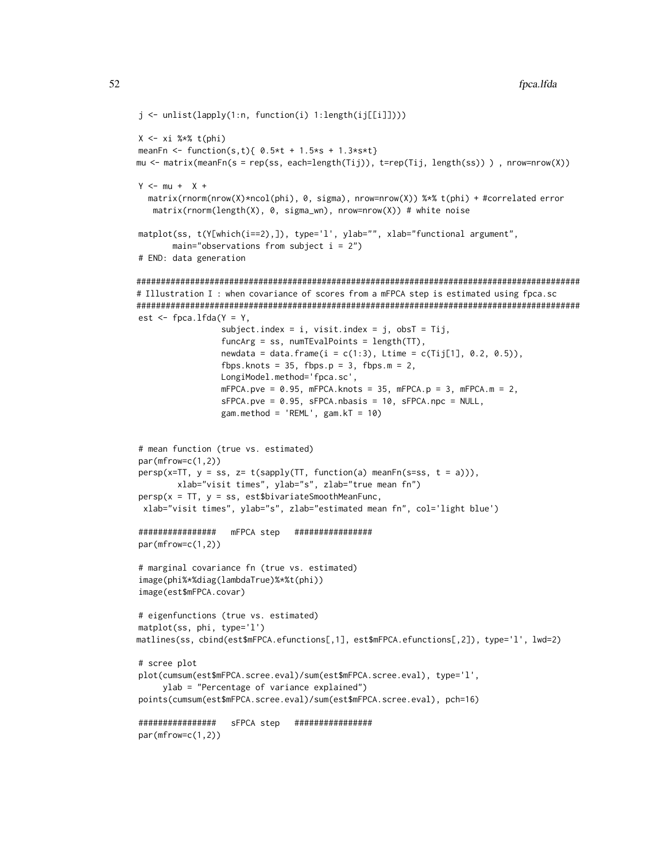```
j <- unlist(lapply(1:n, function(i) 1:length(ij[[i]])))
X \leftarrow x_i %*% t(phi)
meanFn <- function(s,t){ 0.5*t + 1.5*s + 1.3*s*t}
mu <- matrix(meanFn(s = rep(ss, each=length(Tij)), t=rep(Tij, length(ss)) ) , nrow=nrow(X))
Y \le - mu + X +matrix(rnorm(nrow(X)*ncol(phi), 0, sigma), nrow=nrow(X)) %*% t(phi) + #correlated error
   matrix(rnorm(length(X), 0, sigma_wn), nrow=nrow(X)) # white noise
matplot(ss, t(Y[which(i==2),]), type='l', ylab="", xlab="functional argument",
       main="observations from subject i = 2")
# END: data generation
###########################################################################################
# Illustration I : when covariance of scores from a mFPCA step is estimated using fpca.sc
###########################################################################################
est \leq fpca.lfda(Y = Y,
                 subject.index = i, visit.index = j, obsT = Tij,
                 funcArg = ss, numTEvalPoints = length(TT),
                 newdata = data. frame(i = c(1:3), Ltime = c(Tij[1], 0.2, 0.5)),fbps.knots = 35, fbps.p = 3, fbps.m = 2,
                 LongiModel.method='fpca.sc',
                 mFPCA.pye = 0.95, mFPCA.knots = 35, mFPCA.py = 3, mFPCA.m = 2,
                 sFPCA.pye = 0.95, sFPCA.nbasis = 10, sFPCA.npc = NULL,
                 gam.method = 'REML', gam.KT = 10)
# mean function (true vs. estimated)
par(mfrow=c(1,2))
persp(x=TT, y = ss, z= t(sapply(TT, function(a) meanFn(s=ss, t = a))),
        xlab="visit times", ylab="s", zlab="true mean fn")
persp(x = TT, y = ss, est$bivariateSmoothMeanFunc,xlab="visit times", ylab="s", zlab="estimated mean fn", col='light blue')
################ mFPCA step ################
par(mfrow=c(1,2))
# marginal covariance fn (true vs. estimated)
image(phi%*%diag(lambdaTrue)%*%t(phi))
image(est$mFPCA.covar)
# eigenfunctions (true vs. estimated)
matplot(ss, phi, type='l')
matlines(ss, cbind(est$mFPCA.efunctions[,1], est$mFPCA.efunctions[,2]), type='l', lwd=2)
# scree plot
plot(cumsum(est$mFPCA.scree.eval)/sum(est$mFPCA.scree.eval), type='l',
     ylab = "Percentage of variance explained")
points(cumsum(est$mFPCA.scree.eval)/sum(est$mFPCA.scree.eval), pch=16)
################ sFPCA step ################
par(mfrow=c(1,2))
```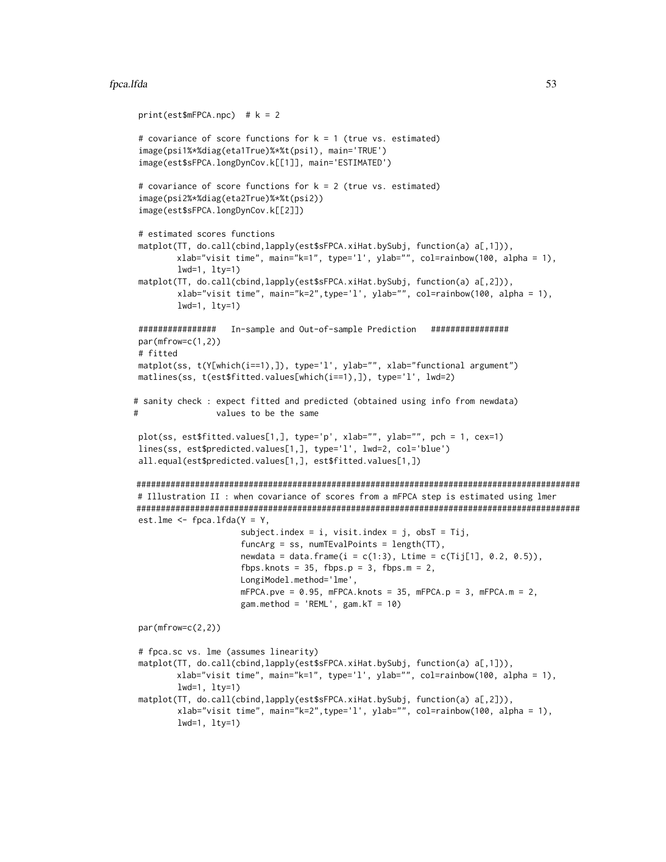```
print(est$mFPCA.npc) # k = 2# covariance of score functions for k = 1 (true vs. estimated)
 image(psi1%*%diag(eta1True)%*%t(psi1), main='TRUE')
 image(est$sFPCA.longDynCov.k[[1]], main='ESTIMATED')
 # covariance of score functions for k = 2 (true vs. estimated)
 image(psi2%*%diag(eta2True)%*%t(psi2))
 image(est$sFPCA.longDynCov.k[[2]])
 # estimated scores functions
matplot(TT, do.call(cbind,lapply(est$sFPCA.xiHat.bySubj, function(a) a[,1])),
         xlab="visit time", main="k=1", type='l', ylab="", col=rainbow(100, alpha = 1),
         lwd=1, lty=1)
matplot(TT, do.call(cbind,lapply(est$sFPCA.xiHat.bySubj, function(a) a[,2])),
        xlab="visit time", main="k=2",type='l', ylab="", col=rainbow(100, alpha = 1),
         lwd=1, lty=1)
################ In-sample and Out-of-sample Prediction ################
par(mfrow=c(1,2))
# fitted
matplot(ss, t(Y[which(i==1),]), type='l', ylab="", xlab="functional argument")
matlines(ss, t(est$fitted.values[which(i==1),]), type='l', lwd=2)
# sanity check : expect fitted and predicted (obtained using info from newdata)
# values to be the same
plot(ss, est$fitted.values[1,], type='p', xlab="", ylab="", pch = 1, cex=1)
lines(ss, est$predicted.values[1,], type='l', lwd=2, col='blue')
all.equal(est$predicted.values[1,], est$fitted.values[1,])
###########################################################################################
# Illustration II : when covariance of scores from a mFPCA step is estimated using lmer
###########################################################################################
est.lme \leq fpca.lfda(Y = Y,
                     subject.index = i, visit.index = j, obsT = Tij,
                     funcArg = ss, numTEvalPoints = length(TT),
                     newdata = data.frame(i = c(1:3), Litime = c(Tij[1], 0.2, 0.5)),fbps.knots = 35, fbps.p = 3, fbps.m = 2,
                     LongiModel.method='lme',
                     mFPCA.pye = 0.95, mFPCA.knots = 35, mFPCA.py = 3, mFPCA.m = 2,
                     gam.method = 'REML', gam.kT = 10)
par(mfrow=c(2,2))
# fpca.sc vs. lme (assumes linearity)
matplot(TT, do.call(cbind,lapply(est$sFPCA.xiHat.bySubj, function(a) a[,1])),
        xlab="visit time", main="k=1", type='l', ylab="", col=rainbow(100, alpha = 1),
        lwd=1, lty=1)
matplot(TT, do.call(cbind,lapply(est$sFPCA.xiHat.bySubj, function(a) a[,2])),
         xlab="visit time", main="k=2",type='l', ylab="", col=rainbow(100, alpha = 1),
         lwd=1, lty=1)
```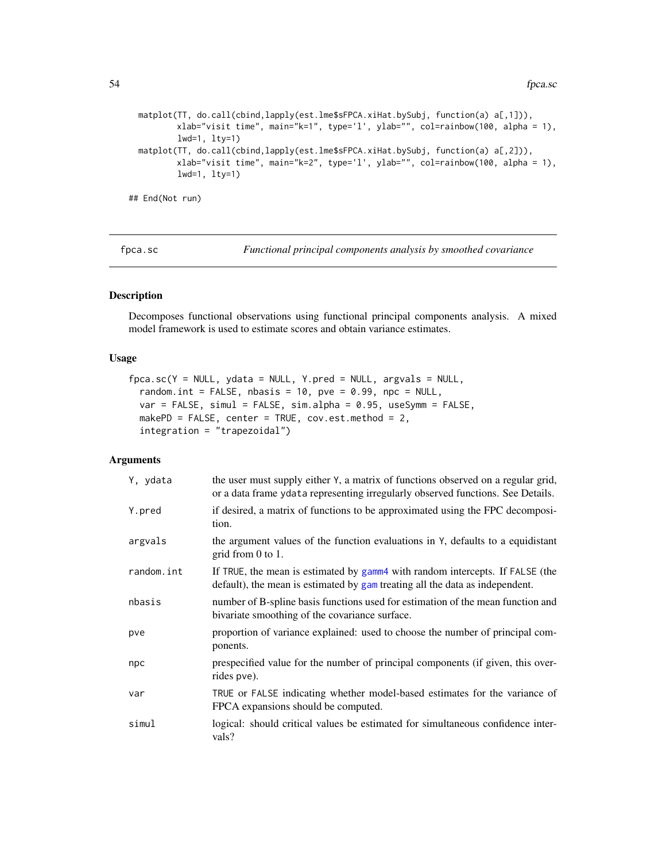```
matplot(TT, do.call(cbind,lapply(est.lme$sFPCA.xiHat.bySubj, function(a) a[,1])),
         xlab="visit time", main="k=1", type='l', ylab="", col=rainbow(100, alpha = 1),
         lwd=1, lty=1)
 matplot(TT, do.call(cbind,lapply(est.lme$sFPCA.xiHat.bySubj, function(a) a[,2])),
         xlab="visit time", main="k=2", type='l', ylab="", col=rainbow(100, alpha = 1),
         lwd=1, lty=1)
## End(Not run)
```
fpca.sc *Functional principal components analysis by smoothed covariance*

## Description

Decomposes functional observations using functional principal components analysis. A mixed model framework is used to estimate scores and obtain variance estimates.

## Usage

```
fpca.sc(Y = NULL, ydata = NULL, Y.pred = NULL, argvals = NULL,random.int = FALSE, nbasis = 10, pve = 0.99, npc = NULL,
 var = FALSE, simul = FALSE, sim.alpha = 0.95, useSymm = FALSE,
 makePD = FALSE, center = TRUE, cov.est.method = 2,
  integration = "trapezoidal")
```
# Arguments

| Y, ydata   | the user must supply either Y, a matrix of functions observed on a regular grid,<br>or a data frame ydata representing irregularly observed functions. See Details. |
|------------|---------------------------------------------------------------------------------------------------------------------------------------------------------------------|
| Y.pred     | if desired, a matrix of functions to be approximated using the FPC decomposi-<br>tion.                                                                              |
| argvals    | the argument values of the function evaluations in Y, defaults to a equidistant<br>grid from $0$ to $1$ .                                                           |
| random.int | If TRUE, the mean is estimated by gamm4 with random intercepts. If FALSE (the<br>default), the mean is estimated by gam treating all the data as independent.       |
| nbasis     | number of B-spline basis functions used for estimation of the mean function and<br>bivariate smoothing of the covariance surface.                                   |
| pve        | proportion of variance explained: used to choose the number of principal com-<br>ponents.                                                                           |
| npc        | prespecified value for the number of principal components (if given, this over-<br>rides pve).                                                                      |
| var        | TRUE or FALSE indicating whether model-based estimates for the variance of<br>FPCA expansions should be computed.                                                   |
| simul      | logical: should critical values be estimated for simultaneous confidence inter-<br>vals?                                                                            |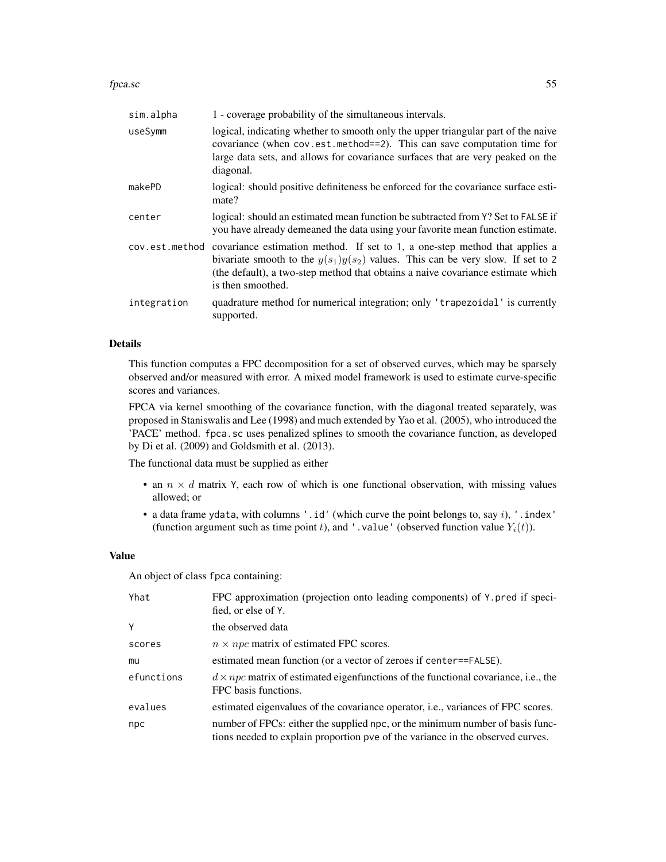#### fpca.sc 55

| sim.alpha      | 1 - coverage probability of the simultaneous intervals.                                                                                                                                                                                                                  |
|----------------|--------------------------------------------------------------------------------------------------------------------------------------------------------------------------------------------------------------------------------------------------------------------------|
| useSymm        | logical, indicating whether to smooth only the upper triangular part of the naive<br>covariance (when cov.est.method==2). This can save computation time for<br>large data sets, and allows for covariance surfaces that are very peaked on the<br>diagonal.             |
| makePD         | logical: should positive definiteness be enforced for the covariance surface esti-<br>mate?                                                                                                                                                                              |
| center         | logical: should an estimated mean function be subtracted from Y? Set to FALSE if<br>you have already demeaned the data using your favorite mean function estimate.                                                                                                       |
| cov.est.method | covariance estimation method. If set to 1, a one-step method that applies a<br>bivariate smooth to the $y(s_1)y(s_2)$ values. This can be very slow. If set to 2<br>(the default), a two-step method that obtains a naive covariance estimate which<br>is then smoothed. |
| integration    | quadrature method for numerical integration; only 'trapezoidal' is currently<br>supported.                                                                                                                                                                               |

## Details

This function computes a FPC decomposition for a set of observed curves, which may be sparsely observed and/or measured with error. A mixed model framework is used to estimate curve-specific scores and variances.

FPCA via kernel smoothing of the covariance function, with the diagonal treated separately, was proposed in Staniswalis and Lee (1998) and much extended by Yao et al. (2005), who introduced the 'PACE' method. fpca.sc uses penalized splines to smooth the covariance function, as developed by Di et al. (2009) and Goldsmith et al. (2013).

The functional data must be supplied as either

- an  $n \times d$  matrix Y, each row of which is one functional observation, with missing values allowed; or
- a data frame ydata, with columns '.id' (which curve the point belongs to, say  $i$ ), '.index' (function argument such as time point t), and '.value' (observed function value  $Y_i(t)$ ).

# Value

An object of class fpca containing:

| Yhat       | FPC approximation (projection onto leading components) of Y. pred if speci-<br>fied, or else of Y.                                                              |
|------------|-----------------------------------------------------------------------------------------------------------------------------------------------------------------|
| Y          | the observed data                                                                                                                                               |
| scores     | $n \times npc$ matrix of estimated FPC scores.                                                                                                                  |
| mu         | estimated mean function (or a vector of zeroes if center==FALSE).                                                                                               |
| efunctions | $d \times npc$ matrix of estimated eigenfunctions of the functional covariance, i.e., the<br>FPC basis functions.                                               |
| evalues    | estimated eigenvalues of the covariance operator, i.e., variances of FPC scores.                                                                                |
| npc        | number of FPCs: either the supplied npc, or the minimum number of basis func-<br>tions needed to explain proportion pve of the variance in the observed curves. |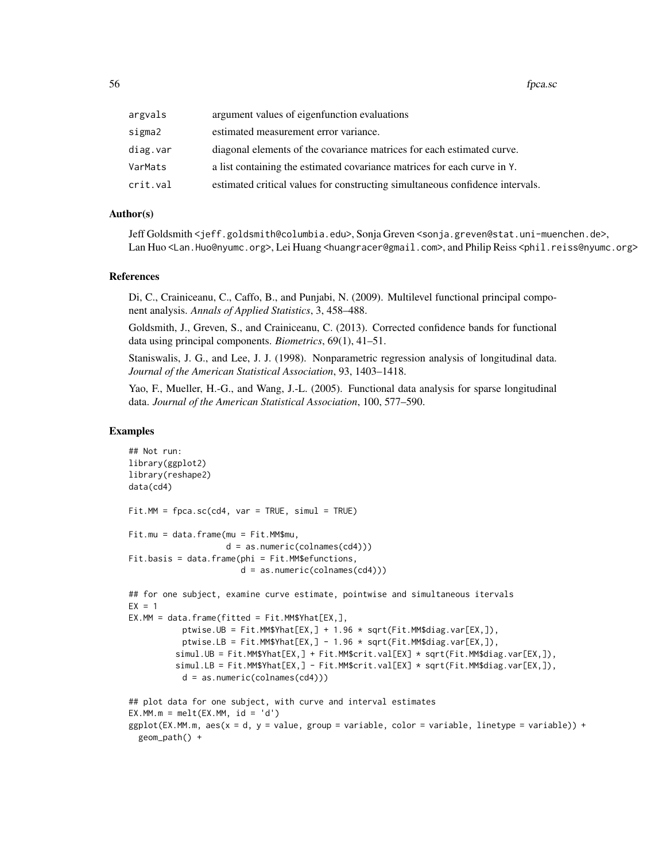| argvals  | argument values of eigenfunction evaluations                                  |
|----------|-------------------------------------------------------------------------------|
| sigma2   | estimated measurement error variance.                                         |
| diag.var | diagonal elements of the covariance matrices for each estimated curve.        |
| VarMats  | a list containing the estimated covariance matrices for each curve in Y.      |
| crit.val | estimated critical values for constructing simultaneous confidence intervals. |

## Author(s)

Jeff Goldsmith <jeff.goldsmith@columbia.edu>, Sonja Greven <sonja.greven@stat.uni-muenchen.de>, Lan Huo <Lan.Huo@nyumc.org>, Lei Huang <huangracer@gmail.com>, and Philip Reiss <phil.reiss@nyumc.org>

#### References

Di, C., Crainiceanu, C., Caffo, B., and Punjabi, N. (2009). Multilevel functional principal component analysis. *Annals of Applied Statistics*, 3, 458–488.

Goldsmith, J., Greven, S., and Crainiceanu, C. (2013). Corrected confidence bands for functional data using principal components. *Biometrics*, 69(1), 41–51.

Staniswalis, J. G., and Lee, J. J. (1998). Nonparametric regression analysis of longitudinal data. *Journal of the American Statistical Association*, 93, 1403–1418.

Yao, F., Mueller, H.-G., and Wang, J.-L. (2005). Functional data analysis for sparse longitudinal data. *Journal of the American Statistical Association*, 100, 577–590.

#### Examples

```
## Not run:
library(ggplot2)
library(reshape2)
data(cd4)
Fit.MM = fpca.sc(cd4, var = TRUE, simul = TRUE)Fit.mu = data.frame(mu = Fit.MM$mu,
                    d = as.numeric(colnames(cd4)))
Fit.basis = data.frame(phi = Fit.MM$efunctions,
                       d = as.numeric(colnames(cd4)))
## for one subject, examine curve estimate, pointwise and simultaneous itervals
EX = 1EX.MM = data.frame(fitted = Fit.MM$Yhat[EX,],ptwise.UB = Fit.MM$Yhat[EX,] + 1.96 * sqrt(Fit.MM$diag.var[EX,]),
           ptwise.LB = Fit.MM$Yhat[EX,] - 1.96 * sqrt(Fit.MM$diag.var[EX,]),
          simul.UB = Fit.MM$Yhat[EX,] + Fit.MM$crit.val[EX] * sqrt(Fit.MM$diag.var[EX,]),
          simul.LB = Fit.MM$Yhat[EX,] - Fit.MM$crit.val[EX] * sqrt(Fit.MM$diag.var[EX,]),
           d = as.numeric(colnames(cd4)))
## plot data for one subject, with curve and interval estimates
EX.MM.m = melt(EX.MM, id = 'd')ggplot(EX.MM.m, aes(x = d, y = value, group = variable, color = variable, linetype = variable)) +geom_path() +
```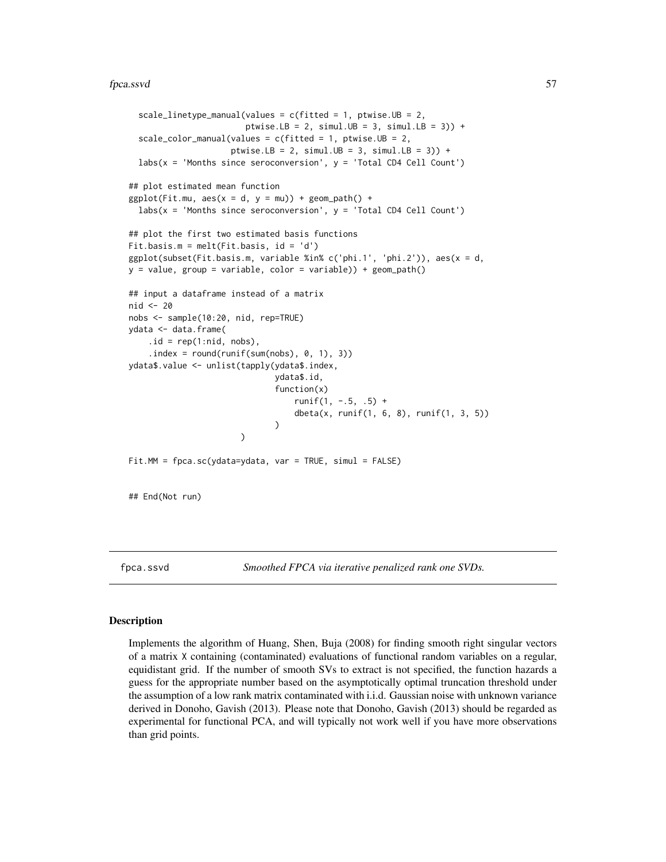#### fpca.ssvd 57

```
scale_linetype_manual(values = c(fitted = 1, ptwise.UB = 2,
                        ptwise.LB = 2, simul.UB = 3, simul.LB = 3)) +
  scale_color_manual(values = c(fitted = 1, ptwise.UB = 2,
                     ptwise.LB = 2, simul.UB = 3, simul.LB = 3)) +
  \text{labs}(x = 'Months since seroconversion', y = 'Total CD4 Cell Count')## plot estimated mean function
ggplot(Fit.mu, aes(x = d, y = mu)) + geom-path() +labs(x = 'Months since seroconversion', y = 'Total CD4 Cell Count')## plot the first two estimated basis functions
Fit.basis.m = melt(Fit.basis, id = 'd')
ggplot(subset(Fit.basis.m, variable %in% c('phi.1', 'phi.2')), aes(x = d,
y = value, group = variable, color = variable)) + geom_path()
## input a dataframe instead of a matrix
nid <- 20
nobs <- sample(10:20, nid, rep=TRUE)
ydata <- data.frame(
    .id = rep(1:nid, nobs),.index = round(runif(sum(nobs), 0, 1), 3))ydata$.value <- unlist(tapply(ydata$.index,
                              ydata$.id,
                              function(x)
                                  runit(1, -.5, .5) +dbeta(x, runif(1, 6, 8), runif(1, 3, 5))
                              )
                       )
Fit.MM = fpca.sc(ydata=ydata, var = TRUE, simul = FALSE)
## End(Not run)
```
<span id="page-56-0"></span>

fpca.ssvd *Smoothed FPCA via iterative penalized rank one SVDs.*

#### Description

Implements the algorithm of Huang, Shen, Buja (2008) for finding smooth right singular vectors of a matrix X containing (contaminated) evaluations of functional random variables on a regular, equidistant grid. If the number of smooth SVs to extract is not specified, the function hazards a guess for the appropriate number based on the asymptotically optimal truncation threshold under the assumption of a low rank matrix contaminated with i.i.d. Gaussian noise with unknown variance derived in Donoho, Gavish (2013). Please note that Donoho, Gavish (2013) should be regarded as experimental for functional PCA, and will typically not work well if you have more observations than grid points.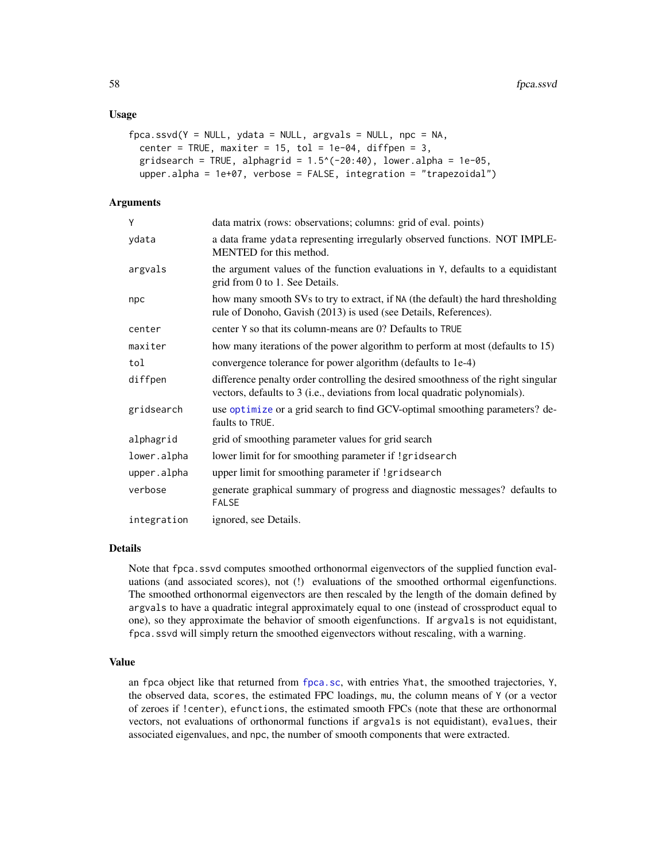## Usage

```
fpca.ssvd(Y = NULL, ydata = NULL, argvals = NULL, npc = NA,center = TRUE, maxiter = 15, tol = 1e-04, diffpen = 3,
  gridsearch = TRUE, alphagrid = 1.5^{\circ}(-20:40), lower.alpha = 1e-05,
  upper.alpha = 1e+07, verbose = FALSE, integration = "trapezoidal")
```
## Arguments

| Υ           | data matrix (rows: observations; columns: grid of eval. points)                                                                                                  |
|-------------|------------------------------------------------------------------------------------------------------------------------------------------------------------------|
| ydata       | a data frame ydata representing irregularly observed functions. NOT IMPLE-<br>MENTED for this method.                                                            |
| argvals     | the argument values of the function evaluations in Y, defaults to a equidistant<br>grid from 0 to 1. See Details.                                                |
| npc         | how many smooth SVs to try to extract, if NA (the default) the hard thresholding<br>rule of Donoho, Gavish (2013) is used (see Details, References).             |
| center      | center Y so that its column-means are 0? Defaults to TRUE                                                                                                        |
| maxiter     | how many iterations of the power algorithm to perform at most (defaults to 15)                                                                                   |
| tol         | convergence tolerance for power algorithm (defaults to 1e-4)                                                                                                     |
| diffpen     | difference penalty order controlling the desired smoothness of the right singular<br>vectors, defaults to 3 (i.e., deviations from local quadratic polynomials). |
| gridsearch  | use optimize or a grid search to find GCV-optimal smoothing parameters? de-<br>faults to TRUE.                                                                   |
| alphagrid   | grid of smoothing parameter values for grid search                                                                                                               |
| lower.alpha | lower limit for for smoothing parameter if !gridsearch                                                                                                           |
| upper.alpha | upper limit for smoothing parameter if !gridsearch                                                                                                               |
| verbose     | generate graphical summary of progress and diagnostic messages? defaults to<br><b>FALSE</b>                                                                      |
| integration | ignored, see Details.                                                                                                                                            |

#### Details

Note that fpca.ssvd computes smoothed orthonormal eigenvectors of the supplied function evaluations (and associated scores), not (!) evaluations of the smoothed orthormal eigenfunctions. The smoothed orthonormal eigenvectors are then rescaled by the length of the domain defined by argvals to have a quadratic integral approximately equal to one (instead of crossproduct equal to one), so they approximate the behavior of smooth eigenfunctions. If argvals is not equidistant, fpca.ssvd will simply return the smoothed eigenvectors without rescaling, with a warning.

#### Value

an fpca object like that returned from [fpca.sc](#page-53-0), with entries Yhat, the smoothed trajectories, Y, the observed data, scores, the estimated FPC loadings, mu, the column means of Y (or a vector of zeroes if !center), efunctions, the estimated smooth FPCs (note that these are orthonormal vectors, not evaluations of orthonormal functions if argvals is not equidistant), evalues, their associated eigenvalues, and npc, the number of smooth components that were extracted.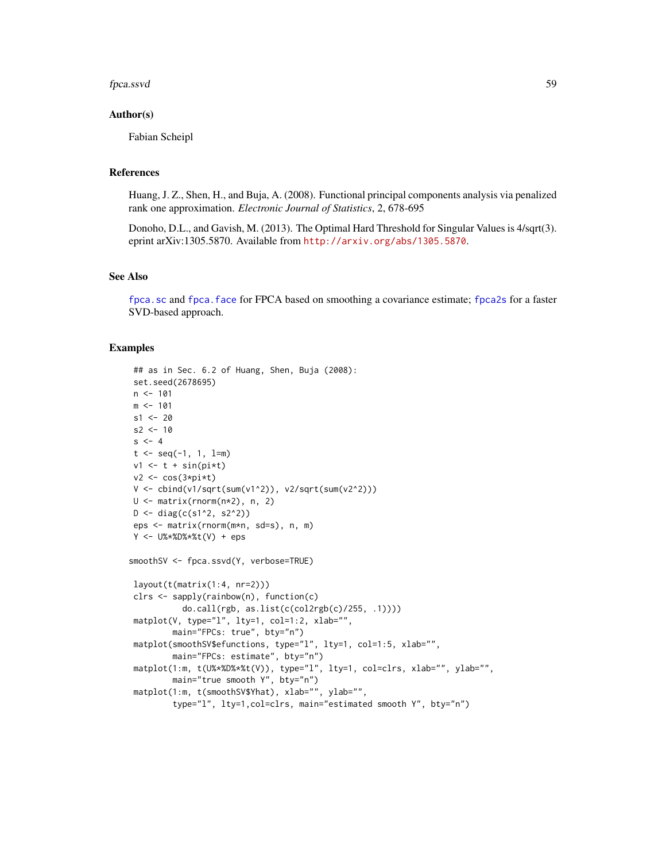#### fpca.ssvd 59

#### Author(s)

Fabian Scheipl

## References

Huang, J. Z., Shen, H., and Buja, A. (2008). Functional principal components analysis via penalized rank one approximation. *Electronic Journal of Statistics*, 2, 678-695

Donoho, D.L., and Gavish, M. (2013). The Optimal Hard Threshold for Singular Values is 4/sqrt(3). eprint arXiv:1305.5870. Available from <http://arxiv.org/abs/1305.5870>.

## See Also

[fpca.sc](#page-53-0) and [fpca.face](#page-44-0) for FPCA based on smoothing a covariance estimate; [fpca2s](#page-59-0) for a faster SVD-based approach.

#### Examples

```
## as in Sec. 6.2 of Huang, Shen, Buja (2008):
set.seed(2678695)
n < -101m < -101s1 < -20s2 < -10s < -4t \leq -\text{seq}(-1, 1, 1=m)v1 \leftarrow t + \sin(pix)v2 <- cos(3*pi*t)
V <- cbind(v1/sqrt(sum(v1^2)), v2/sqrt(sum(v2^2)))
U <- matrix(rnorm(n*2), n, 2)
D \leftarrow diag(c(s1^2, s2^2))eps <- matrix(rnorm(m*n, sd=s), n, m)
Y <- U%*%D%*%t(V) + eps
smoothSV <- fpca.ssvd(Y, verbose=TRUE)
layout(t(matrix(1:4, nr=2)))
clrs <- sapply(rainbow(n), function(c)
           do.call(rgb, as.list(c(col2rgb(c)/255, .1))))
matplot(V, type="l", lty=1, col=1:2, xlab="",
        main="FPCs: true", bty="n")
matplot(smoothSV$efunctions, type="l", lty=1, col=1:5, xlab="",
        main="FPCs: estimate", bty="n")
matplot(1:m, t(U%*%D%*%t(V)), type="l", lty=1, col=clrs, xlab="", ylab="",
        main="true smooth Y", bty="n")
matplot(1:m, t(smoothSV$Yhat), xlab="", ylab="",
         type="l", lty=1,col=clrs, main="estimated smooth Y", bty="n")
```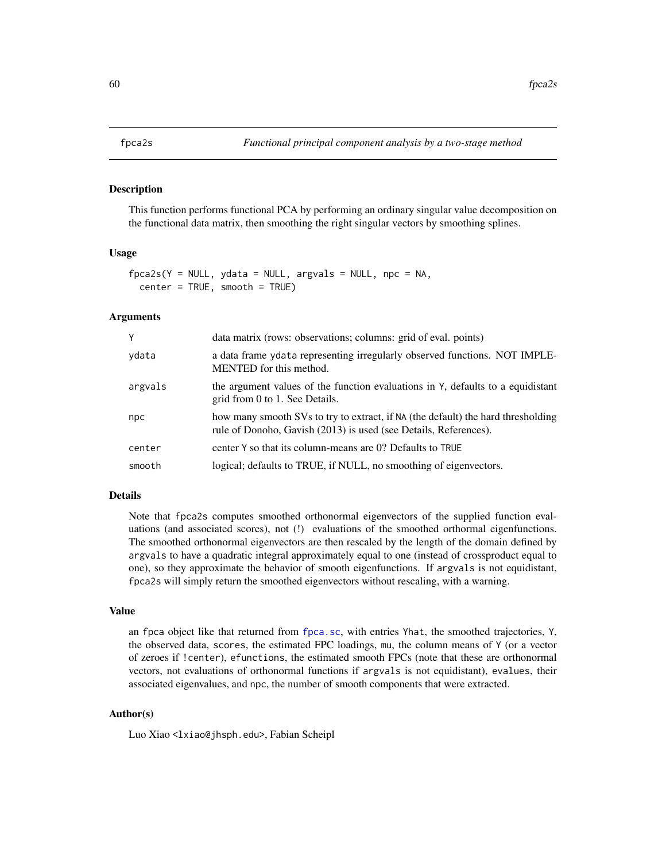<span id="page-59-0"></span>

This function performs functional PCA by performing an ordinary singular value decomposition on the functional data matrix, then smoothing the right singular vectors by smoothing splines.

## Usage

```
fpca2s(Y = NULL, ydata = NULL, argvals = NULL, npc = NA,center = TRUE, smooth = TRUE)
```
## Arguments

| Y       | data matrix (rows: observations; columns: grid of eval. points)                                                                                      |
|---------|------------------------------------------------------------------------------------------------------------------------------------------------------|
| ydata   | a data frame y data representing irregularly observed functions. NOT IMPLE-<br>MENTED for this method.                                               |
| argvals | the argument values of the function evaluations in Y, defaults to a equidistant<br>grid from 0 to 1. See Details.                                    |
| npc     | how many smooth SVs to try to extract, if NA (the default) the hard thresholding<br>rule of Donoho, Gavish (2013) is used (see Details, References). |
| center  | center Y so that its column-means are 0? Defaults to TRUE                                                                                            |
| smooth  | logical; defaults to TRUE, if NULL, no smoothing of eigenvectors.                                                                                    |

#### Details

Note that fpca2s computes smoothed orthonormal eigenvectors of the supplied function evaluations (and associated scores), not (!) evaluations of the smoothed orthormal eigenfunctions. The smoothed orthonormal eigenvectors are then rescaled by the length of the domain defined by argvals to have a quadratic integral approximately equal to one (instead of crossproduct equal to one), so they approximate the behavior of smooth eigenfunctions. If argvals is not equidistant, fpca2s will simply return the smoothed eigenvectors without rescaling, with a warning.

#### Value

an fpca object like that returned from [fpca.sc](#page-53-0), with entries Yhat, the smoothed trajectories, Y, the observed data, scores, the estimated FPC loadings, mu, the column means of Y (or a vector of zeroes if !center), efunctions, the estimated smooth FPCs (note that these are orthonormal vectors, not evaluations of orthonormal functions if argvals is not equidistant), evalues, their associated eigenvalues, and npc, the number of smooth components that were extracted.

## Author(s)

Luo Xiao <lxiao@jhsph.edu>, Fabian Scheipl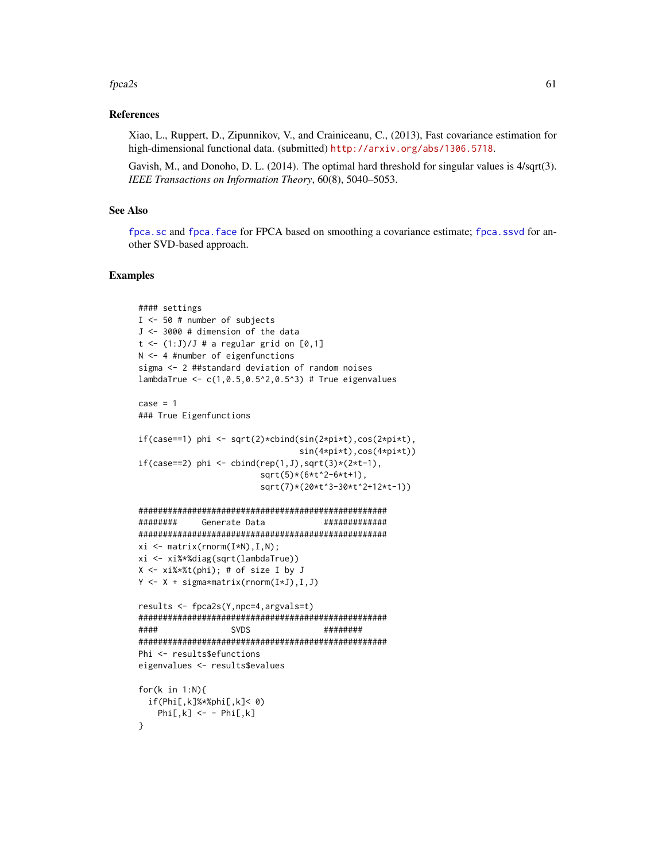#### $fpca2s$  61

## References

Xiao, L., Ruppert, D., Zipunnikov, V., and Crainiceanu, C., (2013), Fast covariance estimation for high-dimensional functional data. (submitted) <http://arxiv.org/abs/1306.5718>.

Gavish, M., and Donoho, D. L. (2014). The optimal hard threshold for singular values is 4/sqrt(3). *IEEE Transactions on Information Theory*, 60(8), 5040–5053.

# See Also

[fpca.sc](#page-53-0) and [fpca.face](#page-44-0) for FPCA based on smoothing a covariance estimate; [fpca.ssvd](#page-56-0) for another SVD-based approach.

## Examples

```
#### settings
I <- 50 # number of subjects
J <- 3000 # dimension of the data
t \leftarrow (1:J)/J # a regular grid on [0,1]N <- 4 #number of eigenfunctions
sigma <- 2 ##standard deviation of random noises
lambdaTrue <- c(1,0.5,0.5^2,0.5^3) # True eigenvalues
case = 1### True Eigenfunctions
if(case==1) phi <- sqrt(2)*cbind(sin(2*pi*t),cos(2*pi*t),
                                sin(4*pi*t),cos(4*pi*t))
if(case==2) phi \leftarrow child(rep(1,J),sqrt(3)*(2*t-1),sqrt(5)*(6*t^2-6*t+1),
                        sqrt(7)*(20*t^3-30*t^2+12*t-1))
###################################################
######## Generate Data #############
###################################################
xi \leftarrow matrix(rnorm(I*N), I,N);xi <- xi%*%diag(sqrt(lambdaTrue))
X \leq -xi\*%t(phi); # of size I by J
Y <- X + sigma*matrix(rnorm(I*J),I,J)
results <- fpca2s(Y,npc=4,argvals=t)
###################################################
#### SVDS ########
###################################################
Phi <- results$efunctions
eigenvalues <- results$evalues
for(k in 1:N){
 if(Phi[,k]%*%phi[,k]< 0)
   Phi[, k] <- - Phi[, k]}
```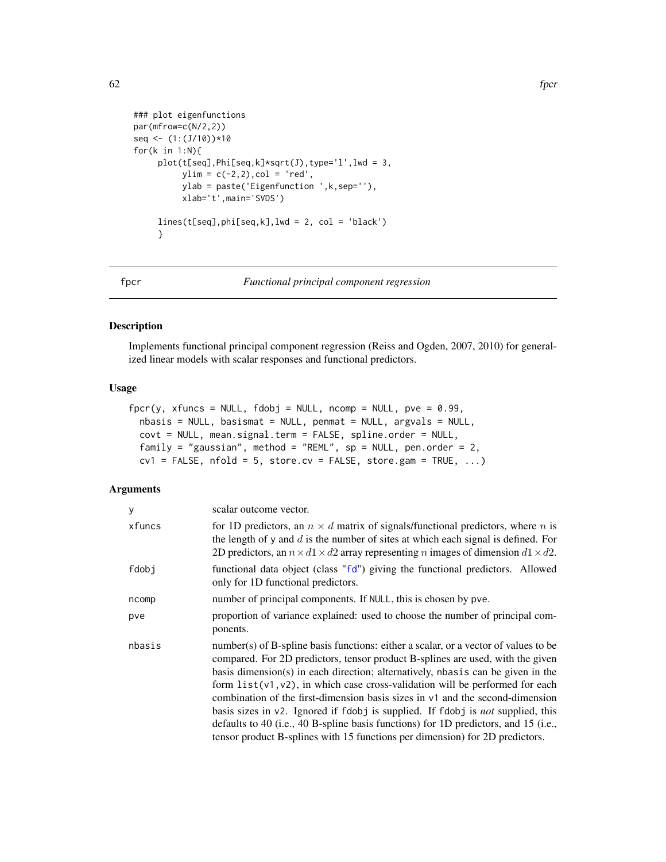```
### plot eigenfunctions
par(mfrow=c(N/2,2))
seq <- (1:(J/10))*10
for(k in 1:N){
     plot(t[seq],Phi[seq,k]*sqrt(J),type='l',lwd = 3,
          ylim = c(-2, 2), col = 'red',ylab = paste('Eigenfunction ',k,sep=''),
          xlab='t',main='SVDS')
     lines(t[seq],phi[seq,k],lwd = 2, col = 'black')
     }
```
<span id="page-61-0"></span>

fpcr *Functional principal component regression*

### Description

Implements functional principal component regression (Reiss and Ogden, 2007, 2010) for generalized linear models with scalar responses and functional predictors.

# Usage

```
fpcr(y, xfuncs = NULL, fdobj = NULL, ncomp = NULL, pve = 0.99,
  nbasis = NULL, basismat = NULL, pennat = NULL, argvals = NULL,
  covt = NULL, mean.signal.term = FALSE, spline.order = NULL,
  family = "gaussian", method = "REML", sp = NULL, pen.order = 2,
  cv1 = FALSE, nfold = 5, store.cv = FALSE, store.gam = TRUE, ...)
```
## Arguments

| V      | scalar outcome vector.                                                                                                                                                                                                                                                                                                                                                                                                                                                                                                                                                                                                                                                                               |
|--------|------------------------------------------------------------------------------------------------------------------------------------------------------------------------------------------------------------------------------------------------------------------------------------------------------------------------------------------------------------------------------------------------------------------------------------------------------------------------------------------------------------------------------------------------------------------------------------------------------------------------------------------------------------------------------------------------------|
| xfuncs | for 1D predictors, an $n \times d$ matrix of signals/functional predictors, where n is<br>the length of y and $d$ is the number of sites at which each signal is defined. For<br>2D predictors, an $n \times d1 \times d2$ array representing <i>n</i> images of dimension $d1 \times d2$ .                                                                                                                                                                                                                                                                                                                                                                                                          |
| fdobi  | functional data object (class "fd") giving the functional predictors. Allowed<br>only for 1D functional predictors.                                                                                                                                                                                                                                                                                                                                                                                                                                                                                                                                                                                  |
| ncomp  | number of principal components. If NULL, this is chosen by pve.                                                                                                                                                                                                                                                                                                                                                                                                                                                                                                                                                                                                                                      |
| pve    | proportion of variance explained: used to choose the number of principal com-<br>ponents.                                                                                                                                                                                                                                                                                                                                                                                                                                                                                                                                                                                                            |
| nbasis | number(s) of B-spline basis functions: either a scalar, or a vector of values to be<br>compared. For 2D predictors, tensor product B-splines are used, with the given<br>basis dimension(s) in each direction; alternatively, nbasis can be given in the<br>form $list(v1, v2)$ , in which case cross-validation will be performed for each<br>combination of the first-dimension basis sizes in $v_1$ and the second-dimension<br>basis sizes in $v^2$ . Ignored if fdobj is supplied. If fdobj is <i>not</i> supplied, this<br>defaults to 40 (i.e., 40 B-spline basis functions) for 1D predictors, and 15 (i.e.,<br>tensor product B-splines with 15 functions per dimension) for 2D predictors. |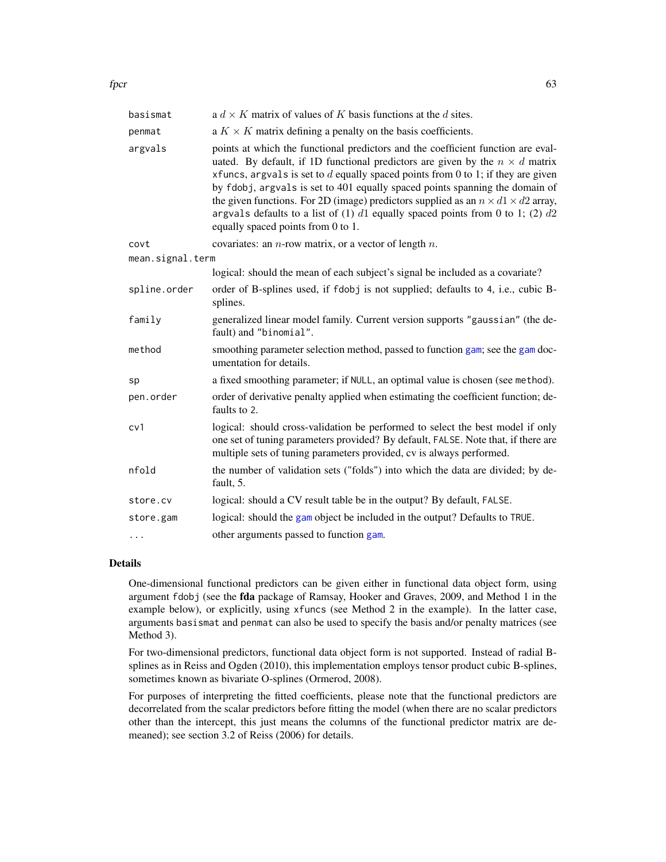| basismat         | a $d \times K$ matrix of values of K basis functions at the d sites.                                                                                                                                                                                                                                                                                                                                                                                                                                                                                                      |
|------------------|---------------------------------------------------------------------------------------------------------------------------------------------------------------------------------------------------------------------------------------------------------------------------------------------------------------------------------------------------------------------------------------------------------------------------------------------------------------------------------------------------------------------------------------------------------------------------|
| penmat           | a $K \times K$ matrix defining a penalty on the basis coefficients.                                                                                                                                                                                                                                                                                                                                                                                                                                                                                                       |
| argvals          | points at which the functional predictors and the coefficient function are eval-<br>uated. By default, if 1D functional predictors are given by the $n \times d$ matrix<br>xfuncs, argvals is set to $d$ equally spaced points from 0 to 1; if they are given<br>by fdobj, argvals is set to 401 equally spaced points spanning the domain of<br>the given functions. For 2D (image) predictors supplied as an $n \times d1 \times d2$ array,<br>argvals defaults to a list of (1) $d1$ equally spaced points from 0 to 1; (2) $d2$<br>equally spaced points from 0 to 1. |
| covt             | covariates: an $n$ -row matrix, or a vector of length $n$ .                                                                                                                                                                                                                                                                                                                                                                                                                                                                                                               |
| mean.signal.term |                                                                                                                                                                                                                                                                                                                                                                                                                                                                                                                                                                           |
|                  | logical: should the mean of each subject's signal be included as a covariate?                                                                                                                                                                                                                                                                                                                                                                                                                                                                                             |
| spline.order     | order of B-splines used, if fdobj is not supplied; defaults to 4, i.e., cubic B-<br>splines.                                                                                                                                                                                                                                                                                                                                                                                                                                                                              |
| family           | generalized linear model family. Current version supports "gaussian" (the de-<br>fault) and "binomial".                                                                                                                                                                                                                                                                                                                                                                                                                                                                   |
| method           | smoothing parameter selection method, passed to function gam; see the gam doc-<br>umentation for details.                                                                                                                                                                                                                                                                                                                                                                                                                                                                 |
| sp               | a fixed smoothing parameter; if NULL, an optimal value is chosen (see method).                                                                                                                                                                                                                                                                                                                                                                                                                                                                                            |
| pen.order        | order of derivative penalty applied when estimating the coefficient function; de-<br>faults to 2.                                                                                                                                                                                                                                                                                                                                                                                                                                                                         |
| cv1              | logical: should cross-validation be performed to select the best model if only<br>one set of tuning parameters provided? By default, FALSE. Note that, if there are<br>multiple sets of tuning parameters provided, cv is always performed.                                                                                                                                                                                                                                                                                                                               |
| nfold            | the number of validation sets ("folds") into which the data are divided; by de-<br>fault, 5.                                                                                                                                                                                                                                                                                                                                                                                                                                                                              |
| store.cv         | logical: should a CV result table be in the output? By default, FALSE.                                                                                                                                                                                                                                                                                                                                                                                                                                                                                                    |
| store.gam        | logical: should the gam object be included in the output? Defaults to TRUE.                                                                                                                                                                                                                                                                                                                                                                                                                                                                                               |
| $\cdots$         | other arguments passed to function gam.                                                                                                                                                                                                                                                                                                                                                                                                                                                                                                                                   |

## Details

One-dimensional functional predictors can be given either in functional data object form, using argument fdobj (see the fda package of Ramsay, Hooker and Graves, 2009, and Method 1 in the example below), or explicitly, using xfuncs (see Method 2 in the example). In the latter case, arguments basismat and penmat can also be used to specify the basis and/or penalty matrices (see Method 3).

For two-dimensional predictors, functional data object form is not supported. Instead of radial Bsplines as in Reiss and Ogden (2010), this implementation employs tensor product cubic B-splines, sometimes known as bivariate O-splines (Ormerod, 2008).

For purposes of interpreting the fitted coefficients, please note that the functional predictors are decorrelated from the scalar predictors before fitting the model (when there are no scalar predictors other than the intercept, this just means the columns of the functional predictor matrix are demeaned); see section 3.2 of Reiss (2006) for details.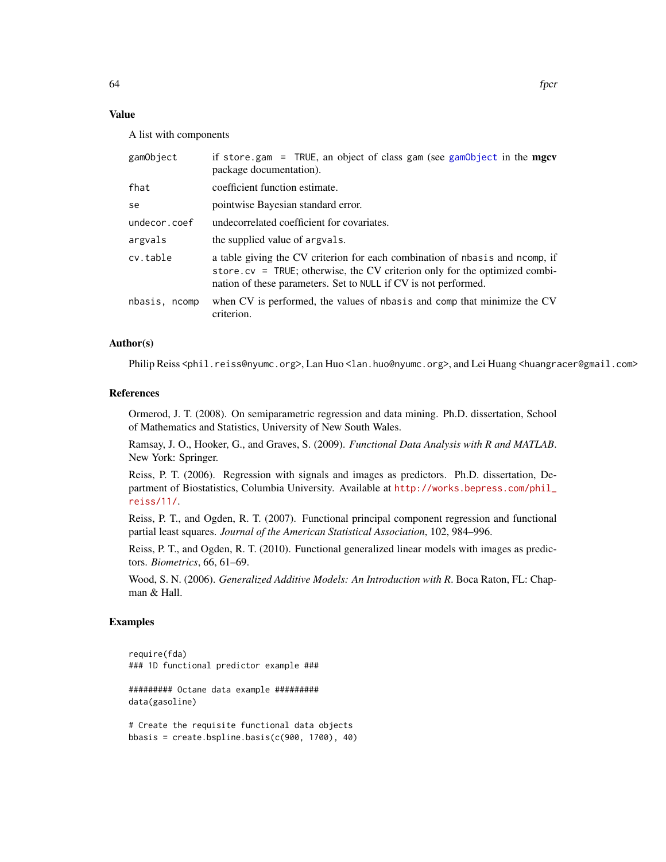# Value

A list with components

| gamObject     | if store gam = TRUE, an object of class gam (see gamObject in the mgcv<br>package documentation).                                                                                                                            |
|---------------|------------------------------------------------------------------------------------------------------------------------------------------------------------------------------------------------------------------------------|
| fhat          | coefficient function estimate.                                                                                                                                                                                               |
| se            | pointwise Bayesian standard error.                                                                                                                                                                                           |
| undecor.coef  | undecorrelated coefficient for covariates.                                                                                                                                                                                   |
| argvals       | the supplied value of argvals.                                                                                                                                                                                               |
| cv.table      | a table giving the CV criterion for each combination of nbasis and nomp, if<br>store.cv = TRUE; otherwise, the CV criterion only for the optimized combi-<br>nation of these parameters. Set to NULL if CV is not performed. |
| nbasis, ncomp | when CV is performed, the values of nbasis and comp that minimize the CV<br>criterion.                                                                                                                                       |

#### Author(s)

Philip Reiss <phil.reiss@nyumc.org>, Lan Huo <lan.huo@nyumc.org>, and Lei Huang <huangracer@gmail.com>

#### References

Ormerod, J. T. (2008). On semiparametric regression and data mining. Ph.D. dissertation, School of Mathematics and Statistics, University of New South Wales.

Ramsay, J. O., Hooker, G., and Graves, S. (2009). *Functional Data Analysis with R and MATLAB*. New York: Springer.

Reiss, P. T. (2006). Regression with signals and images as predictors. Ph.D. dissertation, Department of Biostatistics, Columbia University. Available at [http://works.bepress.com/phil\\_](http://works.bepress.com/phil_reiss/11/) [reiss/11/](http://works.bepress.com/phil_reiss/11/).

Reiss, P. T., and Ogden, R. T. (2007). Functional principal component regression and functional partial least squares. *Journal of the American Statistical Association*, 102, 984–996.

Reiss, P. T., and Ogden, R. T. (2010). Functional generalized linear models with images as predictors. *Biometrics*, 66, 61–69.

Wood, S. N. (2006). *Generalized Additive Models: An Introduction with R*. Boca Raton, FL: Chapman & Hall.

## Examples

require(fda) ### 1D functional predictor example ###

######### Octane data example ######### data(gasoline)

# Create the requisite functional data objects bbasis = create.bspline.basis(c(900, 1700), 40)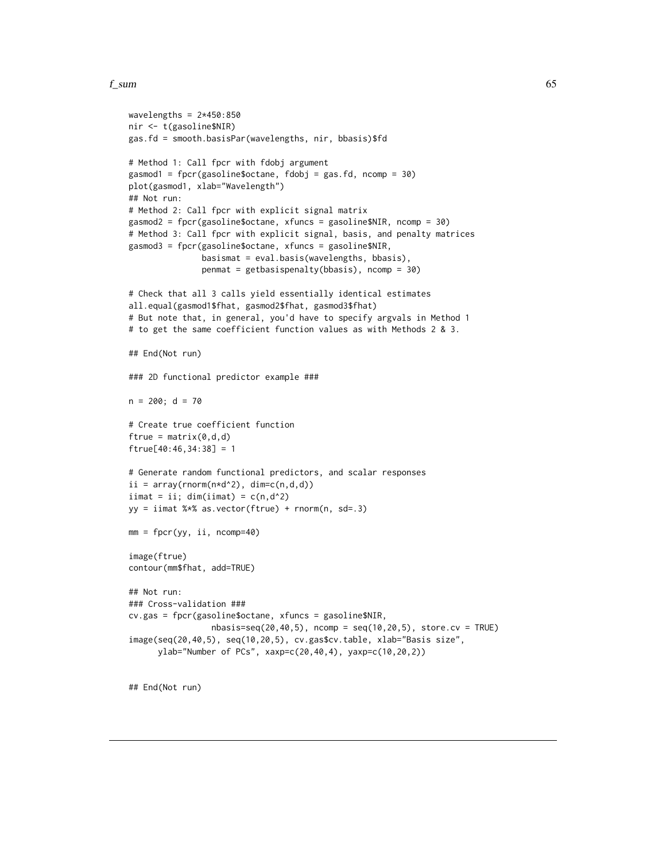#### $f_{\text{sum}}$  65

```
wavelengths = 2*450:850nir <- t(gasoline$NIR)
gas.fd = smooth.basisPar(wavelengths, nir, bbasis)$fd
# Method 1: Call fpcr with fdobj argument
gasmod1 = fpcr(gasoline$octane, fdobj = gas.fd, ncomp = 30)
plot(gasmod1, xlab="Wavelength")
## Not run:
# Method 2: Call fpcr with explicit signal matrix
gasmod2 = fpcr(gasoline$octane, xfuncs = gasoline$NIR, ncomp = 30)
# Method 3: Call fpcr with explicit signal, basis, and penalty matrices
gasmod3 = fpcr(gasoline$octane, xfuncs = gasoline$NIR,
               basismat = eval.basis(wavelengths, bbasis),
               penmat = getbasispenalty(bbasis), ncomp = 30)
# Check that all 3 calls yield essentially identical estimates
all.equal(gasmod1$fhat, gasmod2$fhat, gasmod3$fhat)
# But note that, in general, you'd have to specify argvals in Method 1
# to get the same coefficient function values as with Methods 2 & 3.
## End(Not run)
### 2D functional predictor example ###
n = 200; d = 70# Create true coefficient function
ftrue = matrix(0, d, d)ftrue[40:46,34:38] = 1
# Generate random functional predictors, and scalar responses
ii = array(rnorm(n*d^2), dim=c(n,d,d))iimat = ii; dim(iimat) = c(n,d^2)yy = iimat %*% as.vector(ftrue) + rnorm(n, sd=.3)
mm = fpcr(yy, ii, ncomp=40)
image(ftrue)
contour(mm$fhat, add=TRUE)
## Not run:
### Cross-validation ###
cv.gas = fpcr(gasoline$octane, xfuncs = gasoline$NIR,
                 nbasis=seq(20,40,5), ncomp = seq(10,20,5), store.cv = TRUE)
image(seq(20,40,5), seq(10,20,5), cv.gas$cv.table, xlab="Basis size",
      ylab="Number of PCs", xaxp=c(20,40,4), yaxp=c(10,20,2))
```
## End(Not run)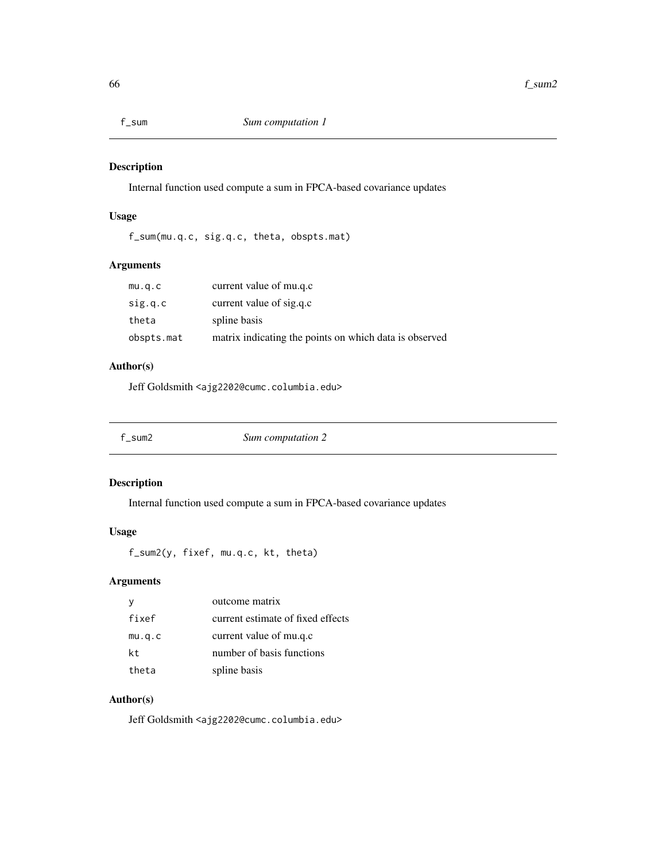Internal function used compute a sum in FPCA-based covariance updates

# Usage

f\_sum(mu.q.c, sig.q.c, theta, obspts.mat)

# Arguments

| mu.q.c     | current value of mu.q.c                                |
|------------|--------------------------------------------------------|
| sig.q.c    | current value of sig.q.c                               |
| theta      | spline basis                                           |
| obspts.mat | matrix indicating the points on which data is observed |

# Author(s)

Jeff Goldsmith <ajg2202@cumc.columbia.edu>

| f sum2 | Sum computation 2 |  |
|--------|-------------------|--|
|--------|-------------------|--|

# Description

Internal function used compute a sum in FPCA-based covariance updates

# Usage

f\_sum2(y, fixef, mu.q.c, kt, theta)

# Arguments

|        | outcome matrix                    |
|--------|-----------------------------------|
| fixef  | current estimate of fixed effects |
| mu.q.c | current value of mu.q.c           |
| kt.    | number of basis functions         |
| theta  | spline basis                      |

# Author(s)

Jeff Goldsmith <ajg2202@cumc.columbia.edu>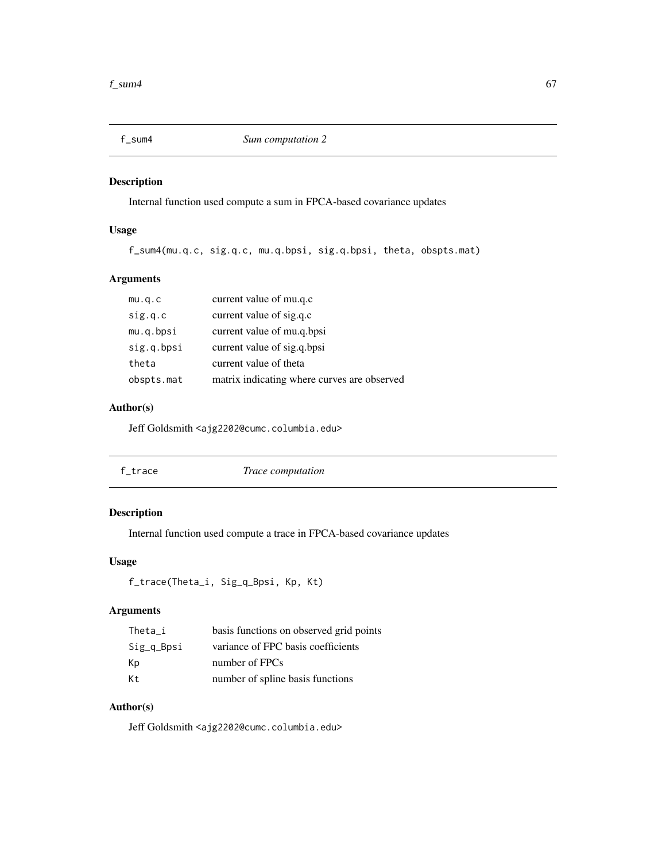Internal function used compute a sum in FPCA-based covariance updates

# Usage

f\_sum4(mu.q.c, sig.q.c, mu.q.bpsi, sig.q.bpsi, theta, obspts.mat)

# Arguments

| mu.q.c     | current value of mu.q.c                     |
|------------|---------------------------------------------|
| sig.q.c    | current value of sig.q.c                    |
| mu.q.bpsi  | current value of mu.q.bpsi                  |
| sig.q.bpsi | current value of sig.q.bpsi                 |
| theta      | current value of theta                      |
| obspts.mat | matrix indicating where curves are observed |

## Author(s)

Jeff Goldsmith <ajg2202@cumc.columbia.edu>

| f_trace | Trace computation |  |
|---------|-------------------|--|
|         |                   |  |

# Description

Internal function used compute a trace in FPCA-based covariance updates

## Usage

```
f_trace(Theta_i, Sig_q_Bpsi, Kp, Kt)
```
# Arguments

| Theta i    | basis functions on observed grid points |
|------------|-----------------------------------------|
| Sig_q_Bpsi | variance of FPC basis coefficients      |
| Кp         | number of FPCs                          |
| Кt         | number of spline basis functions        |

# Author(s)

Jeff Goldsmith <ajg2202@cumc.columbia.edu>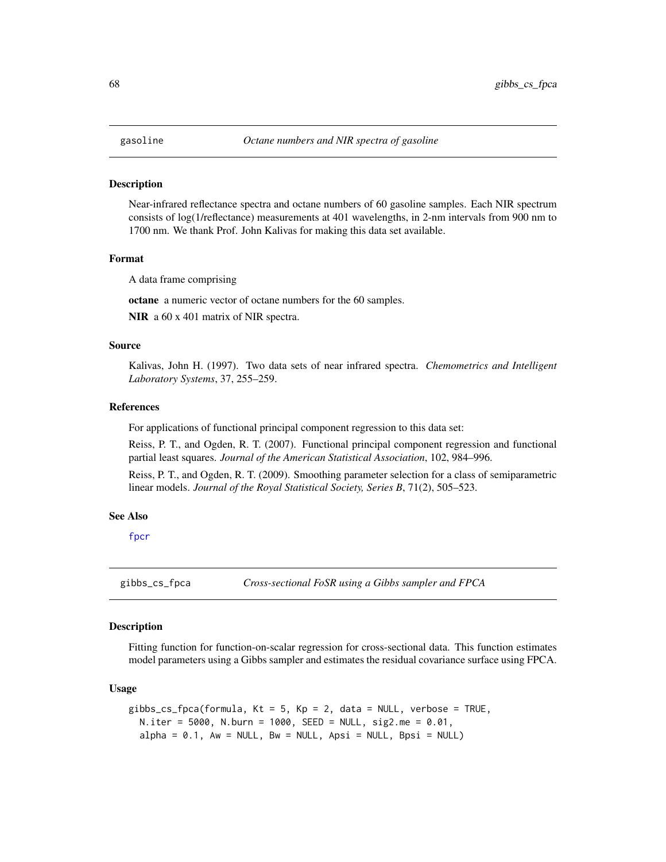Near-infrared reflectance spectra and octane numbers of 60 gasoline samples. Each NIR spectrum consists of log(1/reflectance) measurements at 401 wavelengths, in 2-nm intervals from 900 nm to 1700 nm. We thank Prof. John Kalivas for making this data set available.

#### Format

A data frame comprising

octane a numeric vector of octane numbers for the 60 samples.

NIR a  $60 \times 401$  matrix of NIR spectra.

## Source

Kalivas, John H. (1997). Two data sets of near infrared spectra. *Chemometrics and Intelligent Laboratory Systems*, 37, 255–259.

#### References

For applications of functional principal component regression to this data set:

Reiss, P. T., and Ogden, R. T. (2007). Functional principal component regression and functional partial least squares. *Journal of the American Statistical Association*, 102, 984–996.

Reiss, P. T., and Ogden, R. T. (2009). Smoothing parameter selection for a class of semiparametric linear models. *Journal of the Royal Statistical Society, Series B*, 71(2), 505–523.

#### See Also

[fpcr](#page-61-0)

gibbs\_cs\_fpca *Cross-sectional FoSR using a Gibbs sampler and FPCA*

## **Description**

Fitting function for function-on-scalar regression for cross-sectional data. This function estimates model parameters using a Gibbs sampler and estimates the residual covariance surface using FPCA.

#### Usage

```
gibbs_cs_fpca(formula, Kt = 5, Kp = 2, data = NULL, verbose = TRUE,
  N.iter = 5000, N.burn = 1000, SEED = NULL, sig2.me = 0.01,
  alpha = 0.1, Aw = NULL, Bw = NULL, Apsi = NULL, Apsi = NULL, Bpsi = NULL
```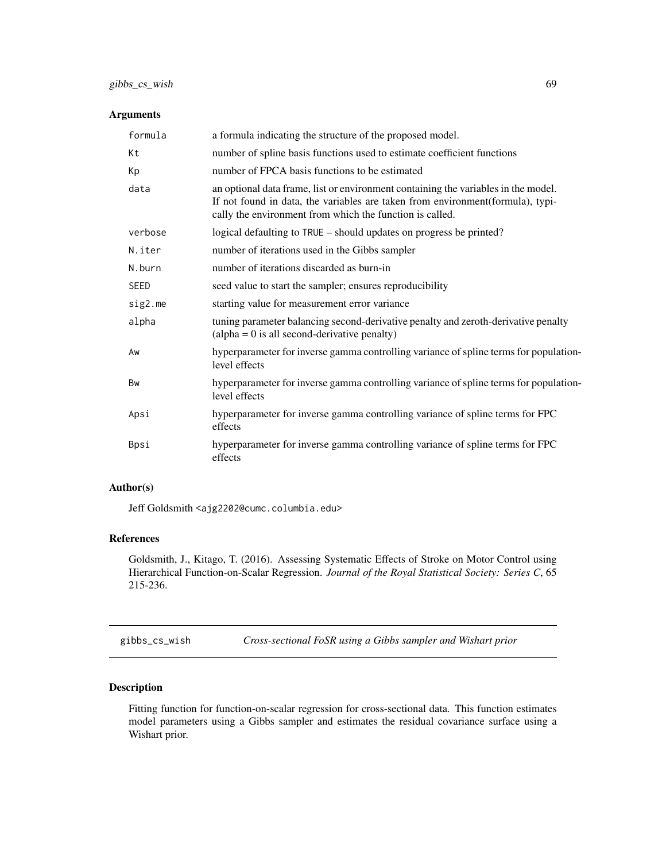## Arguments

| formula     | a formula indicating the structure of the proposed model.                                                                                                                                                                         |
|-------------|-----------------------------------------------------------------------------------------------------------------------------------------------------------------------------------------------------------------------------------|
| Kt          | number of spline basis functions used to estimate coefficient functions                                                                                                                                                           |
| Кp          | number of FPCA basis functions to be estimated                                                                                                                                                                                    |
| data        | an optional data frame, list or environment containing the variables in the model.<br>If not found in data, the variables are taken from environment (formula), typi-<br>cally the environment from which the function is called. |
| verbose     | logical defaulting to TRUE – should updates on progress be printed?                                                                                                                                                               |
| N.iter      | number of iterations used in the Gibbs sampler                                                                                                                                                                                    |
| N.burn      | number of iterations discarded as burn-in                                                                                                                                                                                         |
| <b>SEED</b> | seed value to start the sampler; ensures reproducibility                                                                                                                                                                          |
| sig2.me     | starting value for measurement error variance                                                                                                                                                                                     |
| alpha       | tuning parameter balancing second-derivative penalty and zeroth-derivative penalty<br>$\alpha$ (alpha = 0 is all second-derivative penalty)                                                                                       |
| Aw          | hyperparameter for inverse gamma controlling variance of spline terms for population-<br>level effects                                                                                                                            |
| Bw          | hyperparameter for inverse gamma controlling variance of spline terms for population-<br>level effects                                                                                                                            |
| Apsi        | hyperparameter for inverse gamma controlling variance of spline terms for FPC<br>effects                                                                                                                                          |
| Bpsi        | hyperparameter for inverse gamma controlling variance of spline terms for FPC<br>effects                                                                                                                                          |

### Author(s)

Jeff Goldsmith <ajg2202@cumc.columbia.edu>

# References

Goldsmith, J., Kitago, T. (2016). Assessing Systematic Effects of Stroke on Motor Control using Hierarchical Function-on-Scalar Regression. *Journal of the Royal Statistical Society: Series C*, 65 215-236.

gibbs\_cs\_wish *Cross-sectional FoSR using a Gibbs sampler and Wishart prior*

# Description

Fitting function for function-on-scalar regression for cross-sectional data. This function estimates model parameters using a Gibbs sampler and estimates the residual covariance surface using a Wishart prior.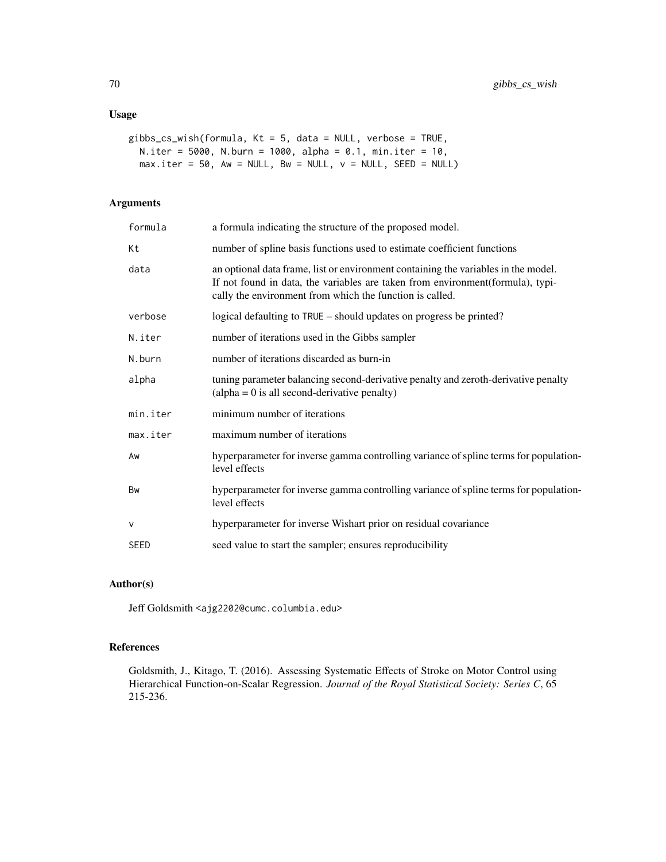## Usage

```
gibbs_cs_wish(formula, Kt = 5, data = NULL, verbose = TRUE,
 N.iter = 5000, N.burn = 1000, alpha = 0.1, min.iter = 10,
 max.iter = 50, Aw = NULL, Bw = NULL, v = NULL, SEED = NULL
```
# Arguments

| formula     | a formula indicating the structure of the proposed model.                                                                                                                                                                        |
|-------------|----------------------------------------------------------------------------------------------------------------------------------------------------------------------------------------------------------------------------------|
| Кt          | number of spline basis functions used to estimate coefficient functions                                                                                                                                                          |
| data        | an optional data frame, list or environment containing the variables in the model.<br>If not found in data, the variables are taken from environment(formula), typi-<br>cally the environment from which the function is called. |
| verbose     | logical defaulting to TRUE – should updates on progress be printed?                                                                                                                                                              |
| N.iter      | number of iterations used in the Gibbs sampler                                                                                                                                                                                   |
| N.burn      | number of iterations discarded as burn-in                                                                                                                                                                                        |
| alpha       | tuning parameter balancing second-derivative penalty and zeroth-derivative penalty<br>$\alpha$ (alpha = 0 is all second-derivative penalty)                                                                                      |
| min.iter    | minimum number of iterations                                                                                                                                                                                                     |
| max.iter    | maximum number of iterations                                                                                                                                                                                                     |
| Aw          | hyperparameter for inverse gamma controlling variance of spline terms for population-<br>level effects                                                                                                                           |
| <b>Bw</b>   | hyperparameter for inverse gamma controlling variance of spline terms for population-<br>level effects                                                                                                                           |
| $\vee$      | hyperparameter for inverse Wishart prior on residual covariance                                                                                                                                                                  |
| <b>SEED</b> | seed value to start the sampler; ensures reproducibility                                                                                                                                                                         |

# Author(s)

Jeff Goldsmith <ajg2202@cumc.columbia.edu>

# References

Goldsmith, J., Kitago, T. (2016). Assessing Systematic Effects of Stroke on Motor Control using Hierarchical Function-on-Scalar Regression. *Journal of the Royal Statistical Society: Series C*, 65 215-236.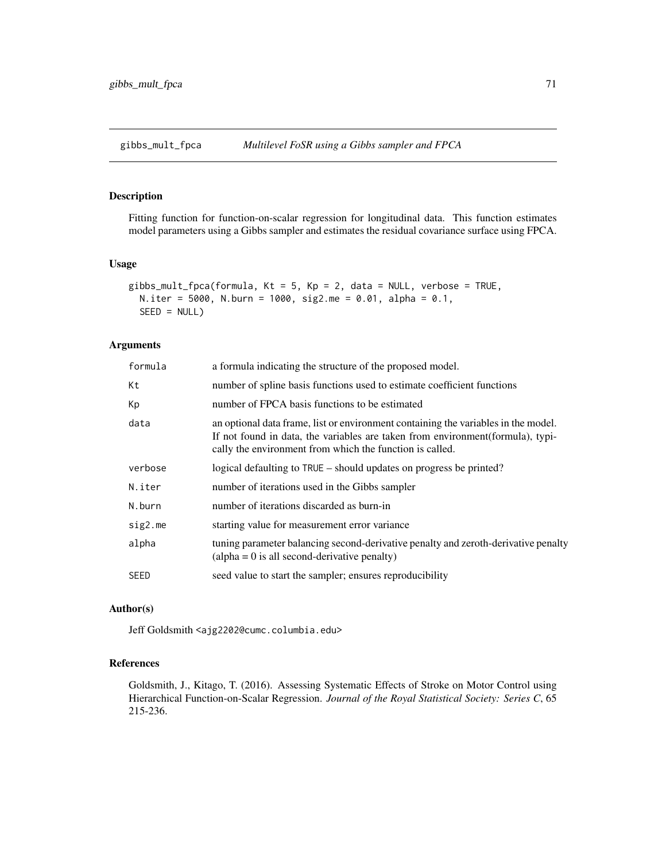Fitting function for function-on-scalar regression for longitudinal data. This function estimates model parameters using a Gibbs sampler and estimates the residual covariance surface using FPCA.

## Usage

```
gibbs_mult_fpca(formula, Kt = 5, Kp = 2, data = NULL, verbose = TRUE,
 N.iter = 5000, N.burn = 1000, sig2.me = 0.01, alpha = 0.1,
  SEED = NULL
```
## Arguments

| a formula indicating the structure of the proposed model.                                                                                                                                                                         |  |
|-----------------------------------------------------------------------------------------------------------------------------------------------------------------------------------------------------------------------------------|--|
| number of spline basis functions used to estimate coefficient functions                                                                                                                                                           |  |
| number of FPCA basis functions to be estimated                                                                                                                                                                                    |  |
| an optional data frame, list or environment containing the variables in the model.<br>If not found in data, the variables are taken from environment (formula), typi-<br>cally the environment from which the function is called. |  |
| logical defaulting to TRUE – should updates on progress be printed?                                                                                                                                                               |  |
| number of iterations used in the Gibbs sampler                                                                                                                                                                                    |  |
| number of iterations discarded as burn-in                                                                                                                                                                                         |  |
| starting value for measurement error variance                                                                                                                                                                                     |  |
| tuning parameter balancing second-derivative penalty and zeroth-derivative penalty<br>$\alpha$ (alpha = 0 is all second-derivative penalty)                                                                                       |  |
| seed value to start the sampler; ensures reproducibility                                                                                                                                                                          |  |
|                                                                                                                                                                                                                                   |  |

#### Author(s)

Jeff Goldsmith <ajg2202@cumc.columbia.edu>

## References

Goldsmith, J., Kitago, T. (2016). Assessing Systematic Effects of Stroke on Motor Control using Hierarchical Function-on-Scalar Regression. *Journal of the Royal Statistical Society: Series C*, 65 215-236.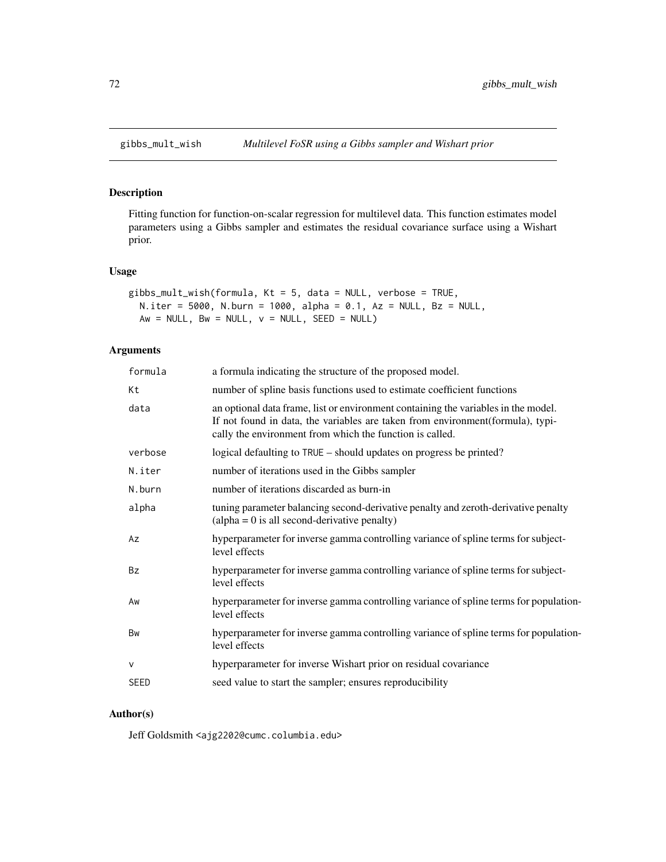Fitting function for function-on-scalar regression for multilevel data. This function estimates model parameters using a Gibbs sampler and estimates the residual covariance surface using a Wishart prior.

## Usage

```
gibbs_mult_wish(formula, Kt = 5, data = NULL, verbose = TRUE,
 N.iter = 5000, N.burn = 1000, alpha = 0.1, Az = NULL, Bz = NULL,
 Aw = NULL, Bw = NULL, v = NULL, SEED = NULL)
```
## Arguments

| a formula indicating the structure of the proposed model.                                                                                                                                                                        |
|----------------------------------------------------------------------------------------------------------------------------------------------------------------------------------------------------------------------------------|
| number of spline basis functions used to estimate coefficient functions                                                                                                                                                          |
| an optional data frame, list or environment containing the variables in the model.<br>If not found in data, the variables are taken from environment(formula), typi-<br>cally the environment from which the function is called. |
| logical defaulting to TRUE – should updates on progress be printed?                                                                                                                                                              |
| number of iterations used in the Gibbs sampler                                                                                                                                                                                   |
| number of iterations discarded as burn-in                                                                                                                                                                                        |
| tuning parameter balancing second-derivative penalty and zeroth-derivative penalty<br>$\alpha$ (alpha = 0 is all second-derivative penalty)                                                                                      |
| hyperparameter for inverse gamma controlling variance of spline terms for subject-<br>level effects                                                                                                                              |
| hyperparameter for inverse gamma controlling variance of spline terms for subject-<br>level effects                                                                                                                              |
| hyperparameter for inverse gamma controlling variance of spline terms for population-<br>level effects                                                                                                                           |
| hyperparameter for inverse gamma controlling variance of spline terms for population-<br>level effects                                                                                                                           |
| hyperparameter for inverse Wishart prior on residual covariance                                                                                                                                                                  |
| seed value to start the sampler; ensures reproducibility                                                                                                                                                                         |
|                                                                                                                                                                                                                                  |

## Author(s)

Jeff Goldsmith <ajg2202@cumc.columbia.edu>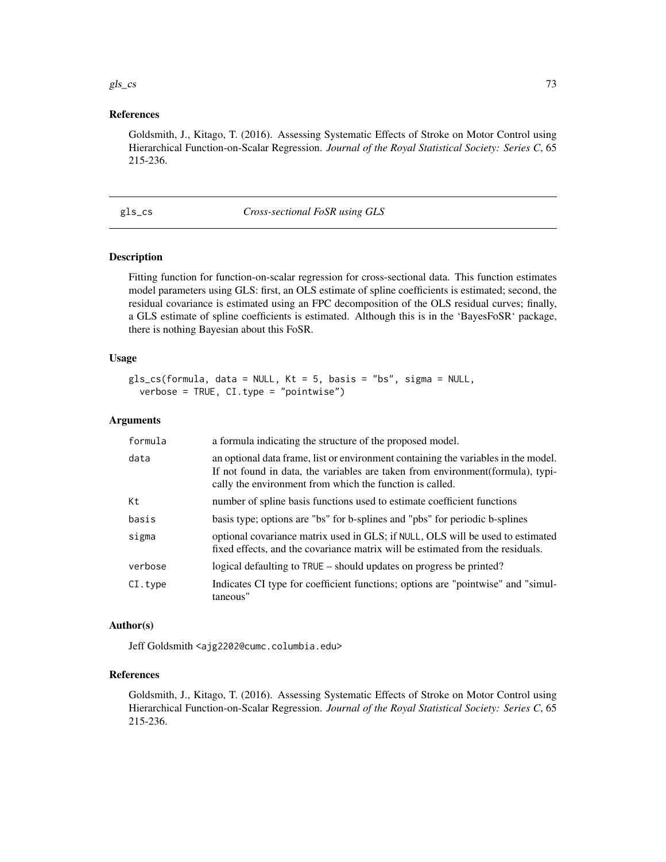#### gls\_cs  $\qquad \qquad$  73

# References

Goldsmith, J., Kitago, T. (2016). Assessing Systematic Effects of Stroke on Motor Control using Hierarchical Function-on-Scalar Regression. *Journal of the Royal Statistical Society: Series C*, 65 215-236.

#### gls\_cs *Cross-sectional FoSR using GLS*

# Description

Fitting function for function-on-scalar regression for cross-sectional data. This function estimates model parameters using GLS: first, an OLS estimate of spline coefficients is estimated; second, the residual covariance is estimated using an FPC decomposition of the OLS residual curves; finally, a GLS estimate of spline coefficients is estimated. Although this is in the 'BayesFoSR' package, there is nothing Bayesian about this FoSR.

# Usage

```
gls_cs(formula, data = NULL, Kt = 5, basis = "bs", sigma = NULL,
 verbose = TRUE, CI.type = "pointwise")
```
## Arguments

| formula | a formula indicating the structure of the proposed model.                                                                                                                                                                         |
|---------|-----------------------------------------------------------------------------------------------------------------------------------------------------------------------------------------------------------------------------------|
| data    | an optional data frame, list or environment containing the variables in the model.<br>If not found in data, the variables are taken from environment (formula), typi-<br>cally the environment from which the function is called. |
| Кt      | number of spline basis functions used to estimate coefficient functions                                                                                                                                                           |
| basis   | basis type; options are "bs" for b-splines and "pbs" for periodic b-splines                                                                                                                                                       |
| sigma   | optional covariance matrix used in GLS; if NULL, OLS will be used to estimated<br>fixed effects, and the covariance matrix will be estimated from the residuals.                                                                  |
| verbose | logical defaulting to TRUE – should updates on progress be printed?                                                                                                                                                               |
| CI.type | Indicates CI type for coefficient functions; options are "pointwise" and "simul-<br>taneous"                                                                                                                                      |

#### Author(s)

Jeff Goldsmith <ajg2202@cumc.columbia.edu>

## References

Goldsmith, J., Kitago, T. (2016). Assessing Systematic Effects of Stroke on Motor Control using Hierarchical Function-on-Scalar Regression. *Journal of the Royal Statistical Society: Series C*, 65 215-236.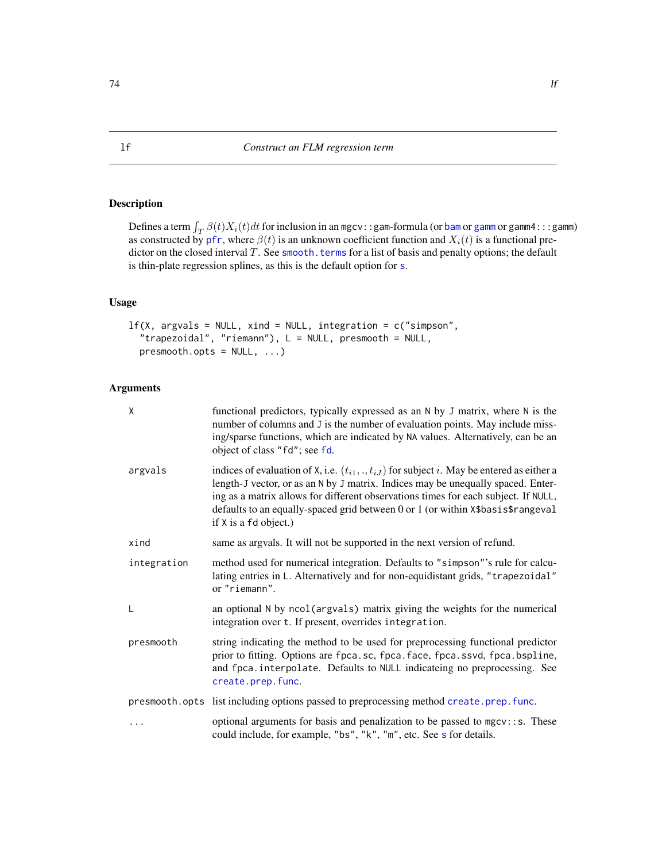# <span id="page-73-0"></span>Description

Defines a term  $\int_T \beta(t) X_i(t) dt$  for inclusion in an mgcv::gam-formula (or [bam](#page-0-0) or [gamm](#page-0-0) or gamm4:::gamm) as constructed by [pfr](#page-105-0), where  $\beta(t)$  is an unknown coefficient function and  $X_i(t)$  is a functional predictor on the closed interval  $T$ . See [smooth.terms](#page-0-0) for a list of basis and penalty options; the default is thin-plate regression splines, as this is the default option for [s](#page-0-0).

# Usage

```
lf(X, argvals = NULL, xind = NULL, integration = c("simpson","trapezoidal", "riemann"), L = NULL, presmooth = NULL,
 presmooth.opts = NULL, ...)
```

| X           | functional predictors, typically expressed as an N by J matrix, where N is the<br>number of columns and J is the number of evaluation points. May include miss-<br>ing/sparse functions, which are indicated by NA values. Alternatively, can be an<br>object of class "fd"; see fd.                                                                                                        |
|-------------|---------------------------------------------------------------------------------------------------------------------------------------------------------------------------------------------------------------------------------------------------------------------------------------------------------------------------------------------------------------------------------------------|
| argvals     | indices of evaluation of X, i.e. $(t_{i1}, \ldots, t_{iJ})$ for subject i. May be entered as either a<br>length-J vector, or as an N by J matrix. Indices may be unequally spaced. Enter-<br>ing as a matrix allows for different observations times for each subject. If NULL,<br>defaults to an equally-spaced grid between 0 or 1 (or within X\$basis\$rangeval<br>if X is a fd object.) |
| xind        | same as argvals. It will not be supported in the next version of refund.                                                                                                                                                                                                                                                                                                                    |
| integration | method used for numerical integration. Defaults to "simpson"'s rule for calcu-<br>lating entries in L. Alternatively and for non-equidistant grids, "trapezoidal"<br>or "riemann".                                                                                                                                                                                                          |
| L           | an optional N by ncol(argvals) matrix giving the weights for the numerical<br>integration over t. If present, overrides integration.                                                                                                                                                                                                                                                        |
| presmooth   | string indicating the method to be used for preprocessing functional predictor<br>prior to fitting. Options are fpca.sc, fpca.face, fpca.ssvd, fpca.bspline,<br>and fpca.interpolate. Defaults to NULL indicateing no preprocessing. See<br>create.prep.func.                                                                                                                               |
|             | presmooth.opts list including options passed to preprocessing method create.prep.func.                                                                                                                                                                                                                                                                                                      |
|             | optional arguments for basis and penalization to be passed to mgcv:: s. These<br>could include, for example, "bs", "k", "m", etc. See s for details.                                                                                                                                                                                                                                        |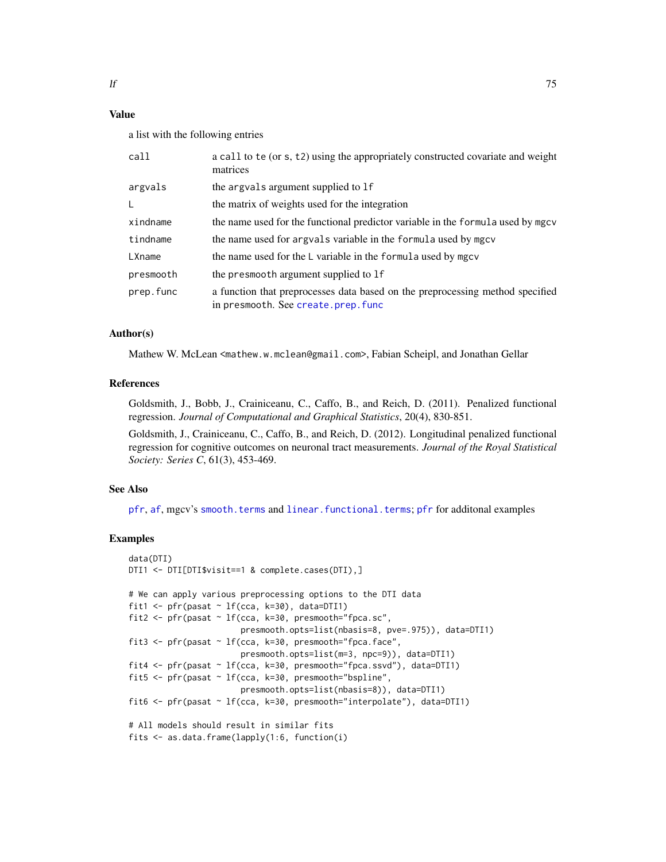# Value

a list with the following entries

| call      | a call to te (or s, t2) using the appropriately constructed covariate and weight<br>matrices                        |
|-----------|---------------------------------------------------------------------------------------------------------------------|
| argvals   | the argvals argument supplied to 1f                                                                                 |
| L         | the matrix of weights used for the integration                                                                      |
| xindname  | the name used for the functional predictor variable in the formula used by mgcv                                     |
| tindname  | the name used for argvals variable in the formula used by mgcv                                                      |
| LXname    | the name used for the L variable in the formula used by mgcv                                                        |
| presmooth | the presmooth argument supplied to 1f                                                                               |
| prep.func | a function that preprocesses data based on the preprocessing method specified<br>in presmooth. See create.prep.func |

# Author(s)

Mathew W. McLean <mathew.w.mclean@gmail.com>, Fabian Scheipl, and Jonathan Gellar

# References

Goldsmith, J., Bobb, J., Crainiceanu, C., Caffo, B., and Reich, D. (2011). Penalized functional regression. *Journal of Computational and Graphical Statistics*, 20(4), 830-851.

Goldsmith, J., Crainiceanu, C., Caffo, B., and Reich, D. (2012). Longitudinal penalized functional regression for cognitive outcomes on neuronal tract measurements. *Journal of the Royal Statistical Society: Series C*, 61(3), 453-469.

## See Also

[pfr](#page-105-0), [af](#page-4-0), mgcv's [smooth.terms](#page-0-0) and [linear.functional.terms](#page-0-0); [pfr](#page-105-0) for additonal examples

# Examples

```
data(DTI)
DTI1 <- DTI[DTI$visit==1 & complete.cases(DTI),]
# We can apply various preprocessing options to the DTI data
fit1 <- pfr(pasat \sim lf(cca, k=30), data=DTI1)
fit2 \leq pfr(pasat \sim lf(cca, k=30, presmooth="fpca.sc",
                       presmooth.opts=list(nbasis=8, pve=.975)), data=DTI1)
fit3 <- pfr(pasat ~ lf(cca, k=30, presmooth="fpca.face",
                       presmooth.opts=list(m=3, npc=9)), data=DTI1)
fit4 <- pfr(pasat ~ lf(cca, k=30, presmooth="fpca.ssvd"), data=DTI1)
fit5 <- pfr(pasat ~ lf(cca, k=30, presmooth="bspline",
                       presmooth.opts=list(nbasis=8)), data=DTI1)
fit6 <- pfr(pasat ~ lf(cca, k=30, presmooth="interpolate"), data=DTI1)
# All models should result in similar fits
fits <- as.data.frame(lapply(1:6, function(i)
```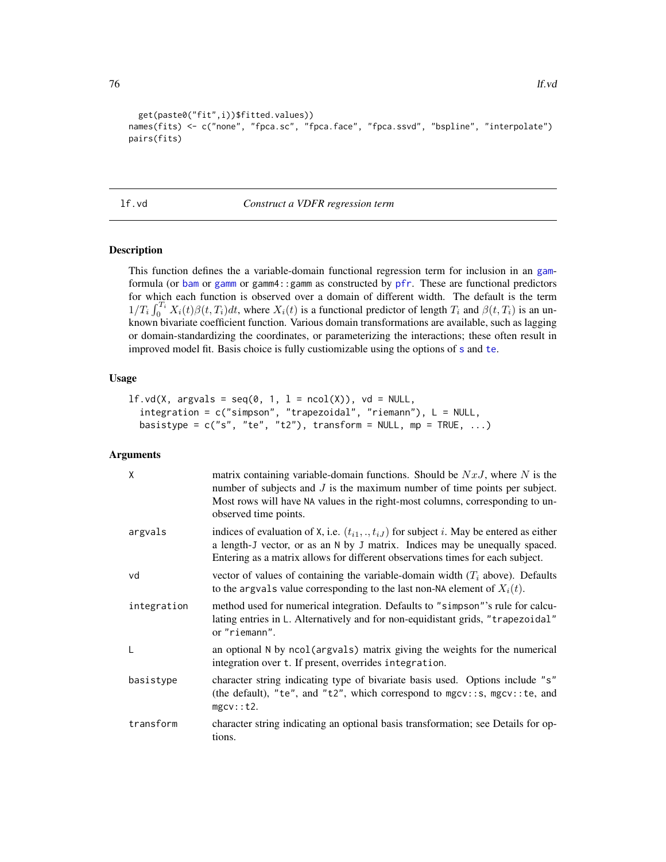```
get(paste0("fit",i))$fitted.values))
names(fits) <- c("none", "fpca.sc", "fpca.face", "fpca.ssvd", "bspline", "interpolate")
pairs(fits)
```
## <span id="page-75-0"></span>lf.vd *Construct a VDFR regression term*

# Description

This function defines the a variable-domain functional regression term for inclusion in an [gam](#page-0-0)formula (or [bam](#page-0-0) or [gamm](#page-0-0) or gamm4::gamm as constructed by [pfr](#page-105-0). These are functional predictors for which each function is observed over a domain of different width. The default is the term  $1/T_i \int_0^{T_i} X_i(t)\beta(t,T_i)dt$ , where  $X_i(t)$  is a functional predictor of length  $T_i$  and  $\beta(t,T_i)$  is an unknown bivariate coefficient function. Various domain transformations are available, such as lagging or domain-standardizing the coordinates, or parameterizing the interactions; these often result in improved model fit. Basis choice is fully custiomizable using the options of [s](#page-0-0) and [te](#page-0-0).

## Usage

```
lf.vd(X, argvals = seq(0, 1, 1 = ncol(X)), vd = NULL,integration = c("simpson", "trapezoidal", "riemann"), L = NULL,
  basistype = c("s", "te", "t2"), transform = NULL, mp = TRUE, ...)
```

| X           | matrix containing variable-domain functions. Should be $NxJ$ , where N is the<br>number of subjects and $J$ is the maximum number of time points per subject.<br>Most rows will have NA values in the right-most columns, corresponding to un-<br>observed time points. |
|-------------|-------------------------------------------------------------------------------------------------------------------------------------------------------------------------------------------------------------------------------------------------------------------------|
| argvals     | indices of evaluation of X, i.e. $(t_{i1},,t_{iJ})$ for subject i. May be entered as either<br>a length-J vector, or as an N by J matrix. Indices may be unequally spaced.<br>Entering as a matrix allows for different observations times for each subject.            |
| vd          | vector of values of containing the variable-domain width $(Ti$ above). Defaults<br>to the argvals value corresponding to the last non-NA element of $X_i(t)$ .                                                                                                          |
| integration | method used for numerical integration. Defaults to "simpson"'s rule for calcu-<br>lating entries in L. Alternatively and for non-equidistant grids, "trapezoidal"<br>or "riemann".                                                                                      |
| L           | an optional N by ncol(argvals) matrix giving the weights for the numerical<br>integration over t. If present, overrides integration.                                                                                                                                    |
| basistype   | character string indicating type of bivariate basis used. Options include "s"<br>(the default), "te", and "t2", which correspond to $mgcv$ :: s, $mgcv$ :: te, and<br>mgcv:~t2.                                                                                         |
| transform   | character string indicating an optional basis transformation; see Details for op-<br>tions.                                                                                                                                                                             |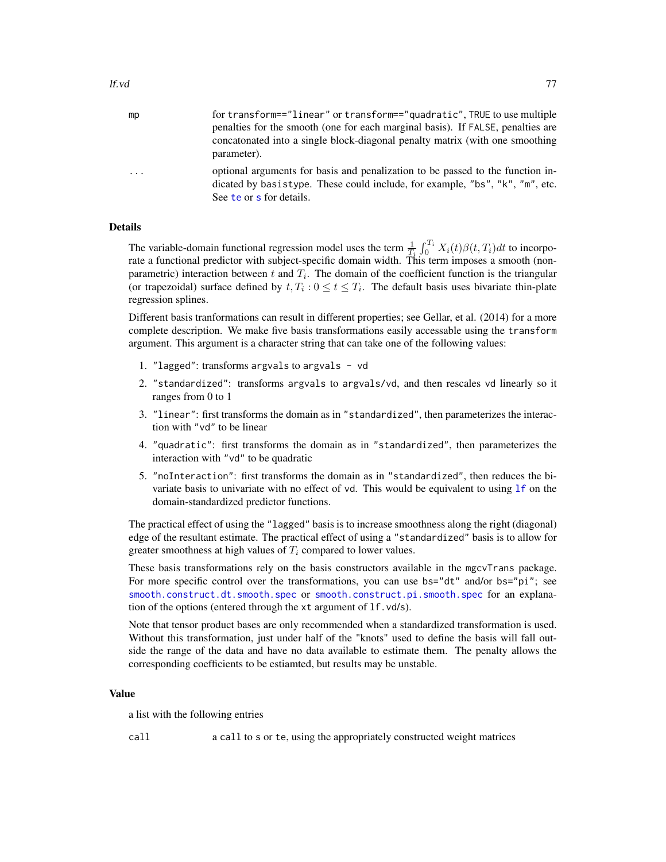| mp | for transform=="linear" or transform=="quadratic", TRUE to use multiple<br>penalties for the smooth (one for each marginal basis). If FALSE, penalties are<br>concatonated into a single block-diagonal penalty matrix (with one smoothing<br>parameter). |
|----|-----------------------------------------------------------------------------------------------------------------------------------------------------------------------------------------------------------------------------------------------------------|
| .  | optional arguments for basis and penalization to be passed to the function in-<br>dicated by basistype. These could include, for example, "bs", "k", "m", etc.<br>See te or s for details.                                                                |

# Details

The variable-domain functional regression model uses the term  $\frac{1}{T_i} \int_0^{T_i} X_i(t) \beta(t, T_i) dt$  to incorporate a functional predictor with subject-specific domain width. This term imposes a smooth (nonparametric) interaction between t and  $T_i$ . The domain of the coefficient function is the triangular (or trapezoidal) surface defined by  $t, T_i : 0 \le t \le T_i$ . The default basis uses bivariate thin-plate regression splines.

Different basis tranformations can result in different properties; see Gellar, et al. (2014) for a more complete description. We make five basis transformations easily accessable using the transform argument. This argument is a character string that can take one of the following values:

- 1. "lagged": transforms argvals to argvals vd
- 2. "standardized": transforms argvals to argvals/vd, and then rescales vd linearly so it ranges from 0 to 1
- 3. "linear": first transforms the domain as in "standardized", then parameterizes the interaction with "vd" to be linear
- 4. "quadratic": first transforms the domain as in "standardized", then parameterizes the interaction with "vd" to be quadratic
- 5. "noInteraction": first transforms the domain as in "standardized", then reduces the bivariate basis to univariate with no effect of vd. This would be equivalent to using  $1f$  on the domain-standardized predictor functions.

The practical effect of using the "lagged" basis is to increase smoothness along the right (diagonal) edge of the resultant estimate. The practical effect of using a "standardized" basis is to allow for greater smoothness at high values of  $T_i$  compared to lower values.

These basis transformations rely on the basis constructors available in the mgcvTrans package. For more specific control over the transformations, you can use  $bs="dt"$  and/or  $bs="pi"$ ; see [smooth.construct.dt.smooth.spec](#page-140-0) or [smooth.construct.pi.smooth.spec](#page-148-0) for an explanation of the options (entered through the xt argument of lf.vd/s).

Note that tensor product bases are only recommended when a standardized transformation is used. Without this transformation, just under half of the "knots" used to define the basis will fall outside the range of the data and have no data available to estimate them. The penalty allows the corresponding coefficients to be estiamted, but results may be unstable.

# Value

a list with the following entries

call a call to s or te, using the appropriately constructed weight matrices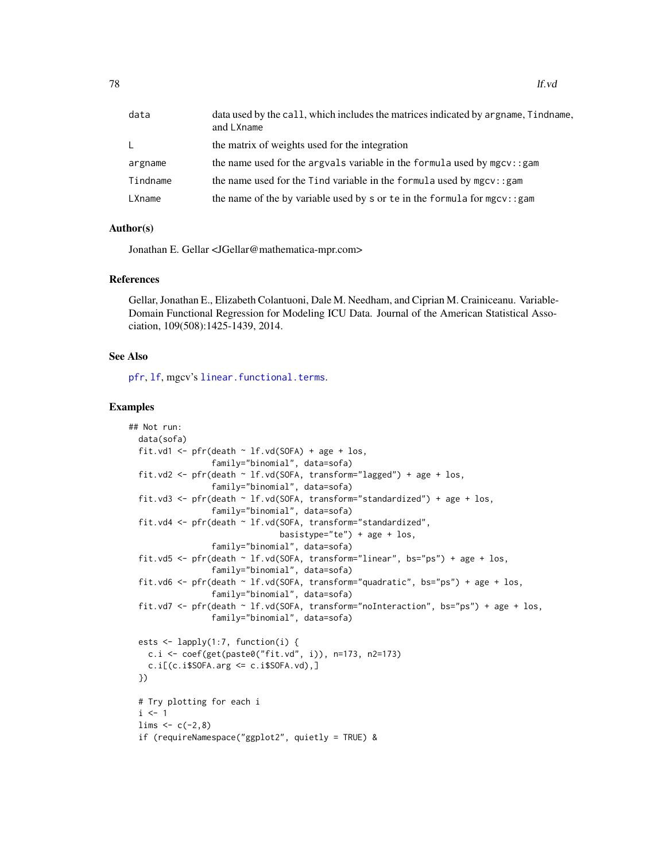| data     | data used by the call, which includes the matrices indicated by argname, Tindname,<br>and LXname |
|----------|--------------------------------------------------------------------------------------------------|
| L.       | the matrix of weights used for the integration                                                   |
| argname  | the name used for the argvals variable in the formula used by $mgcv$ : : gam                     |
| Tindname | the name used for the Tind variable in the formula used by $mgcv$ : : gam                        |
| LXname   | the name of the by variable used by s or te in the formula for mgcv: : gam                       |

# Author(s)

Jonathan E. Gellar <JGellar@mathematica-mpr.com>

#### References

Gellar, Jonathan E., Elizabeth Colantuoni, Dale M. Needham, and Ciprian M. Crainiceanu. Variable-Domain Functional Regression for Modeling ICU Data. Journal of the American Statistical Association, 109(508):1425-1439, 2014.

## See Also

[pfr](#page-105-0), [lf](#page-73-0), mgcv's [linear.functional.terms](#page-0-0).

#### Examples

```
## Not run:
 data(sofa)
 fit.vd1 <- pfr(death \sim lf.vd(SOFA) + age + los,
                 family="binomial", data=sofa)
 fit.vd2 <- pfr(death ~ lf.vd(SOFA, transform="lagged") + age + los,
                 family="binomial", data=sofa)
 fit.vd3 <- pfr(death ~ lf.vd(SOFA, transform="standardized") + age + los,
                 family="binomial", data=sofa)
 fit.vd4 <- pfr(death ~ lf.vd(SOFA, transform="standardized",
                               basistype="te") + age + \log,
                 family="binomial", data=sofa)
 fit.vd5 <- pfr(death ~ lf.vd(SOFA, transform="linear", bs="ps") + age + los,
                 family="binomial", data=sofa)
 fit.vd6 <- pfr(death ~ lf.vd(SOFA, transform="quadratic", bs="ps") + age + los,
                 family="binomial", data=sofa)
 fit.vd7 <- pfr(death \sim lf.vd(SOFA, transform="noInteraction", bs="ps") + age + los,
                 family="binomial", data=sofa)
 ests <- lapply(1:7, function(i) {
   c.i <- coef(get(paste0("fit.vd", i)), n=173, n2=173)
   c.i[(c.i$SOFA.arg \leq c.i$SOFA.vd),]})
 # Try plotting for each i
 i \leq 1lims < -c(-2, 8)if (requireNamespace("ggplot2", quietly = TRUE) &
```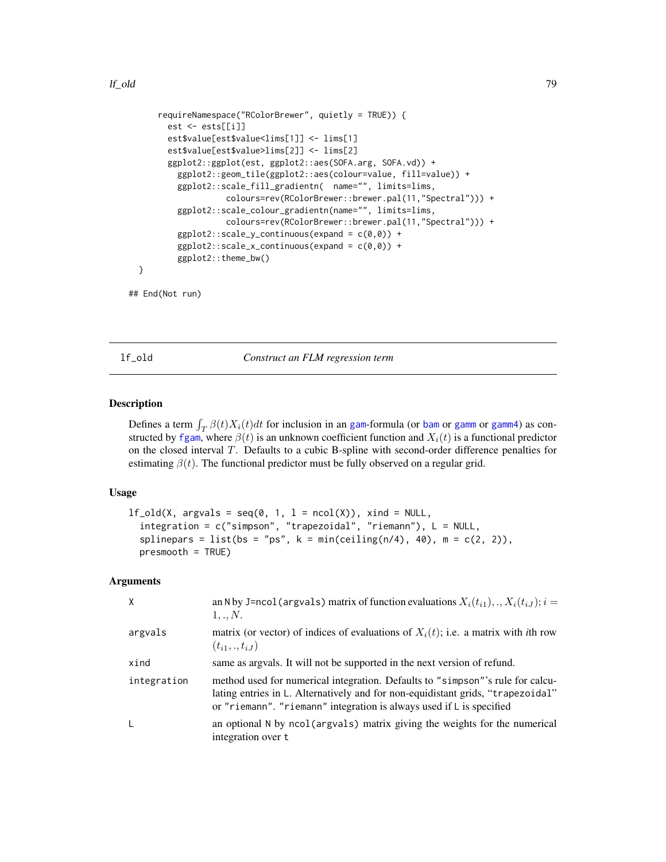```
requireNamespace("RColorBrewer", quietly = TRUE)) {
      est <- ests[[i]]
      est$value[est$value<lims[1]] <- lims[1]
      est$value[est$value>lims[2]] <- lims[2]
      ggplot2::ggplot(est, ggplot2::aes(SOFA.arg, SOFA.vd)) +
        ggplot2::geom_tile(ggplot2::aes(colour=value, fill=value)) +
        ggplot2::scale_fill_gradientn( name="", limits=lims,
                  colours=rev(RColorBrewer::brewer.pal(11,"Spectral"))) +
        ggplot2::scale_colour_gradientn(name="", limits=lims,
                  colours=rev(RColorBrewer::brewer.pal(11,"Spectral"))) +
        ggplot2::scale_y_{continuous}(expand = c(0,0)) +ggplot2::scale_x_{continuous}(expand = c(0,0)) +ggplot2::theme_bw()
}
```

```
## End(Not run)
```
lf\_old *Construct an FLM regression term*

## Description

Defines a term  $\int_T \beta(t)X_i(t)dt$  for inclusion in an [gam](#page-0-0)-formula (or [bam](#page-0-0) or [gamm](#page-0-0) or [gamm4](#page-0-0)) as constructed by [fgam](#page-29-0), where  $\beta(t)$  is an unknown coefficient function and  $X_i(t)$  is a functional predictor on the closed interval T. Defaults to a cubic B-spline with second-order difference penalties for estimating  $\beta(t)$ . The functional predictor must be fully observed on a regular grid.

# Usage

```
lf\_old(X, argvals = seq(0, 1, 1 = ncol(X)), xind = NULL,integration = c("simpson", "trapezoidal", "riemann"), L = NULL,
  splinepars = list(bs = "ps", k = min(c eiling(n/4), 40), m = c(2, 2)),
 presmooth = TRUE)
```

| X           | an N by J=ncol (argvals) matrix of function evaluations $X_i(t_{i1}),,X_i(t_{iJ}); i =$<br>1,,N.                                                                                                                                          |
|-------------|-------------------------------------------------------------------------------------------------------------------------------------------------------------------------------------------------------------------------------------------|
| argvals     | matrix (or vector) of indices of evaluations of $X_i(t)$ ; i.e. a matrix with <i>i</i> th row<br>$(t_{i1},.,t_{iJ})$                                                                                                                      |
| xind        | same as argvals. It will not be supported in the next version of refund.                                                                                                                                                                  |
| integration | method used for numerical integration. Defaults to "simpson"'s rule for calcu-<br>lating entries in L. Alternatively and for non-equidistant grids, "trapezoidal"<br>or "riemann". "riemann" integration is always used if L is specified |
| L           | an optional N by ncol (argvals) matrix giving the weights for the numerical<br>integration over t                                                                                                                                         |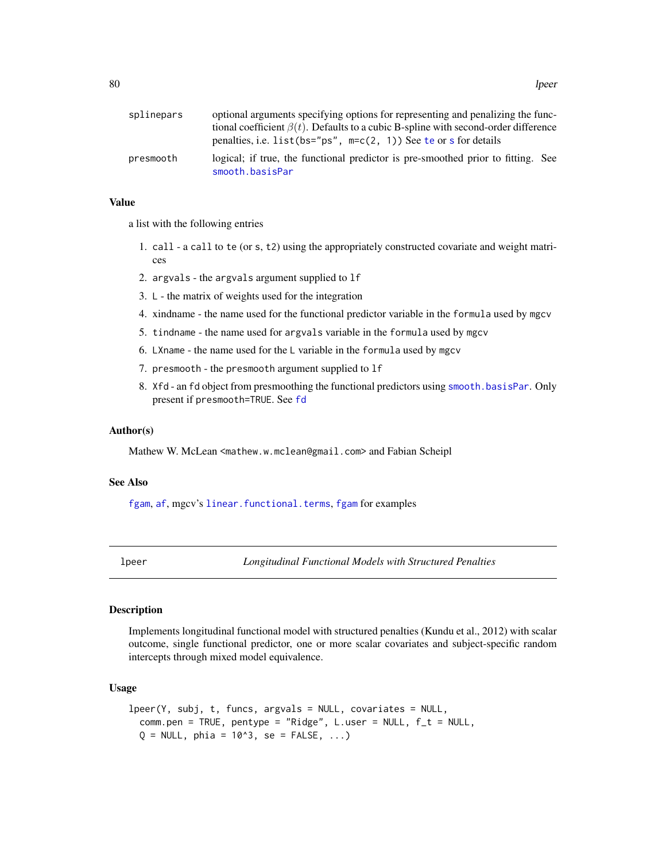| splinepars | optional arguments specifying options for representing and penalizing the func-                     |
|------------|-----------------------------------------------------------------------------------------------------|
|            | tional coefficient $\beta(t)$ . Defaults to a cubic B-spline with second-order difference           |
|            | penalties, i.e. list (bs="ps", $m=c(2, 1)$ ) See te or s for details                                |
| presmooth  | logical; if true, the functional predictor is pre-smoothed prior to fitting. See<br>smooth.basisPar |

# Value

a list with the following entries

- 1. call a call to te (or s, t2) using the appropriately constructed covariate and weight matrices
- 2. argvals the argvals argument supplied to lf
- 3. L the matrix of weights used for the integration
- 4. xindname the name used for the functional predictor variable in the formula used by mgcv
- 5. tindname the name used for argvals variable in the formula used by mgcv
- 6. LXname the name used for the L variable in the formula used by mgcv
- 7. presmooth the presmooth argument supplied to lf
- 8. Xfd an fd object from presmoothing the functional predictors using [smooth.basisPar](#page-0-0). Only present if presmooth=TRUE. See [fd](#page-0-0)

# Author(s)

Mathew W. McLean <mathew.w.mclean@gmail.com> and Fabian Scheipl

#### See Also

[fgam](#page-29-0), [af](#page-4-0), mgcv's [linear.functional.terms](#page-0-0), fgam for examples

lpeer *Longitudinal Functional Models with Structured Penalties*

# Description

Implements longitudinal functional model with structured penalties (Kundu et al., 2012) with scalar outcome, single functional predictor, one or more scalar covariates and subject-specific random intercepts through mixed model equivalence.

# Usage

```
lpeer(Y, subj, t, funcs, argvals = NULL, covariates = NULL,
 comm.pen = TRUE, pentype = "Ridge", L.user = NULL, f_t = NULL,
 Q = NULL, phia = 10^3, se = FALSE, ...)
```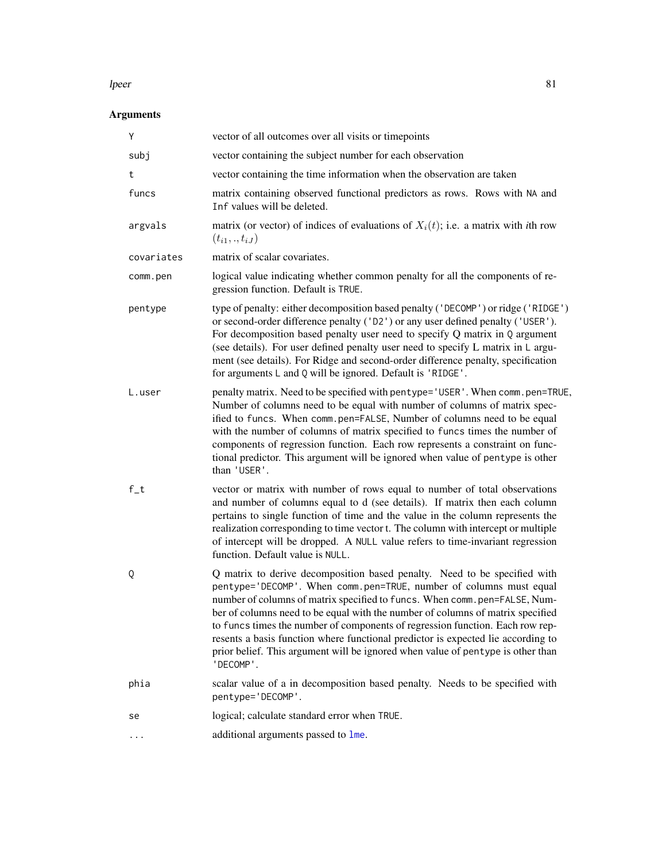#### lpeer 81

| Υ          | vector of all outcomes over all visits or timepoints                                                                                                                                                                                                                                                                                                                                                                                                                                                                                                                                |
|------------|-------------------------------------------------------------------------------------------------------------------------------------------------------------------------------------------------------------------------------------------------------------------------------------------------------------------------------------------------------------------------------------------------------------------------------------------------------------------------------------------------------------------------------------------------------------------------------------|
| subj       | vector containing the subject number for each observation                                                                                                                                                                                                                                                                                                                                                                                                                                                                                                                           |
| t          | vector containing the time information when the observation are taken                                                                                                                                                                                                                                                                                                                                                                                                                                                                                                               |
| funcs      | matrix containing observed functional predictors as rows. Rows with NA and<br>Inf values will be deleted.                                                                                                                                                                                                                                                                                                                                                                                                                                                                           |
| argvals    | matrix (or vector) of indices of evaluations of $X_i(t)$ ; i.e. a matrix with <i>i</i> th row<br>$(t_{i1},.,t_{iJ})$                                                                                                                                                                                                                                                                                                                                                                                                                                                                |
| covariates | matrix of scalar covariates.                                                                                                                                                                                                                                                                                                                                                                                                                                                                                                                                                        |
| comm.pen   | logical value indicating whether common penalty for all the components of re-<br>gression function. Default is TRUE.                                                                                                                                                                                                                                                                                                                                                                                                                                                                |
| pentype    | type of penalty: either decomposition based penalty ('DECOMP') or ridge ('RIDGE')<br>or second-order difference penalty ('D2') or any user defined penalty ('USER').<br>For decomposition based penalty user need to specify $Q$ matrix in $Q$ argument<br>(see details). For user defined penalty user need to specify L matrix in L argu-<br>ment (see details). For Ridge and second-order difference penalty, specification<br>for arguments L and Q will be ignored. Default is 'RIDGE'.                                                                                       |
| L.user     | penalty matrix. Need to be specified with pentype='USER'. When comm.pen=TRUE,<br>Number of columns need to be equal with number of columns of matrix spec-<br>ified to funcs. When comm.pen=FALSE, Number of columns need to be equal<br>with the number of columns of matrix specified to funcs times the number of<br>components of regression function. Each row represents a constraint on func-<br>tional predictor. This argument will be ignored when value of pentype is other<br>than 'USER'.                                                                              |
| $f_t$      | vector or matrix with number of rows equal to number of total observations<br>and number of columns equal to d (see details). If matrix then each column<br>pertains to single function of time and the value in the column represents the<br>realization corresponding to time vector t. The column with intercept or multiple<br>of intercept will be dropped. A NULL value refers to time-invariant regression<br>function. Default value is NULL.                                                                                                                               |
| Q          | Q matrix to derive decomposition based penalty. Need to be specified with<br>pentype='DECOMP'. When comm.pen=TRUE, number of columns must equal<br>number of columns of matrix specified to funcs. When comm.pen=FALSE, Num-<br>ber of columns need to be equal with the number of columns of matrix specified<br>to funcs times the number of components of regression function. Each row rep-<br>resents a basis function where functional predictor is expected lie according to<br>prior belief. This argument will be ignored when value of pentype is other than<br>'DECOMP'. |
| phia       | scalar value of a in decomposition based penalty. Needs to be specified with<br>pentype='DECOMP'.                                                                                                                                                                                                                                                                                                                                                                                                                                                                                   |
| se         | logical; calculate standard error when TRUE.                                                                                                                                                                                                                                                                                                                                                                                                                                                                                                                                        |
|            | additional arguments passed to lme.                                                                                                                                                                                                                                                                                                                                                                                                                                                                                                                                                 |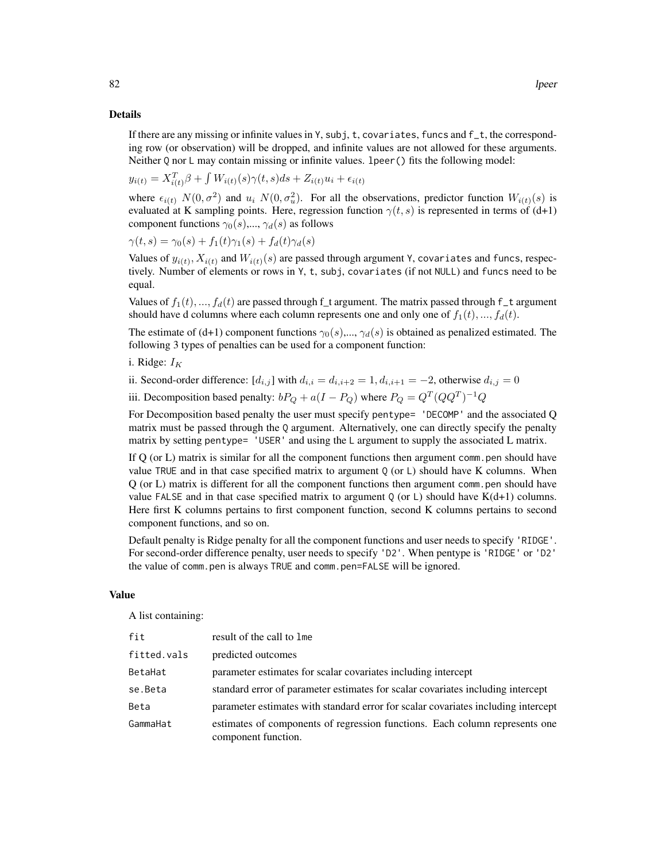#### Details

If there are any missing or infinite values in Y, subj, t, covariates, funcs and f\_t, the corresponding row (or observation) will be dropped, and infinite values are not allowed for these arguments. Neither Q nor L may contain missing or infinite values. 1 peer () fits the following model:

$$
y_{i(t)} = X_{i(t)}^T \beta + \int W_{i(t)}(s)\gamma(t,s)ds + Z_{i(t)}u_i + \epsilon_{i(t)}
$$

where  $\epsilon_{i(t)}$   $N(0, \sigma^2)$  and  $u_i$   $N(0, \sigma^2_u)$ . For all the observations, predictor function  $W_{i(t)}(s)$  is evaluated at K sampling points. Here, regression function  $\gamma(t, s)$  is represented in terms of (d+1) component functions  $\gamma_0(s),...,\gamma_d(s)$  as follows

$$
\gamma(t,s) = \gamma_0(s) + f_1(t)\gamma_1(s) + f_d(t)\gamma_d(s)
$$

Values of  $y_{i(t)}, X_{i(t)}$  and  $W_{i(t)}(s)$  are passed through argument Y, covariates and funcs, respectively. Number of elements or rows in Y, t, subj, covariates (if not NULL) and funcs need to be equal.

Values of  $f_1(t),..., f_d(t)$  are passed through f\_t argument. The matrix passed through f\_t argument should have d columns where each column represents one and only one of  $f_1(t), ..., f_d(t)$ .

The estimate of (d+1) component functions  $\gamma_0(s),...,\gamma_d(s)$  is obtained as penalized estimated. The following 3 types of penalties can be used for a component function:

i. Ridge:  $I_K$ 

ii. Second-order difference:  $[d_{i,j}]$  with  $d_{i,i} = d_{i,i+2} = 1, d_{i,i+1} = -2$ , otherwise  $d_{i,j} = 0$ 

iii. Decomposition based penalty:  $bP_Q + a(I - P_Q)$  where  $P_Q = Q^T (QQ^T)^{-1} Q$ 

For Decomposition based penalty the user must specify pentype= 'DECOMP' and the associated Q matrix must be passed through the Q argument. Alternatively, one can directly specify the penalty matrix by setting pentype= 'USER' and using the L argument to supply the associated L matrix.

If Q (or L) matrix is similar for all the component functions then argument comm.pen should have value TRUE and in that case specified matrix to argument Q (or L) should have K columns. When Q (or L) matrix is different for all the component functions then argument comm.pen should have value FALSE and in that case specified matrix to argument  $Q$  (or L) should have  $K(d+1)$  columns. Here first K columns pertains to first component function, second K columns pertains to second component functions, and so on.

Default penalty is Ridge penalty for all the component functions and user needs to specify 'RIDGE'. For second-order difference penalty, user needs to specify 'D2'. When pentype is 'RIDGE' or 'D2' the value of comm.pen is always TRUE and comm.pen=FALSE will be ignored.

## Value

A list containing:

| fit         | result of the call to lme                                                                          |
|-------------|----------------------------------------------------------------------------------------------------|
| fitted.vals | predicted outcomes                                                                                 |
| BetaHat     | parameter estimates for scalar covariates including intercept                                      |
| se.Beta     | standard error of parameter estimates for scalar covariates including intercept                    |
| Beta        | parameter estimates with standard error for scalar covariates including intercept                  |
| GammaHat    | estimates of components of regression functions. Each column represents one<br>component function. |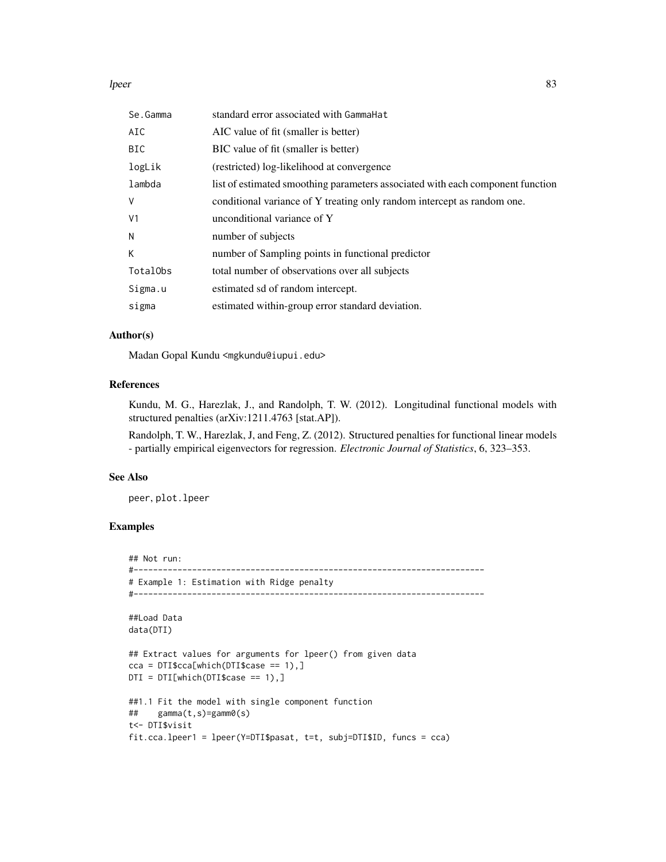lpeer 33

| Se.Gamma       | standard error associated with GammaHat                                        |
|----------------|--------------------------------------------------------------------------------|
| AIC            | AIC value of fit (smaller is better)                                           |
| BIC.           | BIC value of fit (smaller is better)                                           |
| logLik         | (restricted) log-likelihood at convergence                                     |
| lambda         | list of estimated smoothing parameters associated with each component function |
| V              | conditional variance of Y treating only random intercept as random one.        |
| V <sub>1</sub> | unconditional variance of Y                                                    |
| N              | number of subjects                                                             |
| K              | number of Sampling points in functional predictor                              |
| TotalObs       | total number of observations over all subjects                                 |
| Sigma.u        | estimated sd of random intercept.                                              |
| sigma          | estimated within-group error standard deviation.                               |

# Author(s)

Madan Gopal Kundu <mgkundu@iupui.edu>

## References

Kundu, M. G., Harezlak, J., and Randolph, T. W. (2012). Longitudinal functional models with structured penalties (arXiv:1211.4763 [stat.AP]).

Randolph, T. W., Harezlak, J, and Feng, Z. (2012). Structured penalties for functional linear models - partially empirical eigenvectors for regression. *Electronic Journal of Statistics*, 6, 323–353.

#### See Also

peer, plot.lpeer

# Examples

## Not run: #------------------------------------------------------------------------ # Example 1: Estimation with Ridge penalty #------------------------------------------------------------------------

```
##Load Data
data(DTI)
```

```
## Extract values for arguments for lpeer() from given data
cca = DTI$cca[which(DTI$case == 1),]DTI = DTI[which(DTI$case == 1),]
```

```
##1.1 Fit the model with single component function
## gamma(t,s)=gamm0(s)
t<- DTI$visit
fit.cca.lpeer1 = lpeer(Y=DTI$pasat, t=t, subj=DTI$ID, funcs = cca)
```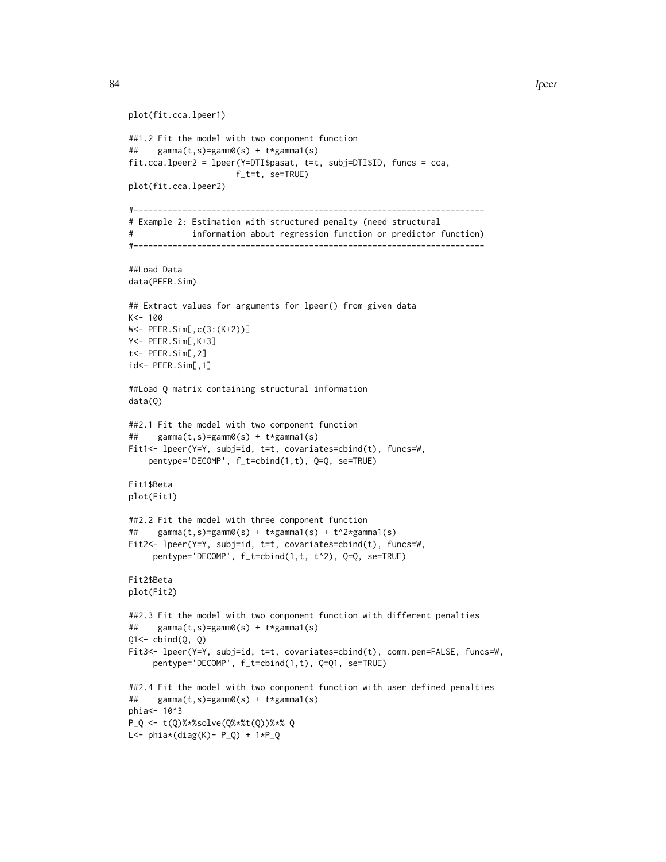84 lpeer

```
plot(fit.cca.lpeer1)
##1.2 Fit the model with two component function
## gamma(t,s)=gamm0(s) + t*gamma1(s)
fit.cca.lpeer2 = lpeer(Y=DTI$pasat, t=t, subj=DTI$ID, funcs = cca,
                     f_t=t, se=TRUE)
plot(fit.cca.lpeer2)
#------------------------------------------------------------------------
# Example 2: Estimation with structured penalty (need structural
# information about regression function or predictor function)
#------------------------------------------------------------------------
##Load Data
data(PEER.Sim)
## Extract values for arguments for lpeer() from given data
K<- 100
W<- PEER.Sim[,c(3:(K+2))]
Y<- PEER.Sim[,K+3]
t<- PEER.Sim[,2]
id<- PEER.Sim[,1]
##Load Q matrix containing structural information
data(Q)
##2.1 Fit the model with two component function
## gamma(t,s)=gamm0(s) + t*gamma1(s)
Fit1<- lpeer(Y=Y, subj=id, t=t, covariates=cbind(t), funcs=W,
   pentype='DECOMP', f_t=cbind(1,t), Q=Q, se=TRUE)
Fit1$Beta
plot(Fit1)
##2.2 Fit the model with three component function
## gamma(t,s)=gamm0(s) + t*gamma1(s) + t^2*gamma1(s)
Fit2<- lpeer(Y=Y, subj=id, t=t, covariates=cbind(t), funcs=W,
     pentype='DECOMP', f_t=cbind(1,t, t^2), Q=Q, se=TRUE)
Fit2$Beta
plot(Fit2)
##2.3 Fit the model with two component function with different penalties
## gamma(t,s)=gamm0(s) + t*gamma1(s)
Q1 \leftarrow \text{cbind}(Q, Q)Fit3<- lpeer(Y=Y, subj=id, t=t, covariates=cbind(t), comm.pen=FALSE, funcs=W,
     pentype='DECOMP', f_t=cbind(1,t), Q=Q1, se=TRUE)
##2.4 Fit the model with two component function with user defined penalties
## gamma(t,s)=gamm0(s) + t*gamma1(s)
phia <- 10^3
P_Q <- t(Q)%*%solve(Q%*%t(Q))%*% Q
L <- phi*(diag(K) - P_Q) + 1*P_Q
```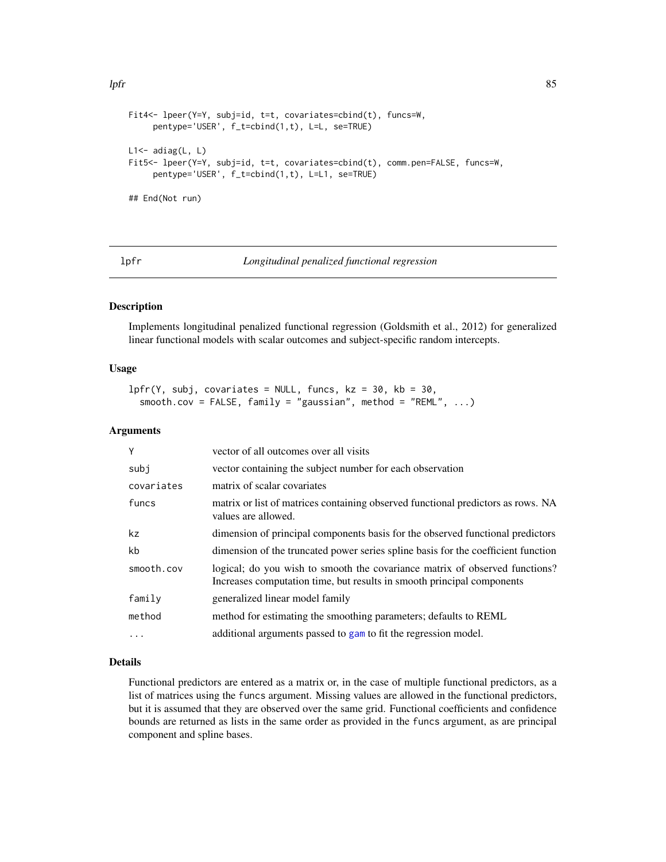```
Fit4<- lpeer(Y=Y, subj=id, t=t, covariates=cbind(t), funcs=W,
     pentype='USER', f_t=cbind(1,t), L=L, se=TRUE)
L1<- adiag(L, L)
Fit5<- lpeer(Y=Y, subj=id, t=t, covariates=cbind(t), comm.pen=FALSE, funcs=W,
     pentype='USER', f_t=cbind(1,t), L=L1, se=TRUE)
```
## End(Not run)

lpfr *Longitudinal penalized functional regression*

#### Description

Implements longitudinal penalized functional regression (Goldsmith et al., 2012) for generalized linear functional models with scalar outcomes and subject-specific random intercepts.

## Usage

```
lpfr(Y, subj, covariates = NULL, funcs, kz = 30, kb = 30,smooth.cov = FALSE, family = "gaussian", method = "REML", \dots)
```
# Arguments

| Y          | vector of all outcomes over all visits                                                                                                                |
|------------|-------------------------------------------------------------------------------------------------------------------------------------------------------|
| subj       | vector containing the subject number for each observation                                                                                             |
| covariates | matrix of scalar covariates                                                                                                                           |
| funcs      | matrix or list of matrices containing observed functional predictors as rows. NA<br>values are allowed.                                               |
| kz         | dimension of principal components basis for the observed functional predictors                                                                        |
| kb         | dimension of the truncated power series spline basis for the coefficient function                                                                     |
| smooth.cov | logical; do you wish to smooth the covariance matrix of observed functions?<br>Increases computation time, but results in smooth principal components |
| family     | generalized linear model family                                                                                                                       |
| method     | method for estimating the smoothing parameters; defaults to REML                                                                                      |
| $\ddots$ . | additional arguments passed to gam to fit the regression model.                                                                                       |

## Details

Functional predictors are entered as a matrix or, in the case of multiple functional predictors, as a list of matrices using the funcs argument. Missing values are allowed in the functional predictors, but it is assumed that they are observed over the same grid. Functional coefficients and confidence bounds are returned as lists in the same order as provided in the funcs argument, as are principal component and spline bases.

# lpfr 85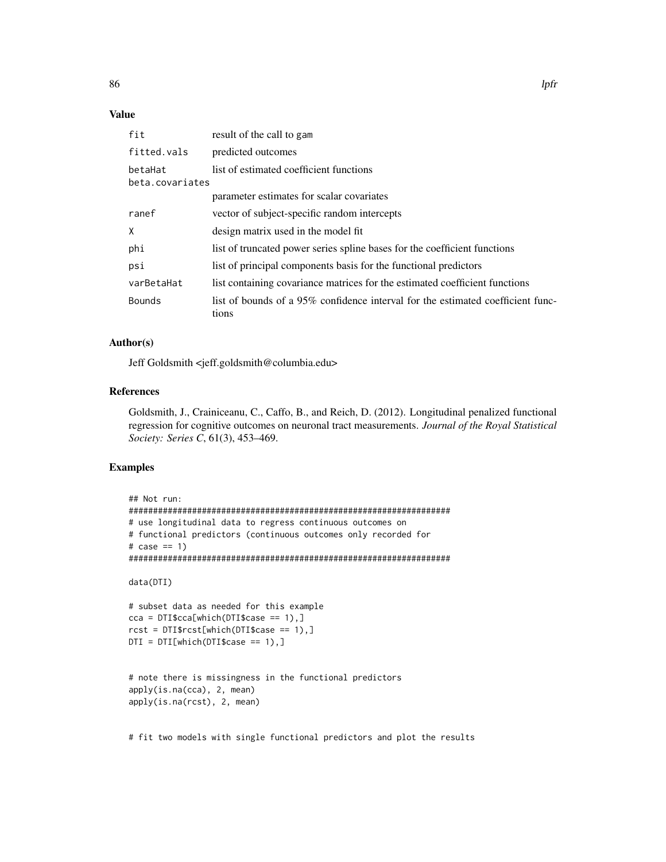# Value

| fit                        | result of the call to gam                                                                |
|----------------------------|------------------------------------------------------------------------------------------|
| fitted.vals                | predicted outcomes                                                                       |
| betaHat<br>beta.covariates | list of estimated coefficient functions                                                  |
|                            | parameter estimates for scalar covariates                                                |
| ranef                      | vector of subject-specific random intercepts                                             |
| X                          | design matrix used in the model fit                                                      |
| phi                        | list of truncated power series spline bases for the coefficient functions                |
| psi                        | list of principal components basis for the functional predictors                         |
| varBetaHat                 | list containing covariance matrices for the estimated coefficient functions              |
| <b>Bounds</b>              | list of bounds of a 95% confidence interval for the estimated coefficient func-<br>tions |

# Author(s)

Jeff Goldsmith <jeff.goldsmith@columbia.edu>

# References

Goldsmith, J., Crainiceanu, C., Caffo, B., and Reich, D. (2012). Longitudinal penalized functional regression for cognitive outcomes on neuronal tract measurements. *Journal of the Royal Statistical Society: Series C*, 61(3), 453–469.

# Examples

```
## Not run:
##################################################################
# use longitudinal data to regress continuous outcomes on
# functional predictors (continuous outcomes only recorded for
# case == 1)##################################################################
data(DTI)
# subset data as needed for this example
cca = DTI$cca[which(DTI$case == 1),]rcst = DTI$rcst[which(DTI$case == 1),]
DTI = DTI[which(DTI$case == 1),]# note there is missingness in the functional predictors
apply(is.na(cca), 2, mean)
apply(is.na(rcst), 2, mean)
```
# fit two models with single functional predictors and plot the results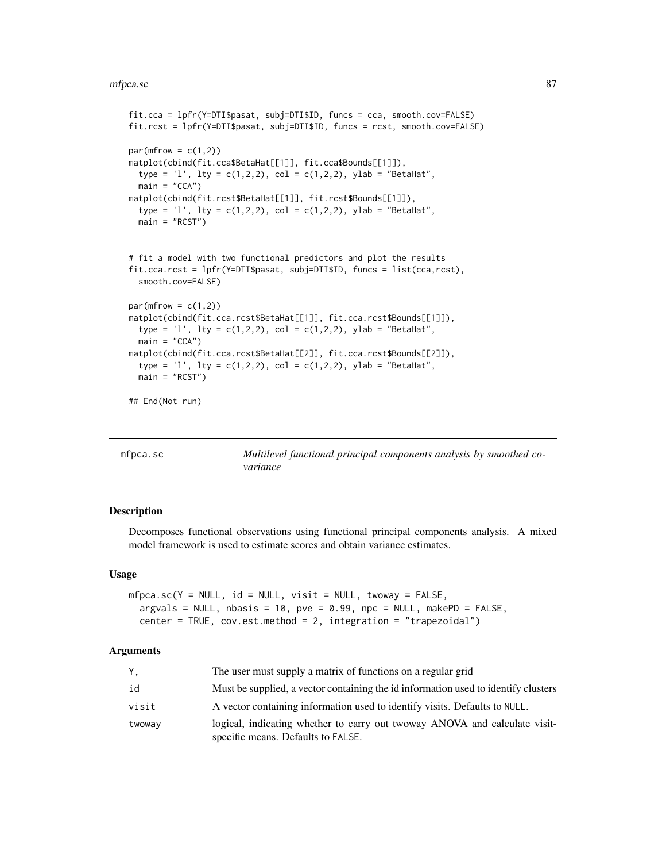#### mfpca.sc 87

```
fit.cca = lpfr(Y=DTI$pasat, subj=DTI$ID, funcs = cca, smooth.cov=FALSE)
fit.rcst = lpfr(Y=DTI$pasat, subj=DTI$ID, funcs = rcst, smooth.cov=FALSE)
par(mfrow = c(1,2))matplot(cbind(fit.cca$BetaHat[[1]], fit.cca$Bounds[[1]]),
  type = '1', lty = c(1,2,2), col = c(1,2,2), ylab = "BetaHat",
  main = "CCA")matplot(cbind(fit.rcst$BetaHat[[1]], fit.rcst$Bounds[[1]]),
  type = '1', lty = c(1,2,2), col = c(1,2,2), ylab = "BetaHat",
  main = "RCST")
# fit a model with two functional predictors and plot the results
fit.cca.rcst = lpfr(Y=DTI$pasat, subj=DTI$ID, funcs = list(cca,rcst),
  smooth.cov=FALSE)
par(mfrow = c(1,2))matplot(cbind(fit.cca.rcst$BetaHat[[1]], fit.cca.rcst$Bounds[[1]]),
  type = '1', lty = c(1,2,2), col = c(1,2,2), ylab = "BetaHat",
  main = "CCA")matplot(cbind(fit.cca.rcst$BetaHat[[2]], fit.cca.rcst$Bounds[[2]]),
  type = 'l', lty = c(1,2,2), col = c(1,2,2), ylab = "BetaHat",
  main = "RCST")
## End(Not run)
```

| $mf_{\text{DCA, SC}}$ | Multilevel functional principal components analysis by smoothed co- |
|-----------------------|---------------------------------------------------------------------|
|                       | variance                                                            |

# Description

Decomposes functional observations using functional principal components analysis. A mixed model framework is used to estimate scores and obtain variance estimates.

#### Usage

```
mfpca.sc(Y = NULL, id = NULL, visit = NULL, two, y = FALSE,argvals = NULL, nbasis = 10, pve = 0.99, npc = NULL, makePD = FALSE,
  center = TRUE, cov.est.method = 2, integration = "trapezoidal")
```

| Υ,     | The user must supply a matrix of functions on a regular grid                                                     |
|--------|------------------------------------------------------------------------------------------------------------------|
| id     | Must be supplied, a vector containing the id information used to identify clusters                               |
| visit  | A vector containing information used to identify visits. Defaults to NULL.                                       |
| twoway | logical, indicating whether to carry out twoway ANOVA and calculate visit-<br>specific means. Defaults to FALSE. |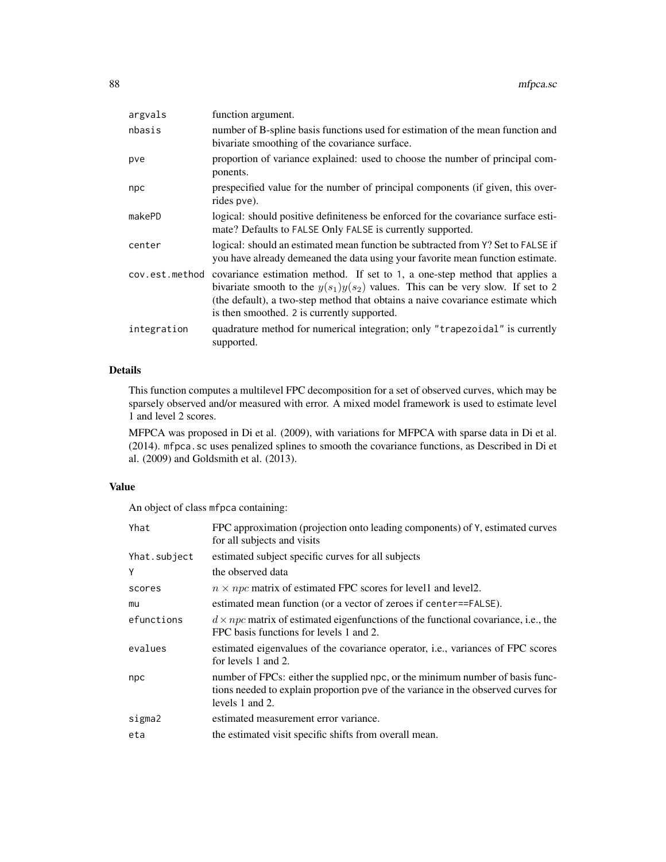| argvals     | function argument.                                                                                                                                                                                                                                                                                                |
|-------------|-------------------------------------------------------------------------------------------------------------------------------------------------------------------------------------------------------------------------------------------------------------------------------------------------------------------|
| nbasis      | number of B-spline basis functions used for estimation of the mean function and<br>bivariate smoothing of the covariance surface.                                                                                                                                                                                 |
| pve         | proportion of variance explained: used to choose the number of principal com-<br>ponents.                                                                                                                                                                                                                         |
| npc         | prespecified value for the number of principal components (if given, this over-<br>rides pve).                                                                                                                                                                                                                    |
| makePD      | logical: should positive definiteness be enforced for the covariance surface esti-<br>mate? Defaults to FALSE Only FALSE is currently supported.                                                                                                                                                                  |
| center      | logical: should an estimated mean function be subtracted from Y? Set to FALSE if<br>you have already demeaned the data using your favorite mean function estimate.                                                                                                                                                |
|             | cov.est.method covariance estimation method. If set to 1, a one-step method that applies a<br>bivariate smooth to the $y(s_1)y(s_2)$ values. This can be very slow. If set to 2<br>(the default), a two-step method that obtains a naive covariance estimate which<br>is then smoothed. 2 is currently supported. |
| integration | quadrature method for numerical integration; only "trapezoidal" is currently<br>supported.                                                                                                                                                                                                                        |

# Details

This function computes a multilevel FPC decomposition for a set of observed curves, which may be sparsely observed and/or measured with error. A mixed model framework is used to estimate level 1 and level 2 scores.

MFPCA was proposed in Di et al. (2009), with variations for MFPCA with sparse data in Di et al. (2014). mfpca.sc uses penalized splines to smooth the covariance functions, as Described in Di et al. (2009) and Goldsmith et al. (2013).

# Value

An object of class mfpca containing:

| Yhat         | FPC approximation (projection onto leading components) of Y, estimated curves<br>for all subjects and visits                                                                          |
|--------------|---------------------------------------------------------------------------------------------------------------------------------------------------------------------------------------|
| Yhat.subject | estimated subject specific curves for all subjects                                                                                                                                    |
| Y            | the observed data                                                                                                                                                                     |
| scores       | $n \times npc$ matrix of estimated FPC scores for level and level 2.                                                                                                                  |
| mu           | estimated mean function (or a vector of zeroes if center==FALSE).                                                                                                                     |
| efunctions   | $d \times npc$ matrix of estimated eigenfunctions of the functional covariance, i.e., the<br>FPC basis functions for levels 1 and 2.                                                  |
| evalues      | estimated eigenvalues of the covariance operator, <i>i.e.</i> , variances of FPC scores<br>for levels 1 and 2.                                                                        |
| npc          | number of FPCs: either the supplied npc, or the minimum number of basis func-<br>tions needed to explain proportion pve of the variance in the observed curves for<br>levels 1 and 2. |
| sigma2       | estimated measurement error variance.                                                                                                                                                 |
| eta          | the estimated visit specific shifts from overall mean.                                                                                                                                |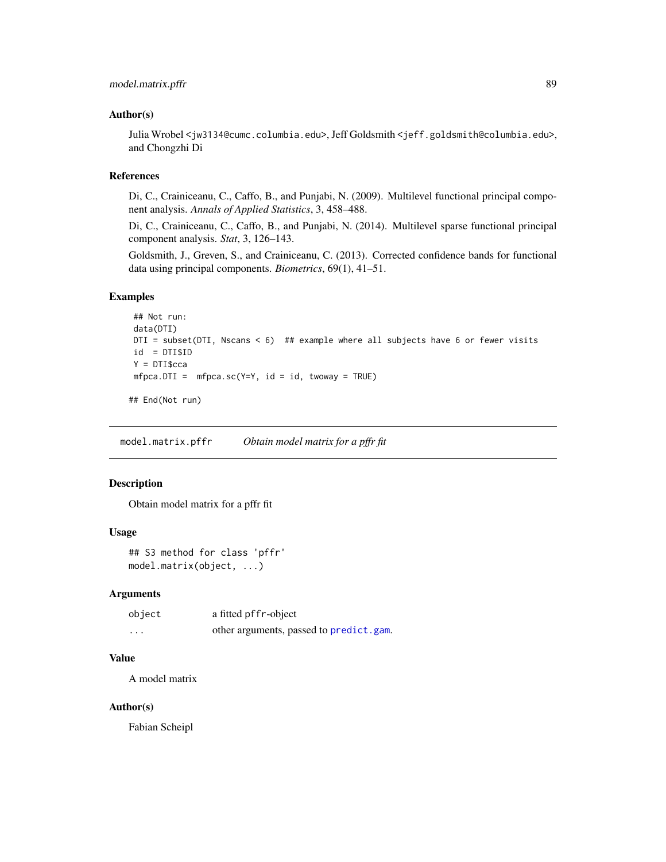## Author(s)

Julia Wrobel <jw3134@cumc.columbia.edu>, Jeff Goldsmith <jeff.goldsmith@columbia.edu>, and Chongzhi Di

### References

Di, C., Crainiceanu, C., Caffo, B., and Punjabi, N. (2009). Multilevel functional principal component analysis. *Annals of Applied Statistics*, 3, 458–488.

Di, C., Crainiceanu, C., Caffo, B., and Punjabi, N. (2014). Multilevel sparse functional principal component analysis. *Stat*, 3, 126–143.

Goldsmith, J., Greven, S., and Crainiceanu, C. (2013). Corrected confidence bands for functional data using principal components. *Biometrics*, 69(1), 41–51.

## Examples

```
## Not run:
data(DTI)
DTI = subset(DTI, Nscans < 6) ## example where all subjects have 6 or fewer visits
id = DTI$ID
Y = DTI$cca
mfpca.DTI = mfpca.sc(Y=Y, id = id, twoway = TRUE)
```
## End(Not run)

<span id="page-88-0"></span>model.matrix.pffr *Obtain model matrix for a pffr fit*

# Description

Obtain model matrix for a pffr fit

# Usage

```
## S3 method for class 'pffr'
model.matrix(object, ...)
```
## Arguments

| object   | a fitted pffr-object                    |
|----------|-----------------------------------------|
| $\cdots$ | other arguments, passed to predict.gam. |

# Value

A model matrix

#### Author(s)

Fabian Scheipl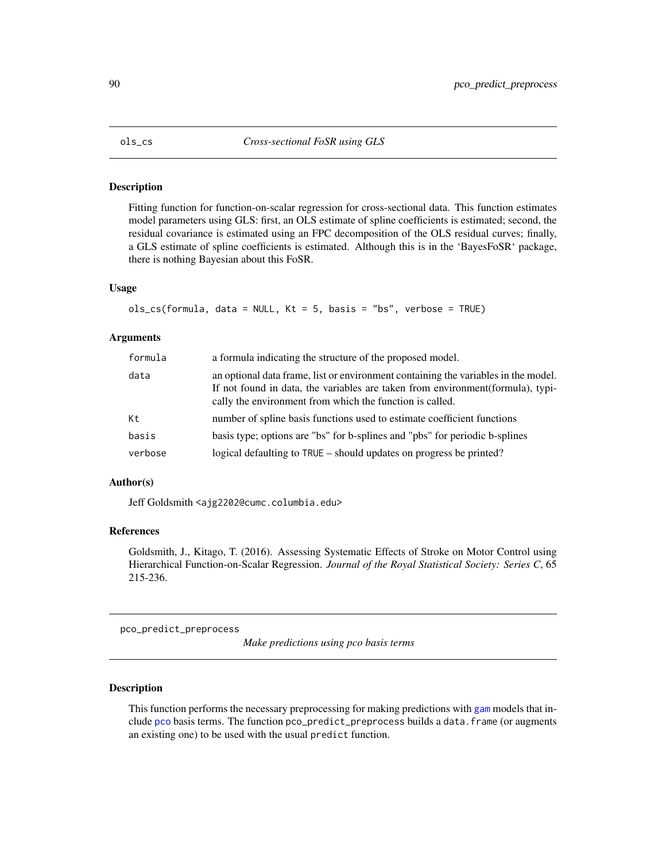#### Description

Fitting function for function-on-scalar regression for cross-sectional data. This function estimates model parameters using GLS: first, an OLS estimate of spline coefficients is estimated; second, the residual covariance is estimated using an FPC decomposition of the OLS residual curves; finally, a GLS estimate of spline coefficients is estimated. Although this is in the 'BayesFoSR' package, there is nothing Bayesian about this FoSR.

# Usage

```
ols_cs(formula, data = NULL, Kt = 5, basis = "bs", verbose = TRUE)
```
#### Arguments

| formula | a formula indicating the structure of the proposed model.                                                                                                                                                                         |
|---------|-----------------------------------------------------------------------------------------------------------------------------------------------------------------------------------------------------------------------------------|
| data    | an optional data frame, list or environment containing the variables in the model.<br>If not found in data, the variables are taken from environment (formula), typi-<br>cally the environment from which the function is called. |
| Kt      | number of spline basis functions used to estimate coefficient functions                                                                                                                                                           |
| basis   | basis type; options are "bs" for b-splines and "pbs" for periodic b-splines                                                                                                                                                       |
| verbose | logical defaulting to TRUE – should updates on progress be printed?                                                                                                                                                               |

#### Author(s)

Jeff Goldsmith <ajg2202@cumc.columbia.edu>

## References

Goldsmith, J., Kitago, T. (2016). Assessing Systematic Effects of Stroke on Motor Control using Hierarchical Function-on-Scalar Regression. *Journal of the Royal Statistical Society: Series C*, 65 215-236.

pco\_predict\_preprocess

*Make predictions using pco basis terms*

# Description

This function performs the necessary preprocessing for making predictions with [gam](#page-0-0) models that include [pco](#page-144-0) basis terms. The function pco\_predict\_preprocess builds a data.frame (or augments an existing one) to be used with the usual predict function.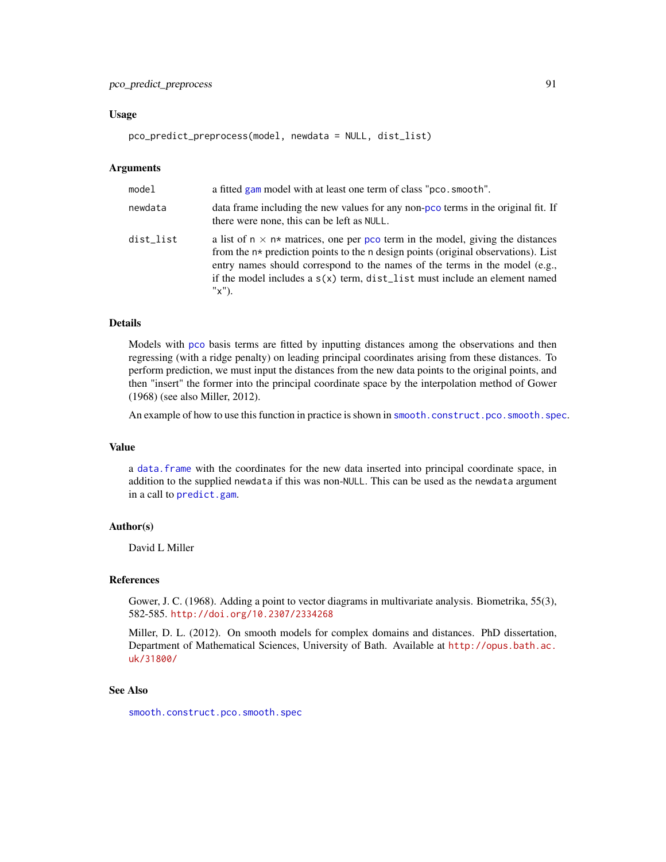# pco\_predict\_preprocess 91

#### Usage

pco\_predict\_preprocess(model, newdata = NULL, dist\_list)

## Arguments

| model     | a fitted gam model with at least one term of class "pco. smooth".                                                                                                                                                                                                                                                                                        |
|-----------|----------------------------------------------------------------------------------------------------------------------------------------------------------------------------------------------------------------------------------------------------------------------------------------------------------------------------------------------------------|
| newdata   | data frame including the new values for any non-pco terms in the original fit. If<br>there were none, this can be left as NULL.                                                                                                                                                                                                                          |
| dist_list | a list of $n \times n*$ matrices, one per pco term in the model, giving the distances<br>from the $n*$ prediction points to the n design points (original observations). List<br>entry names should correspond to the names of the terms in the model (e.g.,<br>if the model includes a $s(x)$ term, dist_list must include an element named<br>$"x"$ ). |

# Details

Models with [pco](#page-144-0) basis terms are fitted by inputting distances among the observations and then regressing (with a ridge penalty) on leading principal coordinates arising from these distances. To perform prediction, we must input the distances from the new data points to the original points, and then "insert" the former into the principal coordinate space by the interpolation method of Gower (1968) (see also Miller, 2012).

An example of how to use this function in practice is shown in [smooth.construct.pco.smooth.spec](#page-144-1).

#### Value

a [data.frame](#page-0-0) with the coordinates for the new data inserted into principal coordinate space, in addition to the supplied newdata if this was non-NULL. This can be used as the newdata argument in a call to [predict.gam](#page-0-0).

# Author(s)

David L Miller

## References

Gower, J. C. (1968). Adding a point to vector diagrams in multivariate analysis. Biometrika, 55(3), 582-585. <http://doi.org/10.2307/2334268>

Miller, D. L. (2012). On smooth models for complex domains and distances. PhD dissertation, Department of Mathematical Sciences, University of Bath. Available at [http://opus.bath.ac.](http://opus.bath.ac.uk/31800/) [uk/31800/](http://opus.bath.ac.uk/31800/)

# See Also

[smooth.construct.pco.smooth.spec](#page-144-1)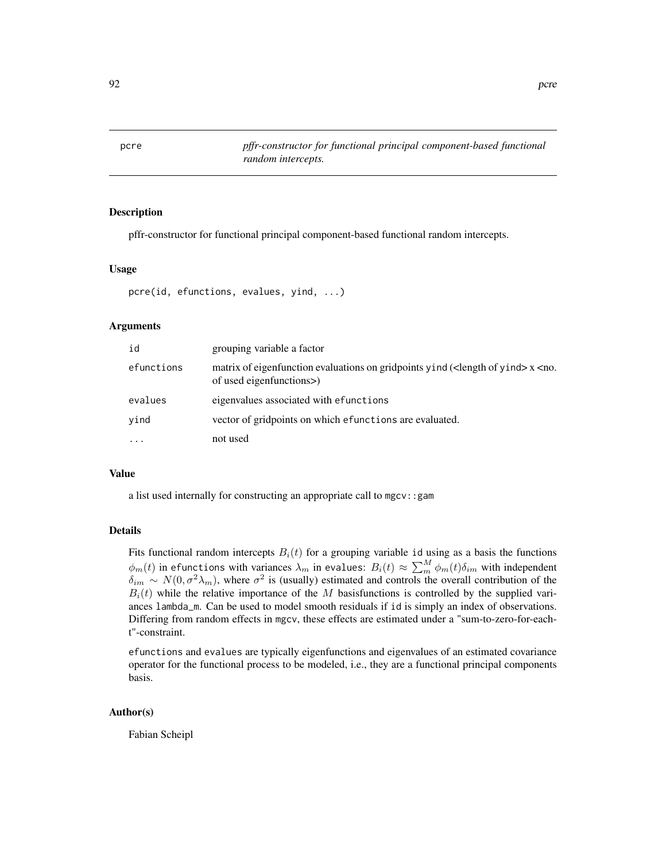<span id="page-91-0"></span>

## Description

pffr-constructor for functional principal component-based functional random intercepts.

#### Usage

```
pcre(id, efunctions, evalues, yind, ...)
```
# Arguments

| id         | grouping variable a factor                                                                                                                        |
|------------|---------------------------------------------------------------------------------------------------------------------------------------------------|
| efunctions | matrix of eigenfunction evaluations on gridpoints yind ( <length of="" yind=""><math>x</math><no.<br>of used eigenfunctions&gt;</no.<br></length> |
| evalues    | eigenvalues associated with efunctions                                                                                                            |
| vind       | vector of gridpoints on which efunctions are evaluated.                                                                                           |
| $\ddots$   | not used                                                                                                                                          |

#### Value

a list used internally for constructing an appropriate call to mgcv::gam

#### Details

Fits functional random intercepts  $B_i(t)$  for a grouping variable id using as a basis the functions  $\phi_m(t)$  in efunctions with variances  $\lambda_m$  in evalues:  $B_i(t)\approx \sum_m^M \phi_m(t) \delta_{im}$  with independent  $\delta_{im} \sim N(0, \sigma^2 \lambda_m)$ , where  $\sigma^2$  is (usually) estimated and controls the overall contribution of the  $B_i(t)$  while the relative importance of the M basisfunctions is controlled by the supplied variances lambda\_m. Can be used to model smooth residuals if id is simply an index of observations. Differing from random effects in mgcv, these effects are estimated under a "sum-to-zero-for-eacht"-constraint.

efunctions and evalues are typically eigenfunctions and eigenvalues of an estimated covariance operator for the functional process to be modeled, i.e., they are a functional principal components basis.

# Author(s)

Fabian Scheipl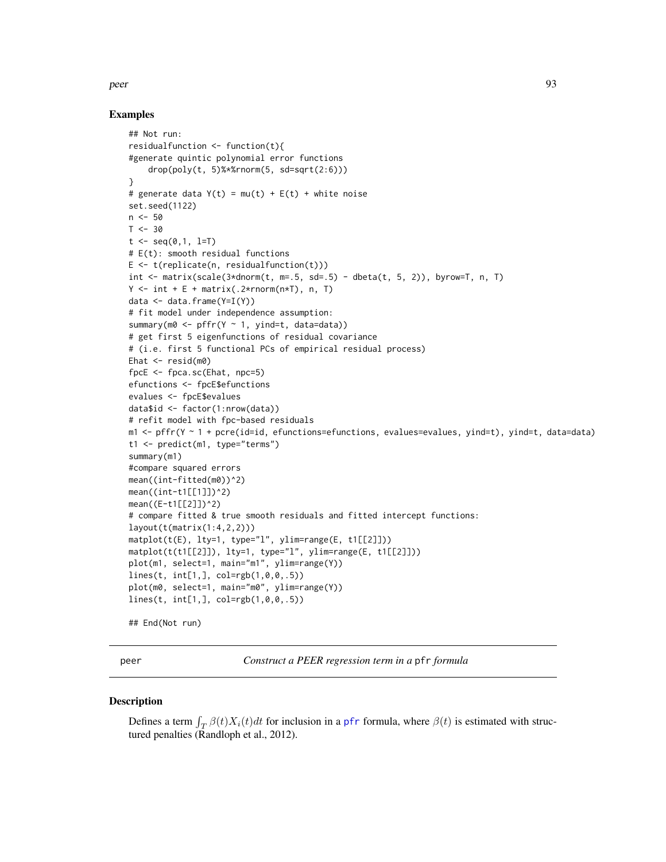#### peer 93

# Examples

```
## Not run:
residualfunction <- function(t){
#generate quintic polynomial error functions
    drop(poly(t, 5)%*%rnorm(5, sd=sqrt(2:6)))
}
# generate data Y(t) = mu(t) + E(t) + white noiseset.seed(1122)
n < -50T < -30t \leq - \text{seq}(0,1, 1=T)# E(t): smooth residual functions
E \leftarrow t(\text{replicate}(n, \text{residualfunction}(t)))int <- matrix(scale(3*dnorm(t, m=.5, sd=.5) - dbeta(t, 5, 2)), byrow=T, n, T)
Y \le - int + E + matrix(.2*rnorm(n*T), n, T)
data <- data.frame(Y=I(Y))
# fit model under independence assumption:
summary(m0 <- pffr(Y \sim 1, yind=t, data=data))
# get first 5 eigenfunctions of residual covariance
# (i.e. first 5 functional PCs of empirical residual process)
Ehat \leq resid(m0)
fpcE <- fpca.sc(Ehat, npc=5)
efunctions <- fpcE$efunctions
evalues <- fpcE$evalues
data$id <- factor(1:nrow(data))
# refit model with fpc-based residuals
m1 <- pffr(Y ~ 1 + pcre(id=id, efunctions=efunctions, evalues=evalues, yind=t), yind=t, data=data)
t1 <- predict(m1, type="terms")
summary(m1)
#compare squared errors
mean((int-fitted(m0))^2)
mean((int-t1[[1]])^2)
mean((E-t1[[2]])^2)
# compare fitted & true smooth residuals and fitted intercept functions:
layout(t(matrix(1:4,2,2)))
matplot(t(E), lty=1, type="l", ylim=range(E, t1[[2]]))
matplot(t(t1[[2]]), lty=1, type="l", ylim=range(E, t1[[2]]))
plot(m1, select=1, main="m1", ylim=range(Y))
lines(t, int[1,], col=rgb(1,0,0,.5))
plot(m0, select=1, main="m0", ylim=range(Y))
lines(t, int[1,], col=rgb(1,0,0,.5))
## End(Not run)
```
peer *Construct a PEER regression term in a* pfr *formula*

# Description

Defines a term  $\int_T \beta(t)X_i(t)dt$  for inclusion in a [pfr](#page-105-0) formula, where  $\beta(t)$  is estimated with structured penalties (Randloph et al., 2012).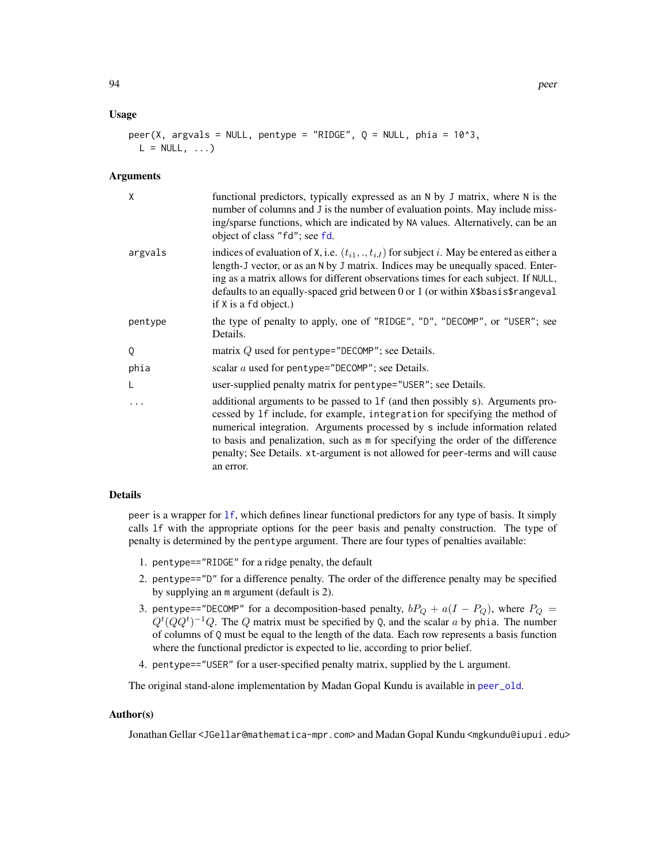#### Usage

```
peer(X, argvals = NULL, pentype = "RIDGE", Q = NULL, phia = 10^3,
 L = NULL, ...
```
#### **Arguments**

| X       | functional predictors, typically expressed as an N by J matrix, where N is the<br>number of columns and J is the number of evaluation points. May include miss-<br>ing/sparse functions, which are indicated by NA values. Alternatively, can be an<br>object of class "fd"; see fd.                                                                                                                                          |
|---------|-------------------------------------------------------------------------------------------------------------------------------------------------------------------------------------------------------------------------------------------------------------------------------------------------------------------------------------------------------------------------------------------------------------------------------|
| argvals | indices of evaluation of X, i.e. $(t_{i1}, \ldots, t_{iJ})$ for subject i. May be entered as either a<br>length-J vector, or as an N by J matrix. Indices may be unequally spaced. Enter-<br>ing as a matrix allows for different observations times for each subject. If NULL,<br>defaults to an equally-spaced grid between 0 or 1 (or within X\$basis\$rangeval<br>if X is a fd object.)                                   |
| pentype | the type of penalty to apply, one of "RIDGE", "D", "DECOMP", or "USER"; see<br>Details.                                                                                                                                                                                                                                                                                                                                       |
| Q       | matrix $Q$ used for pentype="DECOMP"; see Details.                                                                                                                                                                                                                                                                                                                                                                            |
| phia    | scalar $a$ used for pentype="DECOMP"; see Details.                                                                                                                                                                                                                                                                                                                                                                            |
|         | user-supplied penalty matrix for pentype="USER"; see Details.                                                                                                                                                                                                                                                                                                                                                                 |
|         | additional arguments to be passed to 1f (and then possibly s). Arguments pro-<br>cessed by 1f include, for example, integration for specifying the method of<br>numerical integration. Arguments processed by s include information related<br>to basis and penalization, such as m for specifying the order of the difference<br>penalty; See Details. xt-argument is not allowed for peer-terms and will cause<br>an error. |
|         |                                                                                                                                                                                                                                                                                                                                                                                                                               |

#### Details

peer is a wrapper for [lf](#page-73-0), which defines linear functional predictors for any type of basis. It simply calls lf with the appropriate options for the peer basis and penalty construction. The type of penalty is determined by the pentype argument. There are four types of penalties available:

- 1. pentype=="RIDGE" for a ridge penalty, the default
- 2. pentype=="D" for a difference penalty. The order of the difference penalty may be specified by supplying an m argument (default is 2).
- 3. pentype=="DECOMP" for a decomposition-based penalty,  $bP_Q + a(I P_Q)$ , where  $P_Q =$  $Q^t(QQ^t)^{-1}Q$ . The Q matrix must be specified by Q, and the scalar a by phia. The number of columns of Q must be equal to the length of the data. Each row represents a basis function where the functional predictor is expected to lie, according to prior belief.
- 4. pentype=="USER" for a user-specified penalty matrix, supplied by the L argument.

The original stand-alone implementation by Madan Gopal Kundu is available in [peer\\_old](#page-95-0).

## Author(s)

Jonathan Gellar <JGellar@mathematica-mpr.com> and Madan Gopal Kundu <mgkundu@iupui.edu>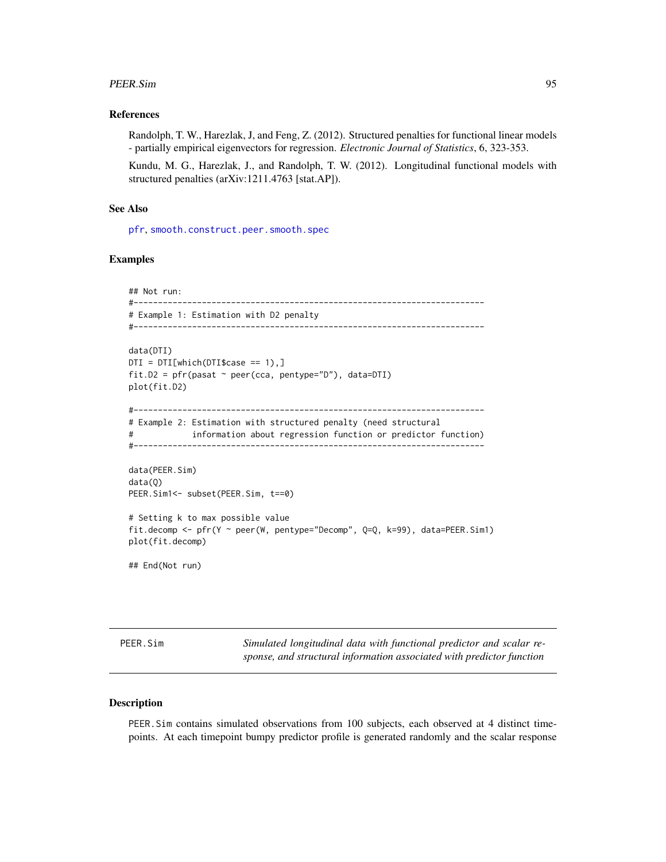#### PEER.Sim 95

## References

Randolph, T. W., Harezlak, J, and Feng, Z. (2012). Structured penalties for functional linear models - partially empirical eigenvectors for regression. *Electronic Journal of Statistics*, 6, 323-353.

Kundu, M. G., Harezlak, J., and Randolph, T. W. (2012). Longitudinal functional models with structured penalties (arXiv:1211.4763 [stat.AP]).

## See Also

[pfr](#page-105-0), [smooth.construct.peer.smooth.spec](#page-147-0)

## Examples

```
## Not run:
#------------------------------------------------------------------------
# Example 1: Estimation with D2 penalty
#------------------------------------------------------------------------
data(DTI)
DTI = DTI[which(DTI$case == 1),]fit.D2 = pfr(pasat \sim peer(cca, pentype="D"), data=DTI)
plot(fit.D2)
#------------------------------------------------------------------------
# Example 2: Estimation with structured penalty (need structural
# information about regression function or predictor function)
#------------------------------------------------------------------------
data(PEER.Sim)
data(Q)
PEER.Sim1<- subset(PEER.Sim, t==0)
# Setting k to max possible value
fit.decomp <- pfr(Y ~ peer(W, pentype="Decomp", Q=Q, k=99), data=PEER.Sim1)
plot(fit.decomp)
```
## End(Not run)

PEER.Sim *Simulated longitudinal data with functional predictor and scalar response, and structural information associated with predictor function*

## Description

PEER.Sim contains simulated observations from 100 subjects, each observed at 4 distinct timepoints. At each timepoint bumpy predictor profile is generated randomly and the scalar response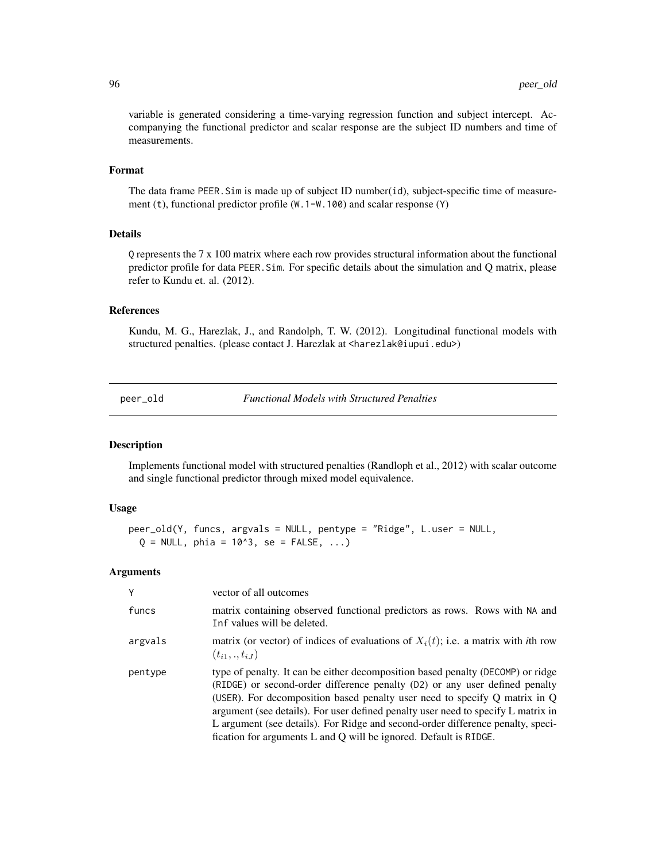variable is generated considering a time-varying regression function and subject intercept. Accompanying the functional predictor and scalar response are the subject ID numbers and time of measurements.

# Format

The data frame PEER.Sim is made up of subject ID number(id), subject-specific time of measurement (t), functional predictor profile (W.1-W.100) and scalar response (Y)

# Details

Q represents the 7 x 100 matrix where each row provides structural information about the functional predictor profile for data PEER.Sim. For specific details about the simulation and Q matrix, please refer to Kundu et. al. (2012).

# References

Kundu, M. G., Harezlak, J., and Randolph, T. W. (2012). Longitudinal functional models with structured penalties. (please contact J. Harezlak at <harezlak@iupui.edu>)

<span id="page-95-0"></span>peer\_old *Functional Models with Structured Penalties*

#### Description

Implements functional model with structured penalties (Randloph et al., 2012) with scalar outcome and single functional predictor through mixed model equivalence.

# Usage

```
peer_old(Y, funcs, argvals = NULL, pentype = "Ridge", L.user = NULL,
 Q = NULL, phia = 10^3, se = FALSE, ...)
```

| Y       | vector of all outcomes                                                                                                                                                                                                                                                                                                                                                                                                                                                                        |
|---------|-----------------------------------------------------------------------------------------------------------------------------------------------------------------------------------------------------------------------------------------------------------------------------------------------------------------------------------------------------------------------------------------------------------------------------------------------------------------------------------------------|
| funcs   | matrix containing observed functional predictors as rows. Rows with NA and<br>Inf values will be deleted.                                                                                                                                                                                                                                                                                                                                                                                     |
| argvals | matrix (or vector) of indices of evaluations of $X_i(t)$ ; i.e. a matrix with <i>i</i> th row<br>$(t_{i1},.,t_{iJ})$                                                                                                                                                                                                                                                                                                                                                                          |
| pentype | type of penalty. It can be either decomposition based penalty (DECOMP) or ridge<br>(RIDGE) or second-order difference penalty (D2) or any user defined penalty<br>(USER). For decomposition based penalty user need to specify $Q$ matrix in $Q$<br>argument (see details). For user defined penalty user need to specify L matrix in<br>L argument (see details). For Ridge and second-order difference penalty, speci-<br>fication for arguments L and Q will be ignored. Default is RIDGE. |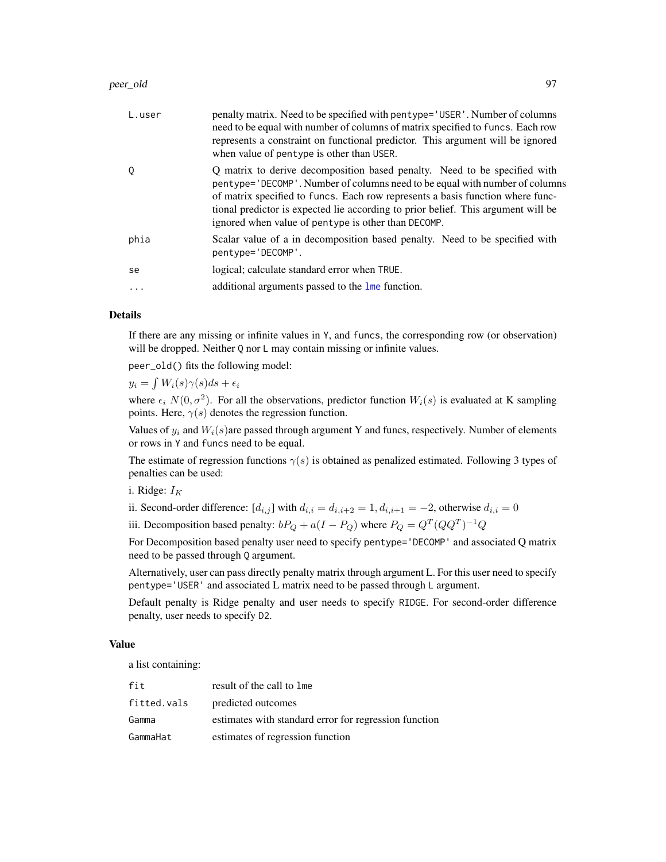#### peer\_old 97

| L.user                  | penalty matrix. Need to be specified with pentype= 'USER'. Number of columns<br>need to be equal with number of columns of matrix specified to funcs. Each row<br>represents a constraint on functional predictor. This argument will be ignored<br>when value of pentype is other than USER.                                                                                          |
|-------------------------|----------------------------------------------------------------------------------------------------------------------------------------------------------------------------------------------------------------------------------------------------------------------------------------------------------------------------------------------------------------------------------------|
| Q                       | Q matrix to derive decomposition based penalty. Need to be specified with<br>pentype='DECOMP'. Number of columns need to be equal with number of columns<br>of matrix specified to funcs. Each row represents a basis function where func-<br>tional predictor is expected lie according to prior belief. This argument will be<br>ignored when value of pentype is other than DECOMP. |
| phia                    | Scalar value of a in decomposition based penalty. Need to be specified with<br>pentype='DECOMP'.                                                                                                                                                                                                                                                                                       |
| se                      | logical; calculate standard error when TRUE.                                                                                                                                                                                                                                                                                                                                           |
| $\cdot$ $\cdot$ $\cdot$ | additional arguments passed to the lme function.                                                                                                                                                                                                                                                                                                                                       |

## Details

If there are any missing or infinite values in Y, and funcs, the corresponding row (or observation) will be dropped. Neither Q nor L may contain missing or infinite values.

peer\_old() fits the following model:

 $y_i = \int W_i(s)\gamma(s)ds + \epsilon_i$ 

where  $\epsilon_i$   $N(0, \sigma^2)$ . For all the observations, predictor function  $W_i(s)$  is evaluated at K sampling points. Here,  $\gamma(s)$  denotes the regression function.

Values of  $y_i$  and  $W_i(s)$  are passed through argument Y and funcs, respectively. Number of elements or rows in Y and funcs need to be equal.

The estimate of regression functions  $\gamma(s)$  is obtained as penalized estimated. Following 3 types of penalties can be used:

i. Ridge:  $I_K$ 

ii. Second-order difference:  $[d_{i,j}]$  with  $d_{i,i} = d_{i,i+2} = 1, d_{i,i+1} = -2$ , otherwise  $d_{i,i} = 0$ 

iii. Decomposition based penalty:  $bP_Q + a(I - P_Q)$  where  $P_Q = Q^T (QQ^T)^{-1} Q$ 

For Decomposition based penalty user need to specify pentype='DECOMP' and associated Q matrix need to be passed through Q argument.

Alternatively, user can pass directly penalty matrix through argument L. For this user need to specify pentype='USER' and associated L matrix need to be passed through L argument.

Default penalty is Ridge penalty and user needs to specify RIDGE. For second-order difference penalty, user needs to specify D2.

# Value

a list containing:

| fit         | result of the call to lme                             |
|-------------|-------------------------------------------------------|
| fitted.vals | predicted outcomes                                    |
| Gamma       | estimates with standard error for regression function |
| GammaHat    | estimates of regression function                      |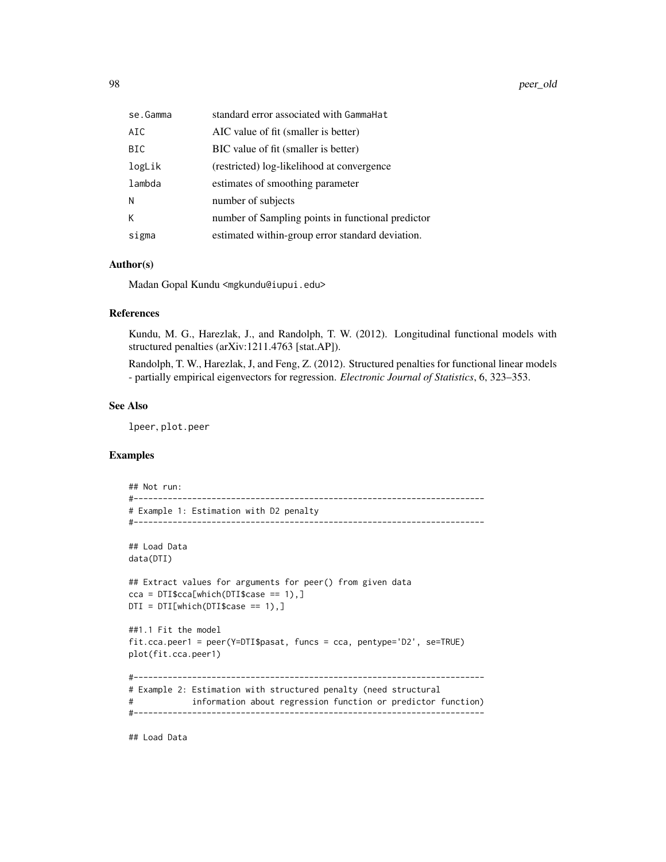98 peer\_old

| se.Gamma   | standard error associated with GammaHat           |
|------------|---------------------------------------------------|
| AIC        | AIC value of fit (smaller is better)              |
| <b>BIC</b> | BIC value of fit (smaller is better)              |
| logLik     | (restricted) log-likelihood at convergence        |
| lambda     | estimates of smoothing parameter                  |
| N          | number of subjects                                |
| К          | number of Sampling points in functional predictor |
| sigma      | estimated within-group error standard deviation.  |

# Author(s)

Madan Gopal Kundu <mgkundu@iupui.edu>

# References

Kundu, M. G., Harezlak, J., and Randolph, T. W. (2012). Longitudinal functional models with structured penalties (arXiv:1211.4763 [stat.AP]).

Randolph, T. W., Harezlak, J, and Feng, Z. (2012). Structured penalties for functional linear models - partially empirical eigenvectors for regression. *Electronic Journal of Statistics*, 6, 323–353.

# See Also

lpeer, plot.peer

# Examples

```
## Not run:
#------------------------------------------------------------------------
# Example 1: Estimation with D2 penalty
#------------------------------------------------------------------------
## Load Data
data(DTI)
## Extract values for arguments for peer() from given data
cca = DTI$cca[which(DTI$case == 1),]DTI = DTI[which(DTI$case == 1),]##1.1 Fit the model
fit.cca.peer1 = peer(Y=DTI$pasat, funcs = cca, pentype='D2', se=TRUE)
plot(fit.cca.peer1)
#------------------------------------------------------------------------
# Example 2: Estimation with structured penalty (need structural
# information about regression function or predictor function)
#------------------------------------------------------------------------
```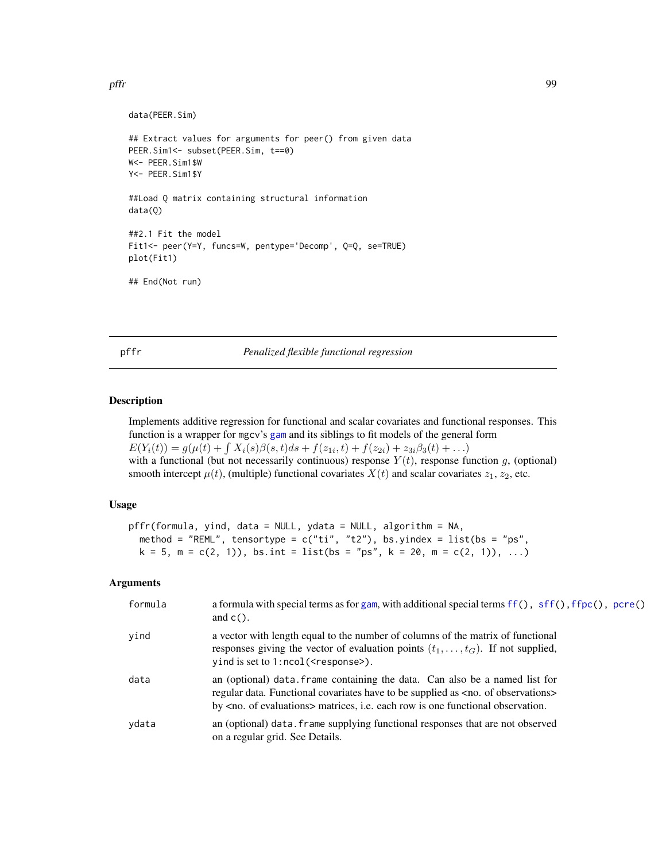pffr 99

```
data(PEER.Sim)
## Extract values for arguments for peer() from given data
PEER.Sim1<- subset(PEER.Sim, t==0)
W<- PEER.Sim1$W
Y<- PEER.Sim1$Y
##Load Q matrix containing structural information
data(Q)
##2.1 Fit the model
Fit1<- peer(Y=Y, funcs=W, pentype='Decomp', Q=Q, se=TRUE)
plot(Fit1)
## End(Not run)
```
<span id="page-98-0"></span>pffr *Penalized flexible functional regression*

# Description

Implements additive regression for functional and scalar covariates and functional responses. This function is a wrapper for mgcv's [gam](#page-0-0) and its siblings to fit models of the general form  $E(Y_i(t)) = g(\mu(t) + \int X_i(s)\beta(s,t)ds + f(z_{1i},t) + f(z_{2i}) + z_{3i}\beta_3(t) + ...)$ with a functional (but not necessarily continuous) response  $Y(t)$ , response function g, (optional) smooth intercept  $\mu(t)$ , (multiple) functional covariates  $X(t)$  and scalar covariates  $z_1, z_2$ , etc.

## Usage

```
pffr(formula, yind, data = NULL, ydata = NULL, algorithm = NA,
 method = "REML", tensortype = c("ti", "t2"), bs.yindex = list(bs = "ps",
 k = 5, m = c(2, 1), bs.int = list(bs = "ps", k = 20, m = c(2, 1)), ...
```

| formula | a formula with special terms as for gam, with additional special terms ff(), sff(), ffpc(), pcre()<br>and $c()$ .                                                                                                                                                          |
|---------|----------------------------------------------------------------------------------------------------------------------------------------------------------------------------------------------------------------------------------------------------------------------------|
| yind    | a vector with length equal to the number of columns of the matrix of functional<br>responses giving the vector of evaluation points $(t_1, \ldots, t_G)$ . If not supplied,<br>$y$ ind is set to 1:ncol( $\leq$ response $\geq$ ).                                         |
| data    | an (optional) data. frame containing the data. Can also be a named list for<br>regular data. Functional covariates have to be supplied as <no. observations="" of=""><br/>by <no. evaluations="" of=""> matrices, i.e. each row is one functional observation.</no.></no.> |
| ydata   | an (optional) data, frame supplying functional responses that are not observed<br>on a regular grid. See Details.                                                                                                                                                          |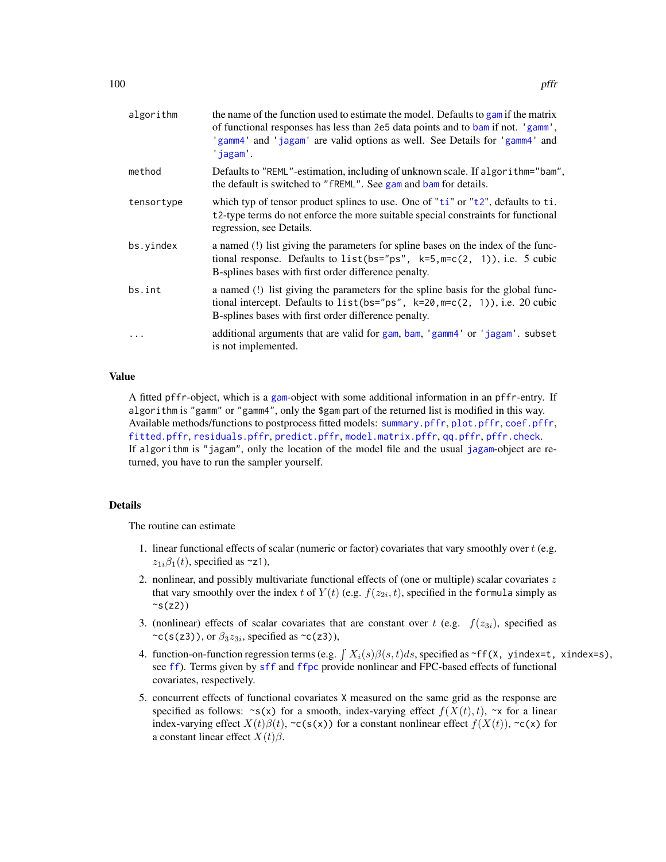| algorithm  | the name of the function used to estimate the model. Defaults to gam if the matrix<br>of functional responses has less than 2e5 data points and to bam if not. 'gamm',<br>'gamm4' and 'jagam' are valid options as well. See Details for 'gamm4' and<br>jagam. |
|------------|----------------------------------------------------------------------------------------------------------------------------------------------------------------------------------------------------------------------------------------------------------------|
| method     | Defaults to "REML"-estimation, including of unknown scale. If algorithm="bam",<br>the default is switched to "fREML". See gam and bam for details.                                                                                                             |
| tensortype | which typ of tensor product splines to use. One of "ti" or "t2", defaults to ti.<br>t2-type terms do not enforce the more suitable special constraints for functional<br>regression, see Details.                                                              |
| bs.yindex  | a named (!) list giving the parameters for spline bases on the index of the func-<br>tional response. Defaults to $list(bs="ps", k=5, m=c(2, 1)), i.e. 5 cubic$<br>B-splines bases with first order difference penalty.                                        |
| bs.int     | a named (!) list giving the parameters for the spline basis for the global func-<br>tional intercept. Defaults to $list(bs="ps", k=20, m=c(2, 1)), i.e. 20 cubic$<br>B-splines bases with first order difference penalty.                                      |
| $\cdots$   | additional arguments that are valid for gam, bam, 'gamm4' or 'jagam'. subset<br>is not implemented.                                                                                                                                                            |

# Value

A fitted pffr-object, which is a [gam](#page-0-0)-object with some additional information in an pffr-entry. If algorithm is "gamm" or "gamm4", only the \$gam part of the returned list is modified in this way. Available methods/functions to postprocess fitted models: [summary.pffr](#page-152-0), [plot.pffr](#page-118-0), [coef.pffr](#page-14-0), [fitted.pffr](#page-135-0), [residuals.pffr](#page-135-1), [predict.pffr](#page-128-0), [model.matrix.pffr](#page-88-0), [qq.pffr](#page-133-0), [pffr.check](#page-102-0). If algorithm is "jagam", only the location of the model file and the usual [jagam](#page-0-0)-object are returned, you have to run the sampler yourself.

## Details

The routine can estimate

- 1. linear functional effects of scalar (numeric or factor) covariates that vary smoothly over  $t$  (e.g.  $z_{1i}\beta_1(t)$ , specified as ~z1),
- 2. nonlinear, and possibly multivariate functional effects of (one or multiple) scalar covariates  $z$ that vary smoothly over the index t of  $Y(t)$  (e.g.  $f(z_{2i}, t)$ , specified in the formula simply as  $\sim s(z)$ )
- 3. (nonlinear) effects of scalar covariates that are constant over t (e.g.  $f(z_{3i})$ , specified as  $\sim$ c(s(z3)), or  $\beta_3 z_{3i}$ , specified as  $\sim$ c(z3)),
- 4. function-on-function regression terms (e.g.  $\int X_i(s)\beta(s,t)ds$ , specified as ~ff(X, yindex=t, xindex=s), see [ff](#page-24-0)). Terms given by [sff](#page-139-0) and [ffpc](#page-26-0) provide nonlinear and FPC-based effects of functional covariates, respectively.
- 5. concurrent effects of functional covariates X measured on the same grid as the response are specified as follows:  $\sim s(x)$  for a smooth, index-varying effect  $f(X(t), t)$ ,  $\sim x$  for a linear index-varying effect  $X(t)\beta(t)$ , ~c(s(x)) for a constant nonlinear effect  $f(X(t))$ , ~c(x) for a constant linear effect  $X(t)\beta$ .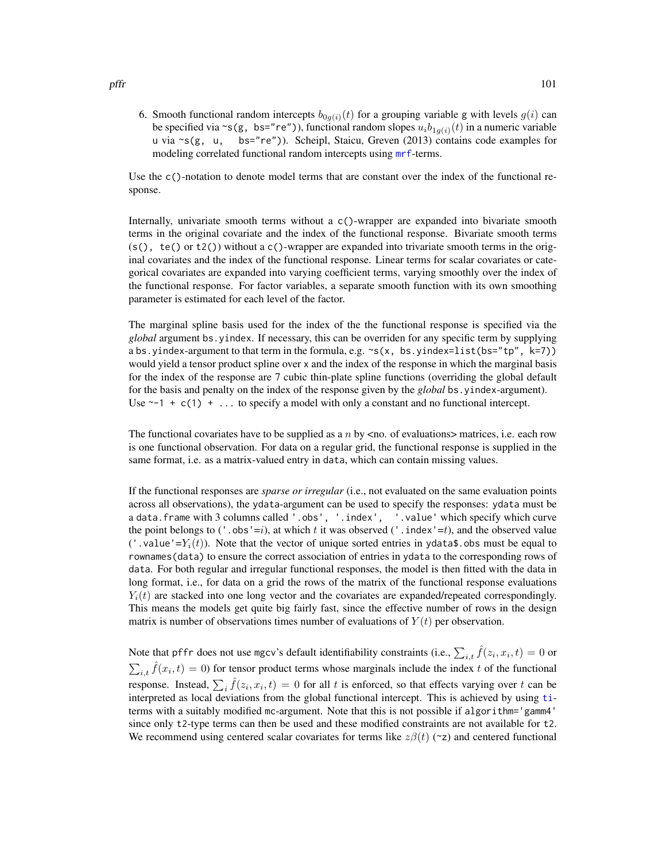6. Smooth functional random intercepts  $b_{0q(i)}(t)$  for a grouping variable g with levels  $g(i)$  can be specified via ~s(g, bs="re")), functional random slopes  $u_i b_{1g(i)}(t)$  in a numeric variable u via  $\sim s(g, u, b s = "re")$ ). Scheipl, Staicu, Greven (2013) contains code examples for modeling correlated functional random intercepts using [mrf](#page-0-0)-terms.

Use the c()-notation to denote model terms that are constant over the index of the functional response.

Internally, univariate smooth terms without a c()-wrapper are expanded into bivariate smooth terms in the original covariate and the index of the functional response. Bivariate smooth terms  $(s()$ , te() or t2()) without a c()-wrapper are expanded into trivariate smooth terms in the original covariates and the index of the functional response. Linear terms for scalar covariates or categorical covariates are expanded into varying coefficient terms, varying smoothly over the index of the functional response. For factor variables, a separate smooth function with its own smoothing parameter is estimated for each level of the factor.

The marginal spline basis used for the index of the the functional response is specified via the *global* argument bs.yindex. If necessary, this can be overriden for any specific term by supplying a bs.yindex-argument to that term in the formula, e.g. ~s(x, bs.yindex=list(bs="tp", k=7)) would yield a tensor product spline over x and the index of the response in which the marginal basis for the index of the response are 7 cubic thin-plate spline functions (overriding the global default for the basis and penalty on the index of the response given by the *global* bs.yindex-argument). Use  $\sim$ -1 + c(1) + ... to specify a model with only a constant and no functional intercept.

The functional covariates have to be supplied as a  $n$  by  $\leq$  no. of evaluations matrices, i.e. each row is one functional observation. For data on a regular grid, the functional response is supplied in the same format, i.e. as a matrix-valued entry in data, which can contain missing values.

If the functional responses are *sparse or irregular* (i.e., not evaluated on the same evaluation points across all observations), the ydata-argument can be used to specify the responses: ydata must be a data.frame with 3 columns called '.obs', '.index', '.value' which specify which curve the point belongs to ('.obs'=i), at which t it was observed ('.index'=t), and the observed value ('.value'=Y<sub>i</sub>(t)). Note that the vector of unique sorted entries in ydata\$.obs must be equal to rownames(data) to ensure the correct association of entries in ydata to the corresponding rows of data. For both regular and irregular functional responses, the model is then fitted with the data in long format, i.e., for data on a grid the rows of the matrix of the functional response evaluations  $Y_i(t)$  are stacked into one long vector and the covariates are expanded/repeated correspondingly. This means the models get quite big fairly fast, since the effective number of rows in the design matrix is number of observations times number of evaluations of  $Y(t)$  per observation.

Note that pffr does not use mgcv's default identifiability constraints (i.e.,  $\sum_{i,t} \hat{f}(z_i, x_i, t) = 0$  or  $\sum_{i,t} \hat{f}(x_i, t) = 0$ ) for tensor product terms whose marginals include the index t of the functional response. Instead,  $\sum_i \hat{f}(z_i, x_i, t) = 0$  for all t is enforced, so that effects varying over t can be interpreted as local deviations from the global functional intercept. This is achieved by using [ti](#page-0-0)terms with a suitably modified mc-argument. Note that this is not possible if algorithm='gamm4' since only t2-type terms can then be used and these modified constraints are not available for t2. We recommend using centered scalar covariates for terms like  $z\beta(t)$  (~z) and centered functional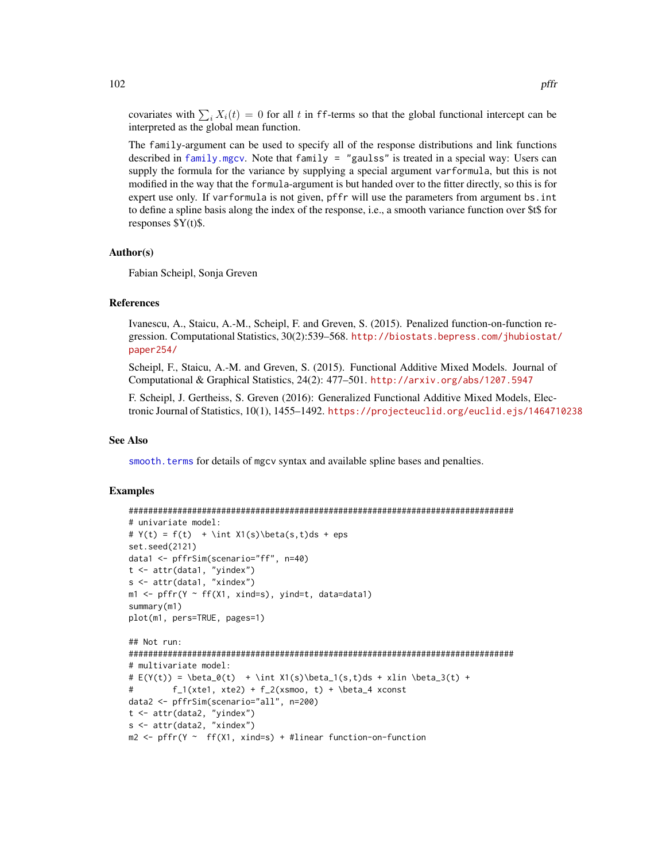covariates with  $\sum_i X_i(t) = 0$  for all t in ff-terms so that the global functional intercept can be interpreted as the global mean function.

The family-argument can be used to specify all of the response distributions and link functions described in [family.mgcv](#page-0-0). Note that family = "gaulss" is treated in a special way: Users can supply the formula for the variance by supplying a special argument varformula, but this is not modified in the way that the formula-argument is but handed over to the fitter directly, so this is for expert use only. If varformula is not given, pffr will use the parameters from argument bs.int to define a spline basis along the index of the response, i.e., a smooth variance function over \$t\$ for responses \$Y(t)\$.

#### Author(s)

Fabian Scheipl, Sonja Greven

## **References**

Ivanescu, A., Staicu, A.-M., Scheipl, F. and Greven, S. (2015). Penalized function-on-function regression. Computational Statistics, 30(2):539–568. [http://biostats.bepress.com/jhubiostat/](http://biostats.bepress.com/jhubiostat/paper254/) [paper254/](http://biostats.bepress.com/jhubiostat/paper254/)

Scheipl, F., Staicu, A.-M. and Greven, S. (2015). Functional Additive Mixed Models. Journal of Computational & Graphical Statistics, 24(2): 477–501. <http://arxiv.org/abs/1207.5947>

F. Scheipl, J. Gertheiss, S. Greven (2016): Generalized Functional Additive Mixed Models, Electronic Journal of Statistics, 10(1), 1455–1492. <https://projecteuclid.org/euclid.ejs/1464710238>

#### See Also

[smooth.terms](#page-0-0) for details of mgcv syntax and available spline bases and penalties.

# Examples

```
###############################################################################
# univariate model:
# Y(t) = f(t) + \int X1(s)\beta(s,t)ds + epsset.seed(2121)
data1 <- pffrSim(scenario="ff", n=40)
t <- attr(data1, "yindex")
s <- attr(data1, "xindex")
m1 \leq -p fr(Y \sim ff(X1, xind=s), yind=t, data=data1)
summary(m1)
plot(m1, pers=TRUE, pages=1)
## Not run:
###############################################################################
# multivariate model:
# E(Y(t)) = \beta_0(t) + \int X1(s)\beta_1(s,t)ds + xlin \beta_3(t) +# f_1(xte1, xte2) + f_2(xsmoo, t) + \beta_4 xconstdata2 <- pffrSim(scenario="all", n=200)
t <- attr(data2, "yindex")
s <- attr(data2, "xindex")
m2 \leq p fr(Y \sim ff(X1, xind=s) + #linear function-on-function
```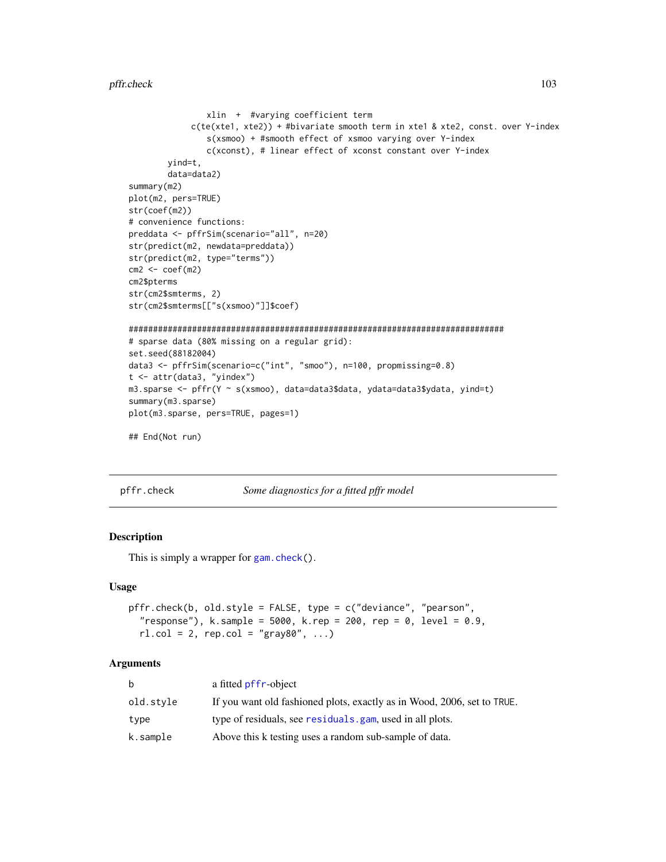#### pffr.check 103

```
xlin + #varying coefficient term
            c(te(xte1, xte2)) + #bivariate smooth term in xte1 & xte2, const. over Y-index
                s(xsmoo) + #smooth effect of xsmoo varying over Y-index
                c(xconst), # linear effect of xconst constant over Y-index
        yind=t,
        data=data2)
summary(m2)
plot(m2, pers=TRUE)
str(coef(m2))
# convenience functions:
preddata <- pffrSim(scenario="all", n=20)
str(predict(m2, newdata=preddata))
str(predict(m2, type="terms"))
cm2 < - \text{coeff}(m2)cm2$pterms
str(cm2$smterms, 2)
str(cm2$smterms[["s(xsmoo)"]]$coef)
#############################################################################
# sparse data (80% missing on a regular grid):
set.seed(88182004)
data3 <- pffrSim(scenario=c("int", "smoo"), n=100, propmissing=0.8)
t <- attr(data3, "yindex")
m3.sparse <- pffr(Y ~ s(xsmoo), data=data3$data, ydata=data3$ydata, yind=t)
summary(m3.sparse)
plot(m3.sparse, pers=TRUE, pages=1)
## End(Not run)
```
pffr.check *Some diagnostics for a fitted pffr model*

# Description

This is simply a wrapper for [gam.check\(](#page-0-0)).

#### Usage

```
pffr.check(b, old.style = FALSE, type = c("deviance", "pearson",
  "response"), k.sample = 5000, k.rep = 200, rep = 0, level = 0.9,
  r1.col = 2, rep.col = "gray80", ...
```

| b         | a fitted pffr-object                                                    |
|-----------|-------------------------------------------------------------------------|
| old.stvle | If you want old fashioned plots, exactly as in Wood, 2006, set to TRUE. |
| type      | type of residuals, see residuals. gam, used in all plots.               |
| k.sample  | Above this k testing uses a random sub-sample of data.                  |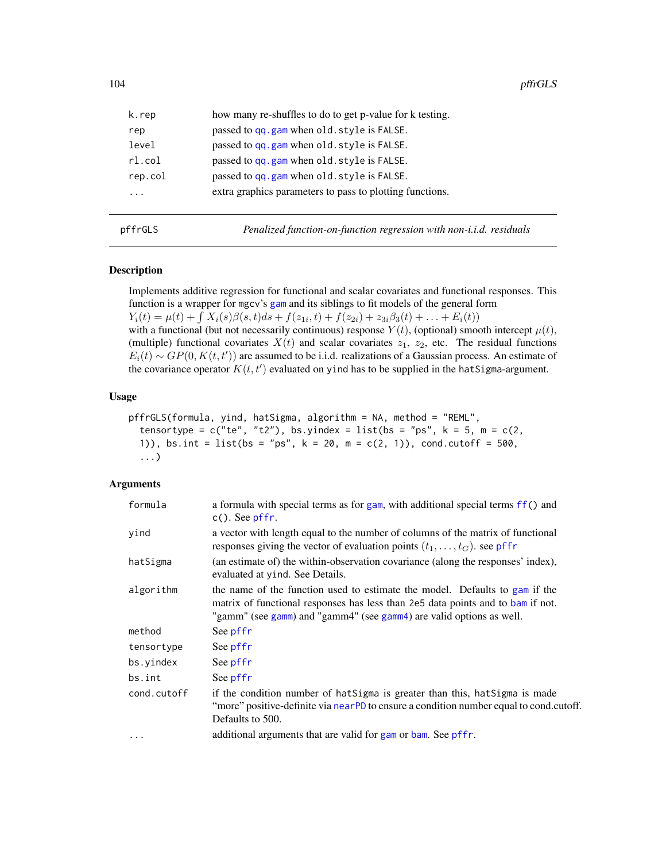| k.rep     | how many re-shuffles to do to get p-value for k testing. |
|-----------|----------------------------------------------------------|
| rep       | passed to qq.gam when old.style is FALSE.                |
| level     | passed to qq.gam when old.style is FALSE.                |
| $r1$ .col | passed to qq.gam when old.style is FALSE.                |
| rep.col   | passed to qq.gam when old.style is FALSE.                |
| .         | extra graphics parameters to pass to plotting functions. |
|           |                                                          |
|           |                                                          |

pffrGLS *Penalized function-on-function regression with non-i.i.d. residuals*

# Description

Implements additive regression for functional and scalar covariates and functional responses. This function is a wrapper for mgcv's [gam](#page-0-0) and its siblings to fit models of the general form  $Y_i(t) = \mu(t) + \int X_i(s)\beta(s,t)ds + f(z_{1i},t) + f(z_{2i}) + z_{3i}\beta_3(t) + \ldots + E_i(t)$ with a functional (but not necessarily continuous) response  $Y(t)$ , (optional) smooth intercept  $\mu(t)$ , (multiple) functional covariates  $X(t)$  and scalar covariates  $z_1$ ,  $z_2$ , etc. The residual functions  $E_i(t) \sim GP(0, K(t, t'))$  are assumed to be i.i.d. realizations of a Gaussian process. An estimate of the covariance operator  $K(t, t')$  evaluated on yind has to be supplied in the hatSigma-argument.

# Usage

```
pffrGLS(formula, yind, hatSigma, algorithm = NA, method = "REML",
  tensortype = c("te", "t2"), bs.yindex = list(bs = "ps", k = 5, m = c(2,1)), bs.int = list(bs = "ps", k = 20, m = c(2, 1)), cond.cutoff = 500,
  ...)
```

| formula     | a formula with special terms as for gam, with additional special terms ff() and<br>$c()$ . See pffr.                                                                                                                                   |
|-------------|----------------------------------------------------------------------------------------------------------------------------------------------------------------------------------------------------------------------------------------|
| yind        | a vector with length equal to the number of columns of the matrix of functional<br>responses giving the vector of evaluation points $(t_1, \ldots, t_G)$ . see pffr                                                                    |
| hatSigma    | (an estimate of) the within-observation covariance (along the responses' index),<br>evaluated at y ind. See Details.                                                                                                                   |
| algorithm   | the name of the function used to estimate the model. Defaults to gam if the<br>matrix of functional responses has less than 2e5 data points and to bam if not.<br>"gamm" (see gamm) and "gamm4" (see gamm4) are valid options as well. |
| method      | See pffr                                                                                                                                                                                                                               |
| tensortype  | See pffr                                                                                                                                                                                                                               |
| bs.yindex   | See pffr                                                                                                                                                                                                                               |
| bs.int      | See pffr                                                                                                                                                                                                                               |
| cond.cutoff | if the condition number of hat Sigma is greater than this, hat Sigma is made<br>"more" positive-definite via nearPD to ensure a condition number equal to cond.cutoff.<br>Defaults to 500.                                             |
| $\cdots$    | additional arguments that are valid for gam or bam. See pffr.                                                                                                                                                                          |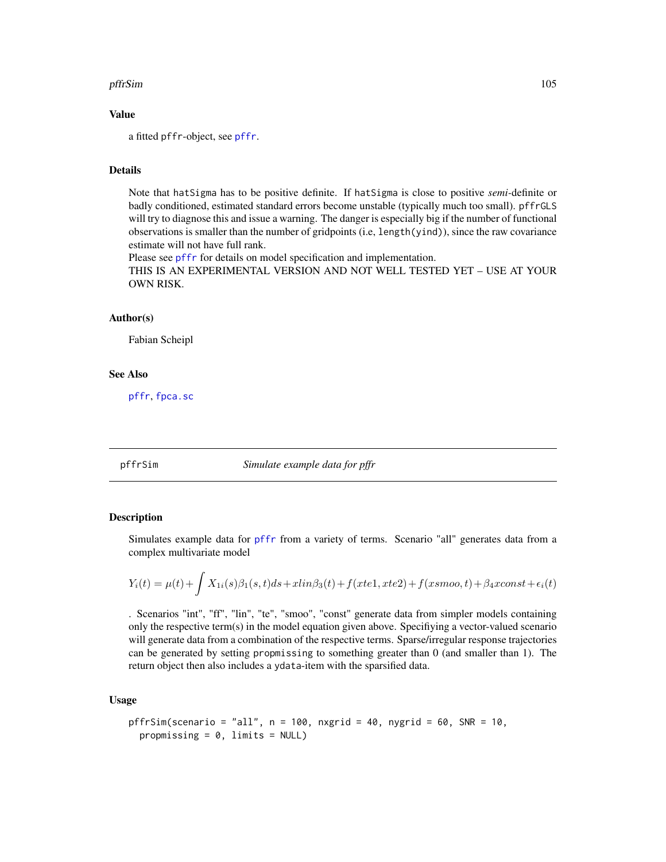#### pffrSim the contract of the contract of the contract of the contract of the contract of the contract of the contract of the contract of the contract of the contract of the contract of the contract of the contract of the co

## Value

a fitted pffr-object, see [pffr](#page-98-0).

# **Details**

Note that hatSigma has to be positive definite. If hatSigma is close to positive *semi-*definite or badly conditioned, estimated standard errors become unstable (typically much too small). pffrGLS will try to diagnose this and issue a warning. The danger is especially big if the number of functional observations is smaller than the number of gridpoints (i.e, length(yind)), since the raw covariance estimate will not have full rank.

Please see [pffr](#page-98-0) for details on model specification and implementation.

THIS IS AN EXPERIMENTAL VERSION AND NOT WELL TESTED YET – USE AT YOUR OWN RISK.

# Author(s)

Fabian Scheipl

# See Also

[pffr](#page-98-0), [fpca.sc](#page-53-0)

pffrSim *Simulate example data for pffr*

## Description

Simulates example data for [pffr](#page-98-0) from a variety of terms. Scenario "all" generates data from a complex multivariate model

$$
Y_i(t) = \mu(t) + \int X_{1i}(s)\beta_1(s,t)ds + xlin\beta_3(t) + f(xtel, xte2) + f(xsmoo, t) + \beta_4xconst + \epsilon_i(t)
$$

. Scenarios "int", "ff", "lin", "te", "smoo", "const" generate data from simpler models containing only the respective term(s) in the model equation given above. Specifiying a vector-valued scenario will generate data from a combination of the respective terms. Sparse/irregular response trajectories can be generated by setting propmissing to something greater than 0 (and smaller than 1). The return object then also includes a ydata-item with the sparsified data.

# Usage

```
pffrSim(scenario = "all", n = 100, nxgrid = 40, nygrid = 60, SNR = 10,
  propmissing = 0, limits = NULL)
```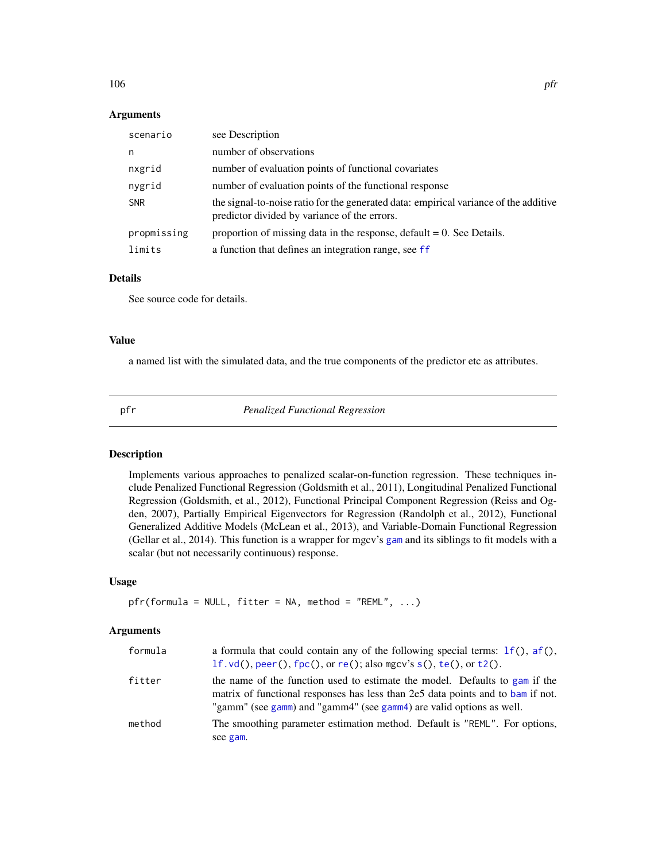#### $106$  pfr

## Arguments

| scenario    | see Description                                                                                                                      |
|-------------|--------------------------------------------------------------------------------------------------------------------------------------|
| n           | number of observations                                                                                                               |
| nxgrid      | number of evaluation points of functional covariates                                                                                 |
| nygrid      | number of evaluation points of the functional response                                                                               |
| <b>SNR</b>  | the signal-to-noise ratio for the generated data: empirical variance of the additive<br>predictor divided by variance of the errors. |
| propmissing | proportion of missing data in the response, default $= 0$ . See Details.                                                             |
| limits      | a function that defines an integration range, see ff                                                                                 |

## Details

See source code for details.

# Value

a named list with the simulated data, and the true components of the predictor etc as attributes.

<span id="page-105-0"></span>

pfr *Penalized Functional Regression*

# Description

Implements various approaches to penalized scalar-on-function regression. These techniques include Penalized Functional Regression (Goldsmith et al., 2011), Longitudinal Penalized Functional Regression (Goldsmith, et al., 2012), Functional Principal Component Regression (Reiss and Ogden, 2007), Partially Empirical Eigenvectors for Regression (Randolph et al., 2012), Functional Generalized Additive Models (McLean et al., 2013), and Variable-Domain Functional Regression (Gellar et al., 2014). This function is a wrapper for mgcv's [gam](#page-0-0) and its siblings to fit models with a scalar (but not necessarily continuous) response.

# Usage

```
pfr(formula = NULL, filter = NA, method = "REML", ...)
```

| a formula that could contain any of the following special terms: $1f()$ , $af()$ ,<br>$1f$ . vd(), peer(), $fpc($ ), or re(); also mgcv's s(), te(), or t2().                                                                          |
|----------------------------------------------------------------------------------------------------------------------------------------------------------------------------------------------------------------------------------------|
| the name of the function used to estimate the model. Defaults to gam if the<br>matrix of functional responses has less than 2e5 data points and to bam if not.<br>"gamm" (see gamm) and "gamm4" (see gamm4) are valid options as well. |
| The smoothing parameter estimation method. Default is "REML". For options,<br>see gam.                                                                                                                                                 |
|                                                                                                                                                                                                                                        |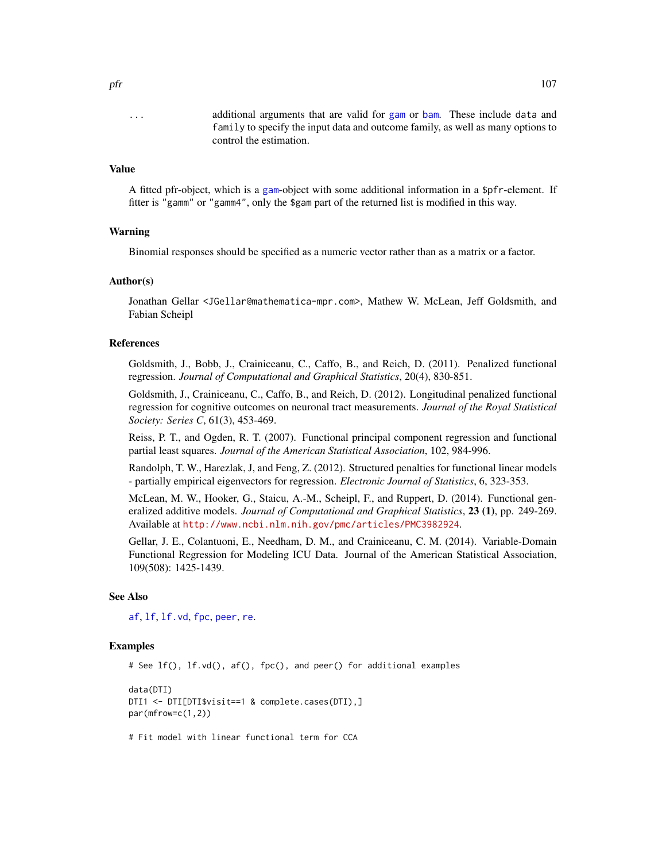... additional arguments that are valid for [gam](#page-0-0) or [bam](#page-0-0). These include data and family to specify the input data and outcome family, as well as many options to control the estimation.

#### Value

A fitted pfr-object, which is a [gam](#page-0-0)-object with some additional information in a \$pfr-element. If fitter is "gamm" or "gamm4", only the \$gam part of the returned list is modified in this way.

## Warning

Binomial responses should be specified as a numeric vector rather than as a matrix or a factor.

## Author(s)

Jonathan Gellar <JGellar@mathematica-mpr.com>, Mathew W. McLean, Jeff Goldsmith, and Fabian Scheipl

## References

Goldsmith, J., Bobb, J., Crainiceanu, C., Caffo, B., and Reich, D. (2011). Penalized functional regression. *Journal of Computational and Graphical Statistics*, 20(4), 830-851.

Goldsmith, J., Crainiceanu, C., Caffo, B., and Reich, D. (2012). Longitudinal penalized functional regression for cognitive outcomes on neuronal tract measurements. *Journal of the Royal Statistical Society: Series C*, 61(3), 453-469.

Reiss, P. T., and Ogden, R. T. (2007). Functional principal component regression and functional partial least squares. *Journal of the American Statistical Association*, 102, 984-996.

Randolph, T. W., Harezlak, J, and Feng, Z. (2012). Structured penalties for functional linear models - partially empirical eigenvectors for regression. *Electronic Journal of Statistics*, 6, 323-353.

McLean, M. W., Hooker, G., Staicu, A.-M., Scheipl, F., and Ruppert, D. (2014). Functional generalized additive models. *Journal of Computational and Graphical Statistics*, 23 (1), pp. 249-269. Available at <http://www.ncbi.nlm.nih.gov/pmc/articles/PMC3982924>.

Gellar, J. E., Colantuoni, E., Needham, D. M., and Crainiceanu, C. M. (2014). Variable-Domain Functional Regression for Modeling ICU Data. Journal of the American Statistical Association, 109(508): 1425-1439.

#### See Also

[af](#page-4-0), [lf](#page-73-0), [lf.vd](#page-75-0), [fpc](#page-41-0), [peer](#page-92-0), [re](#page-134-0).

# Examples

```
# See lf(), lf.vd(), af(), fpc(), and peer() for additional examples
data(DTI)
DTI1 <- DTI[DTI$visit==1 & complete.cases(DTI),]
par(mfrow=c(1,2))
# Fit model with linear functional term for CCA
```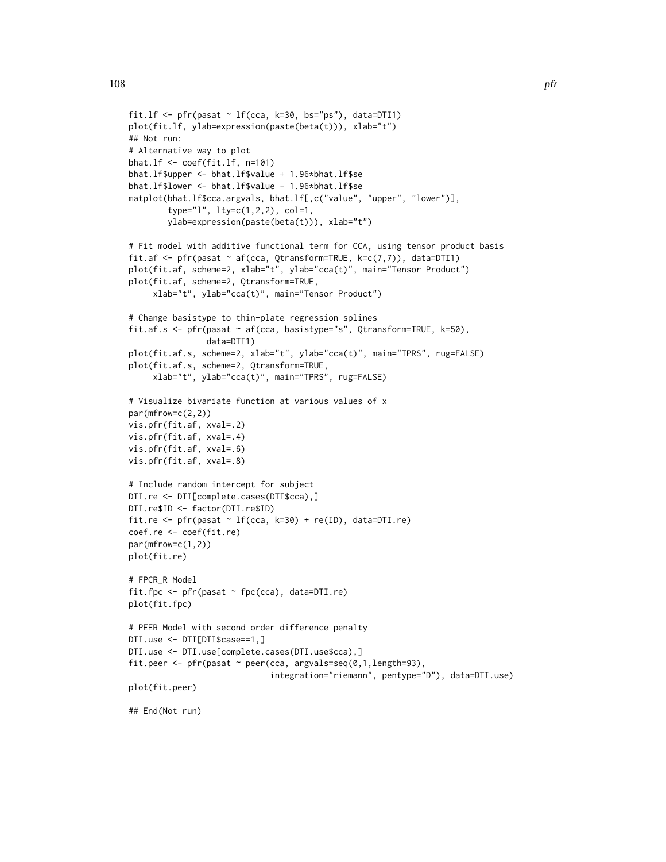```
fit.lf \leq pfr(pasat \sim lf(cca, k=30, bs="ps"), data=DTI1)
plot(fit.lf, ylab=expression(paste(beta(t))), xlab="t")
## Not run:
# Alternative way to plot
bhat.lf <- coef(fit.lf, n=101)
bhat.lf$upper <- bhat.lf$value + 1.96*bhat.lf$se
bhat.lf$lower <- bhat.lf$value - 1.96*bhat.lf$se
matplot(bhat.lf$cca.argvals, bhat.lf[,c("value", "upper", "lower")],
        type="l", lty=c(1,2,2), col=1,
        ylab=expression(paste(beta(t))), xlab="t")
# Fit model with additive functional term for CCA, using tensor product basis
fit.af \leq pfr(pasat \sim af(cca, Qtransform=TRUE, k=c(7,7)), data=DTI1)
plot(fit.af, scheme=2, xlab="t", ylab="cca(t)", main="Tensor Product")
plot(fit.af, scheme=2, Qtransform=TRUE,
     xlab="t", ylab="cca(t)", main="Tensor Product")
# Change basistype to thin-plate regression splines
fit.af.s <- pfr(pasat ~ af(cca, basistype="s", Qtransform=TRUE, k=50),
                data=DTI1)
plot(fit.af.s, scheme=2, xlab="t", ylab="cca(t)", main="TPRS", rug=FALSE)
plot(fit.af.s, scheme=2, Qtransform=TRUE,
     xlab="t", ylab="cca(t)", main="TPRS", rug=FALSE)
# Visualize bivariate function at various values of x
par(mfrow=c(2,2))
vis.pfr(fit.af, xval=.2)
vis.pfr(fit.af, xval=.4)
vis.pfr(fit.af, xval=.6)
vis.pfr(fit.af, xval=.8)
# Include random intercept for subject
DTI.re <- DTI[complete.cases(DTI$cca),]
DTI.re$ID <- factor(DTI.re$ID)
fit.re <- pfr(pasat \sim lf(cca, k=30) + re(ID), data=DTI.re)
coef.re <- coef(fit.re)
par(mfrow=c(1,2))
plot(fit.re)
# FPCR_R Model
fit.fpc <- pfr(pasat ~ fpc(cca), data=DTI.re)
plot(fit.fpc)
# PEER Model with second order difference penalty
DTI.use <- DTI[DTI$case==1,]
DTI.use <- DTI.use[complete.cases(DTI.use$cca),]
fit.peer \leq pfr(pasat \sim peer(cca, argvals=seq(0,1,length=93),
                             integration="riemann", pentype="D"), data=DTI.use)
plot(fit.peer)
## End(Not run)
```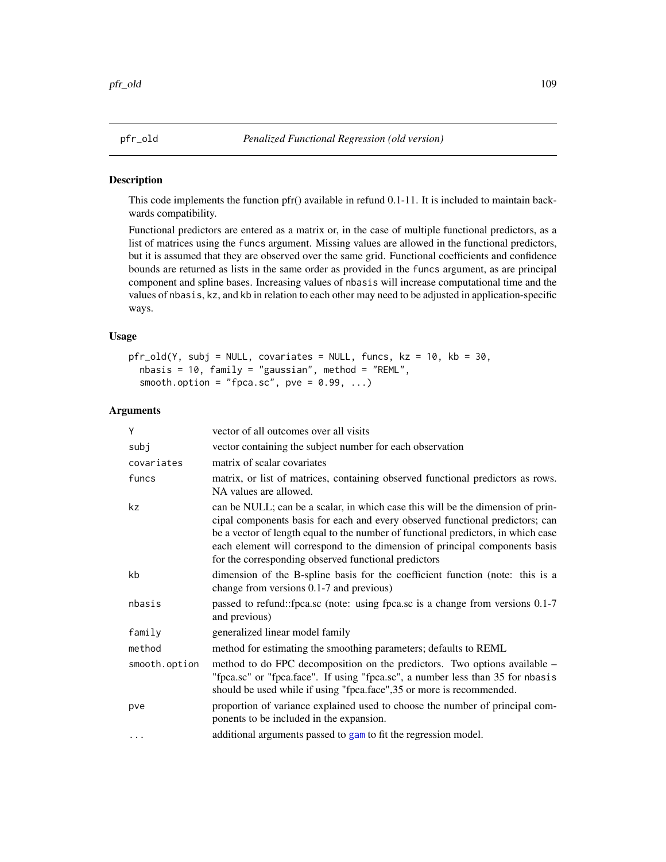## Description

This code implements the function pfr() available in refund 0.1-11. It is included to maintain backwards compatibility.

Functional predictors are entered as a matrix or, in the case of multiple functional predictors, as a list of matrices using the funcs argument. Missing values are allowed in the functional predictors, but it is assumed that they are observed over the same grid. Functional coefficients and confidence bounds are returned as lists in the same order as provided in the funcs argument, as are principal component and spline bases. Increasing values of nbasis will increase computational time and the values of nbasis, kz, and kb in relation to each other may need to be adjusted in application-specific ways.

## Usage

```
pfr_old(Y, subj = NULL, covariates = NULL, funcs, kz = 10, kb = 30,
 nbasis = 10, family = "gaussian", method = "REML",
  smooth.option = "fpca.sc", pve = 0.99, ...)
```

| Y             | vector of all outcomes over all visits                                                                                                                                                                                                                                                                                                                                                       |
|---------------|----------------------------------------------------------------------------------------------------------------------------------------------------------------------------------------------------------------------------------------------------------------------------------------------------------------------------------------------------------------------------------------------|
| subj          | vector containing the subject number for each observation                                                                                                                                                                                                                                                                                                                                    |
| covariates    | matrix of scalar covariates                                                                                                                                                                                                                                                                                                                                                                  |
| funcs         | matrix, or list of matrices, containing observed functional predictors as rows.<br>NA values are allowed.                                                                                                                                                                                                                                                                                    |
| kz            | can be NULL; can be a scalar, in which case this will be the dimension of prin-<br>cipal components basis for each and every observed functional predictors; can<br>be a vector of length equal to the number of functional predictors, in which case<br>each element will correspond to the dimension of principal components basis<br>for the corresponding observed functional predictors |
| kb            | dimension of the B-spline basis for the coefficient function (note: this is a<br>change from versions 0.1-7 and previous)                                                                                                                                                                                                                                                                    |
| nbasis        | passed to refund::fpca.sc (note: using fpca.sc is a change from versions 0.1-7)<br>and previous)                                                                                                                                                                                                                                                                                             |
| family        | generalized linear model family                                                                                                                                                                                                                                                                                                                                                              |
| method        | method for estimating the smoothing parameters; defaults to REML                                                                                                                                                                                                                                                                                                                             |
| smooth.option | method to do FPC decomposition on the predictors. Two options available –<br>"fpca.sc" or "fpca.face". If using "fpca.sc", a number less than 35 for nbasis<br>should be used while if using "fpca.face", 35 or more is recommended.                                                                                                                                                         |
| pve           | proportion of variance explained used to choose the number of principal com-<br>ponents to be included in the expansion.                                                                                                                                                                                                                                                                     |
| $\cdots$      | additional arguments passed to gam to fit the regression model.                                                                                                                                                                                                                                                                                                                              |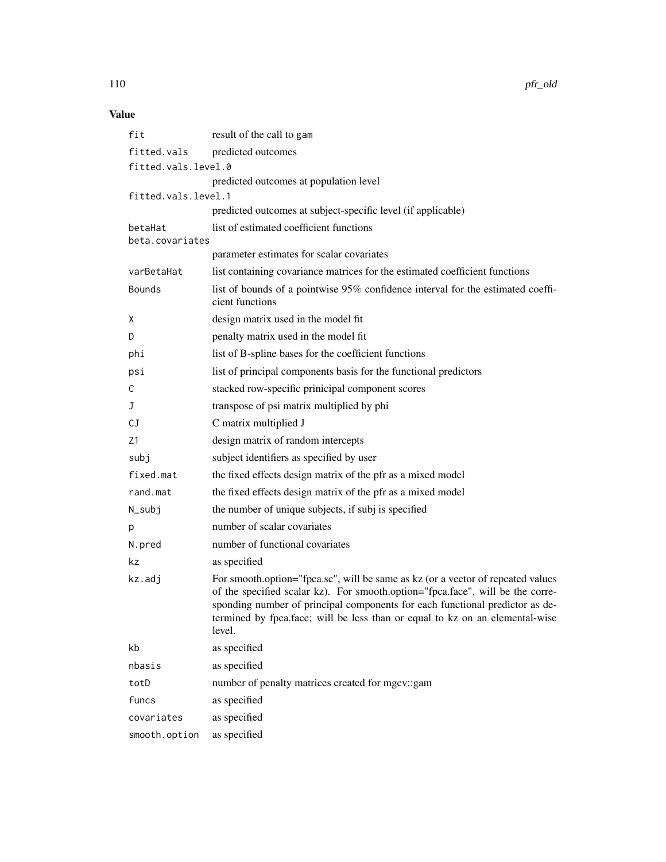110 pfr\_old

# Value

| fit                        | result of the call to gam                                                                                                                                                                                                                                                                                                                    |
|----------------------------|----------------------------------------------------------------------------------------------------------------------------------------------------------------------------------------------------------------------------------------------------------------------------------------------------------------------------------------------|
| fitted.vals                | predicted outcomes                                                                                                                                                                                                                                                                                                                           |
| fitted.vals.level.0        |                                                                                                                                                                                                                                                                                                                                              |
|                            | predicted outcomes at population level                                                                                                                                                                                                                                                                                                       |
| fitted.vals.level.1        |                                                                                                                                                                                                                                                                                                                                              |
|                            | predicted outcomes at subject-specific level (if applicable)                                                                                                                                                                                                                                                                                 |
| betaHat<br>beta.covariates | list of estimated coefficient functions                                                                                                                                                                                                                                                                                                      |
|                            | parameter estimates for scalar covariates                                                                                                                                                                                                                                                                                                    |
| varBetaHat                 | list containing covariance matrices for the estimated coefficient functions                                                                                                                                                                                                                                                                  |
| <b>Bounds</b>              | list of bounds of a pointwise 95% confidence interval for the estimated coeffi-<br>cient functions                                                                                                                                                                                                                                           |
| X                          | design matrix used in the model fit                                                                                                                                                                                                                                                                                                          |
| D                          | penalty matrix used in the model fit                                                                                                                                                                                                                                                                                                         |
| phi                        | list of B-spline bases for the coefficient functions                                                                                                                                                                                                                                                                                         |
| psi                        | list of principal components basis for the functional predictors                                                                                                                                                                                                                                                                             |
| C                          | stacked row-specific prinicipal component scores                                                                                                                                                                                                                                                                                             |
| J                          | transpose of psi matrix multiplied by phi                                                                                                                                                                                                                                                                                                    |
| СJ                         | C matrix multiplied J                                                                                                                                                                                                                                                                                                                        |
| Z1                         | design matrix of random intercepts                                                                                                                                                                                                                                                                                                           |
| subj                       | subject identifiers as specified by user                                                                                                                                                                                                                                                                                                     |
| fixed.mat                  | the fixed effects design matrix of the pfr as a mixed model                                                                                                                                                                                                                                                                                  |
| rand.mat                   | the fixed effects design matrix of the pfr as a mixed model                                                                                                                                                                                                                                                                                  |
| N_subj                     | the number of unique subjects, if subj is specified                                                                                                                                                                                                                                                                                          |
| р                          | number of scalar covariates                                                                                                                                                                                                                                                                                                                  |
| N.pred                     | number of functional covariates                                                                                                                                                                                                                                                                                                              |
| kz                         | as specified                                                                                                                                                                                                                                                                                                                                 |
| kz.adj                     | For smooth.option="fpca.sc", will be same as kz (or a vector of repeated values<br>of the specified scalar kz). For smooth.option="fpca.face", will be the corre-<br>sponding number of principal components for each functional predictor as de-<br>termined by fpca. face; will be less than or equal to kz on an elemental-wise<br>level. |
| kb                         | as specified                                                                                                                                                                                                                                                                                                                                 |
| nbasis                     | as specified                                                                                                                                                                                                                                                                                                                                 |
| totD                       | number of penalty matrices created for mgcv::gam                                                                                                                                                                                                                                                                                             |
| funcs                      | as specified                                                                                                                                                                                                                                                                                                                                 |
| covariates                 | as specified                                                                                                                                                                                                                                                                                                                                 |
| smooth.option              | as specified                                                                                                                                                                                                                                                                                                                                 |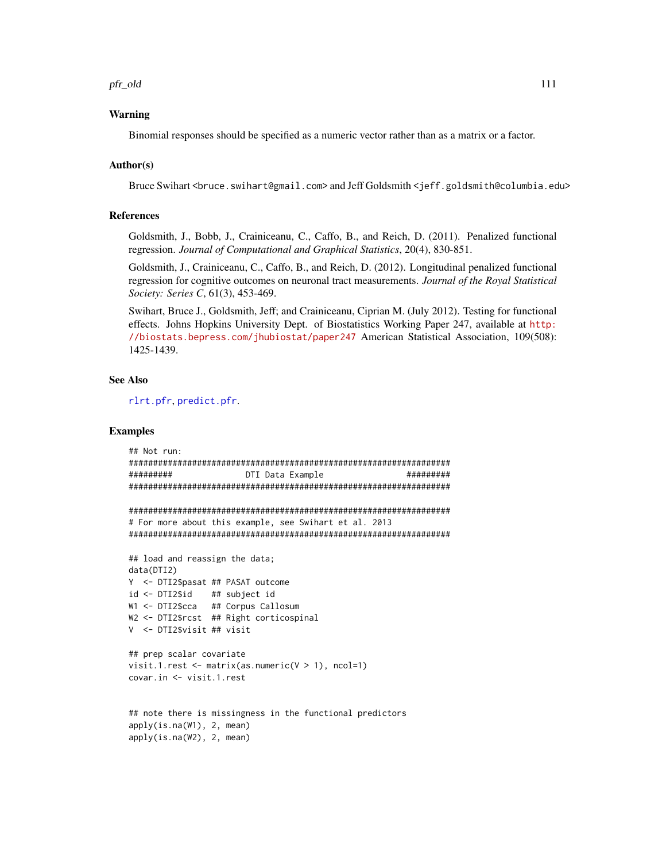pfr\_old 111

#### Warning

Binomial responses should be specified as a numeric vector rather than as a matrix or a factor.

#### Author(s)

Bruce Swihart <br />bruce.swihart@gmail.com> and Jeff Goldsmith <jeff.goldsmith@columbia.edu>

# References

Goldsmith, J., Bobb, J., Crainiceanu, C., Caffo, B., and Reich, D. (2011). Penalized functional regression. *Journal of Computational and Graphical Statistics*, 20(4), 830-851.

Goldsmith, J., Crainiceanu, C., Caffo, B., and Reich, D. (2012). Longitudinal penalized functional regression for cognitive outcomes on neuronal tract measurements. *Journal of the Royal Statistical Society: Series C*, 61(3), 453-469.

Swihart, Bruce J., Goldsmith, Jeff; and Crainiceanu, Ciprian M. (July 2012). Testing for functional effects. Johns Hopkins University Dept. of Biostatistics Working Paper 247, available at [http:](http://biostats.bepress.com/jhubiostat/paper247) [//biostats.bepress.com/jhubiostat/paper247](http://biostats.bepress.com/jhubiostat/paper247) American Statistical Association, 109(508): 1425-1439.

#### See Also

[rlrt.pfr](#page-136-0), [predict.pfr](#page-129-0).

## Examples

```
## Not run:
##################################################################
######### DTI Data Example #########
##################################################################
##################################################################
# For more about this example, see Swihart et al. 2013
##################################################################
## load and reassign the data;
data(DTI2)
Y <- DTI2$pasat ## PASAT outcome
id <- DTI2$id ## subject id
W1 <- DTI2$cca ## Corpus Callosum
W2 <- DTI2$rcst ## Right corticospinal
V <- DTI2$visit ## visit
## prep scalar covariate
visit.1.rest \leq matrix(as.numeric(V > 1), ncol=1)
covar.in <- visit.1.rest
## note there is missingness in the functional predictors
apply(is.na(W1), 2, mean)
apply(is.na(W2), 2, mean)
```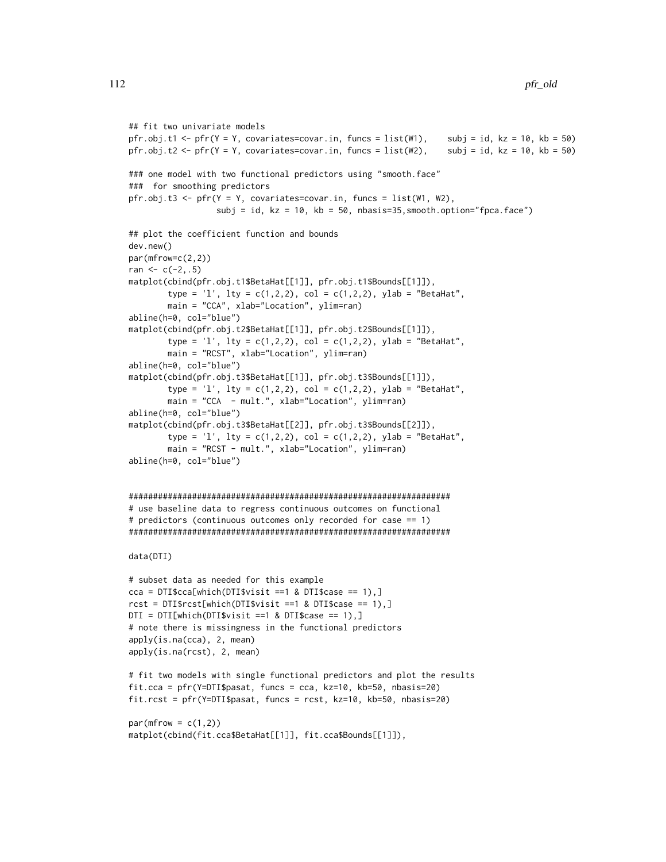```
## fit two univariate models
pfr.obj.t1 <- pfr(Y = Y, covariates=covar.in, funcs = list(W1), subj = id, kz = 10, kb = 50)
pfr.obj.t2 <- pfr(Y = Y, covariates=covar.in, funcs = list(W2), subj = id, kz = 10, kb = 50)
### one model with two functional predictors using "smooth.face"
### for smoothing predictors
pfr.obj.t3 <- pfr(Y = Y, covariates=covar.in, funcs = list(W1, W2),
                  subj = id, kz = 10, kb = 50, nbasis=35, smooth.option="fpca.face")
## plot the coefficient function and bounds
dev.new()
par(mfrow=c(2,2))
ran <-c(-2, .5)matplot(cbind(pfr.obj.t1$BetaHat[[1]], pfr.obj.t1$Bounds[[1]]),
        type = 'l', lty = c(1,2,2), col = c(1,2,2), ylab = "BetaHat",
        main = "CCA", xlab="Location", ylim=ran)
abline(h=0, col="blue")
matplot(cbind(pfr.obj.t2$BetaHat[[1]], pfr.obj.t2$Bounds[[1]]),
        type = 'l', lty = c(1,2,2), col = c(1,2,2), ylab = "BetaHat",
        main = "RCST", xlab="Location", ylim=ran)
abline(h=0, col="blue")
matplot(cbind(pfr.obj.t3$BetaHat[[1]], pfr.obj.t3$Bounds[[1]]),
        type = '1', lty = c(1,2,2), col = c(1,2,2), ylab = "BetaHat",
        main = "CCA - mult.", xlab="Location", ylim=ran)
abline(h=0, col="blue")
matplot(cbind(pfr.obj.t3$BetaHat[[2]], pfr.obj.t3$Bounds[[2]]),
        type = 'l', lty = c(1,2,2), col = c(1,2,2), ylab = "BetaHat",
        main = "RCST - mult.", xlab="Location", ylim=ran)
abline(h=0, col="blue")
##################################################################
# use baseline data to regress continuous outcomes on functional
# predictors (continuous outcomes only recorded for case == 1)
##################################################################
data(DTI)
# subset data as needed for this example
cca = DTI$cca[which(DTI$visit == 1 & DTI$case == 1),]rct = DTI$rcst[which(DTI$visit == 1 & DTI$case == 1),]DTI = DTI[which(DTI$visit == 1 8  DTI$case == 1),]# note there is missingness in the functional predictors
apply(is.na(cca), 2, mean)
apply(is.na(rcst), 2, mean)
# fit two models with single functional predictors and plot the results
fit.cca = pfr(Y=DTI$pasat, funcs = cca, kz=10, kb=50, nbasis=20)
fit.rcst = pfr(Y=DTI$pasat, funcs = rcst, kz=10, kb=50, nbasis=20)
par(mfrow = c(1,2))matplot(cbind(fit.cca$BetaHat[[1]], fit.cca$Bounds[[1]]),
```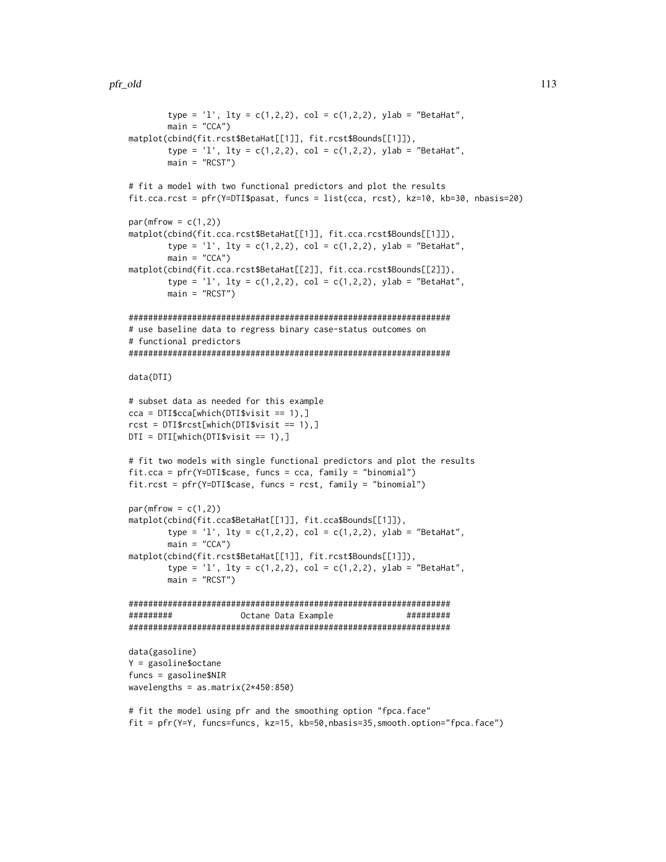```
type = 'l', lty = c(1,2,2), col = c(1,2,2), ylab = "BetaHat",
       main = "CCA")matplot(cbind(fit.rcst$BetaHat[[1]], fit.rcst$Bounds[[1]]),
       type = '1', lty = c(1,2,2), col = c(1,2,2), ylab = "BetaHat",
       main = "RCST")# fit a model with two functional predictors and plot the results
fit.cca.rcst = pfr(Y=DTI$pasat, funcs = list(cca, rcst), kz=10, kb=30, nbasis=20)
par(mfrow = c(1,2))matplot(cbind(fit.cca.rcst$BetaHat[[1]], fit.cca.rcst$Bounds[[1]]),
        type = 'l', lty = c(1,2,2), col = c(1,2,2), ylab = "BetaHat",
       main = "CCA")matplot(cbind(fit.cca.rcst$BetaHat[[2]], fit.cca.rcst$Bounds[[2]]),
       type = '1', lty = c(1,2,2), col = c(1,2,2), ylab = "BetaHat",
       main = "RCST")
##################################################################
# use baseline data to regress binary case-status outcomes on
# functional predictors
##################################################################
data(DTI)
# subset data as needed for this example
cca = DTI$cca[which(DTI$visit == 1),]rcst = DTI$rcst[which(DTI$visit == 1),]
DTI = DTI[which(DTI$visit == 1),]# fit two models with single functional predictors and plot the results
fit.cca = pfr(Y=DTI$case, funcs = cca, family = "binomial")
fit.rcst = pfr(Y=DTI$case, funcs = rcst, family = "binomial")
par(mfrow = c(1,2))matplot(cbind(fit.cca$BetaHat[[1]], fit.cca$Bounds[[1]]),
       type = 'l', lty = c(1,2,2), col = c(1,2,2), ylab = "BetaHat",
       main = "CCA")matplot(cbind(fit.rcst$BetaHat[[1]], fit.rcst$Bounds[[1]]),
        type = '1', lty = c(1,2,2), col = c(1,2,2), ylab = "BetaHat",
       main = "RCST")##################################################################
######### Octane Data Example #########
##################################################################
data(gasoline)
Y = gasoline$octane
funcs = gasoline$NIR
wavelengths = as.matrix(2*450:850)# fit the model using pfr and the smoothing option "fpca.face"
```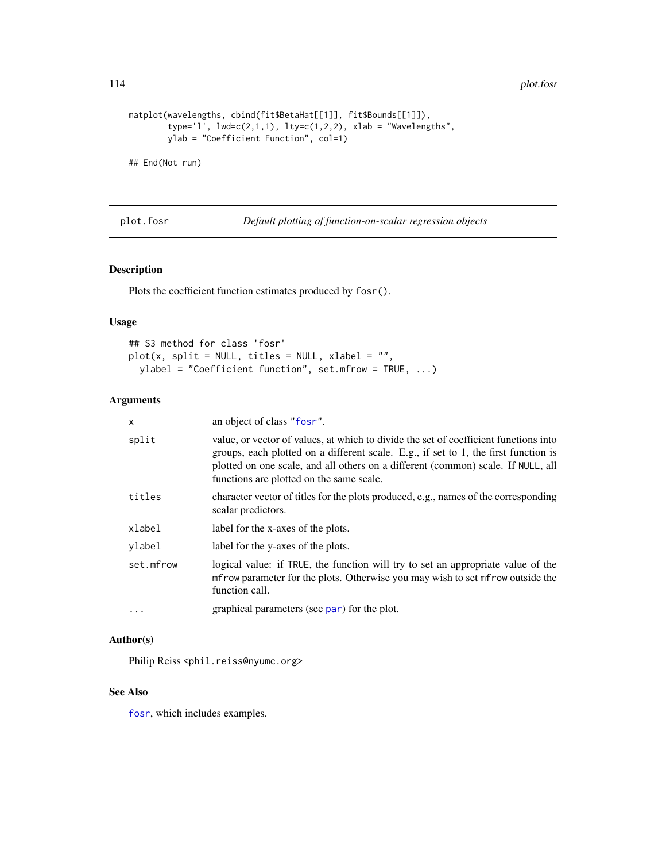114 plot.fosr

```
matplot(wavelengths, cbind(fit$BetaHat[[1]], fit$Bounds[[1]]),
       type='l', lwd=c(2,1,1), lty=c(1,2,2), xlab = "Wavelengths",ylab = "Coefficient Function", col=1)
```
## End(Not run)

plot.fosr *Default plotting of function-on-scalar regression objects*

# Description

Plots the coefficient function estimates produced by fosr().

# Usage

```
## S3 method for class 'fosr'
plot(x, split = NULL, titles = NULL, xlabel = "",ylabel = "Coefficient function", set.mfrow = TRUE, ...)
```
# Arguments

| x         | an object of class "fosr".                                                                                                                                                                                                                                                                                  |
|-----------|-------------------------------------------------------------------------------------------------------------------------------------------------------------------------------------------------------------------------------------------------------------------------------------------------------------|
| split     | value, or vector of values, at which to divide the set of coefficient functions into<br>groups, each plotted on a different scale. E.g., if set to 1, the first function is<br>plotted on one scale, and all others on a different (common) scale. If NULL, all<br>functions are plotted on the same scale. |
| titles    | character vector of titles for the plots produced, e.g., names of the corresponding<br>scalar predictors.                                                                                                                                                                                                   |
| xlabel    | label for the x-axes of the plots.                                                                                                                                                                                                                                                                          |
| ylabel    | label for the y-axes of the plots.                                                                                                                                                                                                                                                                          |
| set.mfrow | logical value: if TRUE, the function will try to set an appropriate value of the<br>mfrow parameter for the plots. Otherwise you may wish to set mfrow outside the<br>function call.                                                                                                                        |
| $\cdots$  | graphical parameters (see par) for the plot.                                                                                                                                                                                                                                                                |

## Author(s)

Philip Reiss <phil.reiss@nyumc.org>

#### See Also

[fosr](#page-31-0), which includes examples.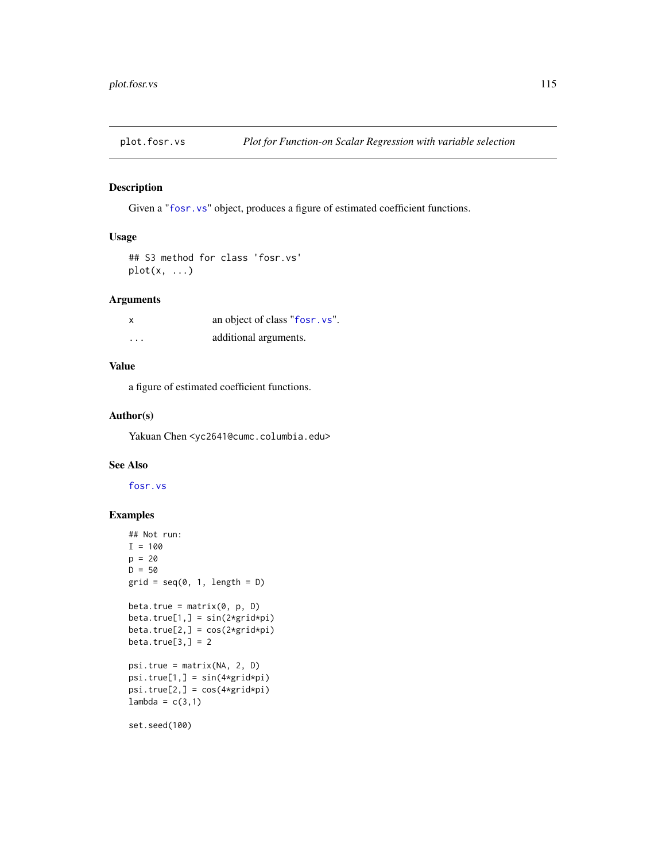# Description

Given a "[fosr.vs](#page-37-0)" object, produces a figure of estimated coefficient functions.

# Usage

```
## S3 method for class 'fosr.vs'
plot(x, \ldots)
```
# Arguments

| x        | an object of class "fosr. vs". |
|----------|--------------------------------|
| $\cdots$ | additional arguments.          |

# Value

a figure of estimated coefficient functions.

#### Author(s)

Yakuan Chen <yc2641@cumc.columbia.edu>

# See Also

[fosr.vs](#page-37-0)

# Examples

```
## Not run:
I = 100p = 20D = 50grid = seq(0, 1, length = D)beta.true = matrix(0, p, D)beta.true[1,] = sin(2*grid*pi)
beta.true[2,] = cos(2*grid*pi)
beta.true[3,] = 2psi.true = matrix(NA, 2, D)
psi.true[1,] = sin(4*grid*pi)
psi.true[2,] = cos(4*grid*pi)
lambda = c(3,1)set.seed(100)
```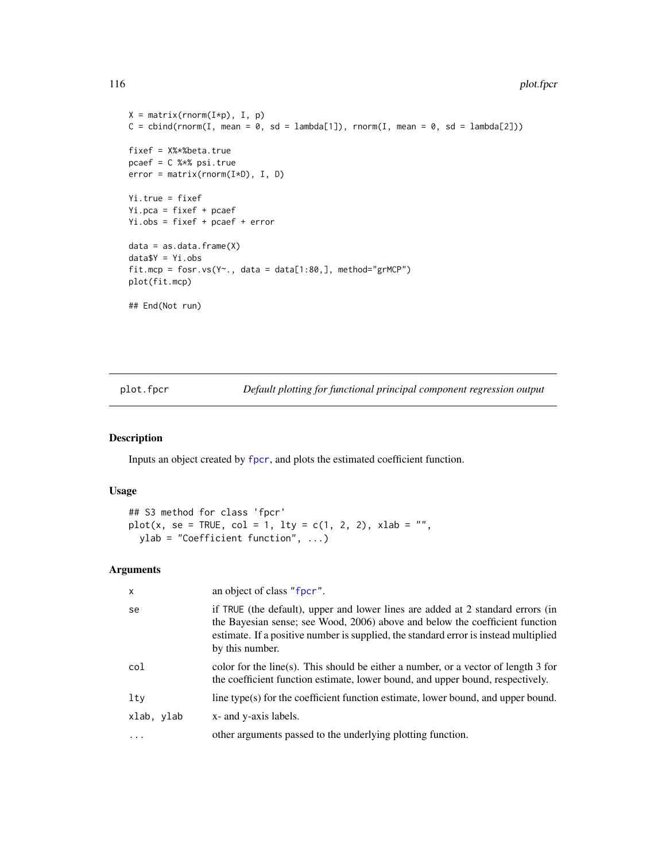#### 116 plot.fpcr

```
X = matrix(rnorm(I*p), I, p)C = \text{cbind}(rnorm(I, mean = 0, sd = lambda[1]), rnorm(I, mean = 0, sd = lambda[2]))fixef = X%*%beta.true
pcaef = C %*% psi.true
error = matrix(rnorm(I*D), I, D)
Yi.true = fixef
Yi.pca = fixef + pcaef
Yi.obs = fixef + pcaef + error
data = as.data.frame(X)
data$Y = Yi.obs
fit.mcp = fosr.vs(Y~., data = data[1:80,], method="grMCP")
plot(fit.mcp)
## End(Not run)
```
plot.fpcr *Default plotting for functional principal component regression output*

# Description

Inputs an object created by [fpcr](#page-61-0), and plots the estimated coefficient function.

## Usage

```
## S3 method for class 'fpcr'
plot(x, se = TRUE, col = 1, lty = c(1, 2, 2), xlab = "",ylab = "Coefficient function", ...)
```

| X          | an object of class "fpcr".                                                                                                                                                                                                                                                 |
|------------|----------------------------------------------------------------------------------------------------------------------------------------------------------------------------------------------------------------------------------------------------------------------------|
| se         | if TRUE (the default), upper and lower lines are added at 2 standard errors (in<br>the Bayesian sense; see Wood, 2006) above and below the coefficient function<br>estimate. If a positive number is supplied, the standard error is instead multiplied<br>by this number. |
| col        | color for the line(s). This should be either a number, or a vector of length 3 for<br>the coefficient function estimate, lower bound, and upper bound, respectively.                                                                                                       |
| $1$ ty     | line type(s) for the coefficient function estimate, lower bound, and upper bound.                                                                                                                                                                                          |
| xlab, ylab | x- and y-axis labels.                                                                                                                                                                                                                                                      |
| $\cdot$    | other arguments passed to the underlying plotting function.                                                                                                                                                                                                                |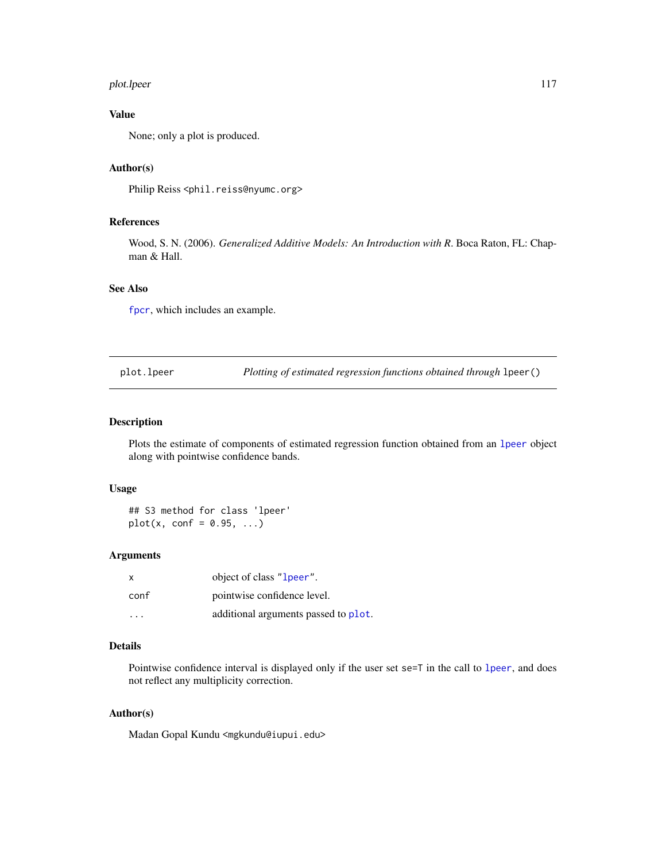#### plot.lpeer 117

# Value

None; only a plot is produced.

# Author(s)

Philip Reiss <phil.reiss@nyumc.org>

# References

Wood, S. N. (2006). *Generalized Additive Models: An Introduction with R*. Boca Raton, FL: Chapman & Hall.

## See Also

[fpcr](#page-61-0), which includes an example.

plot.lpeer *Plotting of estimated regression functions obtained through* lpeer()

## Description

Plots the estimate of components of estimated regression function obtained from an [lpeer](#page-79-0) object along with pointwise confidence bands.

#### Usage

## S3 method for class 'lpeer'  $plot(x, conf = 0.95, ...)$ 

# Arguments

| $\mathsf{x}$ | object of class "1 peer".            |
|--------------|--------------------------------------|
| conf         | pointwise confidence level.          |
| .            | additional arguments passed to plot. |

# Details

Pointwise confidence interval is displayed only if the user set se=T in the call to [lpeer](#page-79-0), and does not reflect any multiplicity correction.

## Author(s)

Madan Gopal Kundu <mgkundu@iupui.edu>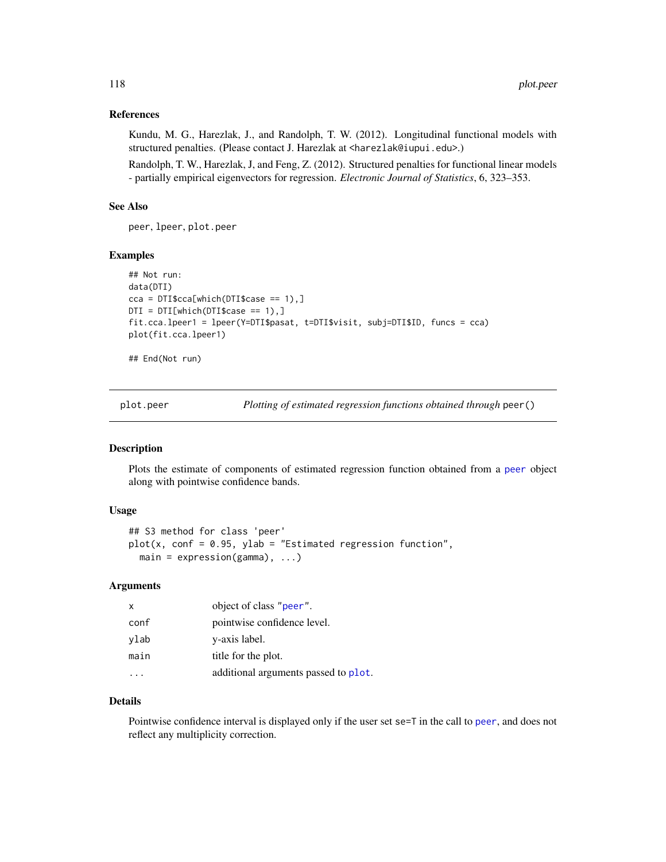## References

Kundu, M. G., Harezlak, J., and Randolph, T. W. (2012). Longitudinal functional models with structured penalties. (Please contact J. Harezlak at <harezlak@iupui.edu>.)

Randolph, T. W., Harezlak, J, and Feng, Z. (2012). Structured penalties for functional linear models - partially empirical eigenvectors for regression. *Electronic Journal of Statistics*, 6, 323–353.

#### See Also

peer, lpeer, plot.peer

#### Examples

```
## Not run:
data(DTI)
cca = DTI$cca[which(DTI$case == 1),]DTI = DTI[which(DTI$case == 1),]fit.cca.lpeer1 = lpeer(Y=DTI$pasat, t=DTI$visit, subj=DTI$ID, funcs = cca)
plot(fit.cca.lpeer1)
```
## End(Not run)

plot.peer *Plotting of estimated regression functions obtained through* peer()

## Description

Plots the estimate of components of estimated regression function obtained from a [peer](#page-92-0) object along with pointwise confidence bands.

#### Usage

```
## S3 method for class 'peer'
plot(x, conf = 0.95, ylab = "Estimated regression function",main = expression(gamma), ...
```
## Arguments

| x    | object of class "peer".              |
|------|--------------------------------------|
| conf | pointwise confidence level.          |
| vlab | y-axis label.                        |
| main | title for the plot.                  |
|      | additional arguments passed to plot. |

## Details

Pointwise confidence interval is displayed only if the user set se=T in the call to [peer](#page-92-0), and does not reflect any multiplicity correction.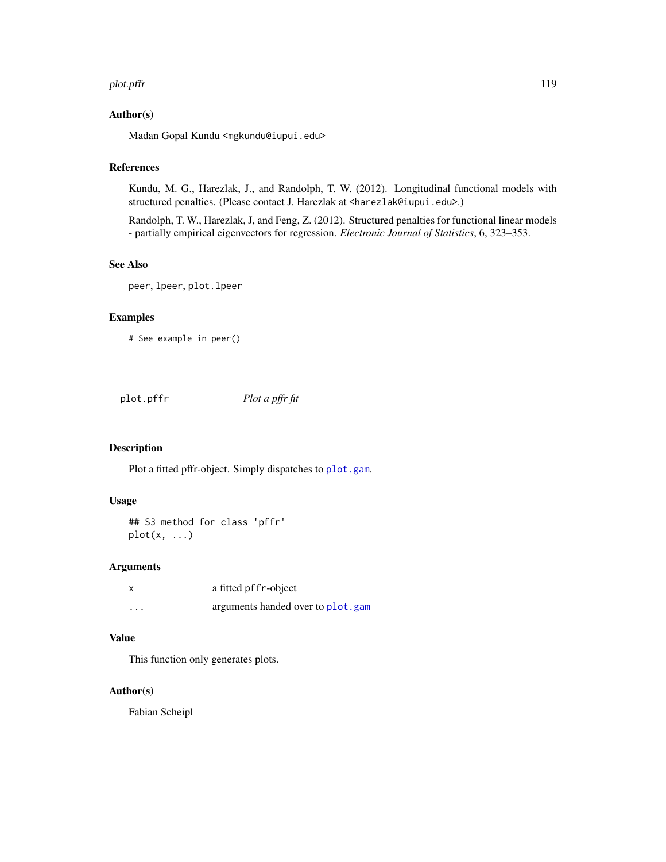#### plot.pffr the contract of the contract of the contract of the contract of the contract of the contract of the contract of the contract of the contract of the contract of the contract of the contract of the contract of the

## Author(s)

Madan Gopal Kundu <mgkundu@iupui.edu>

# References

Kundu, M. G., Harezlak, J., and Randolph, T. W. (2012). Longitudinal functional models with structured penalties. (Please contact J. Harezlak at <harezlak@iupui.edu>.)

Randolph, T. W., Harezlak, J, and Feng, Z. (2012). Structured penalties for functional linear models - partially empirical eigenvectors for regression. *Electronic Journal of Statistics*, 6, 323–353.

# See Also

peer, lpeer, plot.lpeer

## Examples

# See example in peer()

plot.pffr *Plot a pffr fit*

## Description

Plot a fitted pffr-object. Simply dispatches to [plot.gam](#page-0-0).

#### Usage

```
## S3 method for class 'pffr'
plot(x, \ldots)
```
## Arguments

| x       | a fitted pffr-object              |
|---------|-----------------------------------|
| $\cdot$ | arguments handed over to plot.gam |

#### Value

This function only generates plots.

## Author(s)

Fabian Scheipl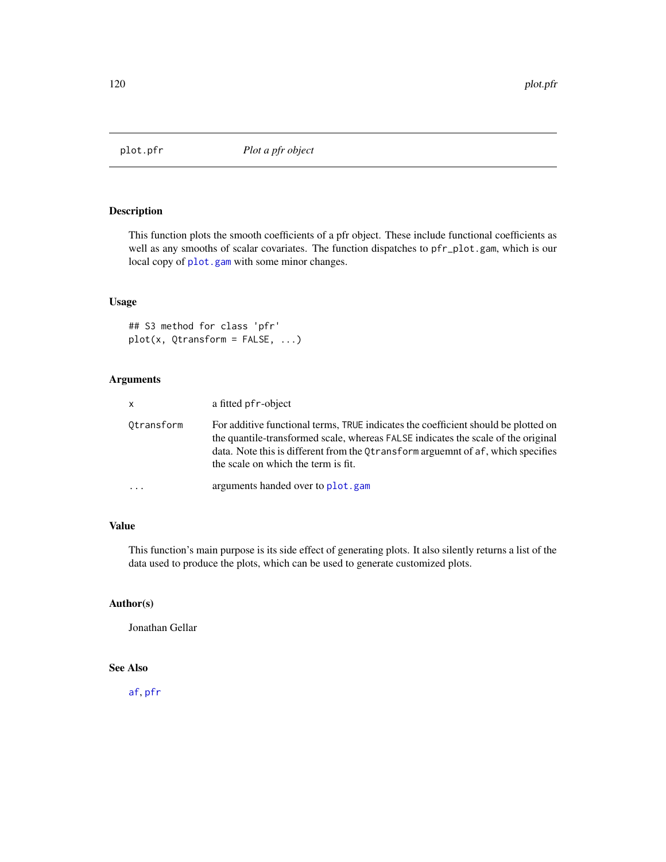# Description

This function plots the smooth coefficients of a pfr object. These include functional coefficients as well as any smooths of scalar covariates. The function dispatches to pfr\_plot.gam, which is our local copy of [plot.gam](#page-0-0) with some minor changes.

#### Usage

```
## S3 method for class 'pfr'
plot(x, Qtransform = FALSE, ...)
```
# Arguments

| $\mathsf{x}$ | a fitted pfr-object                                                                                                                                                                                                                                                                                |
|--------------|----------------------------------------------------------------------------------------------------------------------------------------------------------------------------------------------------------------------------------------------------------------------------------------------------|
| Otransform   | For additive functional terms, TRUE indicates the coefficient should be plotted on<br>the quantile-transformed scale, whereas FALSE indicates the scale of the original<br>data. Note this is different from the Otransform arguemnt of af, which specifies<br>the scale on which the term is fit. |
|              | arguments handed over to plot, gam                                                                                                                                                                                                                                                                 |

## Value

This function's main purpose is its side effect of generating plots. It also silently returns a list of the data used to produce the plots, which can be used to generate customized plots.

# Author(s)

Jonathan Gellar

#### See Also

[af](#page-4-0), [pfr](#page-105-0)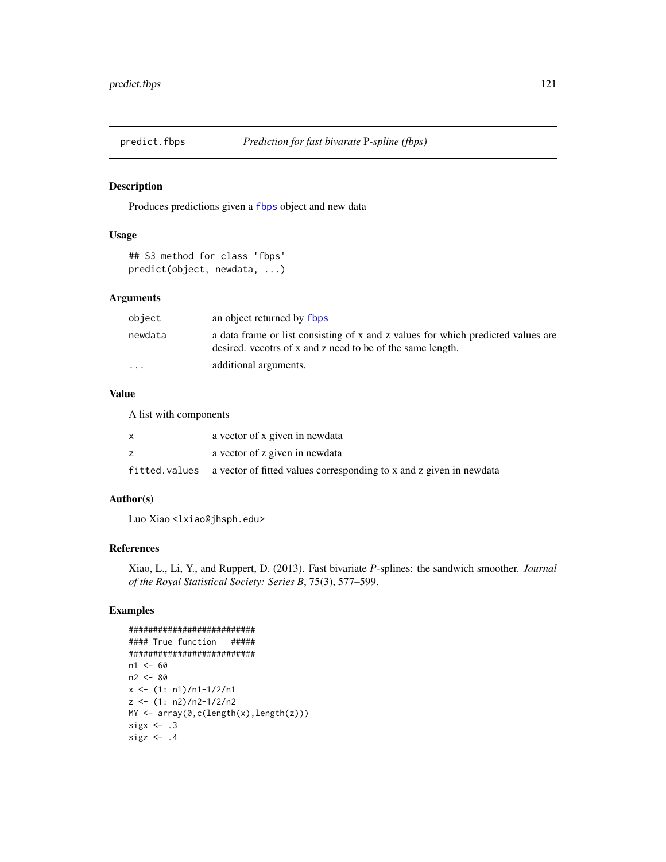## Description

Produces predictions given a [fbps](#page-22-0) object and new data

#### Usage

```
## S3 method for class 'fbps'
predict(object, newdata, ...)
```
#### Arguments

| object                  | an object returned by flops                                                                                                                    |
|-------------------------|------------------------------------------------------------------------------------------------------------------------------------------------|
| newdata                 | a data frame or list consisting of x and z values for which predicted values are<br>desired, vecotrs of x and z need to be of the same length. |
| $\cdot$ $\cdot$ $\cdot$ | additional arguments.                                                                                                                          |

# Value

A list with components

| a vector of x given in newdata                                                     |
|------------------------------------------------------------------------------------|
| a vector of z given in newdata                                                     |
| fitted. values a vector of fitted values corresponding to x and z given in newdata |

#### Author(s)

Luo Xiao <lxiao@jhsph.edu>

## References

Xiao, L., Li, Y., and Ruppert, D. (2013). Fast bivariate *P*-splines: the sandwich smoother. *Journal of the Royal Statistical Society: Series B*, 75(3), 577–599.

# Examples

```
##########################
#### True function #####
##########################
n1 < -60n2 <- 80
x \le -(1: n1)/n1-1/2/n1z \le -(1: n2)/n2-1/2/n2MY <- array(0,c(length(x),length(z)))
sigx \leftarrow .3sigz \leftarrow .4
```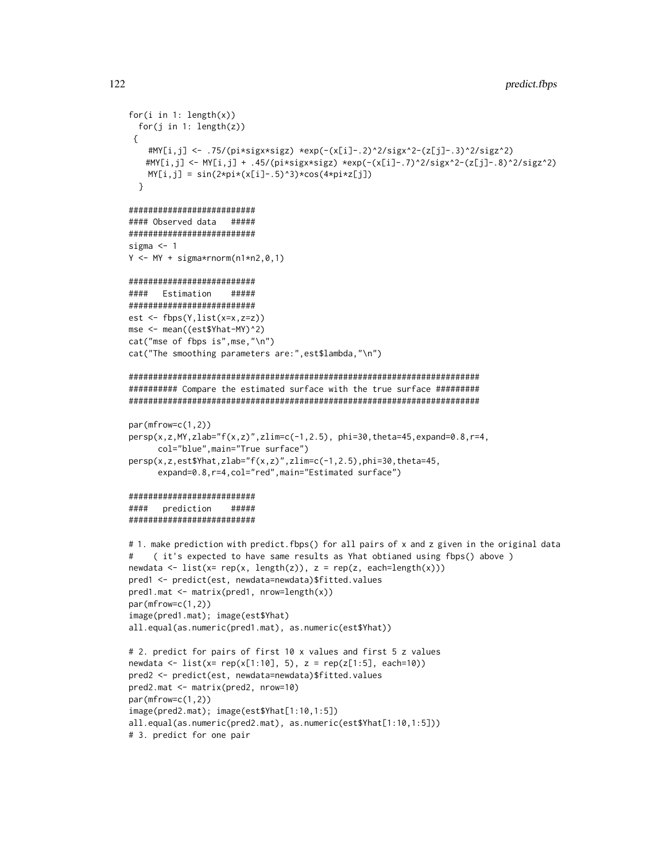```
for(i in 1: length(x))for(j in 1: length(z))
 {
   #MY[i,j] <- .75/(pi*sigx*sigz) *exp(-(x[i]-.2)^2/sigx^2-(z[j]-.3)^2/sigz^2)
   #MY[i,j] <- MY[i,j] + .45/(pi*sigx*sigz) *exp(-(x[i]-.7)^2/sigx^2-(z[j]-.8)^2/sigz^2)
   MY[i,j] = sin(2*pi*(x[i]-.5)^3) * cos(4*pi*z[j])}
##########################
#### Observed data #####
##########################
sigma <-1Y \leq -MY + sigma*rnorm(n1*n2,0,1)##########################
#### Estimation #####
##########################
est \leftarrow fbps(Y, list(x=x, z=z))
mse <- mean((est$Yhat-MY)^2)
cat("mse of fbps is",mse,"\n")
cat("The smoothing parameters are:",est$lambda,"\n")
########################################################################
########## Compare the estimated surface with the true surface #########
########################################################################
par(mfrow=c(1,2))
persp(x,z,MY,zlab="f(x,z)",zlim=c(-1,2.5), phi=30,theta=45,expand=0.8,r=4,
      col="blue",main="True surface")
persp(x,z,est$Yhat,zlab="f(x,z)",zlim=c(-1,2.5),phi=30,theta=45,
     expand=0.8,r=4,col="red",main="Estimated surface")
##########################
#### prediction #####
##########################
# 1. make prediction with predict.fbps() for all pairs of x and z given in the original data
# ( it's expected to have same results as Yhat obtianed using fbps() above )
newdata \leftarrow list(x= rep(x, length(z)), z = rep(z, each = length(x)))pred1 <- predict(est, newdata=newdata)$fitted.values
pred1.mat <- matrix(pred1, nrow=length(x))
par(mfrow=c(1,2))
image(pred1.mat); image(est$Yhat)
all.equal(as.numeric(pred1.mat), as.numeric(est$Yhat))
# 2. predict for pairs of first 10 x values and first 5 z values
newdata <- list(x= rep(x[1:10], 5), z = rep(z[1:5], each=10))
pred2 <- predict(est, newdata=newdata)$fitted.values
pred2.mat <- matrix(pred2, nrow=10)
par(mfrow=c(1,2))
image(pred2.mat); image(est$Yhat[1:10,1:5])
all.equal(as.numeric(pred2.mat), as.numeric(est$Yhat[1:10,1:5]))
# 3. predict for one pair
```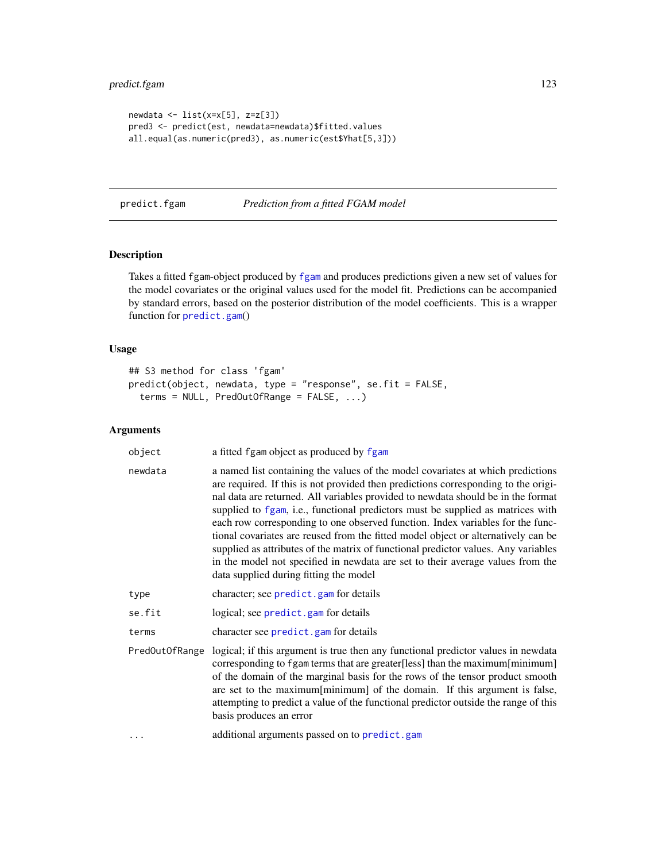```
newdata \le list(x=x[5], z=z[3])
pred3 <- predict(est, newdata=newdata)$fitted.values
all.equal(as.numeric(pred3), as.numeric(est$Yhat[5,3]))
```
predict.fgam *Prediction from a fitted FGAM model*

#### Description

Takes a fitted fgam-object produced by [fgam](#page-29-0) and produces predictions given a new set of values for the model covariates or the original values used for the model fit. Predictions can be accompanied by standard errors, based on the posterior distribution of the model coefficients. This is a wrapper function for [predict.gam](#page-0-0)()

## Usage

```
## S3 method for class 'fgam'
predict(object, newdata, type = "response", se.fit = FALSE,
  terms = NULL, PredOutOfRange = FALSE, ...)
```

| object         | a fitted fgam object as produced by fgam                                                                                                                                                                                                                                                                                                                                                                                                                                                                                                                                                                                                                                                                                              |
|----------------|---------------------------------------------------------------------------------------------------------------------------------------------------------------------------------------------------------------------------------------------------------------------------------------------------------------------------------------------------------------------------------------------------------------------------------------------------------------------------------------------------------------------------------------------------------------------------------------------------------------------------------------------------------------------------------------------------------------------------------------|
| newdata        | a named list containing the values of the model covariates at which predictions<br>are required. If this is not provided then predictions corresponding to the origi-<br>nal data are returned. All variables provided to newdata should be in the format<br>supplied to fgam, i.e., functional predictors must be supplied as matrices with<br>each row corresponding to one observed function. Index variables for the func-<br>tional covariates are reused from the fitted model object or alternatively can be<br>supplied as attributes of the matrix of functional predictor values. Any variables<br>in the model not specified in newdata are set to their average values from the<br>data supplied during fitting the model |
| type           | character; see predict.gam for details                                                                                                                                                                                                                                                                                                                                                                                                                                                                                                                                                                                                                                                                                                |
| se.fit         | logical; see predict.gam for details                                                                                                                                                                                                                                                                                                                                                                                                                                                                                                                                                                                                                                                                                                  |
| terms          | character see predict.gam for details                                                                                                                                                                                                                                                                                                                                                                                                                                                                                                                                                                                                                                                                                                 |
| PredOutOfRange | logical; if this argument is true then any functional predictor values in newdata<br>corresponding to fgam terms that are greater[less] than the maximum[minimum]<br>of the domain of the marginal basis for the rows of the tensor product smooth<br>are set to the maximum[minimum] of the domain. If this argument is false,<br>attempting to predict a value of the functional predictor outside the range of this<br>basis produces an error                                                                                                                                                                                                                                                                                     |
| $\cdots$       | additional arguments passed on to predict.gam                                                                                                                                                                                                                                                                                                                                                                                                                                                                                                                                                                                                                                                                                         |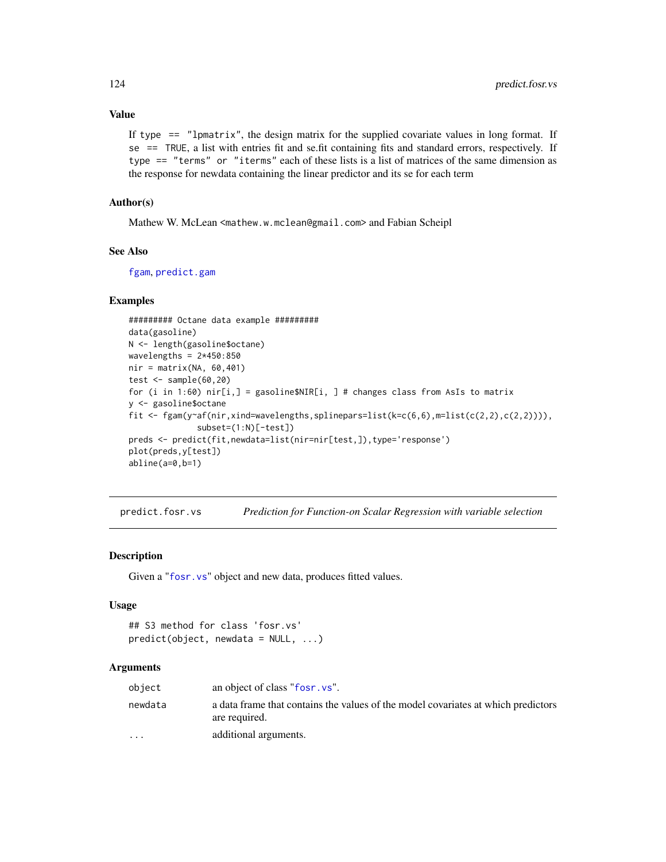## Value

If type  $==$  "lpmatrix", the design matrix for the supplied covariate values in long format. If  $se$  == TRUE, a list with entries fit and se.fit containing fits and standard errors, respectively. If type == "terms" or "iterms" each of these lists is a list of matrices of the same dimension as the response for newdata containing the linear predictor and its se for each term

## Author(s)

Mathew W. McLean <mathew.w.mclean@gmail.com> and Fabian Scheipl

## See Also

[fgam](#page-29-0), [predict.gam](#page-0-0)

## Examples

```
######### Octane data example #########
data(gasoline)
N <- length(gasoline$octane)
wavelengths = 2*450:850nir = matrix(NA, 60, 401)test \leq sample(60,20)
for (i in 1:60) nir[i,] = gasoline$NIR[i, ] # changes class from ASIs to matrixy <- gasoline$octane
fit \leq fgam(y~af(nir,xind=wavelengths,splinepars=list(k=c(6,6),m=list(c(2,2),c(2,2)))),
              subset=(1:N)[-test])
preds <- predict(fit,newdata=list(nir=nir[test,]),type='response')
plot(preds,y[test])
abline(a=0,b=1)
```
predict.fosr.vs *Prediction for Function-on Scalar Regression with variable selection*

# **Description**

Given a "[fosr.vs](#page-37-0)" object and new data, produces fitted values.

## Usage

```
## S3 method for class 'fosr.vs'
predict(object, newdata = NULL, ...)
```

| object                  | an object of class "fosr. vs".                                                                     |
|-------------------------|----------------------------------------------------------------------------------------------------|
| newdata                 | a data frame that contains the values of the model covariates at which predictors<br>are required. |
| $\cdot$ $\cdot$ $\cdot$ | additional arguments.                                                                              |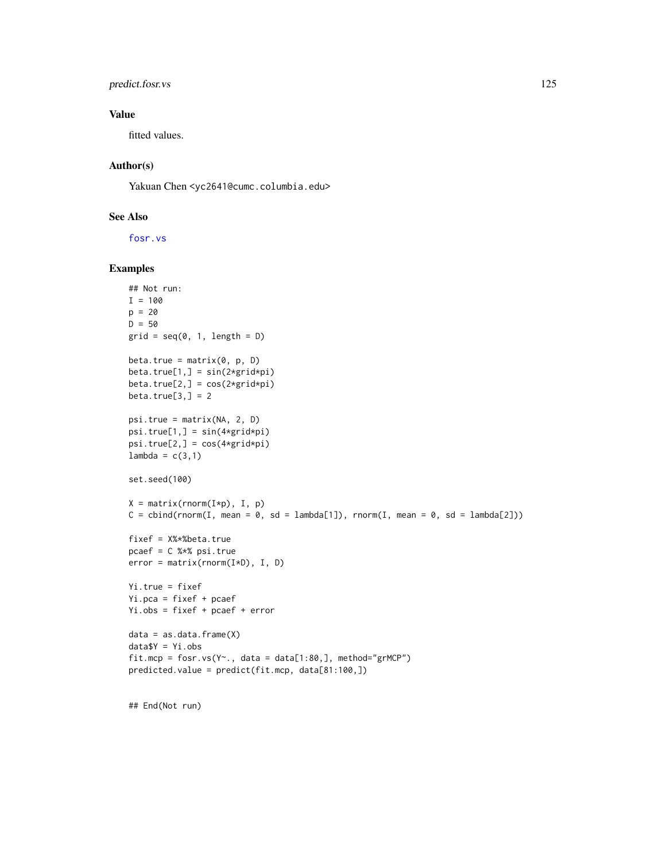# predict.fosr.vs 125

## Value

fitted values.

## Author(s)

Yakuan Chen <yc2641@cumc.columbia.edu>

## See Also

[fosr.vs](#page-37-0)

## Examples

```
## Not run:
I = 100p = 20D = 50grid = seq(0, 1, length = D)beta.true = matrix(0, p, D)beta.true[1,] = sin(2*grid*pi)beta.true[2,] = cos(2*grid*pi)beta.true[3,] = 2psi.true = matrix(NA, 2, D)
psi.true[1,] = sin(4*grid*pi)
psi.trule[2,]=cos(4*grid*pi)lambda = c(3,1)set.seed(100)
X = matrix(rnorm(I*p), I, p)C = \text{cbind}(rnorm(I, mean = 0, sd = lambda[1]), rnorm(I, mean = 0, sd = lambda[2]))fixef = X%*%beta.true
pcaef = C %*% psi.true
error = matrix(rnorm(I*D), I, D)Yi.true = fixef
Yi.pca = fixef + pcaef
Yi.obs = fixef + pcaef + error
data = as.data-frame(X)data$Y = Yi.obs
fit.mcp = fosr.vs(Y~., data = data[1:80,], method="grMCP")
predicted.value = predict(fit.mcp, data[81:100,])
```
## End(Not run)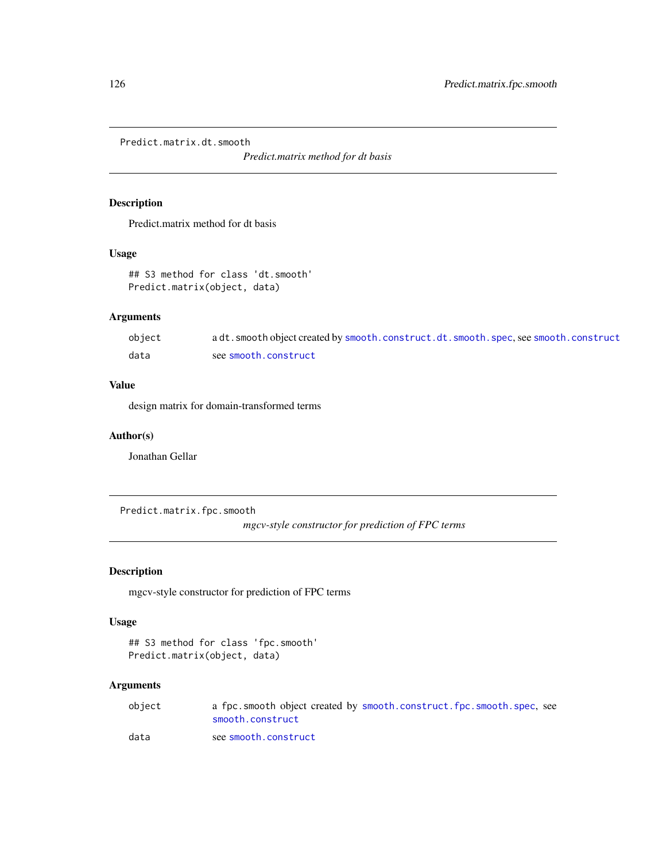Predict.matrix.dt.smooth

*Predict.matrix method for dt basis*

# Description

Predict.matrix method for dt basis

## Usage

## S3 method for class 'dt.smooth' Predict.matrix(object, data)

# Arguments

| object | a dt. smooth object created by smooth. construct. dt. smooth. spec, see smooth. construct |
|--------|-------------------------------------------------------------------------------------------|
| data   | see smooth.construct                                                                      |

## Value

design matrix for domain-transformed terms

## Author(s)

Jonathan Gellar

Predict.matrix.fpc.smooth

*mgcv-style constructor for prediction of FPC terms*

## Description

mgcv-style constructor for prediction of FPC terms

# Usage

```
## S3 method for class 'fpc.smooth'
Predict.matrix(object, data)
```

| object | a fpc.smooth object created by smooth.construct.fpc.smooth.spec.see |
|--------|---------------------------------------------------------------------|
|        | smooth.construct                                                    |
| data   | see smooth.construct                                                |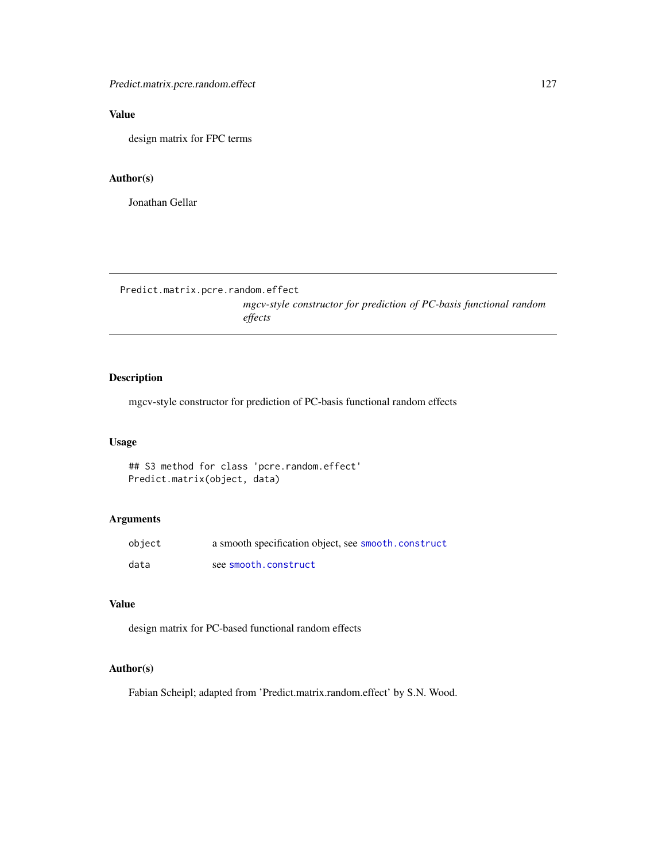Predict.matrix.pcre.random.effect 127

# Value

design matrix for FPC terms

# Author(s)

Jonathan Gellar

Predict.matrix.pcre.random.effect

*mgcv-style constructor for prediction of PC-basis functional random effects*

# Description

mgcv-style constructor for prediction of PC-basis functional random effects

## Usage

## S3 method for class 'pcre.random.effect' Predict.matrix(object, data)

#### Arguments

| object | a smooth specification object, see smooth.construct |
|--------|-----------------------------------------------------|
| data   | see smooth.construct                                |

# Value

design matrix for PC-based functional random effects

# Author(s)

Fabian Scheipl; adapted from 'Predict.matrix.random.effect' by S.N. Wood.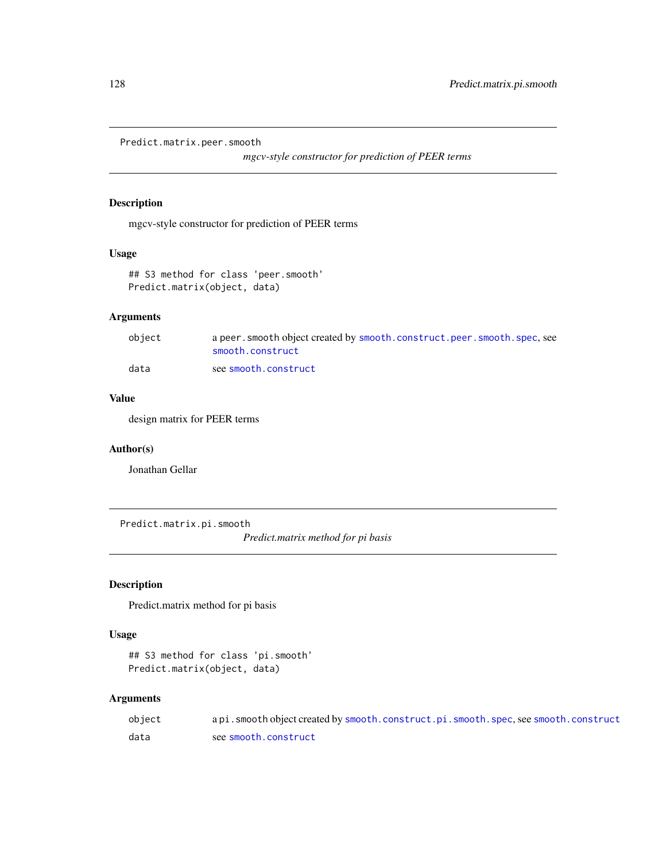```
Predict.matrix.peer.smooth
```
*mgcv-style constructor for prediction of PEER terms*

# Description

mgcv-style constructor for prediction of PEER terms

## Usage

```
## S3 method for class 'peer.smooth'
Predict.matrix(object, data)
```
# Arguments

| object | a peer, smooth object created by smooth, construct, peer, smooth, spec, see<br>smooth.construct |
|--------|-------------------------------------------------------------------------------------------------|
| data   | see smooth.construct                                                                            |

# Value

design matrix for PEER terms

# Author(s)

Jonathan Gellar

Predict.matrix.pi.smooth

*Predict.matrix method for pi basis*

# Description

Predict.matrix method for pi basis

## Usage

```
## S3 method for class 'pi.smooth'
Predict.matrix(object, data)
```

| object | api.smooth object created by smooth.construct.pi.smooth.spec.see smooth.construct |
|--------|-----------------------------------------------------------------------------------|
| data   | see smooth.construct                                                              |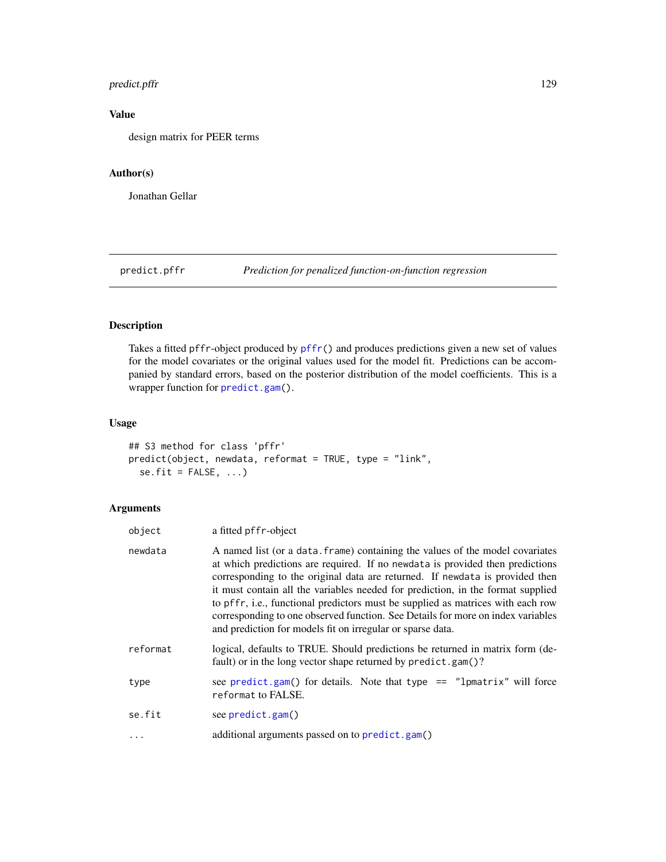# predict.pffr 129

# Value

design matrix for PEER terms

## Author(s)

Jonathan Gellar

<span id="page-128-0"></span>predict.pffr *Prediction for penalized function-on-function regression*

# Description

Takes a fitted pffr-object produced by [pffr\(](#page-98-0)) and produces predictions given a new set of values for the model covariates or the original values used for the model fit. Predictions can be accompanied by standard errors, based on the posterior distribution of the model coefficients. This is a wrapper function for [predict.gam\(](#page-0-0)).

## Usage

```
## S3 method for class 'pffr'
predict(object, newdata, reformat = TRUE, type = "link",
  se.fit = FALSE, ...)
```

| object   | a fitted pffr-object                                                                                                                                                                                                                                                                                                                                                                                                                                                                                                                                                  |
|----------|-----------------------------------------------------------------------------------------------------------------------------------------------------------------------------------------------------------------------------------------------------------------------------------------------------------------------------------------------------------------------------------------------------------------------------------------------------------------------------------------------------------------------------------------------------------------------|
| newdata  | A named list (or a data, frame) containing the values of the model covariates<br>at which predictions are required. If no newdata is provided then predictions<br>corresponding to the original data are returned. If newdata is provided then<br>it must contain all the variables needed for prediction, in the format supplied<br>to pffr, i.e., functional predictors must be supplied as matrices with each row<br>corresponding to one observed function. See Details for more on index variables<br>and prediction for models fit on irregular or sparse data. |
| reformat | logical, defaults to TRUE. Should predictions be returned in matrix form (de-<br>fault) or in the long vector shape returned by predict.gam()?                                                                                                                                                                                                                                                                                                                                                                                                                        |
| type     | see predict.gam() for details. Note that type $==$ "lpmatrix" will force<br>reformat to FALSE.                                                                                                                                                                                                                                                                                                                                                                                                                                                                        |
| se.fit   | see predict.gam()                                                                                                                                                                                                                                                                                                                                                                                                                                                                                                                                                     |
| $\ddots$ | additional arguments passed on to predict.gam()                                                                                                                                                                                                                                                                                                                                                                                                                                                                                                                       |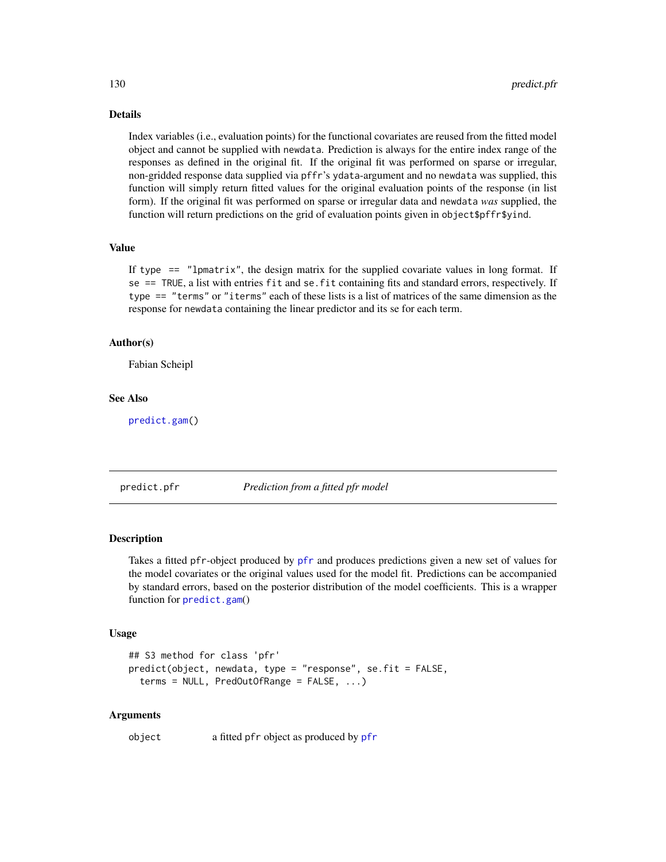Details

Index variables (i.e., evaluation points) for the functional covariates are reused from the fitted model object and cannot be supplied with newdata. Prediction is always for the entire index range of the responses as defined in the original fit. If the original fit was performed on sparse or irregular, non-gridded response data supplied via pffr's ydata-argument and no newdata was supplied, this function will simply return fitted values for the original evaluation points of the response (in list form). If the original fit was performed on sparse or irregular data and newdata *was* supplied, the function will return predictions on the grid of evaluation points given in object \$pffr\$yind.

## Value

If type  $==$  "lpmatrix", the design matrix for the supplied covariate values in long format. If se == TRUE, a list with entries fit and se.fit containing fits and standard errors, respectively. If type == "terms" or "iterms" each of these lists is a list of matrices of the same dimension as the response for newdata containing the linear predictor and its se for each term.

#### Author(s)

Fabian Scheipl

## See Also

[predict.gam\(](#page-0-0))

<span id="page-129-0"></span>predict.pfr *Prediction from a fitted pfr model*

## Description

Takes a fitted pfr-object produced by [pfr](#page-105-0) and produces predictions given a new set of values for the model covariates or the original values used for the model fit. Predictions can be accompanied by standard errors, based on the posterior distribution of the model coefficients. This is a wrapper function for [predict.gam](#page-0-0)()

## Usage

```
## S3 method for class 'pfr'
predict(object, newdata, type = "response", se.fit = FALSE,
  terms = NULL, PredOutOfRange = FALSE, ...)
```
#### Arguments

object a fitted pfr object as produced by [pfr](#page-105-0)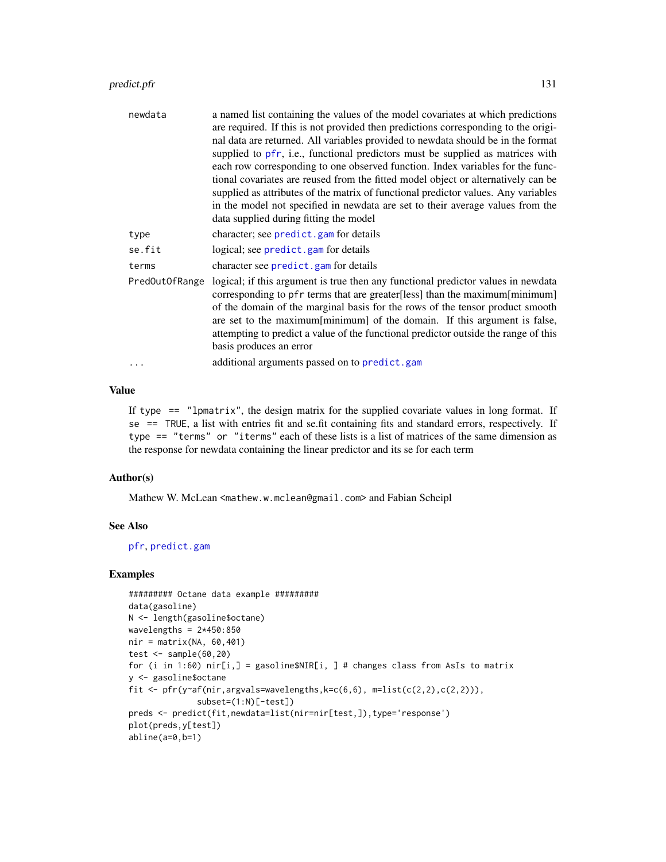# predict.pfr 131

| newdata        | a named list containing the values of the model covariates at which predictions<br>are required. If this is not provided then predictions corresponding to the origi-<br>nal data are returned. All variables provided to newdata should be in the format<br>supplied to pfr, i.e., functional predictors must be supplied as matrices with<br>each row corresponding to one observed function. Index variables for the func-<br>tional covariates are reused from the fitted model object or alternatively can be<br>supplied as attributes of the matrix of functional predictor values. Any variables<br>in the model not specified in newdata are set to their average values from the<br>data supplied during fitting the model |
|----------------|--------------------------------------------------------------------------------------------------------------------------------------------------------------------------------------------------------------------------------------------------------------------------------------------------------------------------------------------------------------------------------------------------------------------------------------------------------------------------------------------------------------------------------------------------------------------------------------------------------------------------------------------------------------------------------------------------------------------------------------|
| type           | character; see predict.gam for details                                                                                                                                                                                                                                                                                                                                                                                                                                                                                                                                                                                                                                                                                               |
| se.fit         | logical; see predict.gam for details                                                                                                                                                                                                                                                                                                                                                                                                                                                                                                                                                                                                                                                                                                 |
| terms          | character see predict.gam for details                                                                                                                                                                                                                                                                                                                                                                                                                                                                                                                                                                                                                                                                                                |
| PredOutOfRange | logical; if this argument is true then any functional predictor values in newdata<br>corresponding to pfr terms that are greater[less] than the maximum[minimum]<br>of the domain of the marginal basis for the rows of the tensor product smooth<br>are set to the maximum [minimum] of the domain. If this argument is false,<br>attempting to predict a value of the functional predictor outside the range of this<br>basis produces an error                                                                                                                                                                                                                                                                                    |
| .              | additional arguments passed on to predict.gam                                                                                                                                                                                                                                                                                                                                                                                                                                                                                                                                                                                                                                                                                        |

## Value

If type  $==$  "lpmatrix", the design matrix for the supplied covariate values in long format. If se == TRUE, a list with entries fit and se.fit containing fits and standard errors, respectively. If type == "terms" or "iterms" each of these lists is a list of matrices of the same dimension as the response for newdata containing the linear predictor and its se for each term

## Author(s)

Mathew W. McLean <mathew.w.mclean@gmail.com> and Fabian Scheipl

## See Also

[pfr](#page-105-0), [predict.gam](#page-0-0)

# Examples

```
######### Octane data example #########
data(gasoline)
N <- length(gasoline$octane)
wavelengths = 2*450:850nir = matrix(NA, 60, 401)test \leq sample(60,20)
for (i in 1:60) nir[i,] = gasoline$NIR[i, ] # changes class from AsIs to matrix
y <- gasoline$octane
fit \le pfr(y~af(nir,argvals=wavelengths, k=c(6,6), m=list(c(2,2),c(2,2))),
              subset=(1:N)[-test])
preds <- predict(fit,newdata=list(nir=nir[test,]),type='response')
plot(preds,y[test])
abline(a=0,b=1)
```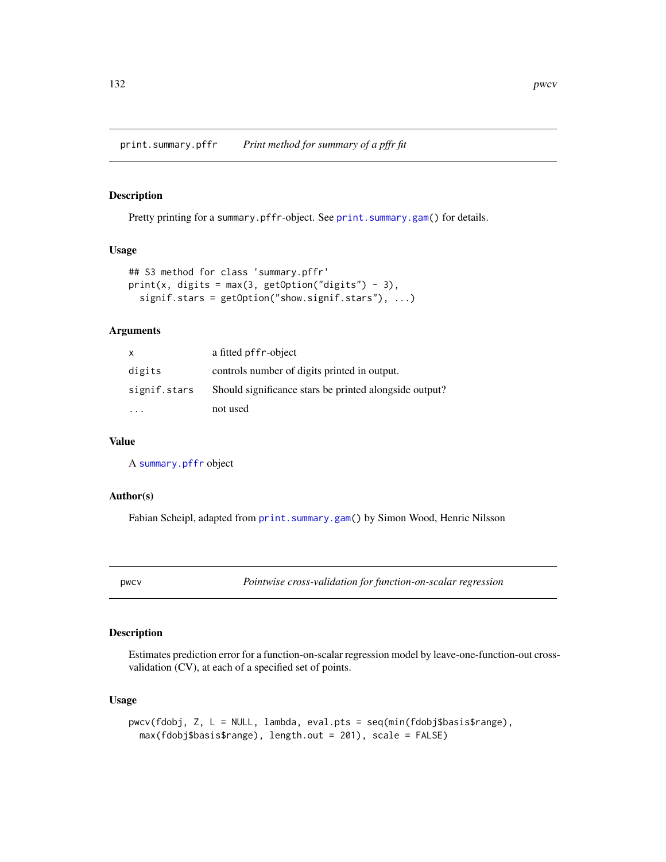print.summary.pffr *Print method for summary of a pffr fit*

#### Description

Pretty printing for a summary.pffr-object. See [print.summary.gam\(](#page-0-0)) for details.

## Usage

```
## S3 method for class 'summary.pffr'
print(x, \text{ digits} = max(3, \text{ getOption("digits")} - 3),signif.stars = getOption("show.signif.stars"), ...)
```
## Arguments

| $\mathsf{x}$ | a fitted pffr-object                                   |
|--------------|--------------------------------------------------------|
| digits       | controls number of digits printed in output.           |
| signif.stars | Should significance stars be printed alongside output? |
|              | not used                                               |

#### Value

A [summary.pffr](#page-152-0) object

## Author(s)

Fabian Scheipl, adapted from [print.summary.gam\(](#page-0-0)) by Simon Wood, Henric Nilsson

pwcv *Pointwise cross-validation for function-on-scalar regression*

## Description

Estimates prediction error for a function-on-scalar regression model by leave-one-function-out crossvalidation (CV), at each of a specified set of points.

## Usage

```
pwcv(fdobj, Z, L = NULL, lambda, eval.pts = seq(min(fdobj$basis$range),
  max(fdobj$basis$range), length.out = 201), scale = FALSE)
```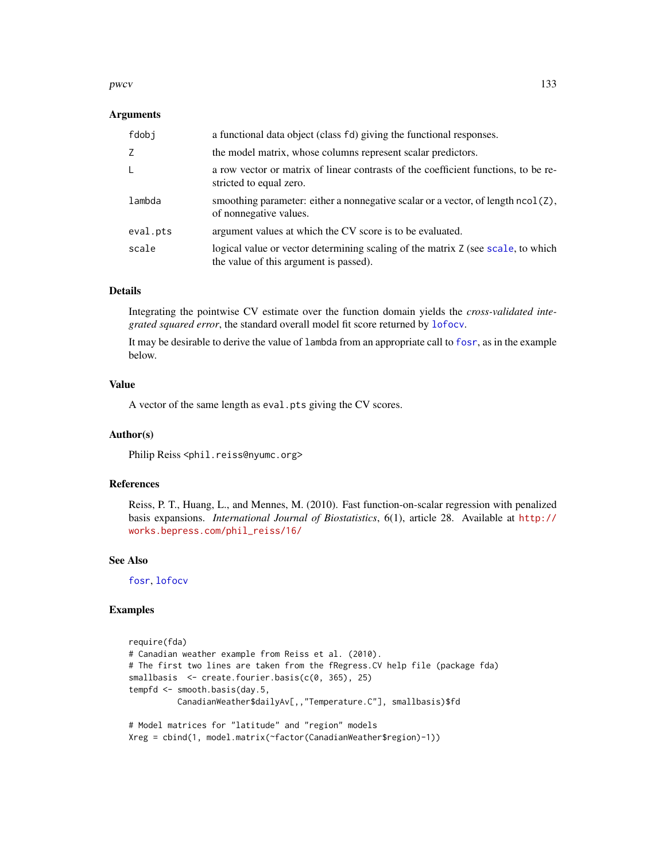#### pwcv and the set of the set of the set of the set of the set of the set of the set of the set of the set of the set of the set of the set of the set of the set of the set of the set of the set of the set of the set of the

#### Arguments

| fdobj    | a functional data object (class fd) giving the functional responses.                                                       |
|----------|----------------------------------------------------------------------------------------------------------------------------|
| Z        | the model matrix, whose columns represent scalar predictors.                                                               |
| L        | a row vector or matrix of linear contrasts of the coefficient functions, to be re-<br>stricted to equal zero.              |
| lambda   | smoothing parameter: either a nonnegative scalar or a vector, of length $ncol(2)$ ,<br>of nonnegative values.              |
| eval.pts | argument values at which the CV score is to be evaluated.                                                                  |
| scale    | logical value or vector determining scaling of the matrix Z (see scale, to which<br>the value of this argument is passed). |

## Details

Integrating the pointwise CV estimate over the function domain yields the *cross-validated integrated squared error*, the standard overall model fit score returned by [lofocv](#page-0-0).

It may be desirable to derive the value of lambda from an appropriate call to [fosr](#page-31-0), as in the example below.

## Value

A vector of the same length as eval.pts giving the CV scores.

#### Author(s)

Philip Reiss <phil.reiss@nyumc.org>

# References

Reiss, P. T., Huang, L., and Mennes, M. (2010). Fast function-on-scalar regression with penalized basis expansions. *International Journal of Biostatistics*, 6(1), article 28. Available at [http://](http://works.bepress.com/phil_reiss/16/) [works.bepress.com/phil\\_reiss/16/](http://works.bepress.com/phil_reiss/16/)

#### See Also

[fosr](#page-31-0), [lofocv](#page-0-0)

## Examples

```
require(fda)
# Canadian weather example from Reiss et al. (2010).
# The first two lines are taken from the fRegress.CV help file (package fda)
smallbasis <- create.fourier.basis(c(0, 365), 25)
tempfd <- smooth.basis(day.5,
         CanadianWeather$dailyAv[,,"Temperature.C"], smallbasis)$fd
# Model matrices for "latitude" and "region" models
Xreg = cbind(1, model.matrix(~factor(CanadianWeather$region)-1))
```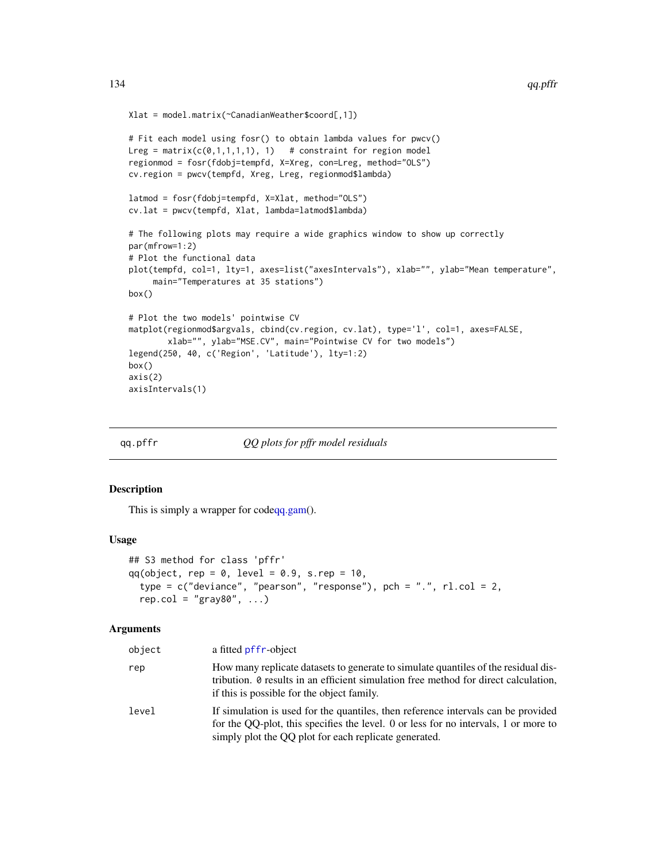```
Xlat = model.matrix(~CanadianWeather$coord[,1])
```

```
# Fit each model using fosr() to obtain lambda values for pwcv()
Lreg = matrix(c(\emptyset,1,1,1,1), 1) # constraint for region model
regionmod = fosr(fdobj=tempfd, X=Xreg, con=Lreg, method="OLS")
cv.region = pwcv(tempfd, Xreg, Lreg, regionmod$lambda)
latmod = fosr(fdobj=tempfd, X=Xlat, method="OLS")
cv.lat = pwcv(tempfd, Xlat, lambda=latmod$lambda)
# The following plots may require a wide graphics window to show up correctly
par(mfrow=1:2)
# Plot the functional data
plot(tempfd, col=1, lty=1, axes=list("axesIntervals"), xlab="", ylab="Mean temperature",
     main="Temperatures at 35 stations")
box()
# Plot the two models' pointwise CV
matplot(regionmod$argvals, cbind(cv.region, cv.lat), type='l', col=1, axes=FALSE,
        xlab="", ylab="MSE.CV", main="Pointwise CV for two models")
legend(250, 40, c('Region', 'Latitude'), lty=1:2)
box()
axis(2)
axisIntervals(1)
```
qq.pffr *QQ plots for pffr model residuals*

#### Description

This is simply a wrapper for cod[eqq.gam\(](#page-0-0)).

#### Usage

```
## S3 method for class 'pffr'
qq(object, rep = 0, level = 0.9, s.rep = 10,type = c("deviance", "pearson", "response"), pch = ".", r1.col = 2,
  rep.col = "gray80", \ldots)
```

| object | a fitted pffr-object                                                                                                                                                                                                              |
|--------|-----------------------------------------------------------------------------------------------------------------------------------------------------------------------------------------------------------------------------------|
| rep    | How many replicate datasets to generate to simulate quantiles of the residual dis-<br>tribution. 0 results in an efficient simulation free method for direct calculation,<br>if this is possible for the object family.           |
| level  | If simulation is used for the quantiles, then reference intervals can be provided<br>for the QQ-plot, this specifies the level. 0 or less for no intervals, 1 or more to<br>simply plot the QQ plot for each replicate generated. |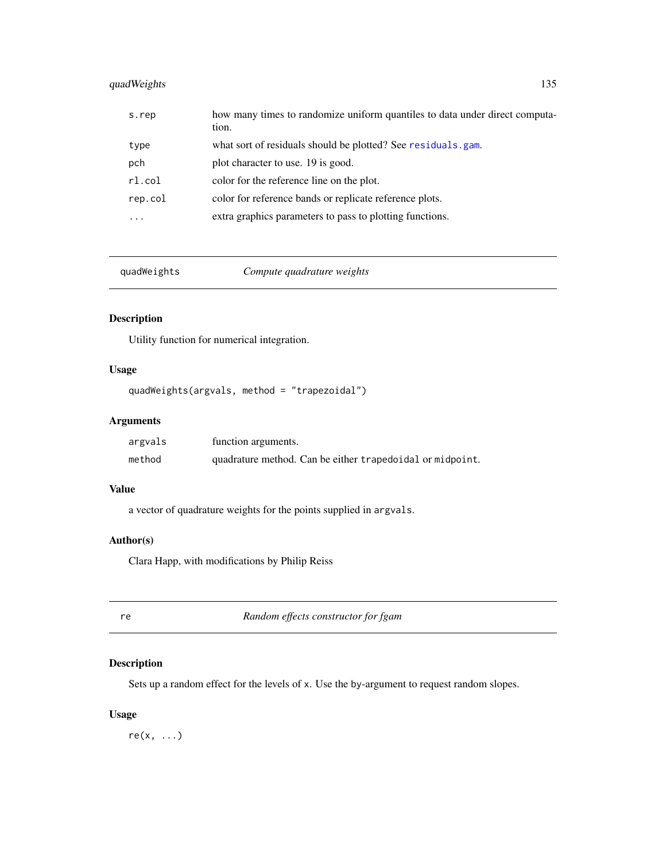# quadWeights 135

| s.rep   | how many times to randomize uniform quantiles to data under direct computa-<br>tion. |
|---------|--------------------------------------------------------------------------------------|
| type    | what sort of residuals should be plotted? See residuals.gam.                         |
| pch     | plot character to use. 19 is good.                                                   |
| rl.col  | color for the reference line on the plot.                                            |
| rep.col | color for reference bands or replicate reference plots.                              |
|         | extra graphics parameters to pass to plotting functions.                             |

quadWeights *Compute quadrature weights*

## Description

Utility function for numerical integration.

# Usage

```
quadWeights(argvals, method = "trapezoidal")
```
# Arguments

| argvals | function arguments.                                       |
|---------|-----------------------------------------------------------|
| method  | quadrature method. Can be either trapedoidal or midpoint. |

## Value

a vector of quadrature weights for the points supplied in argvals.

## Author(s)

Clara Happ, with modifications by Philip Reiss

re *Random effects constructor for fgam*

# Description

Sets up a random effect for the levels of x. Use the by-argument to request random slopes.

# Usage

 $re(x, \ldots)$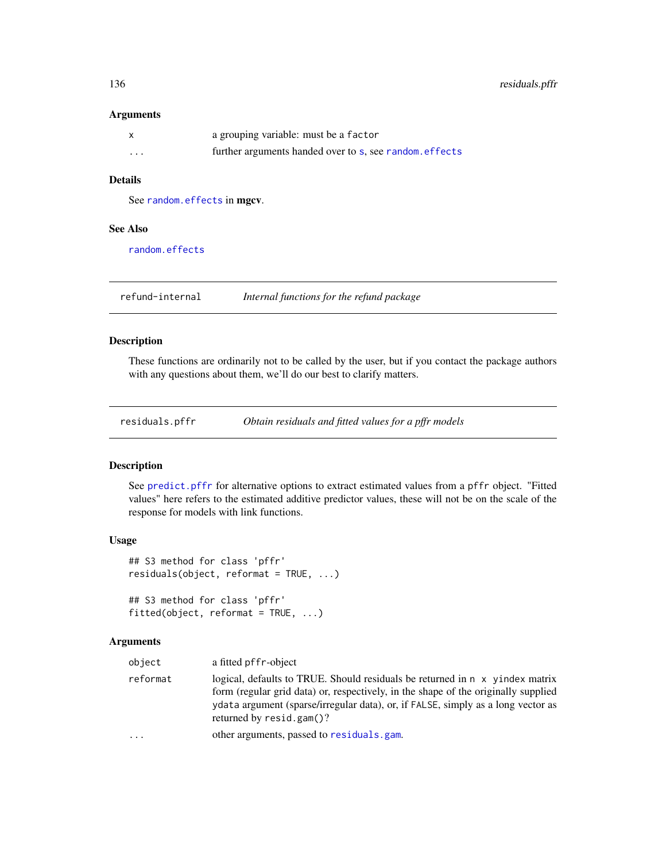## Arguments

|          | a grouping variable: must be a factor                   |
|----------|---------------------------------------------------------|
| $\cdots$ | further arguments handed over to s, see random, effects |

## Details

See [random.effects](#page-0-0) in mgcv.

# See Also

[random.effects](#page-0-0)

refund-internal *Internal functions for the refund package*

# Description

These functions are ordinarily not to be called by the user, but if you contact the package authors with any questions about them, we'll do our best to clarify matters.

residuals.pffr *Obtain residuals and fitted values for a pffr models*

#### Description

See [predict.pffr](#page-128-0) for alternative options to extract estimated values from a pffr object. "Fitted values" here refers to the estimated additive predictor values, these will not be on the scale of the response for models with link functions.

## Usage

```
## S3 method for class 'pffr'
residuals(object, reformat = TRUE, ...)
## S3 method for class 'pffr'
fitted(object, reformat = TRUE, ...)
```

| object   | a fitted pf f r-object                                                                                                                                                                                                                                                                    |
|----------|-------------------------------------------------------------------------------------------------------------------------------------------------------------------------------------------------------------------------------------------------------------------------------------------|
| reformat | logical, defaults to TRUE. Should residuals be returned in $\pi$ x yindex matrix<br>form (regular grid data) or, respectively, in the shape of the originally supplied<br>ydata argument (sparse/irregular data), or, if FALSE, simply as a long vector as<br>returned by $resid.gam()$ ? |
| $\cdots$ | other arguments, passed to residuals, gam.                                                                                                                                                                                                                                                |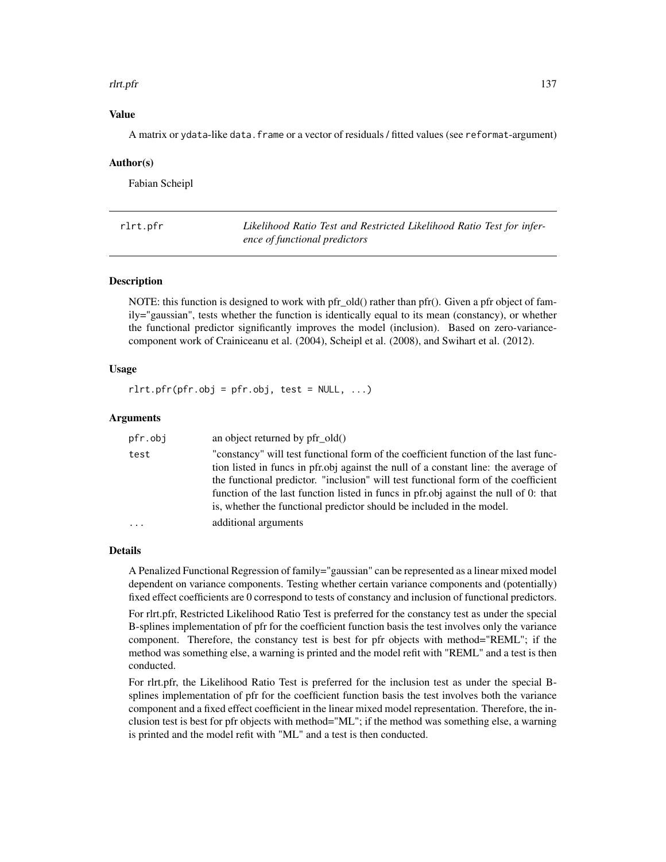#### rlrt.pfr 137

## Value

A matrix or ydata-like data.frame or a vector of residuals / fitted values (see reformat-argument)

#### Author(s)

Fabian Scheipl

<span id="page-136-0"></span>rlrt.pfr *Likelihood Ratio Test and Restricted Likelihood Ratio Test for inference of functional predictors*

## Description

NOTE: this function is designed to work with pfr\_old() rather than pfr(). Given a pfr object of family="gaussian", tests whether the function is identically equal to its mean (constancy), or whether the functional predictor significantly improves the model (inclusion). Based on zero-variancecomponent work of Crainiceanu et al. (2004), Scheipl et al. (2008), and Swihart et al. (2012).

#### Usage

 $rlrt.pfr(pfr.obj = pfr.obj, test = NULL, ...)$ 

#### Arguments

| pfr.obj  | an object returned by $pfr \text{ old}()$                                                                                                                                                                                                                                                                                                                                                                                         |
|----------|-----------------------------------------------------------------------------------------------------------------------------------------------------------------------------------------------------------------------------------------------------------------------------------------------------------------------------------------------------------------------------------------------------------------------------------|
| test     | "constancy" will test functional form of the coefficient function of the last func-<br>tion listed in funcs in pfr.obj against the null of a constant line: the average of<br>the functional predictor. "inclusion" will test functional form of the coefficient<br>function of the last function listed in funcs in pfr.obj against the null of 0: that<br>is, whether the functional predictor should be included in the model. |
| $\cdots$ | additional arguments                                                                                                                                                                                                                                                                                                                                                                                                              |

#### Details

A Penalized Functional Regression of family="gaussian" can be represented as a linear mixed model dependent on variance components. Testing whether certain variance components and (potentially) fixed effect coefficients are 0 correspond to tests of constancy and inclusion of functional predictors.

For rlrt.pfr, Restricted Likelihood Ratio Test is preferred for the constancy test as under the special B-splines implementation of pfr for the coefficient function basis the test involves only the variance component. Therefore, the constancy test is best for pfr objects with method="REML"; if the method was something else, a warning is printed and the model refit with "REML" and a test is then conducted.

For rlrt.pfr, the Likelihood Ratio Test is preferred for the inclusion test as under the special Bsplines implementation of pfr for the coefficient function basis the test involves both the variance component and a fixed effect coefficient in the linear mixed model representation. Therefore, the inclusion test is best for pfr objects with method="ML"; if the method was something else, a warning is printed and the model refit with "ML" and a test is then conducted.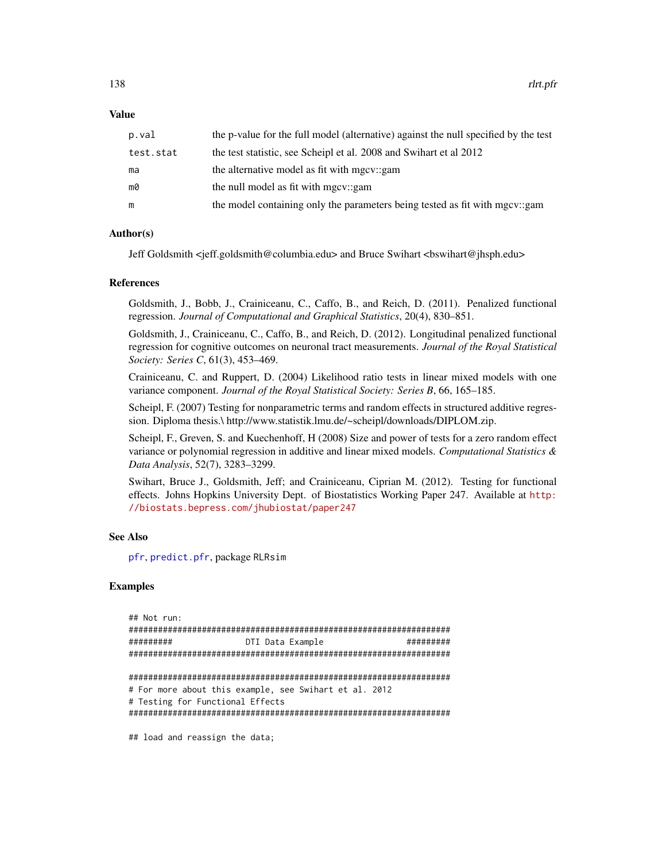#### Value

| p.val     | the p-value for the full model (alternative) against the null specified by the test |
|-----------|-------------------------------------------------------------------------------------|
| test.stat | the test statistic, see Scheipl et al. 2008 and Swihart et al 2012                  |
| ma        | the alternative model as fit with mgcv::gam                                         |
| mØ        | the null model as fit with mgcv::gam                                                |
| m         | the model containing only the parameters being tested as fit with mgcv::gam         |

#### Author(s)

Jeff Goldsmith <jeff.goldsmith@columbia.edu> and Bruce Swihart <bswihart@jhsph.edu>

## References

Goldsmith, J., Bobb, J., Crainiceanu, C., Caffo, B., and Reich, D. (2011). Penalized functional regression. *Journal of Computational and Graphical Statistics*, 20(4), 830–851.

Goldsmith, J., Crainiceanu, C., Caffo, B., and Reich, D. (2012). Longitudinal penalized functional regression for cognitive outcomes on neuronal tract measurements. *Journal of the Royal Statistical Society: Series C*, 61(3), 453–469.

Crainiceanu, C. and Ruppert, D. (2004) Likelihood ratio tests in linear mixed models with one variance component. *Journal of the Royal Statistical Society: Series B*, 66, 165–185.

Scheipl, F. (2007) Testing for nonparametric terms and random effects in structured additive regression. Diploma thesis.\ http://www.statistik.lmu.de/~scheipl/downloads/DIPLOM.zip.

Scheipl, F., Greven, S. and Kuechenhoff, H (2008) Size and power of tests for a zero random effect variance or polynomial regression in additive and linear mixed models. *Computational Statistics & Data Analysis*, 52(7), 3283–3299.

Swihart, Bruce J., Goldsmith, Jeff; and Crainiceanu, Ciprian M. (2012). Testing for functional effects. Johns Hopkins University Dept. of Biostatistics Working Paper 247. Available at [http:](http://biostats.bepress.com/jhubiostat/paper247) [//biostats.bepress.com/jhubiostat/paper247](http://biostats.bepress.com/jhubiostat/paper247)

#### See Also

[pfr](#page-105-0), [predict.pfr](#page-129-0), package RLRsim

#### Examples

```
## Not run:
##################################################################
######### DTI Data Example #########
##################################################################
##################################################################
# For more about this example, see Swihart et al. 2012
# Testing for Functional Effects
##################################################################
```
## load and reassign the data;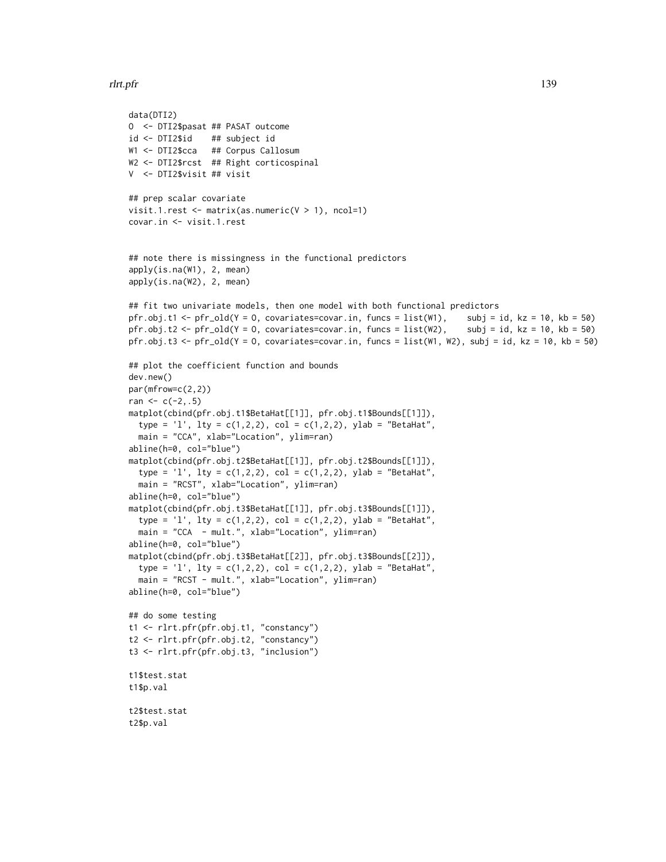#### rlrt.pfr 139

```
data(DTI2)
O <- DTI2$pasat ## PASAT outcome
id <- DTI2$id ## subject id
W1 <- DTI2$cca ## Corpus Callosum
W2 <- DTI2$rcst ## Right corticospinal
V <- DTI2$visit ## visit
## prep scalar covariate
visit.1.rest \leq matrix(as.numeric(V > 1), ncol=1)
covar.in <- visit.1.rest
## note there is missingness in the functional predictors
apply(is.na(W1), 2, mean)
apply(is.na(W2), 2, mean)
## fit two univariate models, then one model with both functional predictors
pfr.obj.t1 <- pfr_old(Y = 0, covariates=covar.in, funcs = list(W1), subj = id, kz = 10, kb = 50)
pfr.obj.t2 <- pfr_old(Y = 0, covariates=covar.in, funcs = list(W2), subj = id, kz = 10, kb = 50)
pfr.obj.t3 <- pfr_old(Y = 0, covariates=covar.in, funcs = list(W1, W2), subj = id, kz = 10, kb = 50)
## plot the coefficient function and bounds
dev.new()
par(mfrow=c(2,2))
ran <-c(-2, .5)matplot(cbind(pfr.obj.t1$BetaHat[[1]], pfr.obj.t1$Bounds[[1]]),
  type = '1', lty = c(1,2,2), col = c(1,2,2), ylab = "BetaHat",
  main = "CCA", xlab="Location", ylim=ran)
abline(h=0, col="blue")
matplot(cbind(pfr.obj.t2$BetaHat[[1]], pfr.obj.t2$Bounds[[1]]),
  type = '1', lty = c(1,2,2), col = c(1,2,2), ylab = "BetaHat",
  main = "RCST", xlab="Location", ylim=ran)
abline(h=0, col="blue")
matplot(cbind(pfr.obj.t3$BetaHat[[1]], pfr.obj.t3$Bounds[[1]]),
  type = '1', lty = c(1,2,2), col = c(1,2,2), ylab = "BetaHat",
  main = "CCA - mult.", xlab="Location", ylim=ran)
abline(h=0, col="blue")
matplot(cbind(pfr.obj.t3$BetaHat[[2]], pfr.obj.t3$Bounds[[2]]),
  type = '1', lty = c(1,2,2), col = c(1,2,2), ylab = "BetaHat",
  main = "RCST - mult.", xlab="Location", ylim=ran)
abline(h=0, col="blue")
## do some testing
t1 <- rlrt.pfr(pfr.obj.t1, "constancy")
t2 <- rlrt.pfr(pfr.obj.t2, "constancy")
t3 <- rlrt.pfr(pfr.obj.t3, "inclusion")
t1$test.stat
t1$p.val
t2$test.stat
t2$p.val
```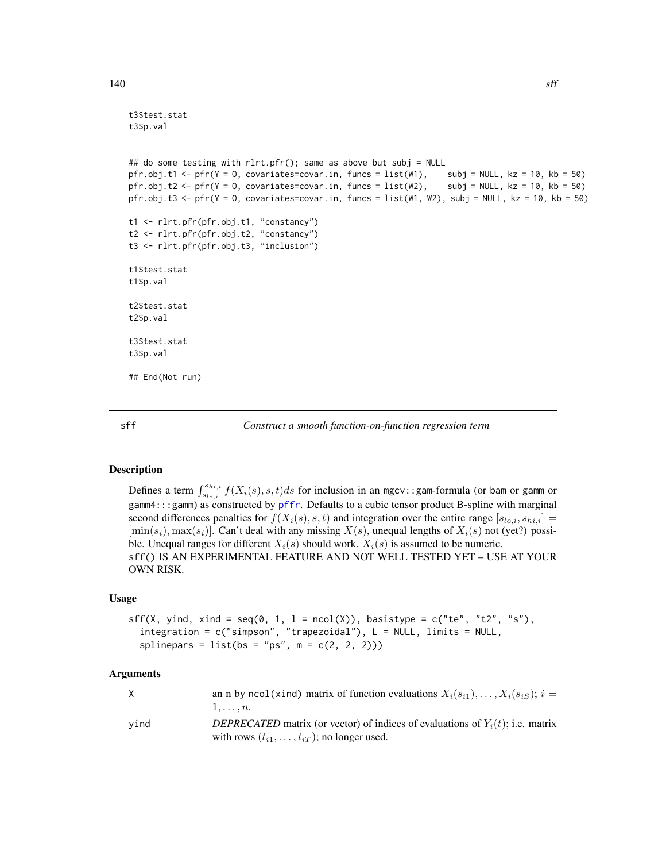```
t3$test.stat
t3$p.val
## do some testing with rlrt.pfr(); same as above but subj = NULL
pfr.obj.t1 <- pfr(Y = O, covariates=covar.in, funcs = list(W1), subj = NULL, kz = 10, kb = 50)
pfr.obj.t2 <- pfr(Y = 0, covariates=covar.in, funcs = list(W2), subj = NULL, kz = 10, kb = 50)
pfr.obj.t3 <- pfr(Y = 0, covariates=covar.in, funcs = list(W1, W2), subj = NULL, kz = 10, kb = 50)
t1 <- rlrt.pfr(pfr.obj.t1, "constancy")
t2 <- rlrt.pfr(pfr.obj.t2, "constancy")
t3 <- rlrt.pfr(pfr.obj.t3, "inclusion")
t1$test.stat
t1$p.val
t2$test.stat
t2$p.val
t3$test.stat
t3$p.val
## End(Not run)
```
sff *Construct a smooth function-on-function regression term*

#### **Description**

Defines a term  $\int_{s_{lo,i}}^{s_{hi,i}} f(X_i(s), s, t) ds$  for inclusion in an mgcv::gam-formula (or bam or gamm or gamm4:::gamm) as constructed by [pffr](#page-98-0). Defaults to a cubic tensor product B-spline with marginal second differences penalties for  $f(X_i(s), s, t)$  and integration over the entire range  $[s_{lo,i}, s_{hi,i}] =$  $[\min(s_i), \max(s_i)]$ . Can't deal with any missing  $X(s)$ , unequal lengths of  $X_i(s)$  not (yet?) possible. Unequal ranges for different  $X_i(s)$  should work.  $X_i(s)$  is assumed to be numeric. sff() IS AN EXPERIMENTAL FEATURE AND NOT WELL TESTED YET – USE AT YOUR OWN RISK.

#### Usage

```
sff(X, yind, xind = seq(0, 1, l = \text{ncol}(X)), basistype = c("te", "t2", "s"),
  integration = c("simpson", "trapezoidal"), L = NULL, limits = NULL,
  splinepars = list(bs = "ps", m = c(2, 2, 2)))
```

| X    | an n by ncol(xind) matrix of function evaluations $X_i(s_{i1}), \ldots, X_i(s_{iS}); i =$<br>$1, \ldots, n$ .                               |
|------|---------------------------------------------------------------------------------------------------------------------------------------------|
| vind | DEPRECATED matrix (or vector) of indices of evaluations of $Y_i(t)$ ; i.e. matrix<br>with rows $(t_{i1}, \ldots, t_{iT})$ ; no longer used. |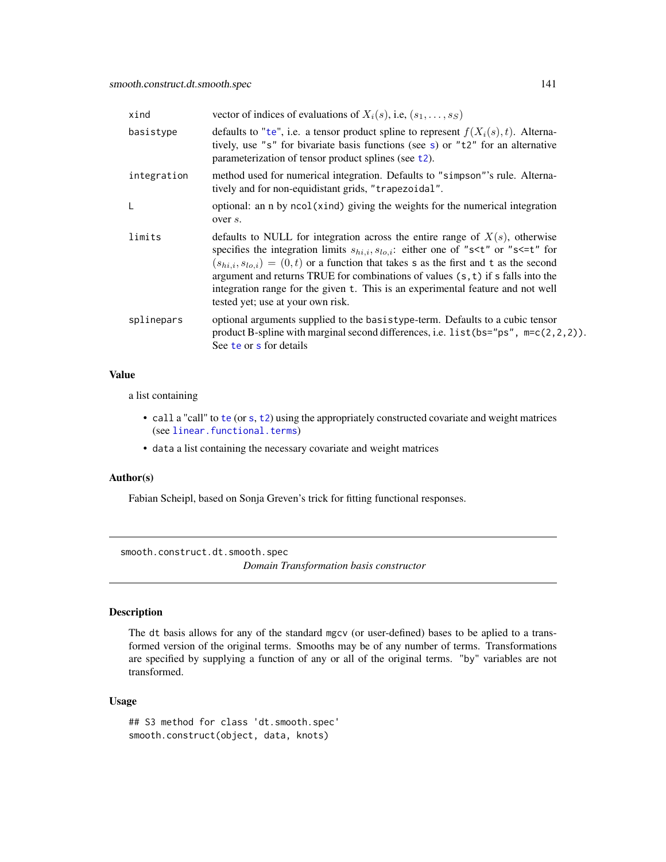| xind        | vector of indices of evaluations of $X_i(s)$ , i.e, $(s_1, \ldots, s_S)$                                                                                                                                                                                                                                                                                                                                                                                                                                                       |
|-------------|--------------------------------------------------------------------------------------------------------------------------------------------------------------------------------------------------------------------------------------------------------------------------------------------------------------------------------------------------------------------------------------------------------------------------------------------------------------------------------------------------------------------------------|
| basistype   | defaults to "te", i.e. a tensor product spline to represent $f(X_i(s), t)$ . Alterna-<br>tively, use "s" for bivariate basis functions (see s) or "t2" for an alternative<br>parameterization of tensor product splines (see $t2$ ).                                                                                                                                                                                                                                                                                           |
| integration | method used for numerical integration. Defaults to "simpson"'s rule. Alterna-<br>tively and for non-equidistant grids, "trapezoidal".                                                                                                                                                                                                                                                                                                                                                                                          |
| L           | optional: an n by ncol(xind) giving the weights for the numerical integration<br>over s.                                                                                                                                                                                                                                                                                                                                                                                                                                       |
| limits      | defaults to NULL for integration across the entire range of $X(s)$ , otherwise<br>specifies the integration limits $s_{hi,i}, s_{lo,i}$ : either one of "s <t" "s<='t"' for<br="" or=""><math>(s_{hi,i}, s_{lo,i}) = (0, t)</math> or a function that takes s as the first and t as the second<br/>argument and returns TRUE for combinations of values <math>(s, t)</math> if s falls into the<br/>integration range for the given t. This is an experimental feature and not well<br/>tested yet; use at your own risk.</t"> |
| splinepars  | optional arguments supplied to the basistype-term. Defaults to a cubic tensor<br>product B-spline with marginal second differences, i.e. $list(bs="ps", m=c(2,2,2)).$<br>See te or s for details                                                                                                                                                                                                                                                                                                                               |

# Value

a list containing

- call a "call" to [te](#page-0-0) (or [s](#page-0-0), [t2](#page-0-0)) using the appropriately constructed covariate and weight matrices (see [linear.functional.terms](#page-0-0))
- data a list containing the necessary covariate and weight matrices

## Author(s)

Fabian Scheipl, based on Sonja Greven's trick for fitting functional responses.

<span id="page-140-0"></span>smooth.construct.dt.smooth.spec

*Domain Transformation basis constructor*

# Description

The dt basis allows for any of the standard mgcv (or user-defined) bases to be aplied to a transformed version of the original terms. Smooths may be of any number of terms. Transformations are specified by supplying a function of any or all of the original terms. "by" variables are not transformed.

# Usage

```
## S3 method for class 'dt.smooth.spec'
smooth.construct(object, data, knots)
```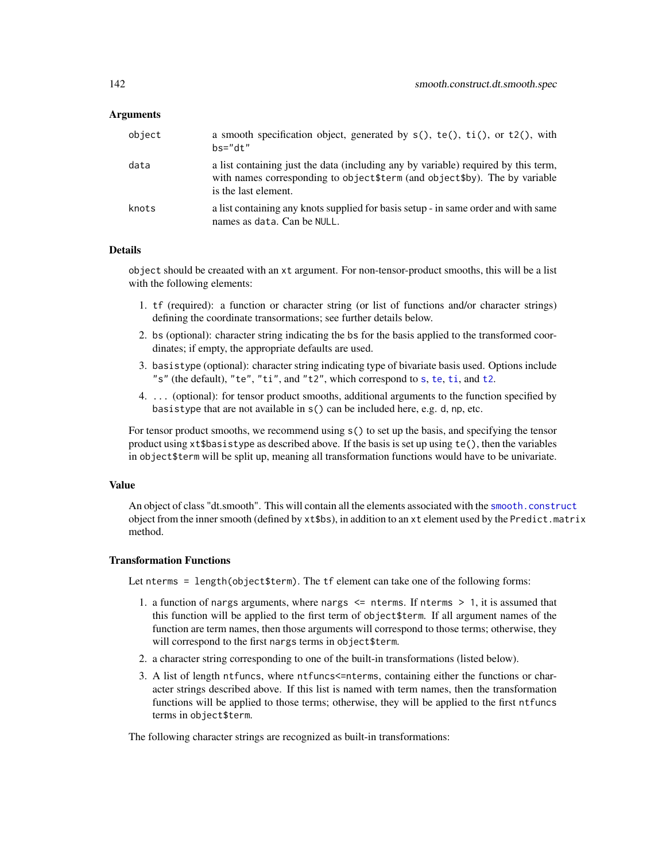#### Arguments

| object | a smooth specification object, generated by $s()$ , $te()$ , $ti()$ , or $t2()$ , with<br>$hs="right."$                                                                                    |
|--------|--------------------------------------------------------------------------------------------------------------------------------------------------------------------------------------------|
| data   | a list containing just the data (including any by variable) required by this term,<br>with names corresponding to object \$term (and object \$by). The by variable<br>is the last element. |
| knots  | a list containing any knots supplied for basis setup - in same order and with same<br>names as data. Can be NULL.                                                                          |

## Details

object should be creaated with an xt argument. For non-tensor-product smooths, this will be a list with the following elements:

- 1. tf (required): a function or character string (or list of functions and/or character strings) defining the coordinate transormations; see further details below.
- 2. bs (optional): character string indicating the bs for the basis applied to the transformed coordinates; if empty, the appropriate defaults are used.
- 3. basistype (optional): character string indicating type of bivariate basis used. Options include "s" (the default), "te", "ti", and "t2", which correspond to [s](#page-0-0), [te](#page-0-0), [ti](#page-0-0), and [t2](#page-0-0).
- 4. ... (optional): for tensor product smooths, additional arguments to the function specified by basistype that are not available in s() can be included here, e.g. d, np, etc.

For tensor product smooths, we recommend using s() to set up the basis, and specifying the tensor product using xt\$basistype as described above. If the basis is set up using te(), then the variables in object\$term will be split up, meaning all transformation functions would have to be univariate.

#### Value

An object of class "dt.smooth". This will contain all the elements associated with the [smooth.construct](#page-0-0) object from the inner smooth (defined by xt\$bs), in addition to an xt element used by the Predict.matrix method.

#### Transformation Functions

Let nterms = length(object\$term). The tf element can take one of the following forms:

- 1. a function of nargs arguments, where nargs <= nterms. If nterms > 1, it is assumed that this function will be applied to the first term of object\$term. If all argument names of the function are term names, then those arguments will correspond to those terms; otherwise, they will correspond to the first nargs terms in object\$term.
- 2. a character string corresponding to one of the built-in transformations (listed below).
- 3. A list of length ntfuncs, where ntfuncs<=nterms, containing either the functions or character strings described above. If this list is named with term names, then the transformation functions will be applied to those terms; otherwise, they will be applied to the first ntfuncs terms in object\$term.

The following character strings are recognized as built-in transformations: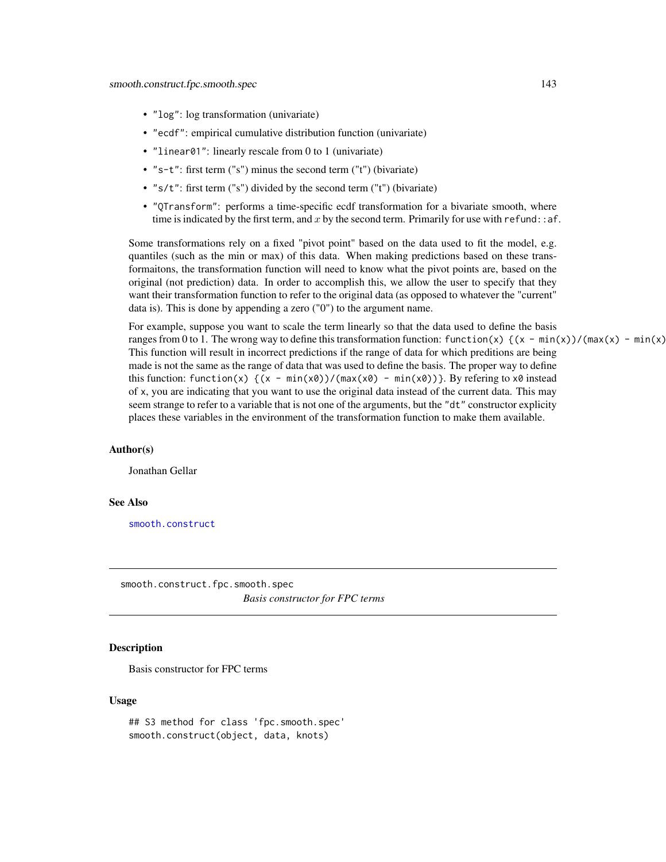- "log": log transformation (univariate)
- "ecdf": empirical cumulative distribution function (univariate)
- "linear01": linearly rescale from 0 to 1 (univariate)
- "s-t": first term ("s") minus the second term ("t") (bivariate)
- "s/t": first term ("s") divided by the second term ("t") (bivariate)
- "QTransform": performs a time-specific ecdf transformation for a bivariate smooth, where time is indicated by the first term, and x by the second term. Primarily for use with refund:  $a^2$ :

Some transformations rely on a fixed "pivot point" based on the data used to fit the model, e.g. quantiles (such as the min or max) of this data. When making predictions based on these transformaitons, the transformation function will need to know what the pivot points are, based on the original (not prediction) data. In order to accomplish this, we allow the user to specify that they want their transformation function to refer to the original data (as opposed to whatever the "current" data is). This is done by appending a zero ("0") to the argument name.

For example, suppose you want to scale the term linearly so that the data used to define the basis ranges from 0 to 1. The wrong way to define this transformation function: function(x)  $\{(x - \min(x)) / (\max(x) - \min(x))\}$ . This function will result in incorrect predictions if the range of data for which preditions are being made is not the same as the range of data that was used to define the basis. The proper way to define this function: function(x)  $\{(x - \min(x0))/(max(x0) - \min(x0))\}$ . By refering to x0 instead of x, you are indicating that you want to use the original data instead of the current data. This may seem strange to refer to a variable that is not one of the arguments, but the "dt" constructor explicity places these variables in the environment of the transformation function to make them available.

#### Author(s)

Jonathan Gellar

#### See Also

[smooth.construct](#page-0-0)

<span id="page-142-0"></span>smooth.construct.fpc.smooth.spec *Basis constructor for FPC terms*

## Description

Basis constructor for FPC terms

#### Usage

## S3 method for class 'fpc.smooth.spec' smooth.construct(object, data, knots)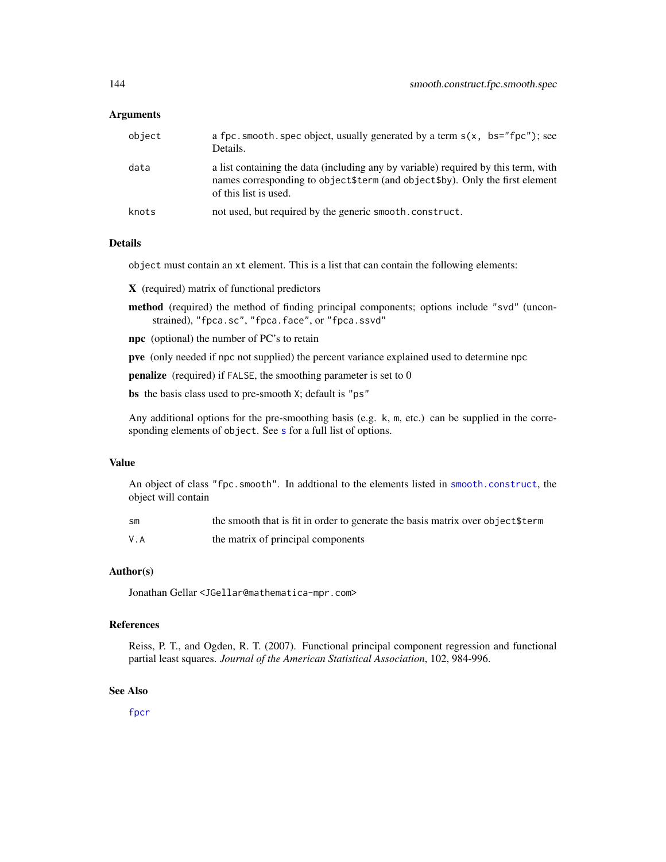#### Arguments

| object | a fpc. smooth. spec object, usually generated by a term $s(x, bs="fpc")$ ; see<br>Details.                                                                                                    |
|--------|-----------------------------------------------------------------------------------------------------------------------------------------------------------------------------------------------|
| data   | a list containing the data (including any by variable) required by this term, with<br>names corresponding to object \$term (and object \$by). Only the first element<br>of this list is used. |
| knots  | not used, but required by the generic smooth, construct.                                                                                                                                      |

#### Details

object must contain an xt element. This is a list that can contain the following elements:

X (required) matrix of functional predictors

- method (required) the method of finding principal components; options include "svd" (unconstrained), "fpca.sc", "fpca.face", or "fpca.ssvd"
- npc (optional) the number of PC's to retain

pve (only needed if npc not supplied) the percent variance explained used to determine npc

penalize (required) if FALSE, the smoothing parameter is set to 0

bs the basis class used to pre-smooth X; default is "ps"

Any additional options for the pre-smoothing basis (e.g. k, m, etc.) can be supplied in the corre[s](#page-0-0)ponding elements of object. See s for a full list of options.

#### Value

An object of class "fpc.smooth". In addtional to the elements listed in [smooth.construct](#page-0-0), the object will contain

| SM  | the smooth that is fit in order to generate the basis matrix over object \$term |
|-----|---------------------------------------------------------------------------------|
| V.A | the matrix of principal components                                              |

#### Author(s)

Jonathan Gellar <JGellar@mathematica-mpr.com>

#### References

Reiss, P. T., and Ogden, R. T. (2007). Functional principal component regression and functional partial least squares. *Journal of the American Statistical Association*, 102, 984-996.

#### See Also

[fpcr](#page-61-0)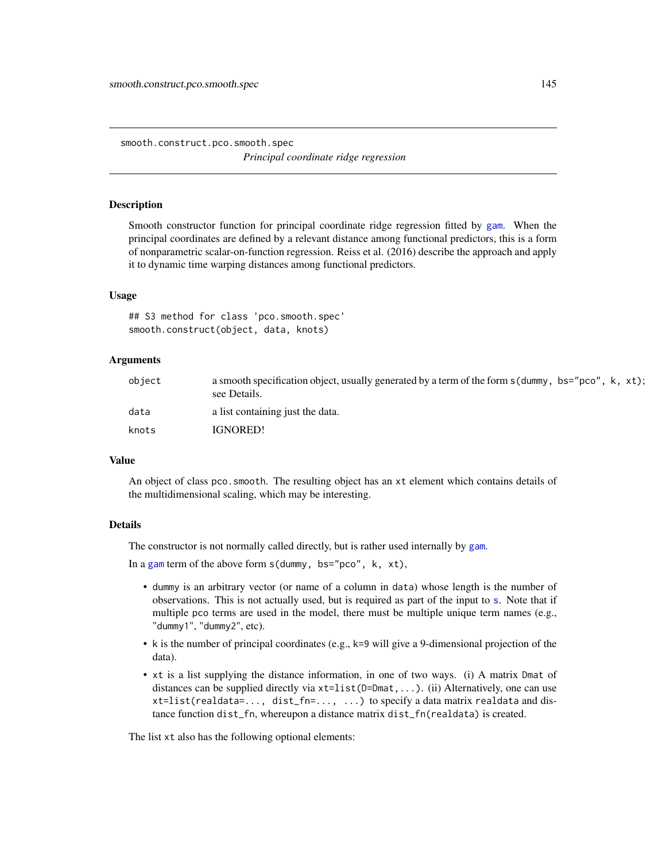<span id="page-144-0"></span>smooth.construct.pco.smooth.spec *Principal coordinate ridge regression*

#### **Description**

Smooth constructor function for principal coordinate ridge regression fitted by [gam](#page-0-0). When the principal coordinates are defined by a relevant distance among functional predictors, this is a form of nonparametric scalar-on-function regression. Reiss et al. (2016) describe the approach and apply it to dynamic time warping distances among functional predictors.

#### Usage

## S3 method for class 'pco.smooth.spec' smooth.construct(object, data, knots)

# Arguments

| object | a smooth specification object, usually generated by a term of the form s (dummy, bs="pco", k, xt);<br>see Details. |
|--------|--------------------------------------------------------------------------------------------------------------------|
| data   | a list containing just the data.                                                                                   |
| knots  | IGNORED!                                                                                                           |

# Value

An object of class pco.smooth. The resulting object has an xt element which contains details of the multidimensional scaling, which may be interesting.

#### Details

The constructor is not normally called directly, but is rather used internally by [gam](#page-0-0).

In a [gam](#page-0-0) term of the above form  $s$  (dummy, bs="pco", k, xt),

- dummy is an arbitrary vector (or name of a column in data) whose length is the number of observations. This is not actually used, but is required as part of the input to [s](#page-0-0). Note that if multiple pco terms are used in the model, there must be multiple unique term names (e.g., "dummy1", "dummy2", etc).
- k is the number of principal coordinates (e.g., k=9 will give a 9-dimensional projection of the data).
- xt is a list supplying the distance information, in one of two ways. (i) A matrix Dmat of distances can be supplied directly via xt=list(D=Dmat,...). (ii) Alternatively, one can use xt=list(realdata=..., dist\_fn=..., ...) to specify a data matrix realdata and distance function dist\_fn, whereupon a distance matrix dist\_fn(realdata) is created.

The list xt also has the following optional elements: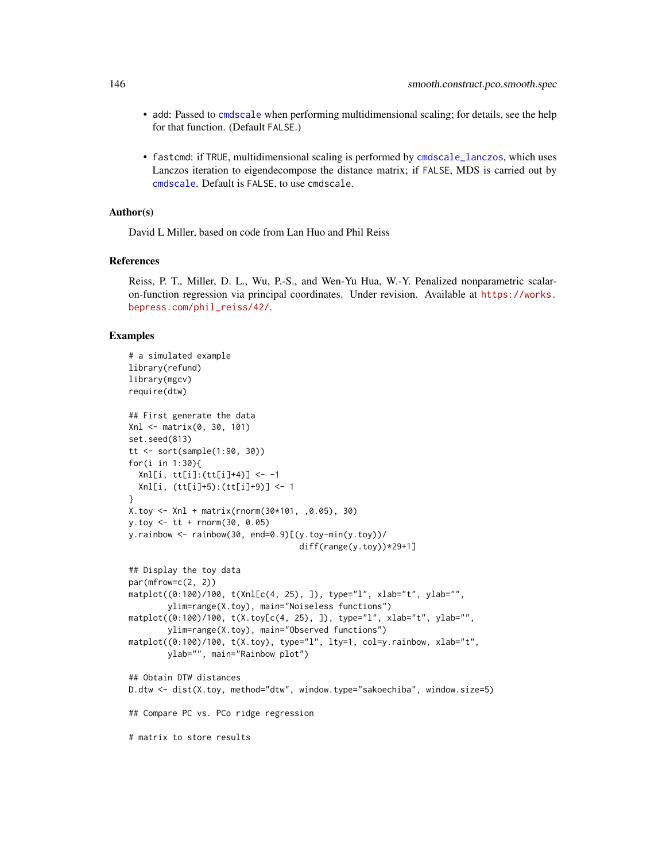- <span id="page-145-0"></span>• add: Passed to [cmdscale](#page-0-0) when performing multidimensional scaling; for details, see the help for that function. (Default FALSE.)
- fastcmd: if TRUE, multidimensional scaling is performed by [cmdscale\\_lanczos](#page-13-0), which uses Lanczos iteration to eigendecompose the distance matrix; if FALSE, MDS is carried out by [cmdscale](#page-0-0). Default is FALSE, to use cmdscale.

#### Author(s)

David L Miller, based on code from Lan Huo and Phil Reiss

#### References

Reiss, P. T., Miller, D. L., Wu, P.-S., and Wen-Yu Hua, W.-Y. Penalized nonparametric scalaron-function regression via principal coordinates. Under revision. Available at [https://works.](https://works.bepress.com/phil_reiss/42/) [bepress.com/phil\\_reiss/42/](https://works.bepress.com/phil_reiss/42/).

#### Examples

```
# a simulated example
library(refund)
library(mgcv)
require(dtw)
## First generate the data
Xnl <- matrix(0, 30, 101)
set.seed(813)
tt <- sort(sample(1:90, 30))
for(i in 1:30){
  Xnl[i, tt[i]:(tt[i]+4)] <- -1
  Xnl[i, (tt[i]+5):(tt[i]+9)] <- 1
}
X.toy <- Xnl + matrix(rnorm(30*101, ,0.05), 30)
y.toy <- tt + rnorm(30, 0.05)
y.rainbow \leq rainbow(30, end=0.9)[(y.toy-min(y.toy))/
                                   diff(range(y.toy))*29+1]
## Display the toy data
par(mfrow=c(2, 2))matplot((0:100)/100, t(Xnl[c(4, 25), ]), type="l", xlab="t", ylab="",
        ylim=range(X.toy), main="Noiseless functions")
matplot((0:100)/100, t(X.toy[c(4, 25), ]), type="l", xlab="t", ylab="",
        ylim=range(X.toy), main="Observed functions")
matplot((0:100)/100, t(X.toy), type="l", lty=1, col=y.rainbow, xlab="t",
        ylab="", main="Rainbow plot")
## Obtain DTW distances
D.dtw <- dist(X.toy, method="dtw", window.type="sakoechiba", window.size=5)
## Compare PC vs. PCo ridge regression
# matrix to store results
```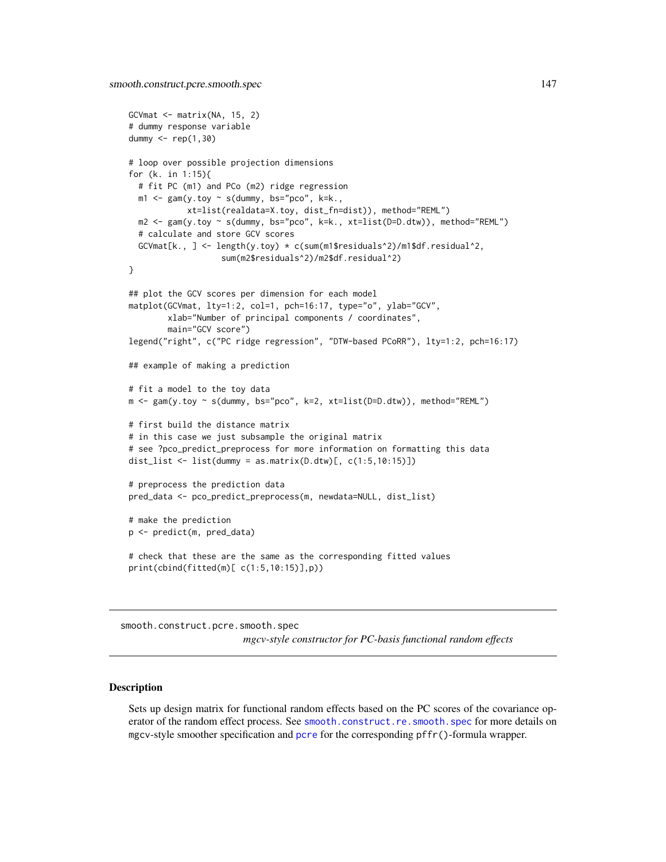```
GCVmat \leq matrix(NA, 15, 2)
# dummy response variable
dummy <- rep(1,30)
# loop over possible projection dimensions
for (k. in 1:15){
 # fit PC (m1) and PCo (m2) ridge regression
 m1 \leq -\text{gam}(y.\text{toy} \sim s(\text{dummy}, \text{bs='pco", k=k.},xt=list(realdata=X.toy, dist_fn=dist)), method="REML")
 m2 <- gam(y.toy ~ s(dummy, bs="pco", k=k., xt=list(D=D.dtw)), method="REML")
 # calculate and store GCV scores
 GCVmat[k., ] <- length(y.toy) * c(sum(m1$residuals^2)/m1$df.residual^2,
                   sum(m2$residuals^2)/m2$df.residual^2)
}
## plot the GCV scores per dimension for each model
matplot(GCVmat, lty=1:2, col=1, pch=16:17, type="o", ylab="GCV",
        xlab="Number of principal components / coordinates",
        main="GCV score")
legend("right", c("PC ridge regression", "DTW-based PCoRR"), lty=1:2, pch=16:17)
## example of making a prediction
# fit a model to the toy data
m <- gam(y.toy ~ s(dummy, bs="pco", k=2, xt=list(D=D.dtw)), method="REML")
# first build the distance matrix
# in this case we just subsample the original matrix
# see ?pco_predict_preprocess for more information on formatting this data
dist_list <- list(dummy = as.matrix(D.dtw)[, c(1:5,10:15)])
# preprocess the prediction data
pred_data <- pco_predict_preprocess(m, newdata=NULL, dist_list)
# make the prediction
p <- predict(m, pred_data)
# check that these are the same as the corresponding fitted values
print(cbind(fitted(m)[ c(1:5,10:15)],p))
```
smooth.construct.pcre.smooth.spec

*mgcv-style constructor for PC-basis functional random effects*

#### Description

Sets up design matrix for functional random effects based on the PC scores of the covariance operator of the random effect process. See [smooth.construct.re.smooth.spec](#page-0-0) for more details on mgcv-style smoother specification and [pcre](#page-91-0) for the corresponding pffr()-formula wrapper.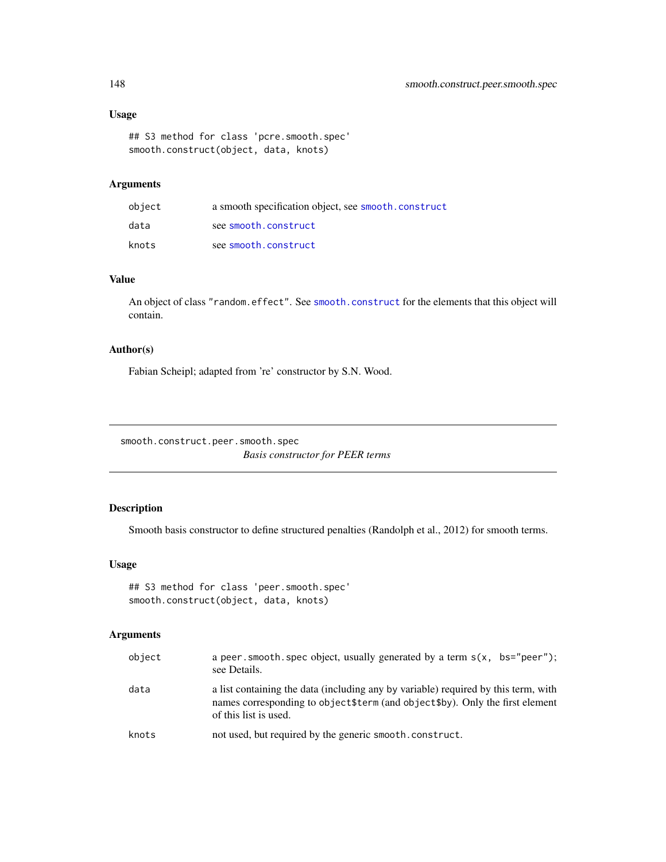# Usage

```
## S3 method for class 'pcre.smooth.spec'
smooth.construct(object, data, knots)
```
# Arguments

| object | a smooth specification object, see smooth.construct |
|--------|-----------------------------------------------------|
| data   | see smooth.construct                                |
| knots  | see smooth.construct                                |

# Value

An object of class "random.effect". See [smooth.construct](#page-0-0) for the elements that this object will contain.

# Author(s)

Fabian Scheipl; adapted from 're' constructor by S.N. Wood.

smooth.construct.peer.smooth.spec *Basis constructor for PEER terms*

# Description

Smooth basis constructor to define structured penalties (Randolph et al., 2012) for smooth terms.

# Usage

```
## S3 method for class 'peer.smooth.spec'
smooth.construct(object, data, knots)
```

| object | a peer. smooth. spec object, usually generated by a term $s(x, bs="peer")$ ;<br>see Details.                                                                                                  |
|--------|-----------------------------------------------------------------------------------------------------------------------------------------------------------------------------------------------|
| data   | a list containing the data (including any by variable) required by this term, with<br>names corresponding to object \$term (and object \$by). Only the first element<br>of this list is used. |
| knots  | not used, but required by the generic smooth, construct.                                                                                                                                      |

<span id="page-147-0"></span>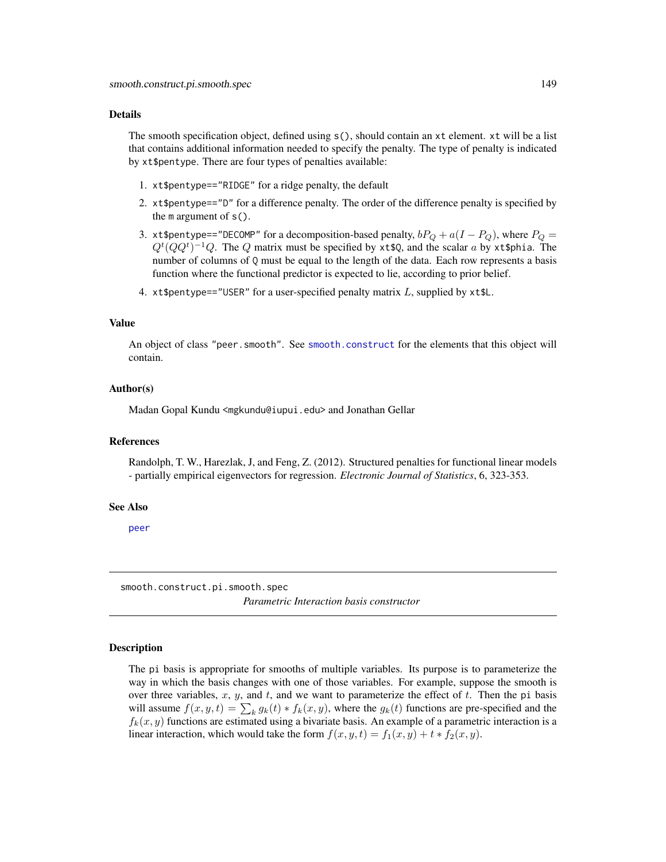#### <span id="page-148-0"></span>Details

The smooth specification object, defined using s(), should contain an xt element. xt will be a list that contains additional information needed to specify the penalty. The type of penalty is indicated by xt\$pentype. There are four types of penalties available:

- 1. xt\$pentype=="RIDGE" for a ridge penalty, the default
- 2. xt\$pentype=="D" for a difference penalty. The order of the difference penalty is specified by the  $m$  argument of  $s()$ .
- 3. xt\$pentype=="DECOMP" for a decomposition-based penalty,  $bP_Q + a(I P_Q)$ , where  $P_Q =$  $Q^t(QQ^t)^{-1}Q$ . The Q matrix must be specified by xt\$Q, and the scalar a by xt\$phia. The number of columns of  $Q$  must be equal to the length of the data. Each row represents a basis function where the functional predictor is expected to lie, according to prior belief.
- 4. xt\$pentype=="USER" for a user-specified penalty matrix  $L$ , supplied by xt\$L.

# Value

An object of class "peer.smooth". See [smooth.construct](#page-0-0) for the elements that this object will contain.

#### Author(s)

Madan Gopal Kundu <mgkundu@iupui.edu> and Jonathan Gellar

#### References

Randolph, T. W., Harezlak, J, and Feng, Z. (2012). Structured penalties for functional linear models - partially empirical eigenvectors for regression. *Electronic Journal of Statistics*, 6, 323-353.

# See Also

[peer](#page-92-0)

smooth.construct.pi.smooth.spec *Parametric Interaction basis constructor*

#### Description

The pi basis is appropriate for smooths of multiple variables. Its purpose is to parameterize the way in which the basis changes with one of those variables. For example, suppose the smooth is over three variables,  $x$ ,  $y$ , and  $t$ , and we want to parameterize the effect of  $t$ . Then the pi basis will assume  $f(x, y, t) = \sum_k g_k(t) * f_k(x, y)$ , where the  $g_k(t)$  functions are pre-specified and the  $f_k(x, y)$  functions are estimated using a bivariate basis. An example of a parametric interaction is a linear interaction, which would take the form  $f(x, y, t) = f_1(x, y) + t * f_2(x, y)$ .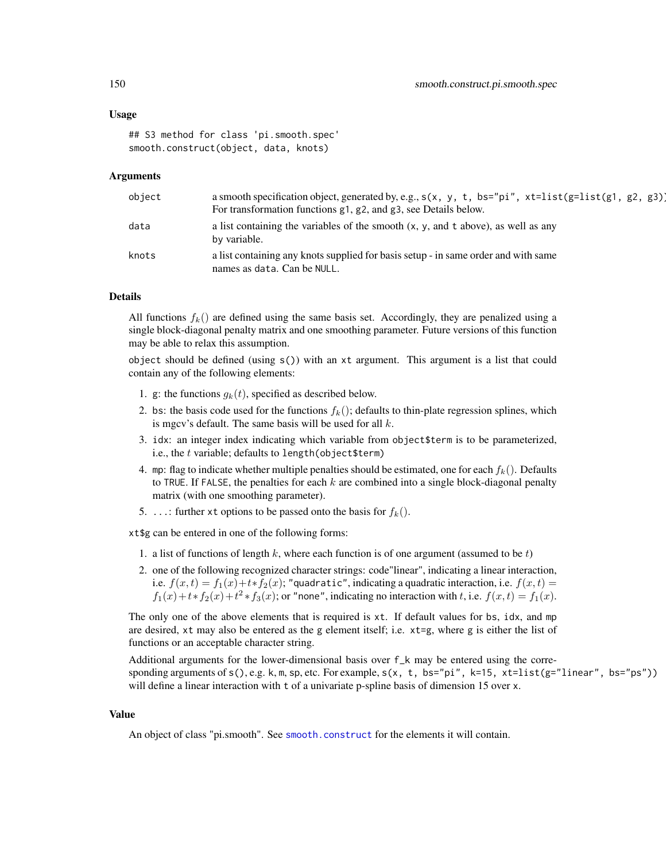# Usage

```
## S3 method for class 'pi.smooth.spec'
smooth.construct(object, data, knots)
```
#### Arguments

| object | a smooth specification object, generated by, e.g., $s(x, y, t, bs="pi', xt=list(g=list(g1, g2, g3))$<br>For transformation functions g1, g2, and g3, see Details below. |
|--------|-------------------------------------------------------------------------------------------------------------------------------------------------------------------------|
| data   | a list containing the variables of the smooth $(x, y,$ and t above), as well as any<br>by variable.                                                                     |
| knots  | a list containing any knots supplied for basis setup - in same order and with same<br>names as data. Can be NULL.                                                       |

# Details

All functions  $f_k()$  are defined using the same basis set. Accordingly, they are penalized using a single block-diagonal penalty matrix and one smoothing parameter. Future versions of this function may be able to relax this assumption.

object should be defined (using  $s()$ ) with an xt argument. This argument is a list that could contain any of the following elements:

- 1. g: the functions  $g_k(t)$ , specified as described below.
- 2. bs: the basis code used for the functions  $f_k()$ ; defaults to thin-plate regression splines, which is mgcv's default. The same basis will be used for all  $k$ .
- 3. idx: an integer index indicating which variable from object\$term is to be parameterized, i.e., the  $t$  variable; defaults to length(object\$term)
- 4. mp: flag to indicate whether multiple penalties should be estimated, one for each  $f_k()$ . Defaults to TRUE. If FALSE, the penalties for each  $k$  are combined into a single block-diagonal penalty matrix (with one smoothing parameter).
- 5. ...: further xt options to be passed onto the basis for  $f_k()$ .

xt\$g can be entered in one of the following forms:

- 1. a list of functions of length k, where each function is of one argument (assumed to be t)
- 2. one of the following recognized character strings: code"linear", indicating a linear interaction, i.e.  $f(x,t) = f_1(x) + t * f_2(x)$ ; "quadratic", indicating a quadratic interaction, i.e.  $f(x,t) =$  $f_1(x) + t * f_2(x) + t^2 * f_3(x)$ ; or "none", indicating no interaction with t, i.e.  $f(x, t) = f_1(x)$ .

The only one of the above elements that is required is xt. If default values for bs, idx, and mp are desired, xt may also be entered as the g element itself; i.e. xt=g, where g is either the list of functions or an acceptable character string.

Additional arguments for the lower-dimensional basis over f\_k may be entered using the corresponding arguments of  $s($ ), e.g. k, m, sp, etc. For example,  $s(x, t, bs="pi", k=15, xt=list(g="linear", bs="ps"))$ will define a linear interaction with t of a univariate p-spline basis of dimension 15 over x.

#### Value

An object of class "pi.smooth". See [smooth.construct](#page-0-0) for the elements it will contain.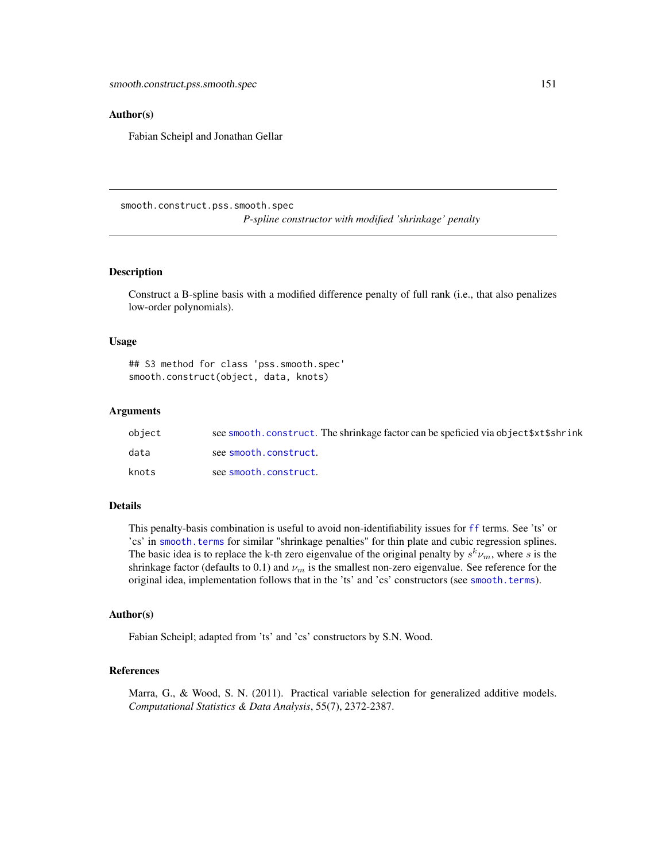# <span id="page-150-0"></span>Author(s)

Fabian Scheipl and Jonathan Gellar

smooth.construct.pss.smooth.spec *P-spline constructor with modified 'shrinkage' penalty*

#### Description

Construct a B-spline basis with a modified difference penalty of full rank (i.e., that also penalizes low-order polynomials).

#### Usage

## S3 method for class 'pss.smooth.spec' smooth.construct(object, data, knots)

#### Arguments

| object | see smooth.construct. The shrinkage factor can be speficied via object \$xt\$shrink |
|--------|-------------------------------------------------------------------------------------|
| data   | see smooth.construct.                                                               |
| knots  | see smooth.construct.                                                               |

#### Details

This penalty-basis combination is useful to avoid non-identifiability issues for [ff](#page-24-0) terms. See 'ts' or 'cs' in [smooth.terms](#page-0-0) for similar "shrinkage penalties" for thin plate and cubic regression splines. The basic idea is to replace the k-th zero eigenvalue of the original penalty by  $s^k \nu_m$ , where s is the shrinkage factor (defaults to 0.1) and  $\nu_m$  is the smallest non-zero eigenvalue. See reference for the original idea, implementation follows that in the 'ts' and 'cs' constructors (see [smooth.terms](#page-0-0)).

#### Author(s)

Fabian Scheipl; adapted from 'ts' and 'cs' constructors by S.N. Wood.

# References

Marra, G., & Wood, S. N. (2011). Practical variable selection for generalized additive models. *Computational Statistics & Data Analysis*, 55(7), 2372-2387.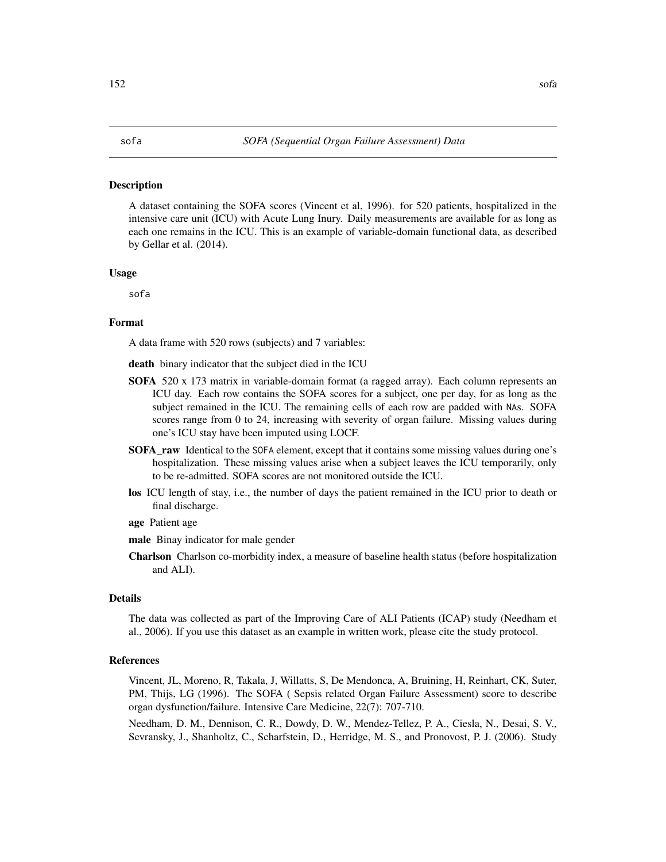#### <span id="page-151-0"></span>Description

A dataset containing the SOFA scores (Vincent et al, 1996). for 520 patients, hospitalized in the intensive care unit (ICU) with Acute Lung Inury. Daily measurements are available for as long as each one remains in the ICU. This is an example of variable-domain functional data, as described by Gellar et al. (2014).

# Usage

sofa

# Format

A data frame with 520 rows (subjects) and 7 variables:

death binary indicator that the subject died in the ICU

- SOFA 520 x 173 matrix in variable-domain format (a ragged array). Each column represents an ICU day. Each row contains the SOFA scores for a subject, one per day, for as long as the subject remained in the ICU. The remaining cells of each row are padded with NAs. SOFA scores range from 0 to 24, increasing with severity of organ failure. Missing values during one's ICU stay have been imputed using LOCF.
- SOFA\_raw Identical to the SOFA element, except that it contains some missing values during one's hospitalization. These missing values arise when a subject leaves the ICU temporarily, only to be re-admitted. SOFA scores are not monitored outside the ICU.
- los ICU length of stay, i.e., the number of days the patient remained in the ICU prior to death or final discharge.
- age Patient age
- male Binay indicator for male gender
- Charlson Charlson co-morbidity index, a measure of baseline health status (before hospitalization and ALI).

# Details

The data was collected as part of the Improving Care of ALI Patients (ICAP) study (Needham et al., 2006). If you use this dataset as an example in written work, please cite the study protocol.

#### References

Vincent, JL, Moreno, R, Takala, J, Willatts, S, De Mendonca, A, Bruining, H, Reinhart, CK, Suter, PM, Thijs, LG (1996). The SOFA ( Sepsis related Organ Failure Assessment) score to describe organ dysfunction/failure. Intensive Care Medicine, 22(7): 707-710.

Needham, D. M., Dennison, C. R., Dowdy, D. W., Mendez-Tellez, P. A., Ciesla, N., Desai, S. V., Sevransky, J., Shanholtz, C., Scharfstein, D., Herridge, M. S., and Pronovost, P. J. (2006). Study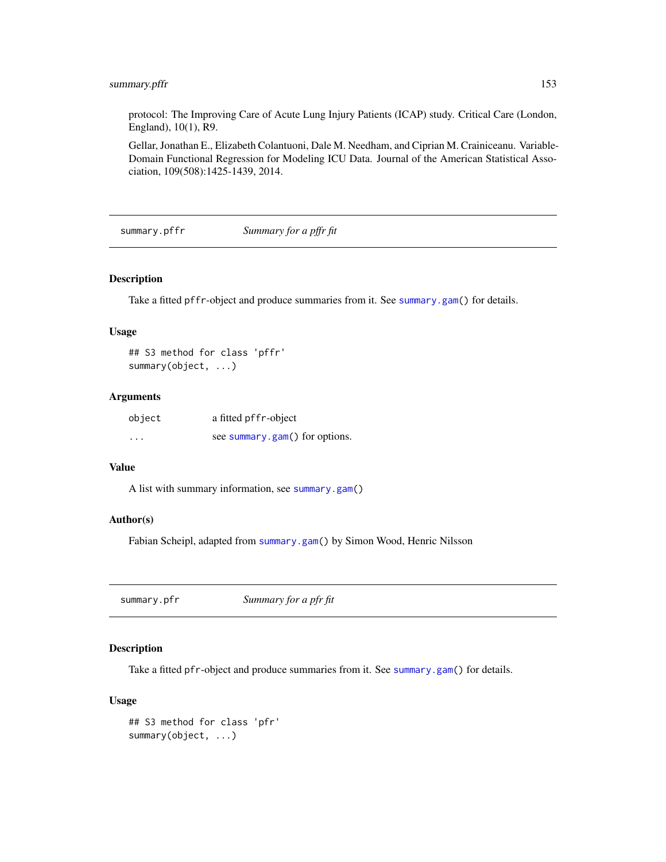# <span id="page-152-0"></span>summary.pffr 153

protocol: The Improving Care of Acute Lung Injury Patients (ICAP) study. Critical Care (London, England), 10(1), R9.

Gellar, Jonathan E., Elizabeth Colantuoni, Dale M. Needham, and Ciprian M. Crainiceanu. Variable-Domain Functional Regression for Modeling ICU Data. Journal of the American Statistical Association, 109(508):1425-1439, 2014.

summary.pffr *Summary for a pffr fit*

#### Description

Take a fitted pffr-object and produce summaries from it. See [summary.gam\(](#page-0-0)) for details.

# Usage

```
## S3 method for class 'pffr'
summary(object, ...)
```
# Arguments

| object   | a fitted pffr-object           |
|----------|--------------------------------|
| $\cdots$ | see summary.gam() for options. |

# Value

A list with summary information, see [summary.gam\(](#page-0-0))

# Author(s)

Fabian Scheipl, adapted from [summary.gam\(](#page-0-0)) by Simon Wood, Henric Nilsson

summary.pfr *Summary for a pfr fit*

# Description

Take a fitted pfr-object and produce summaries from it. See [summary.gam\(](#page-0-0)) for details.

# Usage

```
## S3 method for class 'pfr'
summary(object, ...)
```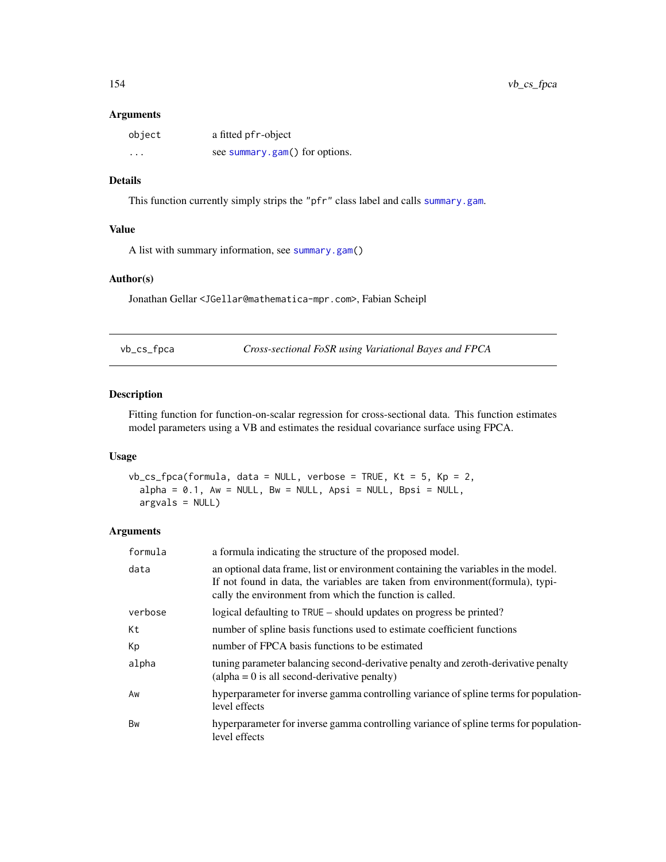# <span id="page-153-0"></span>Arguments

| object   | a fitted pfr-object            |
|----------|--------------------------------|
| $\cdots$ | see summary.gam() for options. |

# Details

This function currently simply strips the "pfr" class label and calls [summary.gam](#page-0-0).

#### Value

A list with summary information, see [summary.gam\(](#page-0-0))

#### Author(s)

Jonathan Gellar <JGellar@mathematica-mpr.com>, Fabian Scheipl

vb\_cs\_fpca *Cross-sectional FoSR using Variational Bayes and FPCA*

# Description

Fitting function for function-on-scalar regression for cross-sectional data. This function estimates model parameters using a VB and estimates the residual covariance surface using FPCA.

#### Usage

```
vb_cs_fpca(formula, data = NULL, verbose = TRUE, Kt = 5, Kp = 2,
  alpha = 0.1, Aw = NULL, Bw = NULL, Apsi = NULL, Bpsi = NULL,
  argvals = NULL)
```

| formula | a formula indicating the structure of the proposed model.                                                                                                                                                                         |
|---------|-----------------------------------------------------------------------------------------------------------------------------------------------------------------------------------------------------------------------------------|
| data    | an optional data frame, list or environment containing the variables in the model.<br>If not found in data, the variables are taken from environment (formula), typi-<br>cally the environment from which the function is called. |
| verbose | logical defaulting to TRUE – should updates on progress be printed?                                                                                                                                                               |
| Кt      | number of spline basis functions used to estimate coefficient functions                                                                                                                                                           |
| Кp      | number of FPCA basis functions to be estimated                                                                                                                                                                                    |
| alpha   | tuning parameter balancing second-derivative penalty and zeroth-derivative penalty<br>$\alpha$ (alpha = 0 is all second-derivative penalty)                                                                                       |
| Aw      | hyperparameter for inverse gamma controlling variance of spline terms for population-<br>level effects                                                                                                                            |
| Bw      | hyperparameter for inverse gamma controlling variance of spline terms for population-<br>level effects                                                                                                                            |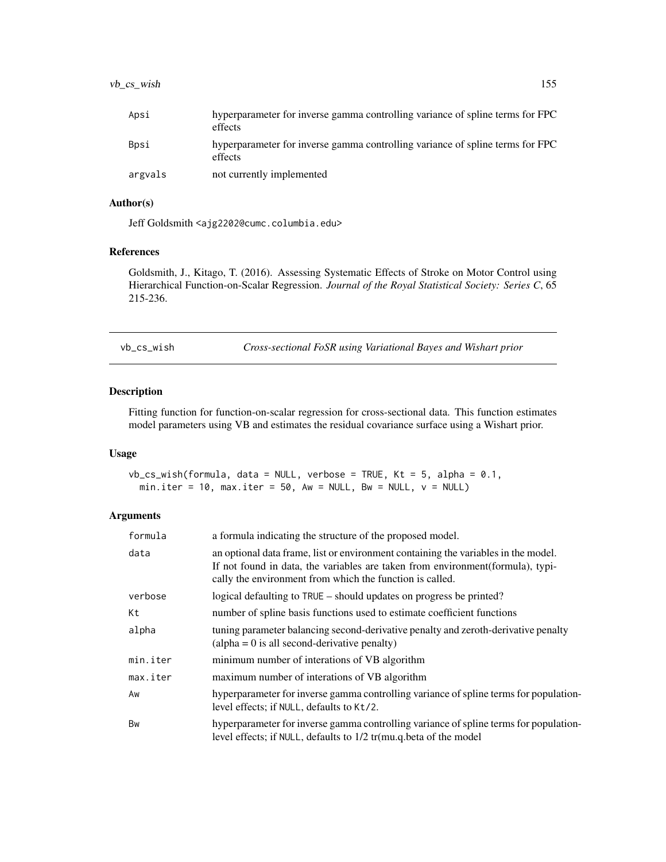<span id="page-154-0"></span>

| Apsi    | hyperparameter for inverse gamma controlling variance of spline terms for FPC<br>effects |
|---------|------------------------------------------------------------------------------------------|
| Bosi    | hyperparameter for inverse gamma controlling variance of spline terms for FPC<br>effects |
| argvals | not currently implemented                                                                |

# Author(s)

Jeff Goldsmith <ajg2202@cumc.columbia.edu>

# References

Goldsmith, J., Kitago, T. (2016). Assessing Systematic Effects of Stroke on Motor Control using Hierarchical Function-on-Scalar Regression. *Journal of the Royal Statistical Society: Series C*, 65 215-236.

vb\_cs\_wish *Cross-sectional FoSR using Variational Bayes and Wishart prior*

# Description

Fitting function for function-on-scalar regression for cross-sectional data. This function estimates model parameters using VB and estimates the residual covariance surface using a Wishart prior.

#### Usage

 $vb_c$ s\_wish(formula, data = NULL, verbose = TRUE, Kt = 5, alpha = 0.1, min.iter =  $10$ , max.iter =  $50$ , Aw = NULL, Bw = NULL,  $v =$  NULL)

| formula  | a formula indicating the structure of the proposed model.                                                                                                                                                                         |
|----------|-----------------------------------------------------------------------------------------------------------------------------------------------------------------------------------------------------------------------------------|
| data     | an optional data frame, list or environment containing the variables in the model.<br>If not found in data, the variables are taken from environment (formula), typi-<br>cally the environment from which the function is called. |
| verbose  | logical defaulting to TRUE – should updates on progress be printed?                                                                                                                                                               |
| Кt       | number of spline basis functions used to estimate coefficient functions                                                                                                                                                           |
| alpha    | tuning parameter balancing second-derivative penalty and zeroth-derivative penalty<br>$\alpha$ (alpha = 0 is all second-derivative penalty)                                                                                       |
| min.iter | minimum number of interations of VB algorithm                                                                                                                                                                                     |
| max.iter | maximum number of interations of VB algorithm                                                                                                                                                                                     |
| Aw       | hyperparameter for inverse gamma controlling variance of spline terms for population-<br>level effects; if NULL, defaults to Kt/2.                                                                                                |
| Bw       | hyperparameter for inverse gamma controlling variance of spline terms for population-<br>level effects; if NULL, defaults to 1/2 tr(mu.q.beta of the model                                                                        |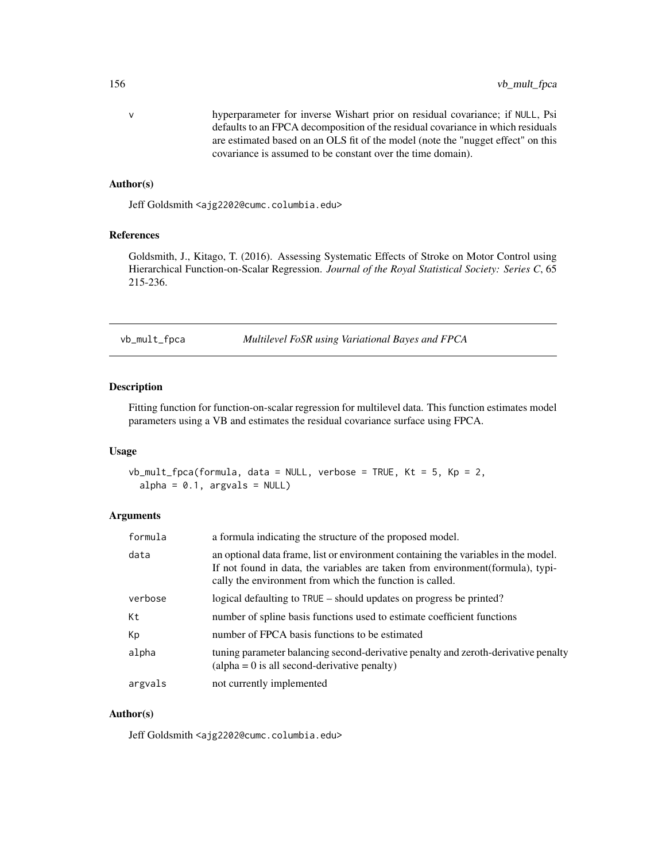<span id="page-155-0"></span>v hyperparameter for inverse Wishart prior on residual covariance; if NULL, Psi defaults to an FPCA decomposition of the residual covariance in which residuals are estimated based on an OLS fit of the model (note the "nugget effect" on this covariance is assumed to be constant over the time domain).

# Author(s)

Jeff Goldsmith <ajg2202@cumc.columbia.edu>

# References

Goldsmith, J., Kitago, T. (2016). Assessing Systematic Effects of Stroke on Motor Control using Hierarchical Function-on-Scalar Regression. *Journal of the Royal Statistical Society: Series C*, 65 215-236.

vb\_mult\_fpca *Multilevel FoSR using Variational Bayes and FPCA*

# Description

Fitting function for function-on-scalar regression for multilevel data. This function estimates model parameters using a VB and estimates the residual covariance surface using FPCA.

#### Usage

 $vb_mult_fpca(formula, data = NULL, verbose = TRUE, Kt = 5, Kp = 2,$  $alpha = 0.1$ , argvals = NULL)

# Arguments

| formula | a formula indicating the structure of the proposed model.                                                                                                                                                                         |
|---------|-----------------------------------------------------------------------------------------------------------------------------------------------------------------------------------------------------------------------------------|
| data    | an optional data frame, list or environment containing the variables in the model.<br>If not found in data, the variables are taken from environment (formula), typi-<br>cally the environment from which the function is called. |
| verbose | logical defaulting to TRUE – should updates on progress be printed?                                                                                                                                                               |
| Кt      | number of spline basis functions used to estimate coefficient functions                                                                                                                                                           |
| Кp      | number of FPCA basis functions to be estimated                                                                                                                                                                                    |
| alpha   | tuning parameter balancing second-derivative penalty and zeroth-derivative penalty<br>$\alpha$ (alpha = 0 is all second-derivative penalty)                                                                                       |
| argvals | not currently implemented                                                                                                                                                                                                         |

# Author(s)

Jeff Goldsmith <ajg2202@cumc.columbia.edu>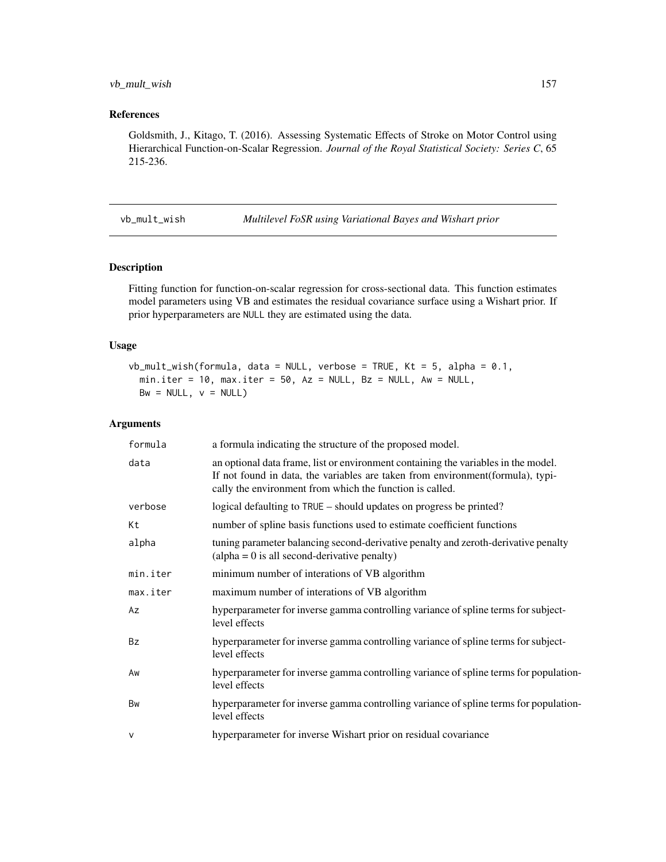# <span id="page-156-0"></span>vb\_mult\_wish 157

# References

Goldsmith, J., Kitago, T. (2016). Assessing Systematic Effects of Stroke on Motor Control using Hierarchical Function-on-Scalar Regression. *Journal of the Royal Statistical Society: Series C*, 65 215-236.

vb\_mult\_wish *Multilevel FoSR using Variational Bayes and Wishart prior*

# Description

Fitting function for function-on-scalar regression for cross-sectional data. This function estimates model parameters using VB and estimates the residual covariance surface using a Wishart prior. If prior hyperparameters are NULL they are estimated using the data.

# Usage

```
vb_mult_wish(formula, data = NULL, verbose = TRUE, Kt = 5, alpha = 0.1,min.iter = 10, max.iter = 50, Az = NULL, Bz = NULL, Aw = NULL,
 Bw = NULL, v = NULL)
```

| formula   | a formula indicating the structure of the proposed model.                                                                                                                                                                        |
|-----------|----------------------------------------------------------------------------------------------------------------------------------------------------------------------------------------------------------------------------------|
| data      | an optional data frame, list or environment containing the variables in the model.<br>If not found in data, the variables are taken from environment(formula), typi-<br>cally the environment from which the function is called. |
| verbose   | logical defaulting to TRUE – should updates on progress be printed?                                                                                                                                                              |
| Кt        | number of spline basis functions used to estimate coefficient functions                                                                                                                                                          |
| alpha     | tuning parameter balancing second-derivative penalty and zeroth-derivative penalty<br>$\alpha$ (alpha = 0 is all second-derivative penalty)                                                                                      |
| min.iter  | minimum number of interations of VB algorithm                                                                                                                                                                                    |
| max.iter  | maximum number of interations of VB algorithm                                                                                                                                                                                    |
| Az        | hyperparameter for inverse gamma controlling variance of spline terms for subject-<br>level effects                                                                                                                              |
| <b>Bz</b> | hyperparameter for inverse gamma controlling variance of spline terms for subject-<br>level effects                                                                                                                              |
| Aw        | hyperparameter for inverse gamma controlling variance of spline terms for population-<br>level effects                                                                                                                           |
| Bw        | hyperparameter for inverse gamma controlling variance of spline terms for population-<br>level effects                                                                                                                           |
| $\vee$    | hyperparameter for inverse Wishart prior on residual covariance                                                                                                                                                                  |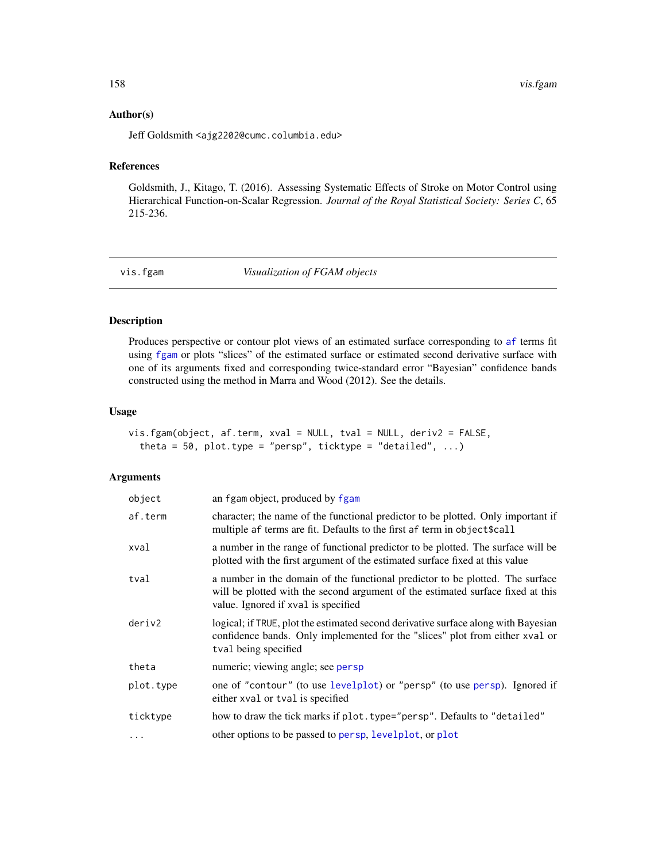# Author(s)

Jeff Goldsmith <ajg2202@cumc.columbia.edu>

# References

Goldsmith, J., Kitago, T. (2016). Assessing Systematic Effects of Stroke on Motor Control using Hierarchical Function-on-Scalar Regression. *Journal of the Royal Statistical Society: Series C*, 65 215-236.

vis.fgam *Visualization of FGAM objects*

# Description

Produces perspective or contour plot views of an estimated surface corresponding to [af](#page-4-0) terms fit using [fgam](#page-29-0) or plots "slices" of the estimated surface or estimated second derivative surface with one of its arguments fixed and corresponding twice-standard error "Bayesian" confidence bands constructed using the method in Marra and Wood (2012). See the details.

# Usage

vis.fgam(object, af.term, xval = NULL, tval = NULL, deriv2 = FALSE, theta =  $50$ , plot.type = "persp", ticktype = "detailed", ...)

| object    | an fgam object, produced by fgam                                                                                                                                                                        |
|-----------|---------------------------------------------------------------------------------------------------------------------------------------------------------------------------------------------------------|
| af.term   | character; the name of the functional predictor to be plotted. Only important if<br>multiple af terms are fit. Defaults to the first af term in object \$call                                           |
| xval      | a number in the range of functional predictor to be plotted. The surface will be<br>plotted with the first argument of the estimated surface fixed at this value                                        |
| tval      | a number in the domain of the functional predictor to be plotted. The surface<br>will be plotted with the second argument of the estimated surface fixed at this<br>value. Ignored if xval is specified |
| deriv2    | logical; if TRUE, plot the estimated second derivative surface along with Bayesian<br>confidence bands. Only implemented for the "slices" plot from either xval or<br>tval being specified              |
| theta     | numeric; viewing angle; see persp                                                                                                                                                                       |
| plot.type | one of "contour" (to use levelplot) or "persp" (to use persp). Ignored if<br>either xval or tval is specified                                                                                           |
| ticktype  | how to draw the tick marks if plot. type="persp". Defaults to "detailed"                                                                                                                                |
| $\ddotsc$ | other options to be passed to persp, levelplot, or plot                                                                                                                                                 |

<span id="page-157-0"></span>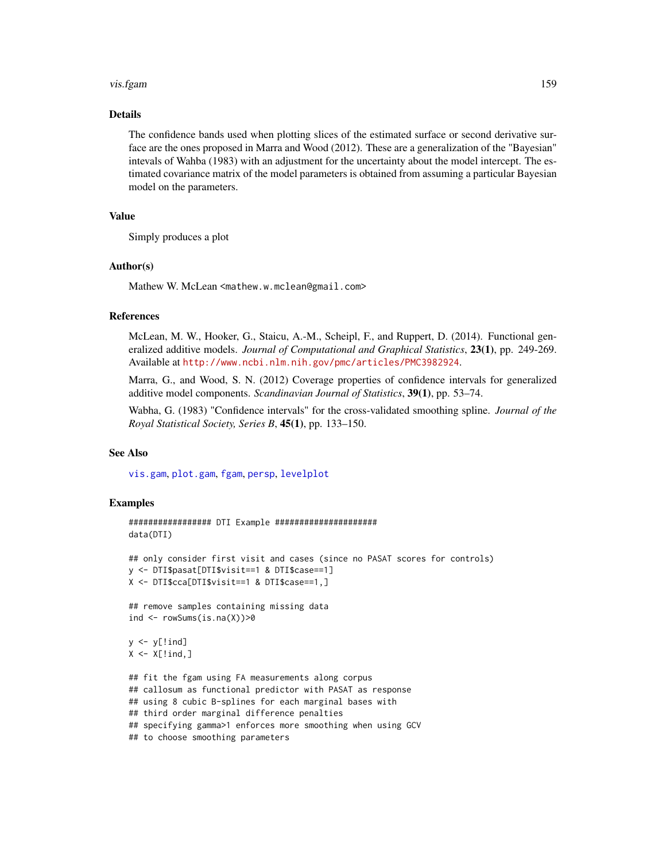#### <span id="page-158-0"></span>vis.fgam 159

# Details

The confidence bands used when plotting slices of the estimated surface or second derivative surface are the ones proposed in Marra and Wood (2012). These are a generalization of the "Bayesian" intevals of Wahba (1983) with an adjustment for the uncertainty about the model intercept. The estimated covariance matrix of the model parameters is obtained from assuming a particular Bayesian model on the parameters.

# Value

Simply produces a plot

# Author(s)

Mathew W. McLean <mathew.w.mclean@gmail.com>

# References

McLean, M. W., Hooker, G., Staicu, A.-M., Scheipl, F., and Ruppert, D. (2014). Functional generalized additive models. *Journal of Computational and Graphical Statistics*, 23(1), pp. 249-269. Available at <http://www.ncbi.nlm.nih.gov/pmc/articles/PMC3982924>.

Marra, G., and Wood, S. N. (2012) Coverage properties of confidence intervals for generalized additive model components. *Scandinavian Journal of Statistics*, 39(1), pp. 53–74.

Wabha, G. (1983) "Confidence intervals" for the cross-validated smoothing spline. *Journal of the Royal Statistical Society, Series B*, 45(1), pp. 133–150.

#### See Also

[vis.gam](#page-0-0), [plot.gam](#page-0-0), [fgam](#page-29-0), [persp](#page-0-0), [levelplot](#page-0-0)

# Examples

```
################# DTI Example #####################
data(DTI)
```

```
## only consider first visit and cases (since no PASAT scores for controls)
y <- DTI$pasat[DTI$visit==1 & DTI$case==1]
X <- DTI$cca[DTI$visit==1 & DTI$case==1,]
```
## remove samples containing missing data ind  $\leq$  rowSums(is.na(X))>0

```
y \leftarrow y[!ind]
X \leftarrow X[!ind,]
```

```
## fit the fgam using FA measurements along corpus
## callosum as functional predictor with PASAT as response
## using 8 cubic B-splines for each marginal bases with
## third order marginal difference penalties
## specifying gamma>1 enforces more smoothing when using GCV
## to choose smoothing parameters
```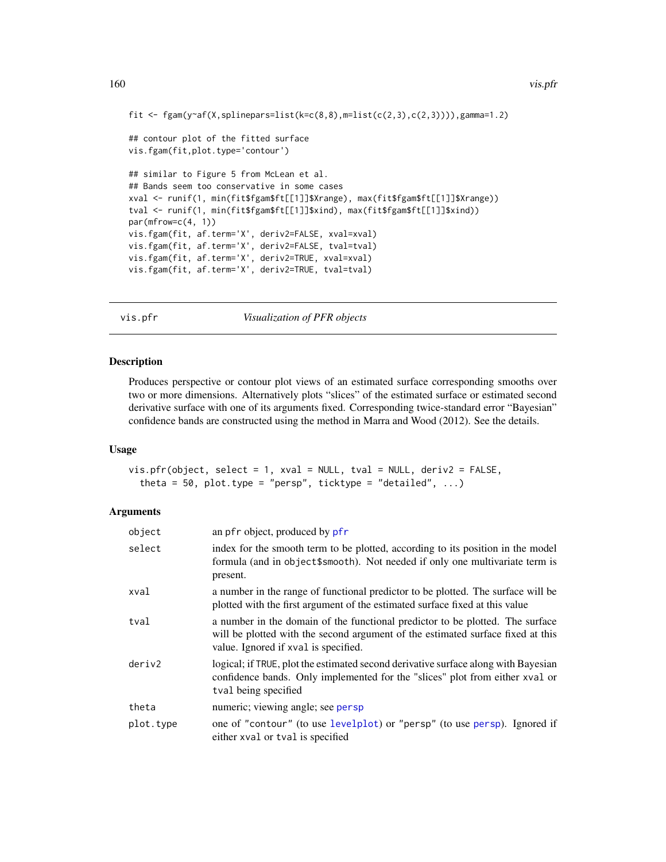```
fit \leq fgam(y\leqaf(X,splinepars=list(k=c(8,8),m=list(c(2,3),c(2,3)))),gamma=1.2)
## contour plot of the fitted surface
vis.fgam(fit,plot.type='contour')
## similar to Figure 5 from McLean et al.
## Bands seem too conservative in some cases
xval <- runif(1, min(fit$fgam$ft[[1]]$Xrange), max(fit$fgam$ft[[1]]$Xrange))
tval <- runif(1, min(fit$fgam$ft[[1]]$xind), max(fit$fgam$ft[[1]]$xind))
par(mfrow=c(4, 1))
vis.fgam(fit, af.term='X', deriv2=FALSE, xval=xval)
vis.fgam(fit, af.term='X', deriv2=FALSE, tval=tval)
vis.fgam(fit, af.term='X', deriv2=TRUE, xval=xval)
vis.fgam(fit, af.term='X', deriv2=TRUE, tval=tval)
```
vis.pfr *Visualization of PFR objects*

#### **Description**

Produces perspective or contour plot views of an estimated surface corresponding smooths over two or more dimensions. Alternatively plots "slices" of the estimated surface or estimated second derivative surface with one of its arguments fixed. Corresponding twice-standard error "Bayesian" confidence bands are constructed using the method in Marra and Wood (2012). See the details.

# Usage

vis.pfr(object, select = 1, xval = NULL, tval = NULL, deriv2 = FALSE, theta = 50, plot.type = "persp", ticktype = "detailed", ...)

| object    | an pfr object, produced by pfr                                                                                                                                                                           |
|-----------|----------------------------------------------------------------------------------------------------------------------------------------------------------------------------------------------------------|
| select    | index for the smooth term to be plotted, according to its position in the model<br>formula (and in object\$smooth). Not needed if only one multivariate term is<br>present.                              |
| xval      | a number in the range of functional predictor to be plotted. The surface will be<br>plotted with the first argument of the estimated surface fixed at this value                                         |
| tval      | a number in the domain of the functional predictor to be plotted. The surface<br>will be plotted with the second argument of the estimated surface fixed at this<br>value. Ignored if xval is specified. |
| deriv2    | logical; if TRUE, plot the estimated second derivative surface along with Bayesian<br>confidence bands. Only implemented for the "slices" plot from either xval or<br>tval being specified               |
| theta     | numeric; viewing angle; see persp                                                                                                                                                                        |
| plot.type | one of "contour" (to use levelplot) or "persp" (to use persp). Ignored if<br>either xval or tval is specified                                                                                            |

<span id="page-159-0"></span>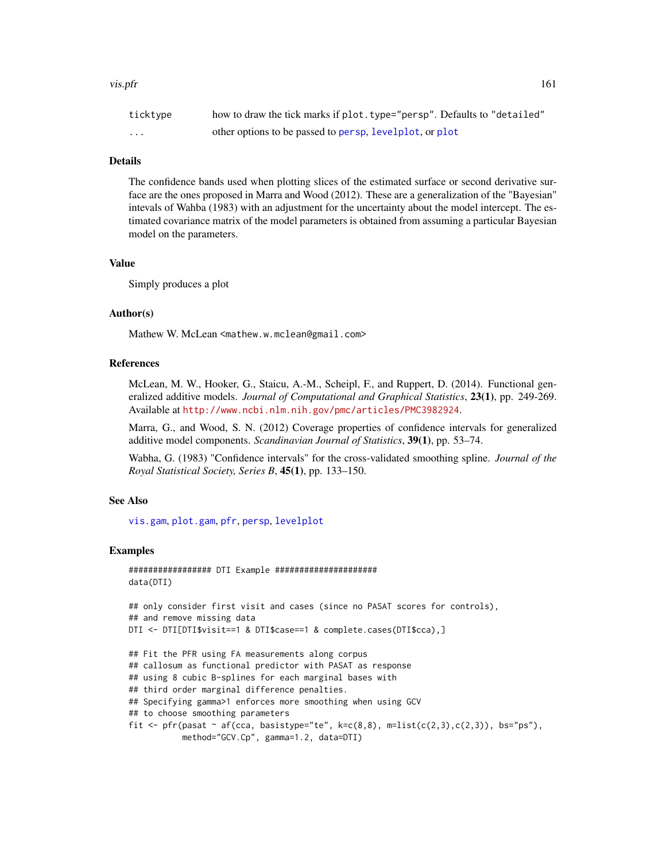#### <span id="page-160-0"></span>vis.pfr 161

| ticktype | how to draw the tick marks if plot. type="persp". Defaults to "detailed" |
|----------|--------------------------------------------------------------------------|
| $\cdot$  | other options to be passed to persp, levelplot, or plot                  |

# Details

The confidence bands used when plotting slices of the estimated surface or second derivative surface are the ones proposed in Marra and Wood (2012). These are a generalization of the "Bayesian" intevals of Wahba (1983) with an adjustment for the uncertainty about the model intercept. The estimated covariance matrix of the model parameters is obtained from assuming a particular Bayesian model on the parameters.

# Value

Simply produces a plot

# Author(s)

Mathew W. McLean <mathew.w.mclean@gmail.com>

# **References**

McLean, M. W., Hooker, G., Staicu, A.-M., Scheipl, F., and Ruppert, D. (2014). Functional generalized additive models. *Journal of Computational and Graphical Statistics*, 23(1), pp. 249-269. Available at <http://www.ncbi.nlm.nih.gov/pmc/articles/PMC3982924>.

Marra, G., and Wood, S. N. (2012) Coverage properties of confidence intervals for generalized additive model components. *Scandinavian Journal of Statistics*, 39(1), pp. 53–74.

Wabha, G. (1983) "Confidence intervals" for the cross-validated smoothing spline. *Journal of the Royal Statistical Society, Series B*, 45(1), pp. 133–150.

#### See Also

[vis.gam](#page-0-0), [plot.gam](#page-0-0), [pfr](#page-105-0), [persp](#page-0-0), [levelplot](#page-0-0)

#### Examples

```
################# DTI Example #####################
data(DTI)
## only consider first visit and cases (since no PASAT scores for controls),
## and remove missing data
DTI <- DTI[DTI$visit==1 & DTI$case==1 & complete.cases(DTI$cca),]
## Fit the PFR using FA measurements along corpus
## callosum as functional predictor with PASAT as response
## using 8 cubic B-splines for each marginal bases with
## third order marginal difference penalties.
## Specifying gamma>1 enforces more smoothing when using GCV
## to choose smoothing parameters
fit \leq pfr(pasat \sim af(cca, basistype="te", k=c(8,8), m=list(c(2,3),c(2,3)), bs="ps"),
          method="GCV.Cp", gamma=1.2, data=DTI)
```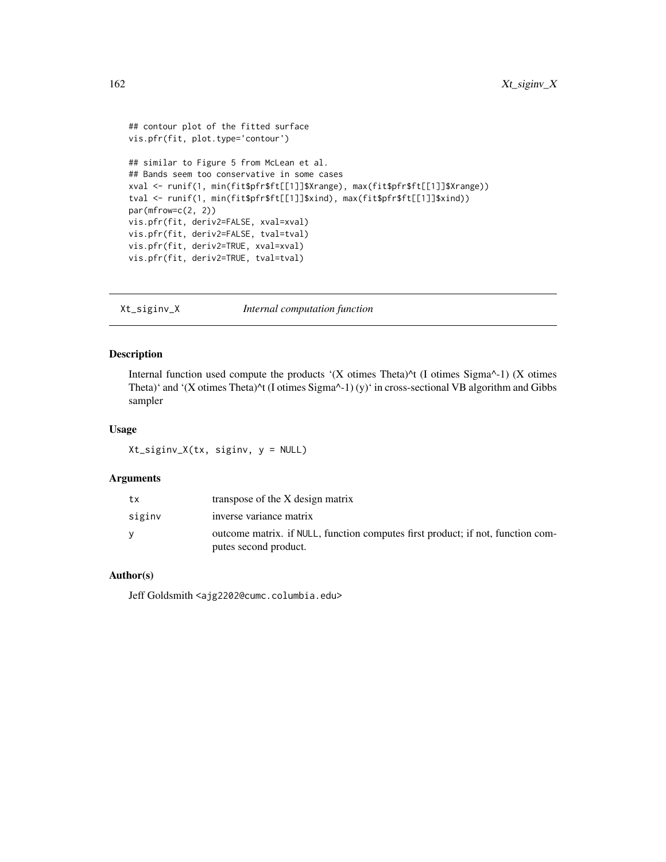```
## contour plot of the fitted surface
vis.pfr(fit, plot.type='contour')
## similar to Figure 5 from McLean et al.
## Bands seem too conservative in some cases
xval <- runif(1, min(fit$pfr$ft[[1]]$Xrange), max(fit$pfr$ft[[1]]$Xrange))
tval <- runif(1, min(fit$pfr$ft[[1]]$xind), max(fit$pfr$ft[[1]]$xind))
par(mfrow=c(2, 2))
vis.pfr(fit, deriv2=FALSE, xval=xval)
vis.pfr(fit, deriv2=FALSE, tval=tval)
vis.pfr(fit, deriv2=TRUE, xval=xval)
vis.pfr(fit, deriv2=TRUE, tval=tval)
```

```
Xt_siginv_X Internal computation function
```
# Description

Internal function used compute the products '(X otimes Theta)^t (I otimes Sigma^-1) (X otimes Theta)' and '(X otimes Theta)<sup> $\wedge$ </sup>t (I otimes Sigma $\wedge$ -1) (y)' in cross-sectional VB algorithm and Gibbs sampler

# Usage

Xt\_siginv\_X(tx, siginv, y = NULL)

# Arguments

| tx     | transpose of the X design matrix                                                                         |
|--------|----------------------------------------------------------------------------------------------------------|
| siginv | inverse variance matrix                                                                                  |
|        | outcome matrix. if NULL, function computes first product; if not, function com-<br>putes second product. |

# Author(s)

Jeff Goldsmith <ajg2202@cumc.columbia.edu>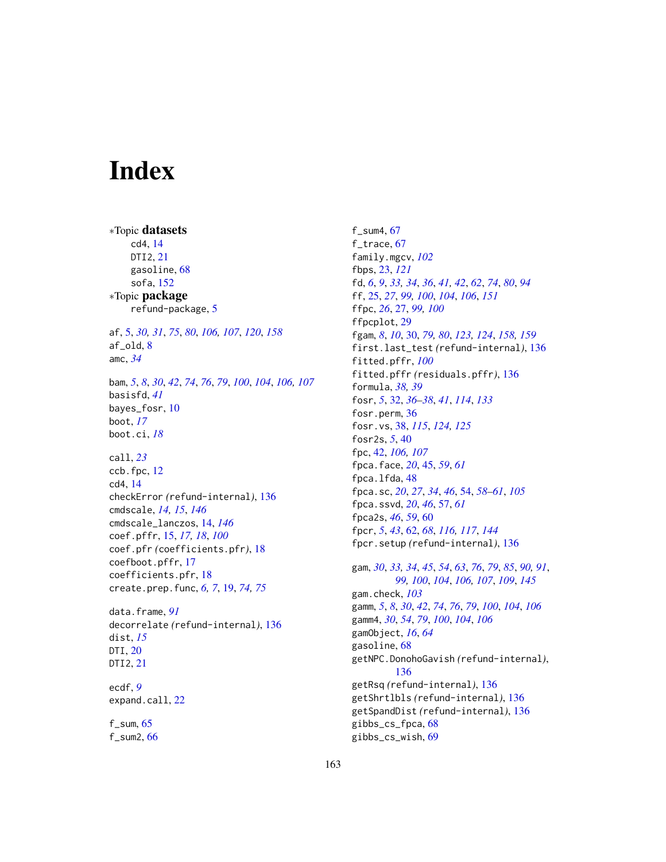# **Index**

∗Topic datasets cd4, [14](#page-13-1) DTI2, [21](#page-20-0) gasoline, [68](#page-67-0) sofa, [152](#page-151-0) ∗Topic package refund-package, [5](#page-4-1) af, [5,](#page-4-1) *[30,](#page-29-1) [31](#page-30-0)*, *[75](#page-74-0)*, *[80](#page-79-0)*, *[106,](#page-105-1) [107](#page-106-0)*, *[120](#page-119-0)*, *[158](#page-157-0)* af\_old, [8](#page-7-0) amc, *[34](#page-33-0)* bam, *[5](#page-4-1)*, *[8](#page-7-0)*, *[30](#page-29-1)*, *[42](#page-41-0)*, *[74](#page-73-0)*, *[76](#page-75-0)*, *[79](#page-78-0)*, *[100](#page-99-0)*, *[104](#page-103-0)*, *[106,](#page-105-1) [107](#page-106-0)* basisfd, *[41](#page-40-0)* bayes\_fosr, [10](#page-9-0) boot, *[17](#page-16-0)* boot.ci, *[18](#page-17-0)* call, *[23](#page-22-0)* ccb.fpc, [12](#page-11-0) cd4, [14](#page-13-1) checkError *(*refund-internal*)*, [136](#page-135-0) cmdscale, *[14,](#page-13-1) [15](#page-14-0)*, *[146](#page-145-0)* cmdscale\_lanczos, [14,](#page-13-1) *[146](#page-145-0)* coef.pffr, [15,](#page-14-0) *[17,](#page-16-0) [18](#page-17-0)*, *[100](#page-99-0)* coef.pfr *(*coefficients.pfr*)*, [18](#page-17-0) coefboot.pffr, [17](#page-16-0) coefficients.pfr, [18](#page-17-0) create.prep.func, *[6,](#page-5-0) [7](#page-6-0)*, [19,](#page-18-0) *[74,](#page-73-0) [75](#page-74-0)* data.frame, *[91](#page-90-0)* decorrelate *(*refund-internal*)*, [136](#page-135-0) dist, *[15](#page-14-0)* DTI, [20](#page-19-0) DTI2, [21](#page-20-0) ecdf, *[9](#page-8-0)*

f\_sum, [65](#page-64-0)

expand.call, [22](#page-21-0)

f\_sum2, [66](#page-65-0)

f\_sum4, [67](#page-66-0) f\_trace, [67](#page-66-0) family.mgcv, *[102](#page-101-0)* fbps, [23,](#page-22-0) *[121](#page-120-0)* fd, *[6](#page-5-0)*, *[9](#page-8-0)*, *[33,](#page-32-0) [34](#page-33-0)*, *[36](#page-35-0)*, *[41,](#page-40-0) [42](#page-41-0)*, *[62](#page-61-0)*, *[74](#page-73-0)*, *[80](#page-79-0)*, *[94](#page-93-0)* ff, [25,](#page-24-1) *[27](#page-26-0)*, *[99,](#page-98-0) [100](#page-99-0)*, *[104](#page-103-0)*, *[106](#page-105-1)*, *[151](#page-150-0)* ffpc, *[26](#page-25-0)*, [27,](#page-26-0) *[99,](#page-98-0) [100](#page-99-0)* ffpcplot, [29](#page-28-0) fgam, *[8](#page-7-0)*, *[10](#page-9-0)*, [30,](#page-29-1) *[79,](#page-78-0) [80](#page-79-0)*, *[123,](#page-122-0) [124](#page-123-0)*, *[158,](#page-157-0) [159](#page-158-0)* first.last\_test *(*refund-internal*)*, [136](#page-135-0) fitted.pffr, *[100](#page-99-0)* fitted.pffr *(*residuals.pffr*)*, [136](#page-135-0) formula, *[38,](#page-37-0) [39](#page-38-0)* fosr, *[5](#page-4-1)*, [32,](#page-31-0) *[36](#page-35-0)[–38](#page-37-0)*, *[41](#page-40-0)*, *[114](#page-113-0)*, *[133](#page-132-0)* fosr.perm, [36](#page-35-0) fosr.vs, [38,](#page-37-0) *[115](#page-114-0)*, *[124,](#page-123-0) [125](#page-124-0)* fosr2s, *[5](#page-4-1)*, [40](#page-39-0) fpc, [42,](#page-41-0) *[106,](#page-105-1) [107](#page-106-0)* fpca.face, *[20](#page-19-0)*, [45,](#page-44-0) *[59](#page-58-0)*, *[61](#page-60-0)* fpca.lfda, [48](#page-47-0) fpca.sc, *[20](#page-19-0)*, *[27](#page-26-0)*, *[34](#page-33-0)*, *[46](#page-45-0)*, [54,](#page-53-0) *[58](#page-57-0)[–61](#page-60-0)*, *[105](#page-104-0)* fpca.ssvd, *[20](#page-19-0)*, *[46](#page-45-0)*, [57,](#page-56-0) *[61](#page-60-0)* fpca2s, *[46](#page-45-0)*, *[59](#page-58-0)*, [60](#page-59-0) fpcr, *[5](#page-4-1)*, *[43](#page-42-0)*, [62,](#page-61-0) *[68](#page-67-0)*, *[116,](#page-115-0) [117](#page-116-0)*, *[144](#page-143-0)* fpcr.setup *(*refund-internal*)*, [136](#page-135-0) gam, *[30](#page-29-1)*, *[33,](#page-32-0) [34](#page-33-0)*, *[45](#page-44-0)*, *[54](#page-53-0)*, *[63](#page-62-0)*, *[76](#page-75-0)*, *[79](#page-78-0)*, *[85](#page-84-0)*, *[90,](#page-89-0) [91](#page-90-0)*, *[99,](#page-98-0) [100](#page-99-0)*, *[104](#page-103-0)*, *[106,](#page-105-1) [107](#page-106-0)*, *[109](#page-108-0)*, *[145](#page-144-0)* gam.check, *[103](#page-102-0)* gamm, *[5](#page-4-1)*, *[8](#page-7-0)*, *[30](#page-29-1)*, *[42](#page-41-0)*, *[74](#page-73-0)*, *[76](#page-75-0)*, *[79](#page-78-0)*, *[100](#page-99-0)*, *[104](#page-103-0)*, *[106](#page-105-1)* gamm4, *[30](#page-29-1)*, *[54](#page-53-0)*, *[79](#page-78-0)*, *[100](#page-99-0)*, *[104](#page-103-0)*, *[106](#page-105-1)* gamObject, *[16](#page-15-0)*, *[64](#page-63-0)* gasoline, [68](#page-67-0) getNPC.DonohoGavish *(*refund-internal*)*, [136](#page-135-0) getRsq *(*refund-internal*)*, [136](#page-135-0) getShrtlbls *(*refund-internal*)*, [136](#page-135-0) getSpandDist *(*refund-internal*)*, [136](#page-135-0) gibbs\_cs\_fpca, [68](#page-67-0)

gibbs\_cs\_wish, [69](#page-68-0)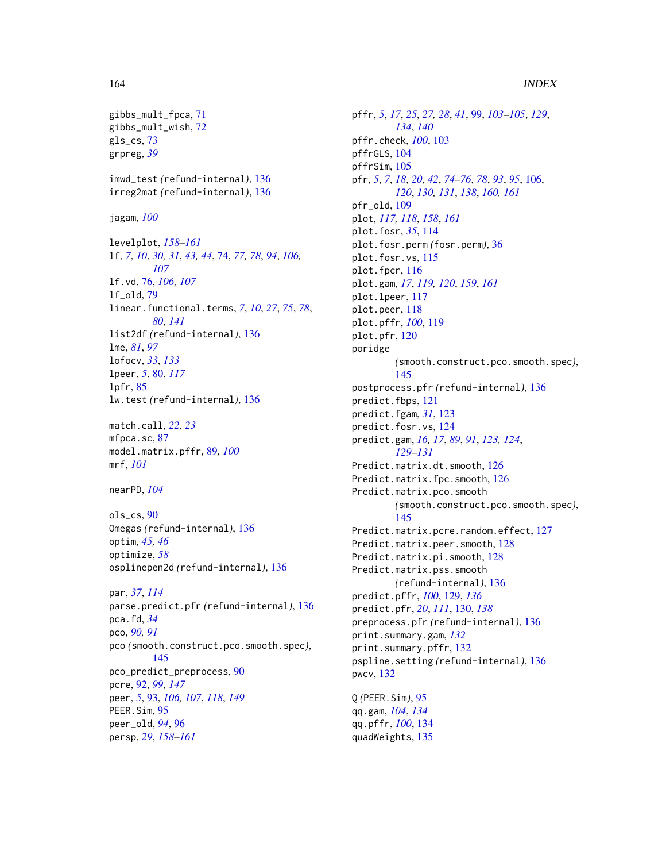# 164 INDEX

gibbs\_mult\_fpca, [71](#page-70-0) gibbs\_mult\_wish, [72](#page-71-0) gls\_cs, [73](#page-72-0) grpreg, *[39](#page-38-0)* imwd\_test *(*refund-internal*)*, [136](#page-135-0) irreg2mat *(*refund-internal*)*, [136](#page-135-0) jagam, *[100](#page-99-0)* levelplot, *[158](#page-157-0)[–161](#page-160-0)* lf, *[7](#page-6-0)*, *[10](#page-9-0)*, *[30,](#page-29-1) [31](#page-30-0)*, *[43,](#page-42-0) [44](#page-43-0)*, [74,](#page-73-0) *[77,](#page-76-0) [78](#page-77-0)*, *[94](#page-93-0)*, *[106,](#page-105-1) [107](#page-106-0)* lf.vd, [76,](#page-75-0) *[106,](#page-105-1) [107](#page-106-0)* lf\_old, [79](#page-78-0) linear.functional.terms, *[7](#page-6-0)*, *[10](#page-9-0)*, *[27](#page-26-0)*, *[75](#page-74-0)*, *[78](#page-77-0)*, *[80](#page-79-0)*, *[141](#page-140-0)* list2df *(*refund-internal*)*, [136](#page-135-0) lme, *[81](#page-80-0)*, *[97](#page-96-0)* lofocv, *[33](#page-32-0)*, *[133](#page-132-0)* lpeer, *[5](#page-4-1)*, [80,](#page-79-0) *[117](#page-116-0)* lpfr, [85](#page-84-0) lw.test *(*refund-internal*)*, [136](#page-135-0) match.call, *[22,](#page-21-0) [23](#page-22-0)* mfpca.sc, [87](#page-86-0) model.matrix.pffr, [89,](#page-88-0) *[100](#page-99-0)* mrf, *[101](#page-100-0)* nearPD, *[104](#page-103-0)* ols\_cs, [90](#page-89-0) Omegas *(*refund-internal*)*, [136](#page-135-0) optim, *[45,](#page-44-0) [46](#page-45-0)* optimize, *[58](#page-57-0)* osplinepen2d *(*refund-internal*)*, [136](#page-135-0) par, *[37](#page-36-0)*, *[114](#page-113-0)* parse.predict.pfr *(*refund-internal*)*, [136](#page-135-0) pca.fd, *[34](#page-33-0)* pco, *[90,](#page-89-0) [91](#page-90-0)* pco *(*smooth.construct.pco.smooth.spec*)*, [145](#page-144-0) pco\_predict\_preprocess, [90](#page-89-0) pcre, [92,](#page-91-1) *[99](#page-98-0)*, *[147](#page-146-0)* peer, *[5](#page-4-1)*, [93,](#page-92-1) *[106,](#page-105-1) [107](#page-106-0)*, *[118](#page-117-0)*, *[149](#page-148-0)* PEER.Sim, [95](#page-94-0) peer\_old, *[94](#page-93-0)*, [96](#page-95-0) persp, *[29](#page-28-0)*, *[158](#page-157-0)[–161](#page-160-0)*

pffr, *[5](#page-4-1)*, *[17](#page-16-0)*, *[25](#page-24-1)*, *[27,](#page-26-0) [28](#page-27-0)*, *[41](#page-40-0)*, [99,](#page-98-0) *[103](#page-102-0)[–105](#page-104-0)*, *[129](#page-128-0)*, *[134](#page-133-0)*, *[140](#page-139-0)* pffr.check, *[100](#page-99-0)*, [103](#page-102-0) pffrGLS, [104](#page-103-0) pffrSim, [105](#page-104-0) pfr, *[5](#page-4-1)*, *[7](#page-6-0)*, *[18](#page-17-0)*, *[20](#page-19-0)*, *[42](#page-41-0)*, *[74](#page-73-0)[–76](#page-75-0)*, *[78](#page-77-0)*, *[93](#page-92-1)*, *[95](#page-94-0)*, [106,](#page-105-1) *[120](#page-119-0)*, *[130,](#page-129-0) [131](#page-130-0)*, *[138](#page-137-0)*, *[160,](#page-159-0) [161](#page-160-0)* pfr\_old, [109](#page-108-0) plot, *[117,](#page-116-0) [118](#page-117-0)*, *[158](#page-157-0)*, *[161](#page-160-0)* plot.fosr, *[35](#page-34-0)*, [114](#page-113-0) plot.fosr.perm *(*fosr.perm*)*, [36](#page-35-0) plot.fosr.vs, [115](#page-114-0) plot.fpcr, [116](#page-115-0) plot.gam, *[17](#page-16-0)*, *[119,](#page-118-0) [120](#page-119-0)*, *[159](#page-158-0)*, *[161](#page-160-0)* plot.lpeer, [117](#page-116-0) plot.peer, [118](#page-117-0) plot.pffr, *[100](#page-99-0)*, [119](#page-118-0) plot.pfr, [120](#page-119-0) poridge *(*smooth.construct.pco.smooth.spec*)*, [145](#page-144-0) postprocess.pfr *(*refund-internal*)*, [136](#page-135-0) predict.fbps, [121](#page-120-0) predict.fgam, *[31](#page-30-0)*, [123](#page-122-0) predict.fosr.vs, [124](#page-123-0) predict.gam, *[16,](#page-15-0) [17](#page-16-0)*, *[89](#page-88-0)*, *[91](#page-90-0)*, *[123,](#page-122-0) [124](#page-123-0)*, *[129](#page-128-0)[–131](#page-130-0)* Predict.matrix.dt.smooth, [126](#page-125-0) Predict.matrix.fpc.smooth, [126](#page-125-0) Predict.matrix.pco.smooth *(*smooth.construct.pco.smooth.spec*)*, [145](#page-144-0) Predict.matrix.pcre.random.effect, [127](#page-126-0) Predict.matrix.peer.smooth, [128](#page-127-0) Predict.matrix.pi.smooth, [128](#page-127-0) Predict.matrix.pss.smooth *(*refund-internal*)*, [136](#page-135-0) predict.pffr, *[100](#page-99-0)*, [129,](#page-128-0) *[136](#page-135-0)* predict.pfr, *[20](#page-19-0)*, *[111](#page-110-0)*, [130,](#page-129-0) *[138](#page-137-0)* preprocess.pfr *(*refund-internal*)*, [136](#page-135-0) print.summary.gam, *[132](#page-131-0)* print.summary.pffr, [132](#page-131-0) pspline.setting *(*refund-internal*)*, [136](#page-135-0) pwcv, [132](#page-131-0) Q *(*PEER.Sim*)*, [95](#page-94-0) qq.gam, *[104](#page-103-0)*, *[134](#page-133-0)* qq.pffr, *[100](#page-99-0)*, [134](#page-133-0) quadWeights, [135](#page-134-0)